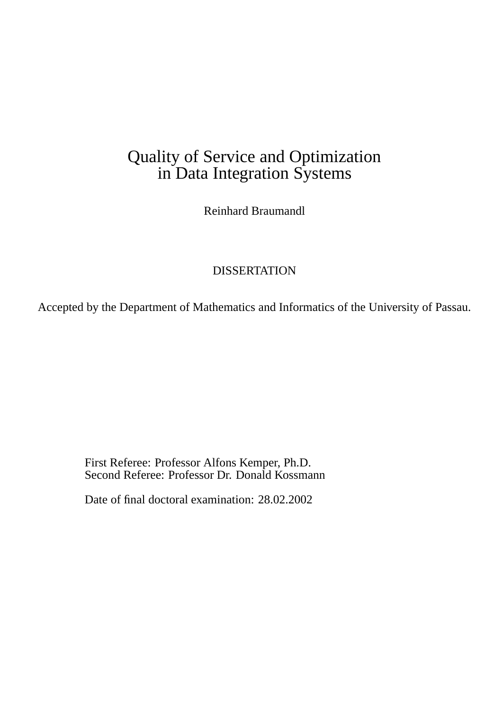## Quality of Service and Optimization in Data Integration Systems

Reinhard Braumandl

## DISSERTATION

Accepted by the Department of Mathematics and Informatics of the University of Passau.

First Referee: Professor Alfons Kemper, Ph.D. Second Referee: Professor Dr. Donald Kossmann

Date of final doctoral examination: 28.02.2002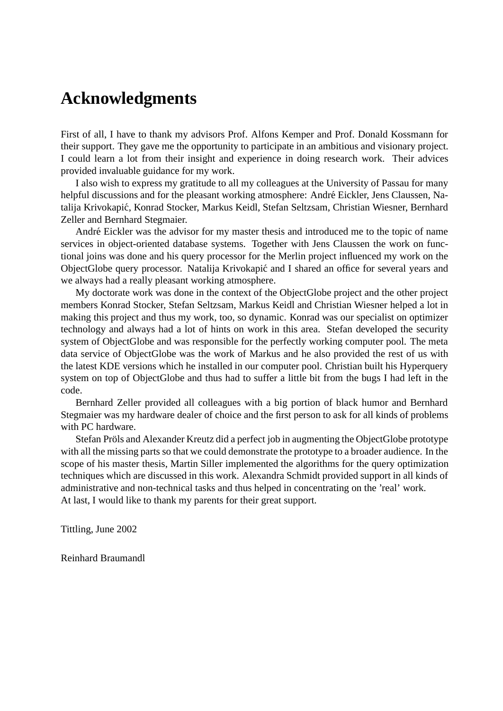## **Acknowledgments**

First of all, I have to thank my advisors Prof. Alfons Kemper and Prof. Donald Kossmann for their support. They gave me the opportunity to participate in an ambitious and visionary project. I could learn a lot from their insight and experience in doing research work. Their advices provided invaluable guidance for my work.

I also wish to express my gratitude to all my colleagues at the University of Passau for many helpful discussions and for the pleasant working atmosphere: André Eickler, Jens Claussen, Natalija Krivokapić, Konrad Stocker, Markus Keidl, Stefan Seltzsam, Christian Wiesner, Bernhard Zeller and Bernhard Stegmaier.

André Eickler was the advisor for my master thesis and introduced me to the topic of name services in object-oriented database systems. Together with Jens Claussen the work on functional joins was done and his query processor for the Merlin project influenced my work on the ObjectGlobe query processor. Natalija Krivokapić and I shared an office for several years and we always had a really pleasant working atmosphere.

My doctorate work was done in the context of the ObjectGlobe project and the other project members Konrad Stocker, Stefan Seltzsam, Markus Keidl and Christian Wiesner helped a lot in making this project and thus my work, too, so dynamic. Konrad was our specialist on optimizer technology and always had a lot of hints on work in this area. Stefan developed the security system of ObjectGlobe and was responsible for the perfectly working computer pool. The meta data service of ObjectGlobe was the work of Markus and he also provided the rest of us with the latest KDE versions which he installed in our computer pool. Christian built his Hyperquery system on top of ObjectGlobe and thus had to suffer a little bit from the bugs I had left in the code.

Bernhard Zeller provided all colleagues with a big portion of black humor and Bernhard Stegmaier was my hardware dealer of choice and the first person to ask for all kinds of problems with PC hardware.

Stefan Pröls and Alexander Kreutz did a perfect job in augmenting the ObjectGlobe prototype with all the missing parts so that we could demonstrate the prototype to a broader audience. In the scope of his master thesis, Martin Siller implemented the algorithms for the query optimization techniques which are discussed in this work. Alexandra Schmidt provided support in all kinds of administrative and non-technical tasks and thus helped in concentrating on the 'real' work. At last, I would like to thank my parents for their great support.

Tittling, June 2002

Reinhard Braumandl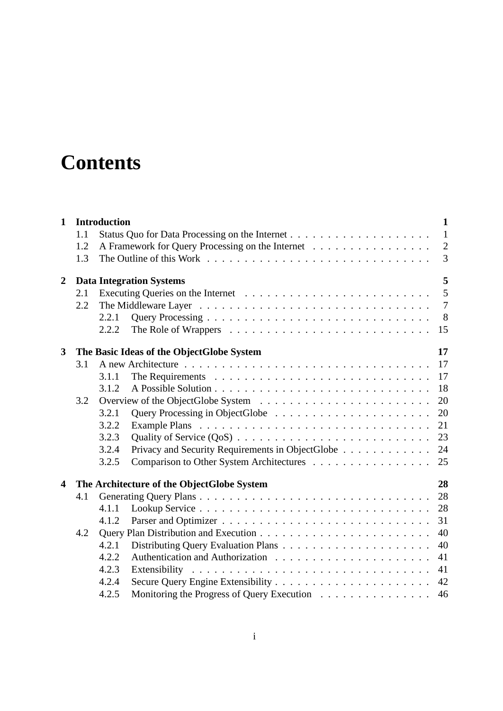## **Contents**

| $\mathbf{1}$            |     | <b>Introduction</b> |                                                  | $\mathbf{1}$   |
|-------------------------|-----|---------------------|--------------------------------------------------|----------------|
|                         | 1.1 |                     |                                                  | $\mathbf{1}$   |
|                         | 1.2 |                     | A Framework for Query Processing on the Internet | $\overline{2}$ |
|                         | 1.3 |                     |                                                  | 3              |
| $\overline{2}$          |     |                     | <b>Data Integration Systems</b>                  | 5              |
|                         | 2.1 |                     |                                                  | 5              |
|                         | 2.2 |                     |                                                  | $\overline{7}$ |
|                         |     | 2.2.1               |                                                  | 8              |
|                         |     | 2.2.2               |                                                  | 15             |
| 3                       |     |                     | The Basic Ideas of the ObjectGlobe System        | 17             |
|                         | 3.1 |                     |                                                  | 17             |
|                         |     | 3.1.1               |                                                  | 17             |
|                         |     | 3.1.2               |                                                  | 18             |
|                         | 3.2 |                     |                                                  | 20             |
|                         |     | 3.2.1               |                                                  | 20             |
|                         |     | 3.2.2               |                                                  | 21             |
|                         |     | 3.2.3               |                                                  | 23             |
|                         |     | 3.2.4               | Privacy and Security Requirements in ObjectGlobe | 24             |
|                         |     | 3.2.5               | Comparison to Other System Architectures         | 25             |
| $\overline{\mathbf{4}}$ |     |                     | The Architecture of the ObjectGlobe System       | 28             |
|                         | 4.1 |                     |                                                  | 28             |
|                         |     | 4.1.1               |                                                  | 28             |
|                         |     | 4.1.2               |                                                  | 31             |
|                         | 4.2 |                     |                                                  | 40             |
|                         |     | 4.2.1               |                                                  | 40             |
|                         |     | 4.2.2               |                                                  | 41             |
|                         |     | 4.2.3               | Extensibility                                    | 41             |
|                         |     | 4.2.4               |                                                  | 42             |
|                         |     | 4.2.5               | Monitoring the Progress of Query Execution       | 46             |
|                         |     |                     |                                                  |                |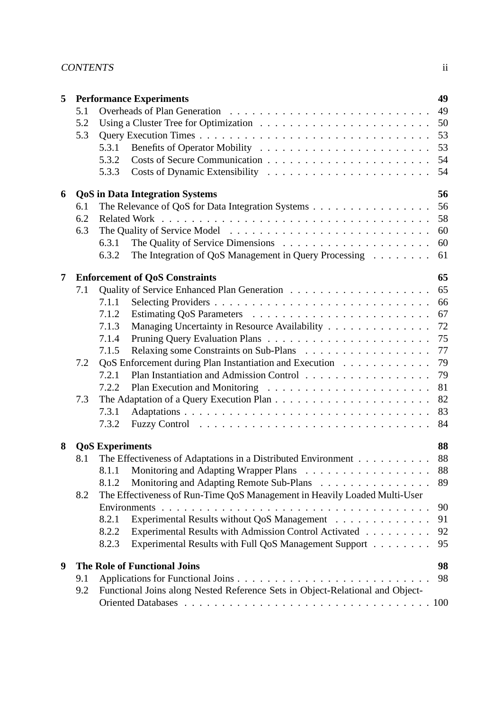## CONTENTS ii

| 5 | 49<br><b>Performance Experiments</b> |                                                                               |                                                                           |    |  |  |  |  |  |  |
|---|--------------------------------------|-------------------------------------------------------------------------------|---------------------------------------------------------------------------|----|--|--|--|--|--|--|
|   | 5.1                                  |                                                                               |                                                                           | 49 |  |  |  |  |  |  |
|   | 5.2                                  |                                                                               |                                                                           | 50 |  |  |  |  |  |  |
|   | 5.3                                  |                                                                               | 53                                                                        |    |  |  |  |  |  |  |
|   |                                      | 5.3.1                                                                         |                                                                           | 53 |  |  |  |  |  |  |
|   |                                      | 5.3.2                                                                         |                                                                           | 54 |  |  |  |  |  |  |
|   |                                      | 5.3.3                                                                         |                                                                           | 54 |  |  |  |  |  |  |
| 6 |                                      | 56<br><b>QoS</b> in Data Integration Systems                                  |                                                                           |    |  |  |  |  |  |  |
|   | 6.1                                  |                                                                               | The Relevance of QoS for Data Integration Systems                         | 56 |  |  |  |  |  |  |
|   | 6.2                                  |                                                                               |                                                                           | 58 |  |  |  |  |  |  |
|   | 6.3                                  |                                                                               |                                                                           | 60 |  |  |  |  |  |  |
|   |                                      | 6.3.1                                                                         |                                                                           | 60 |  |  |  |  |  |  |
|   |                                      | 6.3.2                                                                         | The Integration of QoS Management in Query Processing                     | 61 |  |  |  |  |  |  |
| 7 |                                      |                                                                               | <b>Enforcement of QoS Constraints</b>                                     | 65 |  |  |  |  |  |  |
|   | 7.1                                  |                                                                               |                                                                           | 65 |  |  |  |  |  |  |
|   |                                      | 7.1.1                                                                         |                                                                           | 66 |  |  |  |  |  |  |
|   |                                      | 7.1.2                                                                         |                                                                           | 67 |  |  |  |  |  |  |
|   |                                      | 7.1.3                                                                         | Managing Uncertainty in Resource Availability                             | 72 |  |  |  |  |  |  |
|   |                                      | 7.1.4                                                                         |                                                                           | 75 |  |  |  |  |  |  |
|   |                                      | 7.1.5                                                                         |                                                                           | 77 |  |  |  |  |  |  |
|   | 7.2                                  |                                                                               | QoS Enforcement during Plan Instantiation and Execution                   | 79 |  |  |  |  |  |  |
|   |                                      | 7.2.1                                                                         |                                                                           | 79 |  |  |  |  |  |  |
|   |                                      | 7.2.2                                                                         |                                                                           | 81 |  |  |  |  |  |  |
|   | 7.3                                  |                                                                               |                                                                           | 82 |  |  |  |  |  |  |
|   |                                      | 7.3.1                                                                         |                                                                           | 83 |  |  |  |  |  |  |
|   |                                      | 7.3.2                                                                         |                                                                           | 84 |  |  |  |  |  |  |
| 8 |                                      | <b>QoS</b> Experiments                                                        |                                                                           | 88 |  |  |  |  |  |  |
|   | 8.1                                  |                                                                               | The Effectiveness of Adaptations in a Distributed Environment             | 88 |  |  |  |  |  |  |
|   |                                      |                                                                               | 8.1.1 Monitoring and Adapting Wrapper Plans                               | 88 |  |  |  |  |  |  |
|   |                                      | 8.1.2                                                                         | Monitoring and Adapting Remote Sub-Plans                                  | 89 |  |  |  |  |  |  |
|   | 8.2                                  |                                                                               | The Effectiveness of Run-Time QoS Management in Heavily Loaded Multi-User |    |  |  |  |  |  |  |
|   |                                      |                                                                               |                                                                           | 90 |  |  |  |  |  |  |
|   |                                      | 8.2.1                                                                         | Experimental Results without QoS Management                               | 91 |  |  |  |  |  |  |
|   |                                      | 8.2.2                                                                         | Experimental Results with Admission Control Activated                     | 92 |  |  |  |  |  |  |
|   |                                      | 8.2.3                                                                         | Experimental Results with Full QoS Management Support                     | 95 |  |  |  |  |  |  |
| 9 |                                      |                                                                               | <b>The Role of Functional Joins</b>                                       | 98 |  |  |  |  |  |  |
|   | 9.1                                  |                                                                               |                                                                           | 98 |  |  |  |  |  |  |
|   | 9.2                                  | Functional Joins along Nested Reference Sets in Object-Relational and Object- |                                                                           |    |  |  |  |  |  |  |
|   |                                      |                                                                               |                                                                           |    |  |  |  |  |  |  |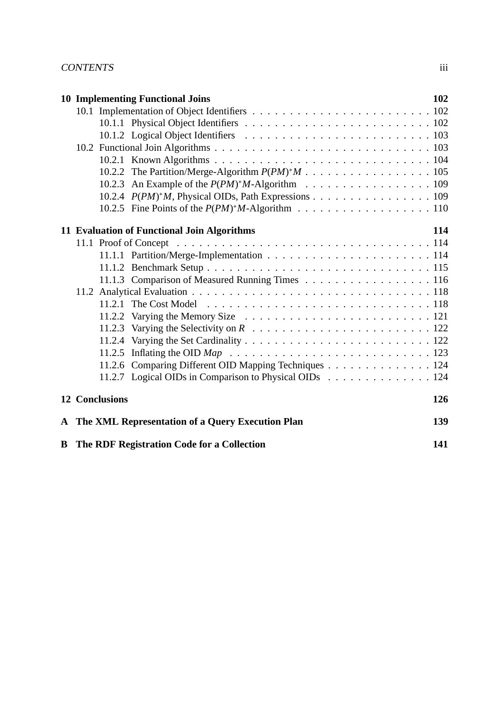## CONTENTS iii

|  |                       | <b>10 Implementing Functional Joins</b>                | 102 |
|--|-----------------------|--------------------------------------------------------|-----|
|  |                       |                                                        |     |
|  |                       |                                                        |     |
|  |                       |                                                        |     |
|  |                       |                                                        |     |
|  |                       |                                                        |     |
|  |                       |                                                        |     |
|  |                       | 10.2.3 An Example of the $P(PM)^*M$ -Algorithm 109     |     |
|  |                       | 10.2.4 P(PM)*M, Physical OIDs, Path Expressions 109    |     |
|  |                       | 10.2.5 Fine Points of the $P(PM)^*M$ -Algorithm 110    |     |
|  |                       | <b>11 Evaluation of Functional Join Algorithms</b>     | 114 |
|  |                       |                                                        |     |
|  |                       |                                                        |     |
|  |                       |                                                        |     |
|  |                       | 11.1.3 Comparison of Measured Running Times 116        |     |
|  |                       |                                                        |     |
|  |                       |                                                        |     |
|  |                       |                                                        |     |
|  |                       |                                                        |     |
|  |                       |                                                        |     |
|  |                       |                                                        |     |
|  |                       | 11.2.6 Comparing Different OID Mapping Techniques 124  |     |
|  |                       | 11.2.7 Logical OIDs in Comparison to Physical OIDs 124 |     |
|  | <b>12 Conclusions</b> |                                                        | 126 |
|  |                       | A The XML Representation of a Query Execution Plan     | 139 |
|  |                       | <b>B</b> The RDF Registration Code for a Collection    | 141 |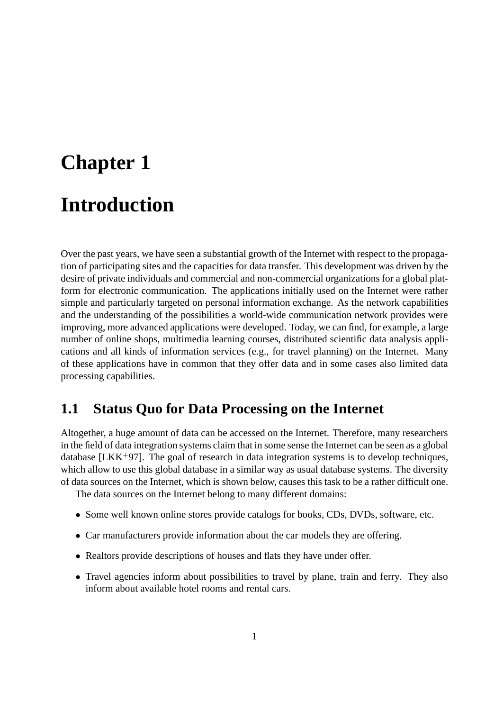## **Chapter 1 Introduction**

Over the past years, we have seen a substantial growth of the Internet with respect to the propagation of participating sites and the capacities for data transfer. This development was driven by the desire of private individuals and commercial and non-commercial organizations for a global platform for electronic communication. The applications initially used on the Internet were rather simple and particularly targeted on personal information exchange. As the network capabilities and the understanding of the possibilities a world-wide communication network provides were improving, more advanced applications were developed. Today, we can find, for example, a large number of online shops, multimedia learning courses, distributed scientific data analysis applications and all kinds of information services (e.g., for travel planning) on the Internet. Many of these applications have in common that they offer data and in some cases also limited data processing capabilities.

## **1.1 Status Quo for Data Processing on the Internet**

Altogether, a huge amount of data can be accessed on the Internet. Therefore, many researchers in the field of data integration systems claim that in some sense the Internet can be seen as a global database [LKK<sup>+</sup>97]. The goal of research in data integration systems is to develop techniques, which allow to use this global database in a similar way as usual database systems. The diversity of data sources on the Internet, which is shown below, causes this task to be a rather difficult one.

The data sources on the Internet belong to many different domains:

- Some well known online stores provide catalogs for books, CDs, DVDs, software, etc.
- Car manufacturers provide information about the car models they are offering.
- Realtors provide descriptions of houses and flats they have under offer.
- Travel agencies inform about possibilities to travel by plane, train and ferry. They also inform about available hotel rooms and rental cars.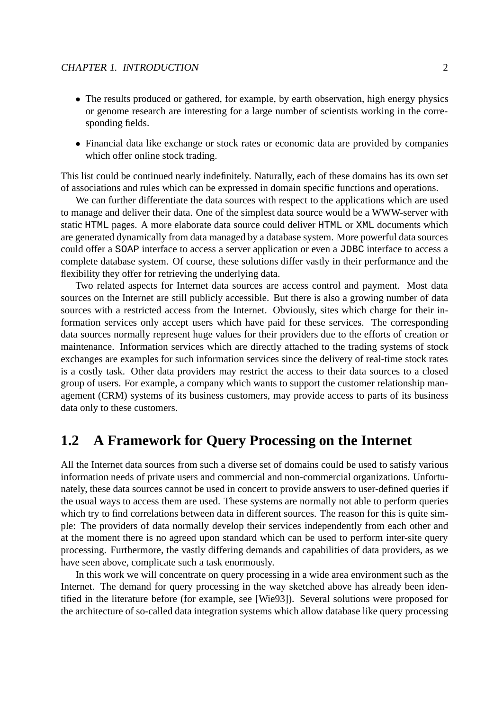#### CHAPTER 1. INTRODUCTION 2

- The results produced or gathered, for example, by earth observation, high energy physics or genome research are interesting for a large number of scientists working in the corresponding fields.
- Financial data like exchange or stock rates or economic data are provided by companies which offer online stock trading.

This list could be continued nearly indefinitely. Naturally, each of these domains has its own set of associations and rules which can be expressed in domain specific functions and operations.

We can further differentiate the data sources with respect to the applications which are used to manage and deliver their data. One of the simplest data source would be a WWW-server with static HTML pages. A more elaborate data source could deliver HTML or XML documents which are generated dynamically from data managed by a database system. More powerful data sources could offer a SOAP interface to access a server application or even a JDBC interface to access a complete database system. Of course, these solutions differ vastly in their performance and the flexibility they offer for retrieving the underlying data.

Two related aspects for Internet data sources are access control and payment. Most data sources on the Internet are still publicly accessible. But there is also a growing number of data sources with a restricted access from the Internet. Obviously, sites which charge for their information services only accept users which have paid for these services. The corresponding data sources normally represent huge values for their providers due to the efforts of creation or maintenance. Information services which are directly attached to the trading systems of stock exchanges are examples for such information services since the delivery of real-time stock rates is a costly task. Other data providers may restrict the access to their data sources to a closed group of users. For example, a company which wants to support the customer relationship management (CRM) systems of its business customers, may provide access to parts of its business data only to these customers.

## **1.2 A Framework for Query Processing on the Internet**

All the Internet data sources from such a diverse set of domains could be used to satisfy various information needs of private users and commercial and non-commercial organizations. Unfortunately, these data sources cannot be used in concert to provide answers to user-defined queries if the usual ways to access them are used. These systems are normally not able to perform queries which try to find correlations between data in different sources. The reason for this is quite simple: The providers of data normally develop their services independently from each other and at the moment there is no agreed upon standard which can be used to perform inter-site query processing. Furthermore, the vastly differing demands and capabilities of data providers, as we have seen above, complicate such a task enormously.

In this work we will concentrate on query processing in a wide area environment such as the Internet. The demand for query processing in the way sketched above has already been identified in the literature before (for example, see [Wie93]). Several solutions were proposed for the architecture of so-called data integration systems which allow database like query processing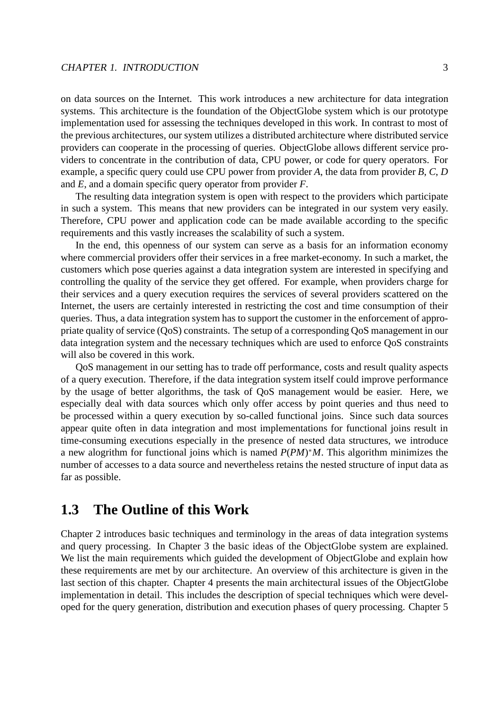on data sources on the Internet. This work introduces a new architecture for data integration systems. This architecture is the foundation of the ObjectGlobe system which is our prototype implementation used for assessing the techniques developed in this work. In contrast to most of the previous architectures, our system utilizes a distributed architecture where distributed service providers can cooperate in the processing of queries. ObjectGlobe allows different service providers to concentrate in the contribution of data, CPU power, or code for query operators. For example, a specific query could use CPU power from provider *A*, the data from provider *B*, *C*, *D* and *E*, and a domain specific query operator from provider *F*.

The resulting data integration system is open with respect to the providers which participate in such a system. This means that new providers can be integrated in our system very easily. Therefore, CPU power and application code can be made available according to the specific requirements and this vastly increases the scalability of such a system.

In the end, this openness of our system can serve as a basis for an information economy where commercial providers offer their services in a free market-economy. In such a market, the customers which pose queries against a data integration system are interested in specifying and controlling the quality of the service they get offered. For example, when providers charge for their services and a query execution requires the services of several providers scattered on the Internet, the users are certainly interested in restricting the cost and time consumption of their queries. Thus, a data integration system has to support the customer in the enforcement of appropriate quality of service (QoS) constraints. The setup of a corresponding QoS management in our data integration system and the necessary techniques which are used to enforce QoS constraints will also be covered in this work.

QoS management in our setting has to trade off performance, costs and result quality aspects of a query execution. Therefore, if the data integration system itself could improve performance by the usage of better algorithms, the task of QoS management would be easier. Here, we especially deal with data sources which only offer access by point queries and thus need to be processed within a query execution by so-called functional joins. Since such data sources appear quite often in data integration and most implementations for functional joins result in time-consuming executions especially in the presence of nested data structures, we introduce a new alogrithm for functional joins which is named *P*(*PM*) <sup>∗</sup>*M*. This algorithm minimizes the number of accesses to a data source and nevertheless retains the nested structure of input data as far as possible.

## **1.3 The Outline of this Work**

Chapter 2 introduces basic techniques and terminology in the areas of data integration systems and query processing. In Chapter 3 the basic ideas of the ObjectGlobe system are explained. We list the main requirements which guided the development of ObjectGlobe and explain how these requirements are met by our architecture. An overview of this architecture is given in the last section of this chapter. Chapter 4 presents the main architectural issues of the ObjectGlobe implementation in detail. This includes the description of special techniques which were developed for the query generation, distribution and execution phases of query processing. Chapter 5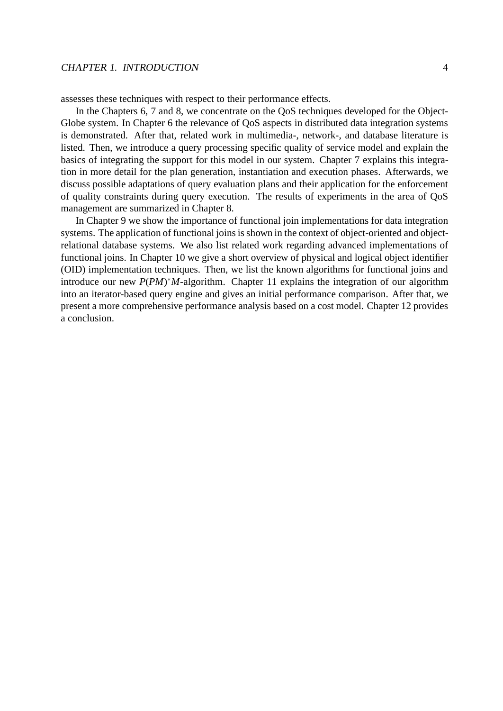assesses these techniques with respect to their performance effects.

In the Chapters 6, 7 and 8, we concentrate on the QoS techniques developed for the Object-Globe system. In Chapter 6 the relevance of QoS aspects in distributed data integration systems is demonstrated. After that, related work in multimedia-, network-, and database literature is listed. Then, we introduce a query processing specific quality of service model and explain the basics of integrating the support for this model in our system. Chapter 7 explains this integration in more detail for the plan generation, instantiation and execution phases. Afterwards, we discuss possible adaptations of query evaluation plans and their application for the enforcement of quality constraints during query execution. The results of experiments in the area of QoS management are summarized in Chapter 8.

In Chapter 9 we show the importance of functional join implementations for data integration systems. The application of functional joins is shown in the context of object-oriented and objectrelational database systems. We also list related work regarding advanced implementations of functional joins. In Chapter 10 we give a short overview of physical and logical object identifier (OID) implementation techniques. Then, we list the known algorithms for functional joins and introduce our new *P*(*PM*) <sup>∗</sup>*M*-algorithm. Chapter 11 explains the integration of our algorithm into an iterator-based query engine and gives an initial performance comparison. After that, we present a more comprehensive performance analysis based on a cost model. Chapter 12 provides a conclusion.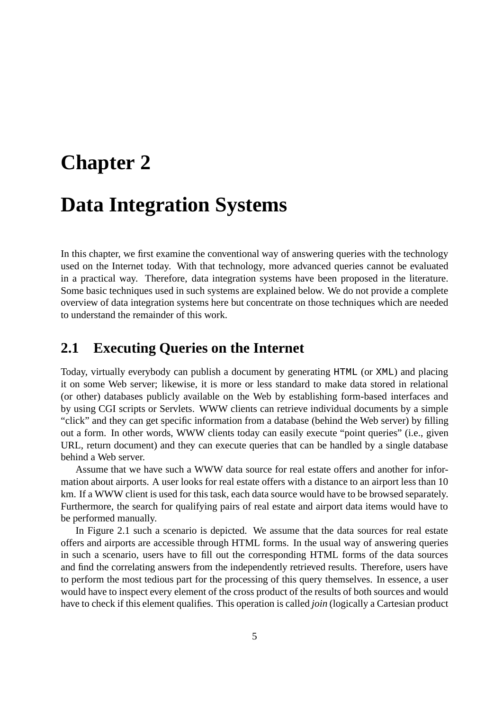# **Chapter 2 Data Integration Systems**

In this chapter, we first examine the conventional way of answering queries with the technology used on the Internet today. With that technology, more advanced queries cannot be evaluated in a practical way. Therefore, data integration systems have been proposed in the literature. Some basic techniques used in such systems are explained below. We do not provide a complete overview of data integration systems here but concentrate on those techniques which are needed to understand the remainder of this work.

## **2.1 Executing Queries on the Internet**

Today, virtually everybody can publish a document by generating HTML (or XML) and placing it on some Web server; likewise, it is more or less standard to make data stored in relational (or other) databases publicly available on the Web by establishing form-based interfaces and by using CGI scripts or Servlets. WWW clients can retrieve individual documents by a simple "click" and they can get specific information from a database (behind the Web server) by filling out a form. In other words, WWW clients today can easily execute "point queries" (i.e., given URL, return document) and they can execute queries that can be handled by a single database behind a Web server.

Assume that we have such a WWW data source for real estate offers and another for information about airports. A user looks for real estate offers with a distance to an airport less than 10 km. If a WWW client is used for this task, each data source would have to be browsed separately. Furthermore, the search for qualifying pairs of real estate and airport data items would have to be performed manually.

In Figure 2.1 such a scenario is depicted. We assume that the data sources for real estate offers and airports are accessible through HTML forms. In the usual way of answering queries in such a scenario, users have to fill out the corresponding HTML forms of the data sources and find the correlating answers from the independently retrieved results. Therefore, users have to perform the most tedious part for the processing of this query themselves. In essence, a user would have to inspect every element of the cross product of the results of both sources and would have to check if this element qualifies. This operation is called *join* (logically a Cartesian product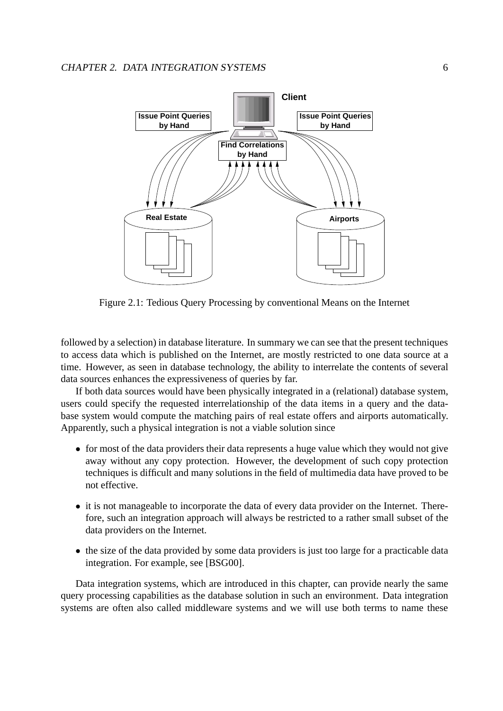

Figure 2.1: Tedious Query Processing by conventional Means on the Internet

followed by a selection) in database literature. In summary we can see that the present techniques to access data which is published on the Internet, are mostly restricted to one data source at a time. However, as seen in database technology, the ability to interrelate the contents of several data sources enhances the expressiveness of queries by far.

If both data sources would have been physically integrated in a (relational) database system, users could specify the requested interrelationship of the data items in a query and the database system would compute the matching pairs of real estate offers and airports automatically. Apparently, such a physical integration is not a viable solution since

- for most of the data providers their data represents a huge value which they would not give away without any copy protection. However, the development of such copy protection techniques is difficult and many solutions in the field of multimedia data have proved to be not effective.
- it is not manageable to incorporate the data of every data provider on the Internet. Therefore, such an integration approach will always be restricted to a rather small subset of the data providers on the Internet.
- the size of the data provided by some data providers is just too large for a practicable data integration. For example, see [BSG00].

Data integration systems, which are introduced in this chapter, can provide nearly the same query processing capabilities as the database solution in such an environment. Data integration systems are often also called middleware systems and we will use both terms to name these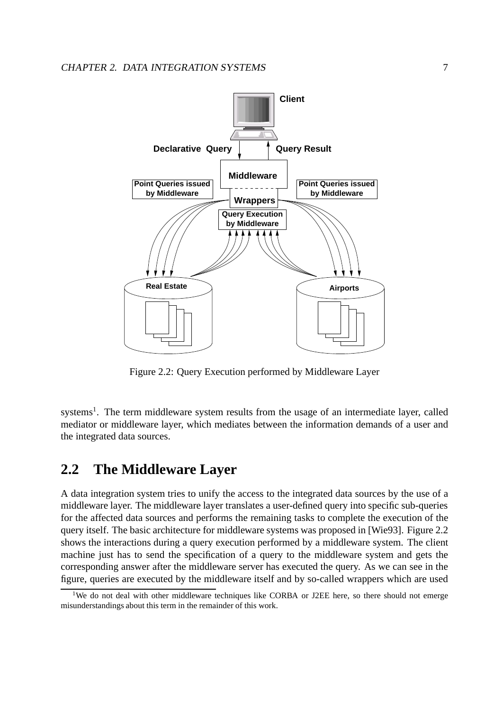

Figure 2.2: Query Execution performed by Middleware Layer

systems<sup>1</sup>. The term middleware system results from the usage of an intermediate layer, called mediator or middleware layer, which mediates between the information demands of a user and the integrated data sources.

## **2.2 The Middleware Layer**

A data integration system tries to unify the access to the integrated data sources by the use of a middleware layer. The middleware layer translates a user-defined query into specific sub-queries for the affected data sources and performs the remaining tasks to complete the execution of the query itself. The basic architecture for middleware systems was proposed in [Wie93]. Figure 2.2 shows the interactions during a query execution performed by a middleware system. The client machine just has to send the specification of a query to the middleware system and gets the corresponding answer after the middleware server has executed the query. As we can see in the figure, queries are executed by the middleware itself and by so-called wrappers which are used

<sup>&</sup>lt;sup>1</sup>We do not deal with other middleware techniques like CORBA or J2EE here, so there should not emerge misunderstandings about this term in the remainder of this work.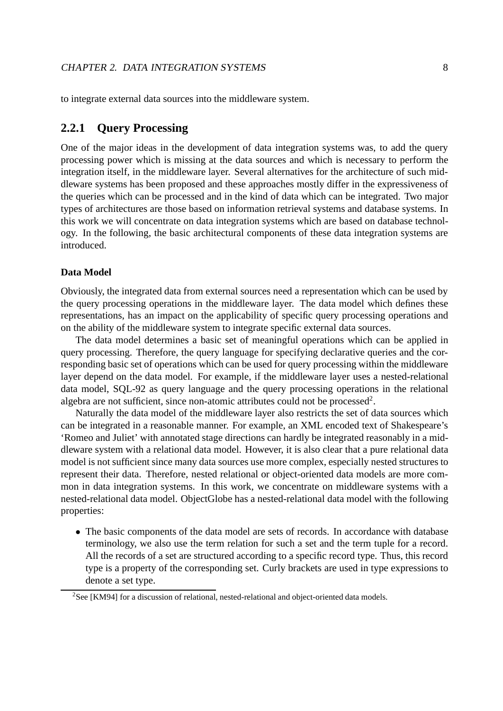to integrate external data sources into the middleware system.

## **2.2.1 Query Processing**

One of the major ideas in the development of data integration systems was, to add the query processing power which is missing at the data sources and which is necessary to perform the integration itself, in the middleware layer. Several alternatives for the architecture of such middleware systems has been proposed and these approaches mostly differ in the expressiveness of the queries which can be processed and in the kind of data which can be integrated. Two major types of architectures are those based on information retrieval systems and database systems. In this work we will concentrate on data integration systems which are based on database technology. In the following, the basic architectural components of these data integration systems are introduced.

#### **Data Model**

Obviously, the integrated data from external sources need a representation which can be used by the query processing operations in the middleware layer. The data model which defines these representations, has an impact on the applicability of specific query processing operations and on the ability of the middleware system to integrate specific external data sources.

The data model determines a basic set of meaningful operations which can be applied in query processing. Therefore, the query language for specifying declarative queries and the corresponding basic set of operations which can be used for query processing within the middleware layer depend on the data model. For example, if the middleware layer uses a nested-relational data model, SQL-92 as query language and the query processing operations in the relational algebra are not sufficient, since non-atomic attributes could not be processed<sup>2</sup>.

Naturally the data model of the middleware layer also restricts the set of data sources which can be integrated in a reasonable manner. For example, an XML encoded text of Shakespeare's 'Romeo and Juliet' with annotated stage directions can hardly be integrated reasonably in a middleware system with a relational data model. However, it is also clear that a pure relational data model is not sufficient since many data sources use more complex, especially nested structures to represent their data. Therefore, nested relational or object-oriented data models are more common in data integration systems. In this work, we concentrate on middleware systems with a nested-relational data model. ObjectGlobe has a nested-relational data model with the following properties:

• The basic components of the data model are sets of records. In accordance with database terminology, we also use the term relation for such a set and the term tuple for a record. All the records of a set are structured according to a specific record type. Thus, this record type is a property of the corresponding set. Curly brackets are used in type expressions to denote a set type.

<sup>&</sup>lt;sup>2</sup>See [KM94] for a discussion of relational, nested-relational and object-oriented data models.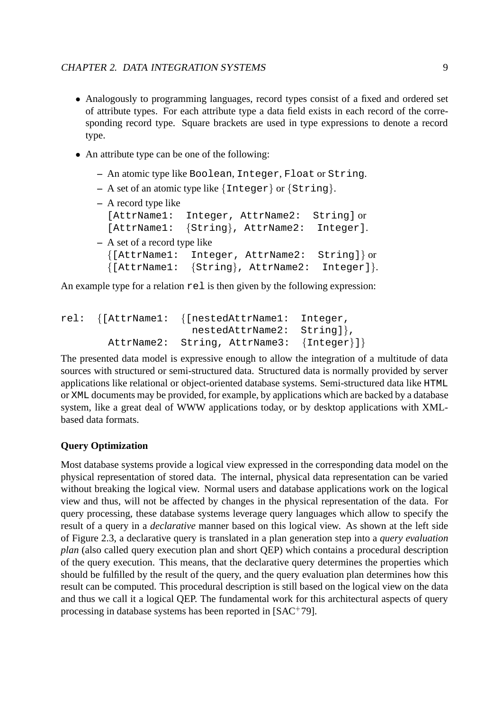#### CHAPTER 2. DATA INTEGRATION SYSTEMS 9

- Analogously to programming languages, record types consist of a fixed and ordered set of attribute types. For each attribute type a data field exists in each record of the corresponding record type. Square brackets are used in type expressions to denote a record type.
- An attribute type can be one of the following:
	- **–** An atomic type like Boolean, Integer, Float or String.
	- **–** A set of an atomic type like {Integer} or {String}.
	- **–** A record type like [AttrName1: Integer, AttrName2: String] or [AttrName1: {String}, AttrName2: Integer]. **–** A set of a record type like {[AttrName1: Integer, AttrName2: String]} or {[AttrName1: {String}, AttrName2: Integer]}.

An example type for a relation  $r \in \mathbb{I}$  is then given by the following expression:

```
rel: {[AttrName1: {[nestedAttrName1: Integer,
              nestedAttrName2: String]},
AttrName2: String, AttrName3: {Integer}]}
```
The presented data model is expressive enough to allow the integration of a multitude of data sources with structured or semi-structured data. Structured data is normally provided by server applications like relational or object-oriented database systems. Semi-structured data like HTML or XML documents may be provided, for example, by applications which are backed by a database system, like a great deal of WWW applications today, or by desktop applications with XMLbased data formats.

#### **Query Optimization**

Most database systems provide a logical view expressed in the corresponding data model on the physical representation of stored data. The internal, physical data representation can be varied without breaking the logical view. Normal users and database applications work on the logical view and thus, will not be affected by changes in the physical representation of the data. For query processing, these database systems leverage query languages which allow to specify the result of a query in a *declarative* manner based on this logical view. As shown at the left side of Figure 2.3, a declarative query is translated in a plan generation step into a *query evaluation plan* (also called query execution plan and short QEP) which contains a procedural description of the query execution. This means, that the declarative query determines the properties which should be fulfilled by the result of the query, and the query evaluation plan determines how this result can be computed. This procedural description is still based on the logical view on the data and thus we call it a logical QEP. The fundamental work for this architectural aspects of query processing in database systems has been reported in [SAC+79].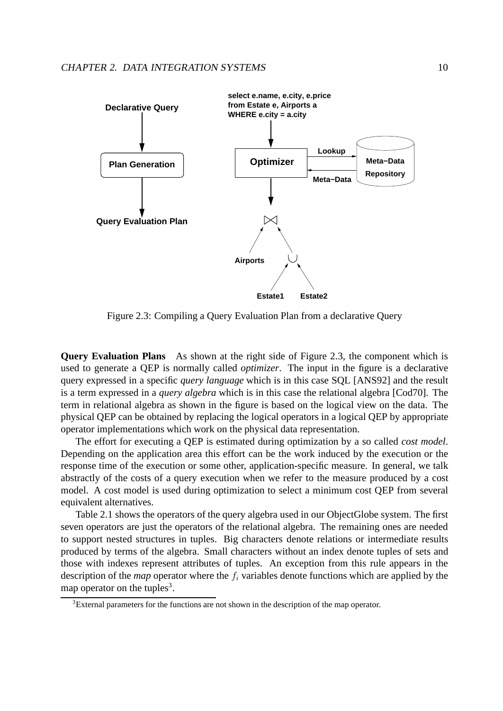

Figure 2.3: Compiling a Query Evaluation Plan from a declarative Query

**Query Evaluation Plans** As shown at the right side of Figure 2.3, the component which is used to generate a QEP is normally called *optimizer*. The input in the figure is a declarative query expressed in a specific *query language* which is in this case SQL [ANS92] and the result is a term expressed in a *query algebra* which is in this case the relational algebra [Cod70]. The term in relational algebra as shown in the figure is based on the logical view on the data. The physical QEP can be obtained by replacing the logical operators in a logical QEP by appropriate operator implementations which work on the physical data representation.

The effort for executing a QEP is estimated during optimization by a so called *cost model*. Depending on the application area this effort can be the work induced by the execution or the response time of the execution or some other, application-specific measure. In general, we talk abstractly of the costs of a query execution when we refer to the measure produced by a cost model. A cost model is used during optimization to select a minimum cost QEP from several equivalent alternatives.

Table 2.1 shows the operators of the query algebra used in our ObjectGlobe system. The first seven operators are just the operators of the relational algebra. The remaining ones are needed to support nested structures in tuples. Big characters denote relations or intermediate results produced by terms of the algebra. Small characters without an index denote tuples of sets and those with indexes represent attributes of tuples. An exception from this rule appears in the description of the *map* operator where the  $f_i$  variables denote functions which are applied by the map operator on the tuples<sup>3</sup>.

<sup>3</sup>External parameters for the functions are not shown in the description of the map operator.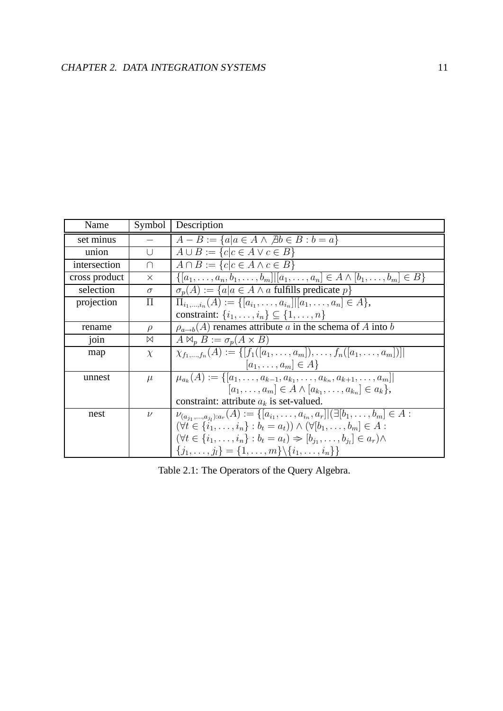| Symbol   | Description                                                                                           |
|----------|-------------------------------------------------------------------------------------------------------|
|          | $A - B := \{a   a \in A \land \nexists b \in B : b = a\}$                                             |
| U        | $A \cup B := \{c   c \in A \lor c \in B\}$                                                            |
| ∩        | $\overline{A \cap B} := \{c   c \in A \land c \in B\}$                                                |
| $\times$ | $\{[a_1, \ldots, a_n, b_1, \ldots, b_m]   [a_1, \ldots, a_n] \in A \wedge [b_1, \ldots, b_m] \in B\}$ |
| $\sigma$ | $\sigma_p(A) := \{a   a \in A \land a$ fulfills predicate $p\}$                                       |
| П        | $\Pi_{i_1,\ldots,i_n}(A) := \{ [a_{i_1},\ldots,a_{i_n}]   [a_1,\ldots,a_n] \in A \},$                 |
|          | constraint: $\{i_1, \ldots, i_n\} \subseteq \{1, \ldots, n\}$                                         |
| $\rho$   | $\rho_{a\rightarrow b}(A)$ renames attribute a in the schema of A into b                              |
| M        | $A \boxtimes_p B := \sigma_p(A \times B)$                                                             |
| $\chi$   | $\chi_{f_1,,f_n}(A) := \{[f_1([a_1,,a_m]),,f_n([a_1,,a_m])]\}$                                        |
|          | $[a_1,\ldots,a_m]\in A\}$                                                                             |
| $\mu$    | $\mu_{a_k}(A) := \{ [a_1, \ldots, a_{k-1}, a_{k_1}, \ldots, a_{k_n}, a_{k+1}, \ldots, a_m]  $         |
|          | $[a_1, \ldots, a_m] \in A \wedge [a_{k_1}, \ldots, a_{k_n}] \in a_k$                                  |
|          | constraint: attribute $a_k$ is set-valued.                                                            |
| $\nu$    | $\nu_{(a_{i_1},,a_{i_l}):a_r}(A) := \{ [a_{i_1},\ldots,a_{i_n},a_r]   (\exists [b_1,,b_m] \in A :$    |
|          | $(\forall t \in \{i_1, \ldots, i_n\} : b_t = a_t)) \wedge (\forall [b_1, \ldots, b_m] \in A$ :        |
|          | $(\forall t \in \{i_1,\ldots,i_n\} : b_t = a_t) \Rightarrow [b_{i_1},\ldots,b_{i_l}] \in a_r \wedge$  |
|          | $\{j_1, \ldots, j_l\} = \{1, \ldots, m\} \setminus \{i_1, \ldots, i_n\}\$                             |
|          |                                                                                                       |

Table 2.1: The Operators of the Query Algebra.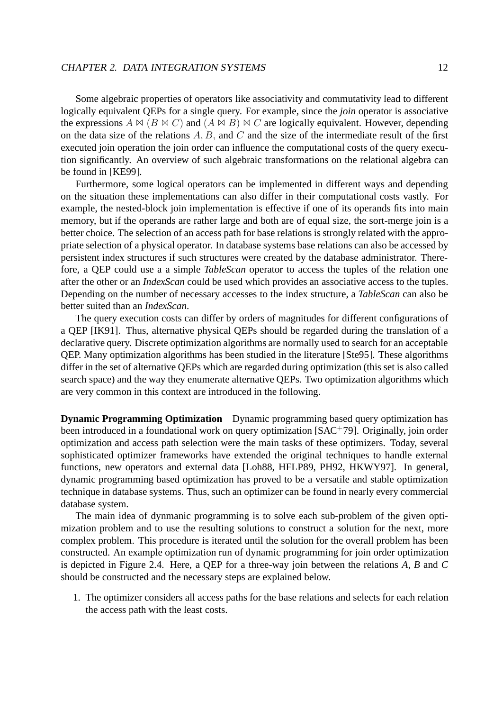#### CHAPTER 2. DATA INTEGRATION SYSTEMS 12

Some algebraic properties of operators like associativity and commutativity lead to different logically equivalent QEPs for a single query. For example, since the *join* operator is associative the expressions  $A \Join (B \Join C)$  and  $(A \Join B) \Join C$  are logically equivalent. However, depending on the data size of the relations  $A, B$ , and  $C$  and the size of the intermediate result of the first executed join operation the join order can influence the computational costs of the query execution significantly. An overview of such algebraic transformations on the relational algebra can be found in [KE99].

Furthermore, some logical operators can be implemented in different ways and depending on the situation these implementations can also differ in their computational costs vastly. For example, the nested-block join implementation is effective if one of its operands fits into main memory, but if the operands are rather large and both are of equal size, the sort-merge join is a better choice. The selection of an access path for base relations is strongly related with the appropriate selection of a physical operator. In database systems base relations can also be accessed by persistent index structures if such structures were created by the database administrator. Therefore, a QEP could use a a simple *TableScan* operator to access the tuples of the relation one after the other or an *IndexScan* could be used which provides an associative access to the tuples. Depending on the number of necessary accesses to the index structure, a *TableScan* can also be better suited than an *IndexScan*.

The query execution costs can differ by orders of magnitudes for different configurations of a QEP [IK91]. Thus, alternative physical QEPs should be regarded during the translation of a declarative query. Discrete optimization algorithms are normally used to search for an acceptable QEP. Many optimization algorithms has been studied in the literature [Ste95]. These algorithms differ in the set of alternative QEPs which are regarded during optimization (this set is also called search space) and the way they enumerate alternative QEPs. Two optimization algorithms which are very common in this context are introduced in the following.

**Dynamic Programming Optimization** Dynamic programming based query optimization has been introduced in a foundational work on query optimization [SAC<sup>+</sup>79]. Originally, join order optimization and access path selection were the main tasks of these optimizers. Today, several sophisticated optimizer frameworks have extended the original techniques to handle external functions, new operators and external data [Loh88, HFLP89, PH92, HKWY97]. In general, dynamic programming based optimization has proved to be a versatile and stable optimization technique in database systems. Thus, such an optimizer can be found in nearly every commercial database system.

The main idea of dynmanic programming is to solve each sub-problem of the given optimization problem and to use the resulting solutions to construct a solution for the next, more complex problem. This procedure is iterated until the solution for the overall problem has been constructed. An example optimization run of dynamic programming for join order optimization is depicted in Figure 2.4. Here, a QEP for a three-way join between the relations *A, B* and *C* should be constructed and the necessary steps are explained below.

1. The optimizer considers all access paths for the base relations and selects for each relation the access path with the least costs.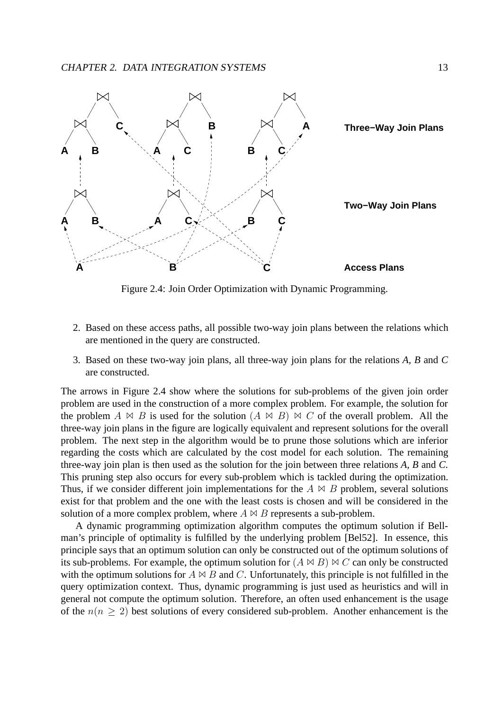

Figure 2.4: Join Order Optimization with Dynamic Programming.

- 2. Based on these access paths, all possible two-way join plans between the relations which are mentioned in the query are constructed.
- 3. Based on these two-way join plans, all three-way join plans for the relations *A, B* and *C* are constructed.

The arrows in Figure 2.4 show where the solutions for sub-problems of the given join order problem are used in the construction of a more complex problem. For example, the solution for the problem  $A \Join B$  is used for the solution  $(A \Join B) \Join C$  of the overall problem. All the three-way join plans in the figure are logically equivalent and represent solutions for the overall problem. The next step in the algorithm would be to prune those solutions which are inferior regarding the costs which are calculated by the cost model for each solution. The remaining three-way join plan is then used as the solution for the join between three relations *A, B* and *C*. This pruning step also occurs for every sub-problem which is tackled during the optimization. Thus, if we consider different join implementations for the  $A \Join B$  problem, several solutions exist for that problem and the one with the least costs is chosen and will be considered in the solution of a more complex problem, where  $A \Join B$  represents a sub-problem.

A dynamic programming optimization algorithm computes the optimum solution if Bellman's principle of optimality is fulfilled by the underlying problem [Bel52]. In essence, this principle says that an optimum solution can only be constructed out of the optimum solutions of its sub-problems. For example, the optimum solution for  $(A \bowtie B) \bowtie C$  can only be constructed with the optimum solutions for  $A \Join B$  and C. Unfortunately, this principle is not fulfilled in the query optimization context. Thus, dynamic programming is just used as heuristics and will in general not compute the optimum solution. Therefore, an often used enhancement is the usage of the  $n(n \geq 2)$  best solutions of every considered sub-problem. Another enhancement is the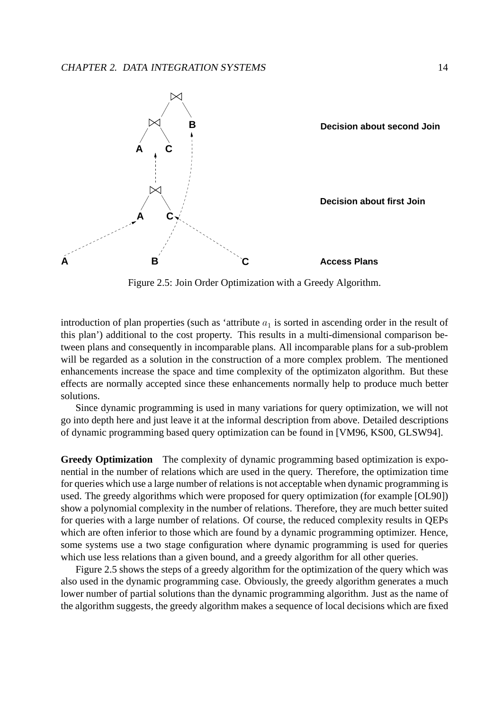

Figure 2.5: Join Order Optimization with a Greedy Algorithm.

introduction of plan properties (such as 'attribute  $a_1$  is sorted in ascending order in the result of this plan') additional to the cost property. This results in a multi-dimensional comparison between plans and consequently in incomparable plans. All incomparable plans for a sub-problem will be regarded as a solution in the construction of a more complex problem. The mentioned enhancements increase the space and time complexity of the optimizaton algorithm. But these effects are normally accepted since these enhancements normally help to produce much better solutions.

Since dynamic programming is used in many variations for query optimization, we will not go into depth here and just leave it at the informal description from above. Detailed descriptions of dynamic programming based query optimization can be found in [VM96, KS00, GLSW94].

**Greedy Optimization** The complexity of dynamic programming based optimization is exponential in the number of relations which are used in the query. Therefore, the optimization time for queries which use a large number of relations is not acceptable when dynamic programming is used. The greedy algorithms which were proposed for query optimization (for example [OL90]) show a polynomial complexity in the number of relations. Therefore, they are much better suited for queries with a large number of relations. Of course, the reduced complexity results in QEPs which are often inferior to those which are found by a dynamic programming optimizer. Hence, some systems use a two stage configuration where dynamic programming is used for queries which use less relations than a given bound, and a greedy algorithm for all other queries.

Figure 2.5 shows the steps of a greedy algorithm for the optimization of the query which was also used in the dynamic programming case. Obviously, the greedy algorithm generates a much lower number of partial solutions than the dynamic programming algorithm. Just as the name of the algorithm suggests, the greedy algorithm makes a sequence of local decisions which are fixed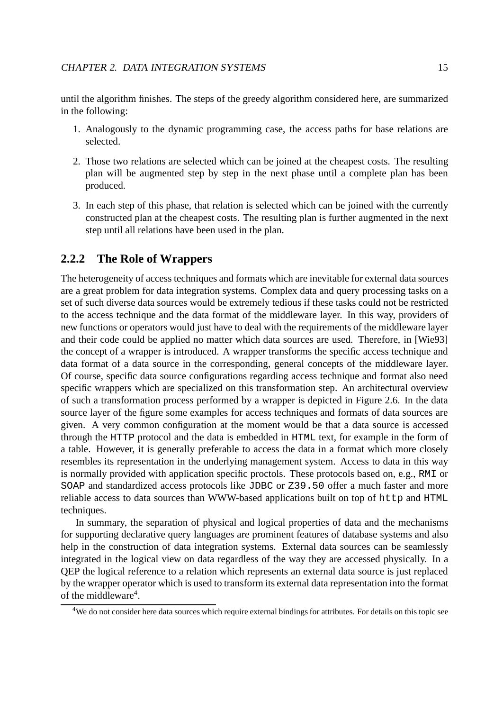until the algorithm finishes. The steps of the greedy algorithm considered here, are summarized in the following:

- 1. Analogously to the dynamic programming case, the access paths for base relations are selected.
- 2. Those two relations are selected which can be joined at the cheapest costs. The resulting plan will be augmented step by step in the next phase until a complete plan has been produced.
- 3. In each step of this phase, that relation is selected which can be joined with the currently constructed plan at the cheapest costs. The resulting plan is further augmented in the next step until all relations have been used in the plan.

## **2.2.2 The Role of Wrappers**

The heterogeneity of access techniques and formats which are inevitable for external data sources are a great problem for data integration systems. Complex data and query processing tasks on a set of such diverse data sources would be extremely tedious if these tasks could not be restricted to the access technique and the data format of the middleware layer. In this way, providers of new functions or operators would just have to deal with the requirements of the middleware layer and their code could be applied no matter which data sources are used. Therefore, in [Wie93] the concept of a wrapper is introduced. A wrapper transforms the specific access technique and data format of a data source in the corresponding, general concepts of the middleware layer. Of course, specific data source configurations regarding access technique and format also need specific wrappers which are specialized on this transformation step. An architectural overview of such a transformation process performed by a wrapper is depicted in Figure 2.6. In the data source layer of the figure some examples for access techniques and formats of data sources are given. A very common configuration at the moment would be that a data source is accessed through the HTTP protocol and the data is embedded in HTML text, for example in the form of a table. However, it is generally preferable to access the data in a format which more closely resembles its representation in the underlying management system. Access to data in this way is normally provided with application specific proctols. These protocols based on, e.g., RMI or SOAP and standardized access protocols like JDBC or Z39.50 offer a much faster and more reliable access to data sources than WWW-based applications built on top of http and HTML techniques.

In summary, the separation of physical and logical properties of data and the mechanisms for supporting declarative query languages are prominent features of database systems and also help in the construction of data integration systems. External data sources can be seamlessly integrated in the logical view on data regardless of the way they are accessed physically. In a QEP the logical reference to a relation which represents an external data source is just replaced by the wrapper operator which is used to transform its external data representation into the format of the middleware<sup>4</sup>.

<sup>&</sup>lt;sup>4</sup>We do not consider here data sources which require external bindings for attributes. For details on this topic see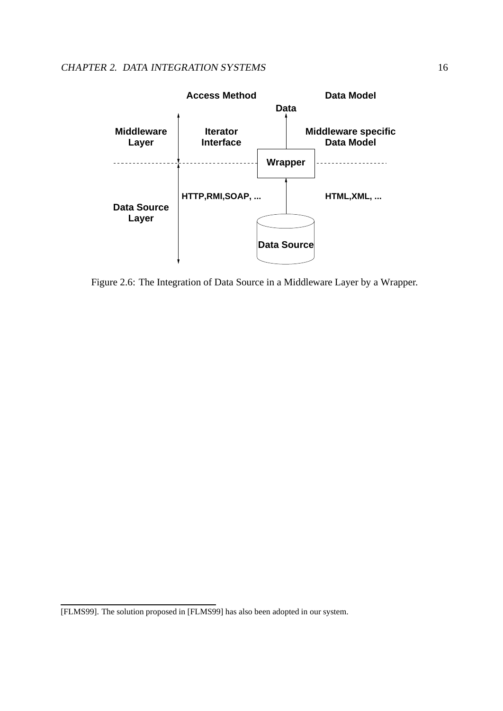

Figure 2.6: The Integration of Data Source in a Middleware Layer by a Wrapper.

<sup>[</sup>FLMS99]. The solution proposed in [FLMS99] has also been adopted in our system.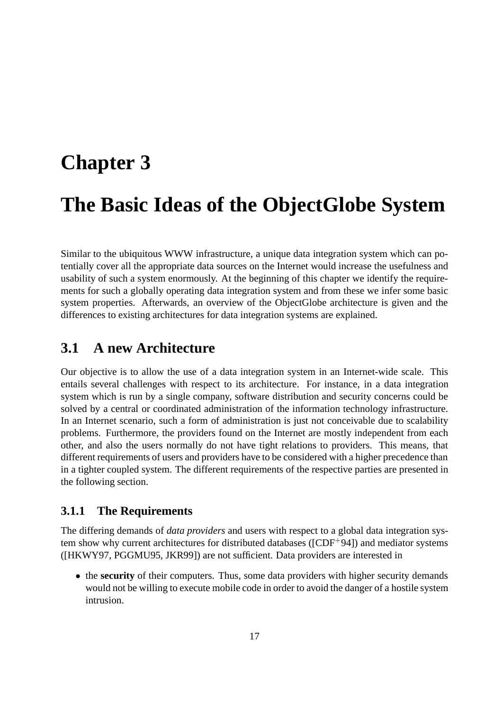# **Chapter 3 The Basic Ideas of the ObjectGlobe System**

Similar to the ubiquitous WWW infrastructure, a unique data integration system which can potentially cover all the appropriate data sources on the Internet would increase the usefulness and usability of such a system enormously. At the beginning of this chapter we identify the requirements for such a globally operating data integration system and from these we infer some basic system properties. Afterwards, an overview of the ObjectGlobe architecture is given and the differences to existing architectures for data integration systems are explained.

## **3.1 A new Architecture**

Our objective is to allow the use of a data integration system in an Internet-wide scale. This entails several challenges with respect to its architecture. For instance, in a data integration system which is run by a single company, software distribution and security concerns could be solved by a central or coordinated administration of the information technology infrastructure. In an Internet scenario, such a form of administration is just not conceivable due to scalability problems. Furthermore, the providers found on the Internet are mostly independent from each other, and also the users normally do not have tight relations to providers. This means, that different requirements of users and providers have to be considered with a higher precedence than in a tighter coupled system. The different requirements of the respective parties are presented in the following section.

## **3.1.1 The Requirements**

The differing demands of *data providers* and users with respect to a global data integration system show why current architectures for distributed databases ([CDF<sup>+</sup>94]) and mediator systems ([HKWY97, PGGMU95, JKR99]) are not sufficient. Data providers are interested in

• the **security** of their computers. Thus, some data providers with higher security demands would not be willing to execute mobile code in order to avoid the danger of a hostile system intrusion.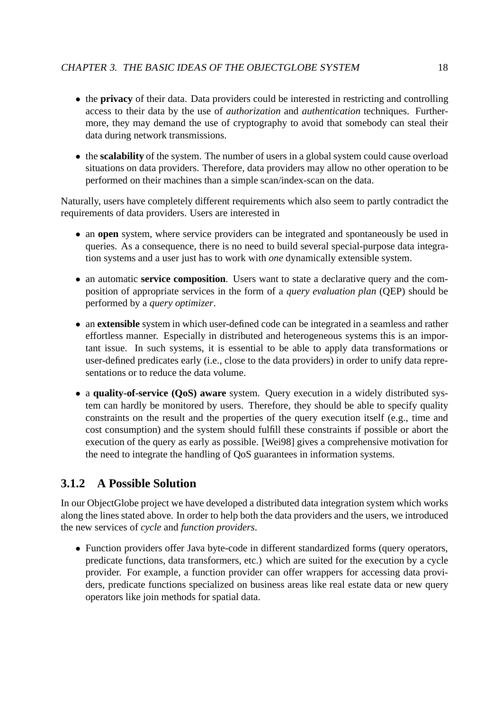- the **privacy** of their data. Data providers could be interested in restricting and controlling access to their data by the use of *authorization* and *authentication* techniques. Furthermore, they may demand the use of cryptography to avoid that somebody can steal their data during network transmissions.
- the **scalability** of the system. The number of users in a global system could cause overload situations on data providers. Therefore, data providers may allow no other operation to be performed on their machines than a simple scan/index-scan on the data.

Naturally, users have completely different requirements which also seem to partly contradict the requirements of data providers. Users are interested in

- an **open** system, where service providers can be integrated and spontaneously be used in queries. As a consequence, there is no need to build several special-purpose data integration systems and a user just has to work with *one* dynamically extensible system.
- an automatic **service composition**. Users want to state a declarative query and the composition of appropriate services in the form of a *query evaluation plan* (QEP) should be performed by a *query optimizer*.
- an **extensible** system in which user-defined code can be integrated in a seamless and rather effortless manner. Especially in distributed and heterogeneous systems this is an important issue. In such systems, it is essential to be able to apply data transformations or user-defined predicates early (i.e., close to the data providers) in order to unify data representations or to reduce the data volume.
- a **quality-of-service (QoS) aware** system. Query execution in a widely distributed system can hardly be monitored by users. Therefore, they should be able to specify quality constraints on the result and the properties of the query execution itself (e.g., time and cost consumption) and the system should fulfill these constraints if possible or abort the execution of the query as early as possible. [Wei98] gives a comprehensive motivation for the need to integrate the handling of QoS guarantees in information systems.

## **3.1.2 A Possible Solution**

In our ObjectGlobe project we have developed a distributed data integration system which works along the lines stated above. In order to help both the data providers and the users, we introduced the new services of *cycle* and *function providers*.

• Function providers offer Java byte-code in different standardized forms (query operators, predicate functions, data transformers, etc.) which are suited for the execution by a cycle provider. For example, a function provider can offer wrappers for accessing data providers, predicate functions specialized on business areas like real estate data or new query operators like join methods for spatial data.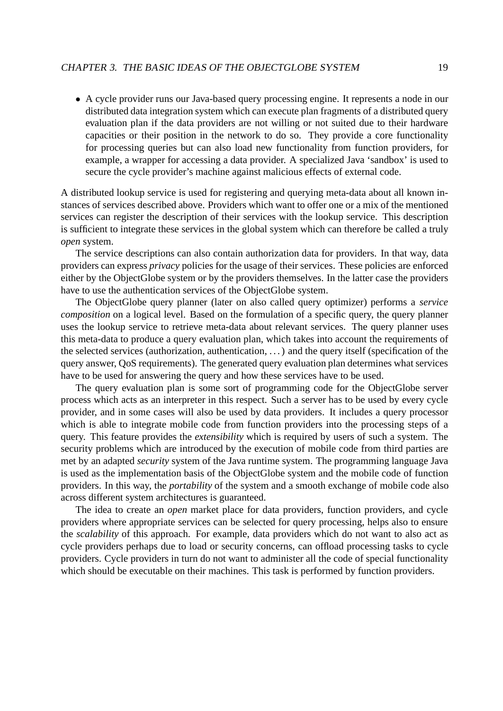• A cycle provider runs our Java-based query processing engine. It represents a node in our distributed data integration system which can execute plan fragments of a distributed query evaluation plan if the data providers are not willing or not suited due to their hardware capacities or their position in the network to do so. They provide a core functionality for processing queries but can also load new functionality from function providers, for example, a wrapper for accessing a data provider. A specialized Java 'sandbox' is used to secure the cycle provider's machine against malicious effects of external code.

A distributed lookup service is used for registering and querying meta-data about all known instances of services described above. Providers which want to offer one or a mix of the mentioned services can register the description of their services with the lookup service. This description is sufficient to integrate these services in the global system which can therefore be called a truly *open* system.

The service descriptions can also contain authorization data for providers. In that way, data providers can express *privacy* policies for the usage of their services. These policies are enforced either by the ObjectGlobe system or by the providers themselves. In the latter case the providers have to use the authentication services of the ObjectGlobe system.

The ObjectGlobe query planner (later on also called query optimizer) performs a *service composition* on a logical level. Based on the formulation of a specific query, the query planner uses the lookup service to retrieve meta-data about relevant services. The query planner uses this meta-data to produce a query evaluation plan, which takes into account the requirements of the selected services (authorization, authentication, . . . ) and the query itself (specification of the query answer, QoS requirements). The generated query evaluation plan determines what services have to be used for answering the query and how these services have to be used.

The query evaluation plan is some sort of programming code for the ObjectGlobe server process which acts as an interpreter in this respect. Such a server has to be used by every cycle provider, and in some cases will also be used by data providers. It includes a query processor which is able to integrate mobile code from function providers into the processing steps of a query. This feature provides the *extensibility* which is required by users of such a system. The security problems which are introduced by the execution of mobile code from third parties are met by an adapted *security* system of the Java runtime system. The programming language Java is used as the implementation basis of the ObjectGlobe system and the mobile code of function providers. In this way, the *portability* of the system and a smooth exchange of mobile code also across different system architectures is guaranteed.

The idea to create an *open* market place for data providers, function providers, and cycle providers where appropriate services can be selected for query processing, helps also to ensure the *scalability* of this approach. For example, data providers which do not want to also act as cycle providers perhaps due to load or security concerns, can offload processing tasks to cycle providers. Cycle providers in turn do not want to administer all the code of special functionality which should be executable on their machines. This task is performed by function providers.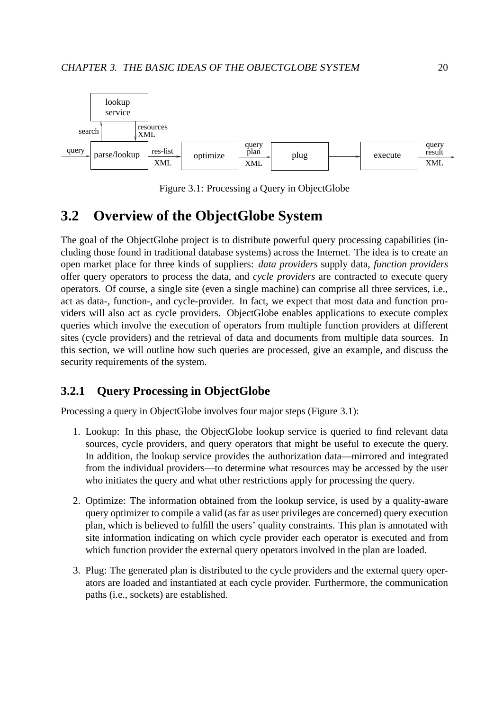

Figure 3.1: Processing a Query in ObjectGlobe

## **3.2 Overview of the ObjectGlobe System**

The goal of the ObjectGlobe project is to distribute powerful query processing capabilities (including those found in traditional database systems) across the Internet. The idea is to create an open market place for three kinds of suppliers: *data providers* supply data, *function providers* offer query operators to process the data, and *cycle providers* are contracted to execute query operators. Of course, a single site (even a single machine) can comprise all three services, i.e., act as data-, function-, and cycle-provider. In fact, we expect that most data and function providers will also act as cycle providers. ObjectGlobe enables applications to execute complex queries which involve the execution of operators from multiple function providers at different sites (cycle providers) and the retrieval of data and documents from multiple data sources. In this section, we will outline how such queries are processed, give an example, and discuss the security requirements of the system.

## **3.2.1 Query Processing in ObjectGlobe**

Processing a query in ObjectGlobe involves four major steps (Figure 3.1):

- 1. Lookup: In this phase, the ObjectGlobe lookup service is queried to find relevant data sources, cycle providers, and query operators that might be useful to execute the query. In addition, the lookup service provides the authorization data—mirrored and integrated from the individual providers—to determine what resources may be accessed by the user who initiates the query and what other restrictions apply for processing the query.
- 2. Optimize: The information obtained from the lookup service, is used by a quality-aware query optimizer to compile a valid (as far as user privileges are concerned) query execution plan, which is believed to fulfill the users' quality constraints. This plan is annotated with site information indicating on which cycle provider each operator is executed and from which function provider the external query operators involved in the plan are loaded.
- 3. Plug: The generated plan is distributed to the cycle providers and the external query operators are loaded and instantiated at each cycle provider. Furthermore, the communication paths (i.e., sockets) are established.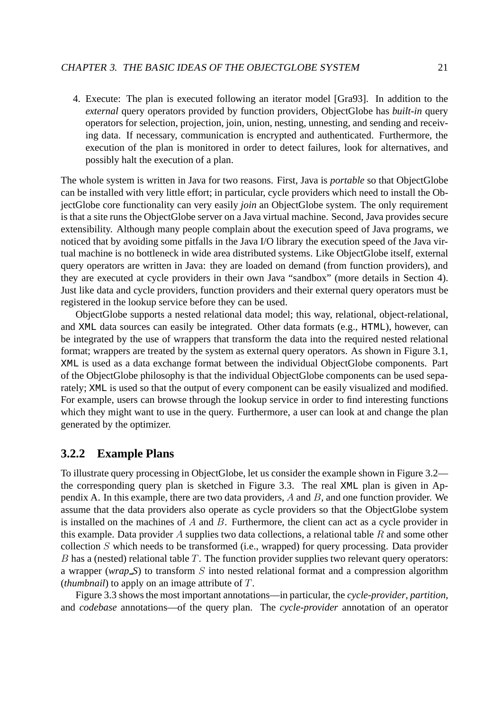4. Execute: The plan is executed following an iterator model [Gra93]. In addition to the *external* query operators provided by function providers, ObjectGlobe has *built-in* query operators for selection, projection, join, union, nesting, unnesting, and sending and receiving data. If necessary, communication is encrypted and authenticated. Furthermore, the execution of the plan is monitored in order to detect failures, look for alternatives, and possibly halt the execution of a plan.

The whole system is written in Java for two reasons. First, Java is *portable* so that ObjectGlobe can be installed with very little effort; in particular, cycle providers which need to install the ObjectGlobe core functionality can very easily *join* an ObjectGlobe system. The only requirement is that a site runs the ObjectGlobe server on a Java virtual machine. Second, Java provides secure extensibility. Although many people complain about the execution speed of Java programs, we noticed that by avoiding some pitfalls in the Java I/O library the execution speed of the Java virtual machine is no bottleneck in wide area distributed systems. Like ObjectGlobe itself, external query operators are written in Java: they are loaded on demand (from function providers), and they are executed at cycle providers in their own Java "sandbox" (more details in Section 4). Just like data and cycle providers, function providers and their external query operators must be registered in the lookup service before they can be used.

ObjectGlobe supports a nested relational data model; this way, relational, object-relational, and XML data sources can easily be integrated. Other data formats (e.g., HTML), however, can be integrated by the use of wrappers that transform the data into the required nested relational format; wrappers are treated by the system as external query operators. As shown in Figure 3.1, XML is used as a data exchange format between the individual ObjectGlobe components. Part of the ObjectGlobe philosophy is that the individual ObjectGlobe components can be used separately; XML is used so that the output of every component can be easily visualized and modified. For example, users can browse through the lookup service in order to find interesting functions which they might want to use in the query. Furthermore, a user can look at and change the plan generated by the optimizer.

### **3.2.2 Example Plans**

To illustrate query processing in ObjectGlobe, let us consider the example shown in Figure 3.2 the corresponding query plan is sketched in Figure 3.3. The real XML plan is given in Appendix A. In this example, there are two data providers,  $A$  and  $B$ , and one function provider. We assume that the data providers also operate as cycle providers so that the ObjectGlobe system is installed on the machines of  $A$  and  $B$ . Furthermore, the client can act as a cycle provider in this example. Data provider  $A$  supplies two data collections, a relational table  $R$  and some other collection S which needs to be transformed (i.e., wrapped) for query processing. Data provider B has a (nested) relational table  $T$ . The function provider supplies two relevant query operators: a wrapper (*wrap S*) to transform *S* into nested relational format and a compression algorithm (*thumbnail*) to apply on an image attribute of T.

Figure 3.3 shows the most important annotations—in particular, the *cycle-provider*, *partition*, and *codebase* annotations—of the query plan. The *cycle-provider* annotation of an operator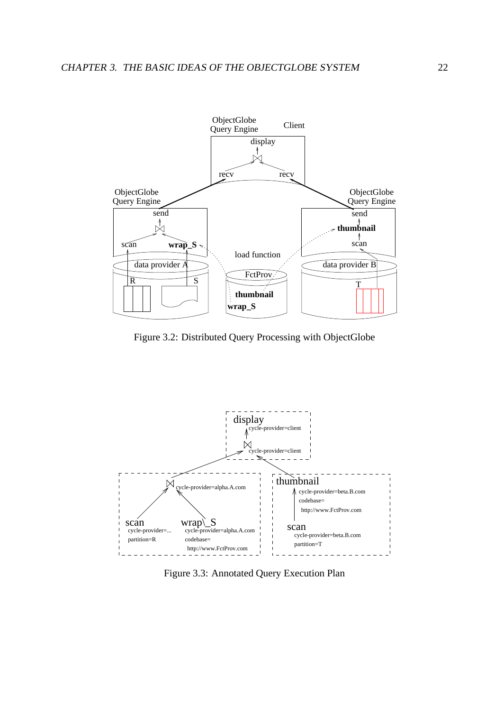

Figure 3.2: Distributed Query Processing with ObjectGlobe



Figure 3.3: Annotated Query Execution Plan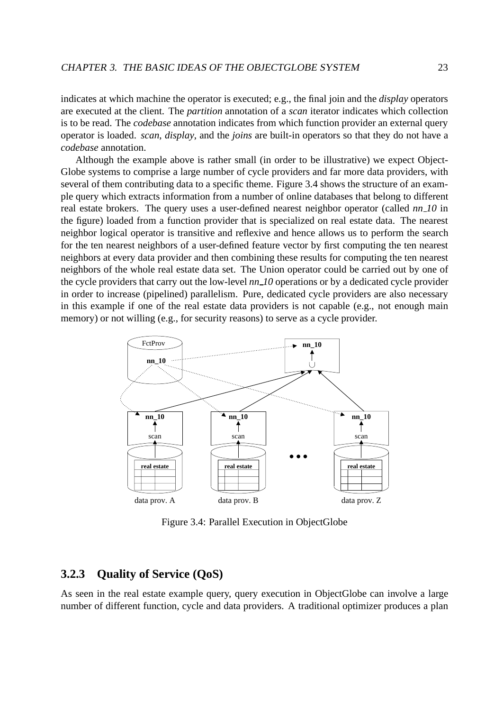indicates at which machine the operator is executed; e.g., the final join and the *display* operators are executed at the client. The *partition* annotation of a *scan* iterator indicates which collection is to be read. The *codebase* annotation indicates from which function provider an external query operator is loaded. *scan*, *display*, and the *joins* are built-in operators so that they do not have a *codebase* annotation.

Although the example above is rather small (in order to be illustrative) we expect Object-Globe systems to comprise a large number of cycle providers and far more data providers, with several of them contributing data to a specific theme. Figure 3.4 shows the structure of an example query which extracts information from a number of online databases that belong to different real estate brokers. The query uses a user-defined nearest neighbor operator (called *nn 10* in the figure) loaded from a function provider that is specialized on real estate data. The nearest neighbor logical operator is transitive and reflexive and hence allows us to perform the search for the ten nearest neighbors of a user-defined feature vector by first computing the ten nearest neighbors at every data provider and then combining these results for computing the ten nearest neighbors of the whole real estate data set. The Union operator could be carried out by one of the cycle providers that carry out the low-level *nn 10* operations or by a dedicated cycle provider in order to increase (pipelined) parallelism. Pure, dedicated cycle providers are also necessary in this example if one of the real estate data providers is not capable (e.g., not enough main memory) or not willing (e.g., for security reasons) to serve as a cycle provider.



Figure 3.4: Parallel Execution in ObjectGlobe

## **3.2.3 Quality of Service (QoS)**

As seen in the real estate example query, query execution in ObjectGlobe can involve a large number of different function, cycle and data providers. A traditional optimizer produces a plan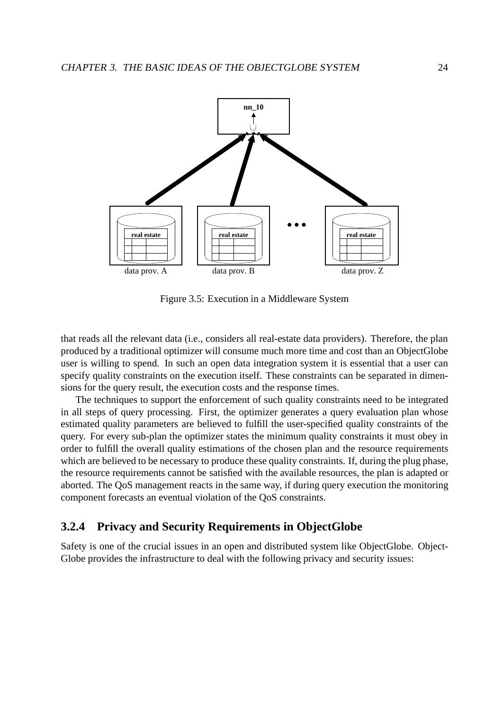

Figure 3.5: Execution in a Middleware System

that reads all the relevant data (i.e., considers all real-estate data providers). Therefore, the plan produced by a traditional optimizer will consume much more time and cost than an ObjectGlobe user is willing to spend. In such an open data integration system it is essential that a user can specify quality constraints on the execution itself. These constraints can be separated in dimensions for the query result, the execution costs and the response times.

The techniques to support the enforcement of such quality constraints need to be integrated in all steps of query processing. First, the optimizer generates a query evaluation plan whose estimated quality parameters are believed to fulfill the user-specified quality constraints of the query. For every sub-plan the optimizer states the minimum quality constraints it must obey in order to fulfill the overall quality estimations of the chosen plan and the resource requirements which are believed to be necessary to produce these quality constraints. If, during the plug phase, the resource requirements cannot be satisfied with the available resources, the plan is adapted or aborted. The QoS management reacts in the same way, if during query execution the monitoring component forecasts an eventual violation of the QoS constraints.

## **3.2.4 Privacy and Security Requirements in ObjectGlobe**

Safety is one of the crucial issues in an open and distributed system like ObjectGlobe. Object-Globe provides the infrastructure to deal with the following privacy and security issues: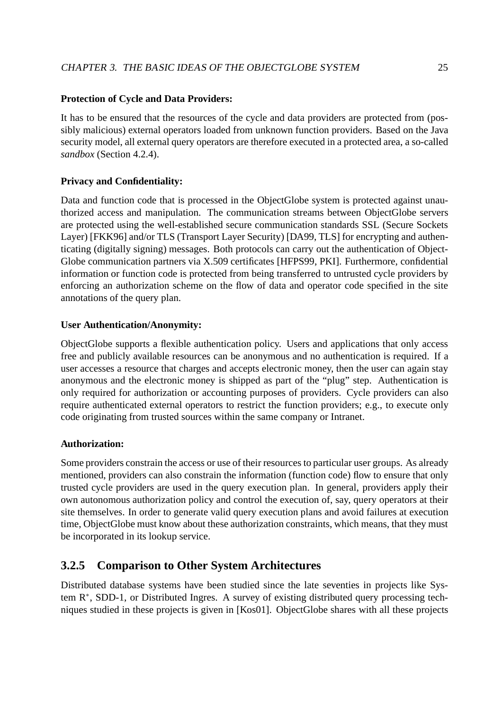### CHAPTER 3. THE BASIC IDEAS OF THE OBJECTGLOBE SYSTEM 25

### **Protection of Cycle and Data Providers:**

It has to be ensured that the resources of the cycle and data providers are protected from (possibly malicious) external operators loaded from unknown function providers. Based on the Java security model, all external query operators are therefore executed in a protected area, a so-called *sandbox* (Section 4.2.4).

## **Privacy and Confidentiality:**

Data and function code that is processed in the ObjectGlobe system is protected against unauthorized access and manipulation. The communication streams between ObjectGlobe servers are protected using the well-established secure communication standards SSL (Secure Sockets Layer) [FKK96] and/or TLS (Transport Layer Security) [DA99, TLS] for encrypting and authenticating (digitally signing) messages. Both protocols can carry out the authentication of Object-Globe communication partners via X.509 certificates [HFPS99, PKI]. Furthermore, confidential information or function code is protected from being transferred to untrusted cycle providers by enforcing an authorization scheme on the flow of data and operator code specified in the site annotations of the query plan.

### **User Authentication/Anonymity:**

ObjectGlobe supports a flexible authentication policy. Users and applications that only access free and publicly available resources can be anonymous and no authentication is required. If a user accesses a resource that charges and accepts electronic money, then the user can again stay anonymous and the electronic money is shipped as part of the "plug" step. Authentication is only required for authorization or accounting purposes of providers. Cycle providers can also require authenticated external operators to restrict the function providers; e.g., to execute only code originating from trusted sources within the same company or Intranet.

### **Authorization:**

Some providers constrain the access or use of their resources to particular user groups. As already mentioned, providers can also constrain the information (function code) flow to ensure that only trusted cycle providers are used in the query execution plan. In general, providers apply their own autonomous authorization policy and control the execution of, say, query operators at their site themselves. In order to generate valid query execution plans and avoid failures at execution time, ObjectGlobe must know about these authorization constraints, which means, that they must be incorporated in its lookup service.

## **3.2.5 Comparison to Other System Architectures**

Distributed database systems have been studied since the late seventies in projects like System R∗, SDD-1, or Distributed Ingres. A survey of existing distributed query processing techniques studied in these projects is given in [Kos01]. ObjectGlobe shares with all these projects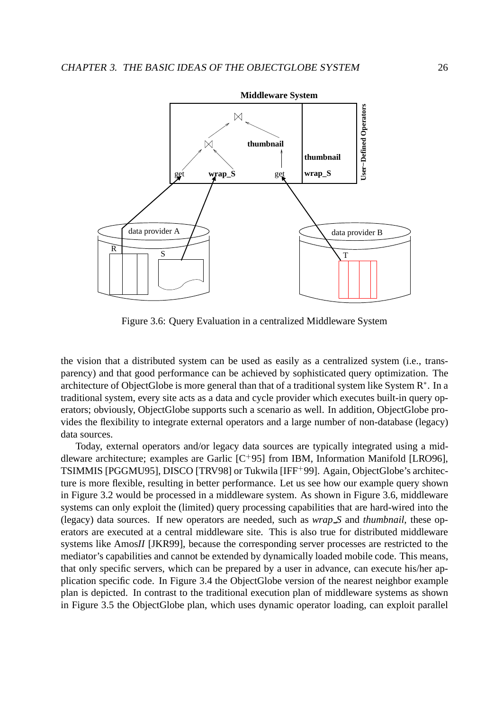

Figure 3.6: Query Evaluation in a centralized Middleware System

the vision that a distributed system can be used as easily as a centralized system (i.e., transparency) and that good performance can be achieved by sophisticated query optimization. The architecture of ObjectGlobe is more general than that of a traditional system like System R∗. In a traditional system, every site acts as a data and cycle provider which executes built-in query operators; obviously, ObjectGlobe supports such a scenario as well. In addition, ObjectGlobe provides the flexibility to integrate external operators and a large number of non-database (legacy) data sources.

Today, external operators and/or legacy data sources are typically integrated using a middleware architecture; examples are Garlic  $[C+95]$  from IBM, Information Manifold [LRO96], TSIMMIS [PGGMU95], DISCO [TRV98] or Tukwila [IFF+99]. Again, ObjectGlobe's architecture is more flexible, resulting in better performance. Let us see how our example query shown in Figure 3.2 would be processed in a middleware system. As shown in Figure 3.6, middleware systems can only exploit the (limited) query processing capabilities that are hard-wired into the (legacy) data sources. If new operators are needed, such as *wrap S* and *thumbnail*, these operators are executed at a central middleware site. This is also true for distributed middleware systems like Amos*II* [JKR99], because the corresponding server processes are restricted to the mediator's capabilities and cannot be extended by dynamically loaded mobile code. This means, that only specific servers, which can be prepared by a user in advance, can execute his/her application specific code. In Figure 3.4 the ObjectGlobe version of the nearest neighbor example plan is depicted. In contrast to the traditional execution plan of middleware systems as shown in Figure 3.5 the ObjectGlobe plan, which uses dynamic operator loading, can exploit parallel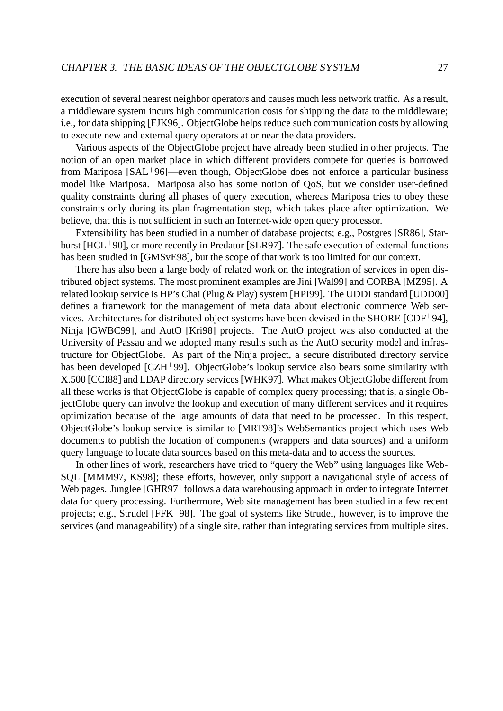execution of several nearest neighbor operators and causes much less network traffic. As a result, a middleware system incurs high communication costs for shipping the data to the middleware; i.e., for data shipping [FJK96]. ObjectGlobe helps reduce such communication costs by allowing to execute new and external query operators at or near the data providers.

Various aspects of the ObjectGlobe project have already been studied in other projects. The notion of an open market place in which different providers compete for queries is borrowed from Mariposa  $[SAL<sup>+</sup>96]$ —even though, ObjectGlobe does not enforce a particular business model like Mariposa. Mariposa also has some notion of QoS, but we consider user-defined quality constraints during all phases of query execution, whereas Mariposa tries to obey these constraints only during its plan fragmentation step, which takes place after optimization. We believe, that this is not sufficient in such an Internet-wide open query processor.

Extensibility has been studied in a number of database projects; e.g., Postgres [SR86], Starburst [HCL<sup>+</sup>90], or more recently in Predator [SLR97]. The safe execution of external functions has been studied in [GMSvE98], but the scope of that work is too limited for our context.

There has also been a large body of related work on the integration of services in open distributed object systems. The most prominent examples are Jini [Wal99] and CORBA [MZ95]. A related lookup service is HP's Chai (Plug & Play) system [HPI99]. The UDDI standard [UDD00] defines a framework for the management of meta data about electronic commerce Web services. Architectures for distributed object systems have been devised in the SHORE [CDF<sup>+</sup>94], Ninja [GWBC99], and AutO [Kri98] projects. The AutO project was also conducted at the University of Passau and we adopted many results such as the AutO security model and infrastructure for ObjectGlobe. As part of the Ninja project, a secure distributed directory service has been developed [CZH+99]. ObjectGlobe's lookup service also bears some similarity with X.500 [CCI88] and LDAP directory services [WHK97]. What makes ObjectGlobe different from all these works is that ObjectGlobe is capable of complex query processing; that is, a single ObjectGlobe query can involve the lookup and execution of many different services and it requires optimization because of the large amounts of data that need to be processed. In this respect, ObjectGlobe's lookup service is similar to [MRT98]'s WebSemantics project which uses Web documents to publish the location of components (wrappers and data sources) and a uniform query language to locate data sources based on this meta-data and to access the sources.

In other lines of work, researchers have tried to "query the Web" using languages like Web-SQL [MMM97, KS98]; these efforts, however, only support a navigational style of access of Web pages. Junglee [GHR97] follows a data warehousing approach in order to integrate Internet data for query processing. Furthermore, Web site management has been studied in a few recent projects; e.g., Strudel [FFK<sup>+98]</sup>. The goal of systems like Strudel, however, is to improve the services (and manageability) of a single site, rather than integrating services from multiple sites.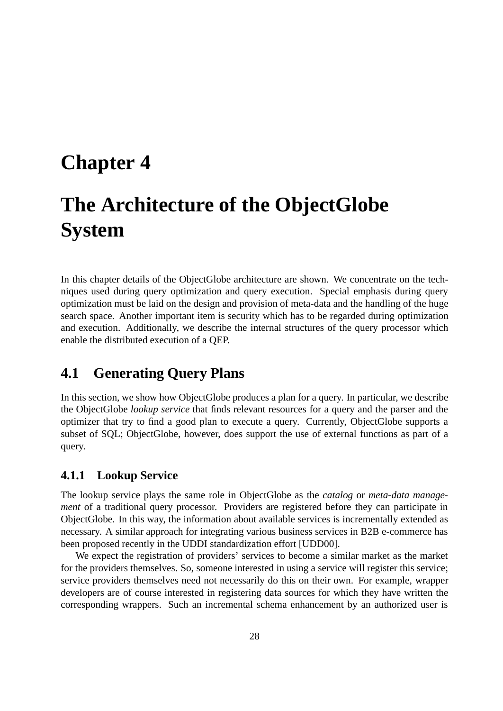## **Chapter 4**

## **The Architecture of the ObjectGlobe System**

In this chapter details of the ObjectGlobe architecture are shown. We concentrate on the techniques used during query optimization and query execution. Special emphasis during query optimization must be laid on the design and provision of meta-data and the handling of the huge search space. Another important item is security which has to be regarded during optimization and execution. Additionally, we describe the internal structures of the query processor which enable the distributed execution of a QEP.

## **4.1 Generating Query Plans**

In this section, we show how ObjectGlobe produces a plan for a query. In particular, we describe the ObjectGlobe *lookup service* that finds relevant resources for a query and the parser and the optimizer that try to find a good plan to execute a query. Currently, ObjectGlobe supports a subset of SQL; ObjectGlobe, however, does support the use of external functions as part of a query.

## **4.1.1 Lookup Service**

The lookup service plays the same role in ObjectGlobe as the *catalog* or *meta-data management* of a traditional query processor. Providers are registered before they can participate in ObjectGlobe. In this way, the information about available services is incrementally extended as necessary. A similar approach for integrating various business services in B2B e-commerce has been proposed recently in the UDDI standardization effort [UDD00].

We expect the registration of providers' services to become a similar market as the market for the providers themselves. So, someone interested in using a service will register this service; service providers themselves need not necessarily do this on their own. For example, wrapper developers are of course interested in registering data sources for which they have written the corresponding wrappers. Such an incremental schema enhancement by an authorized user is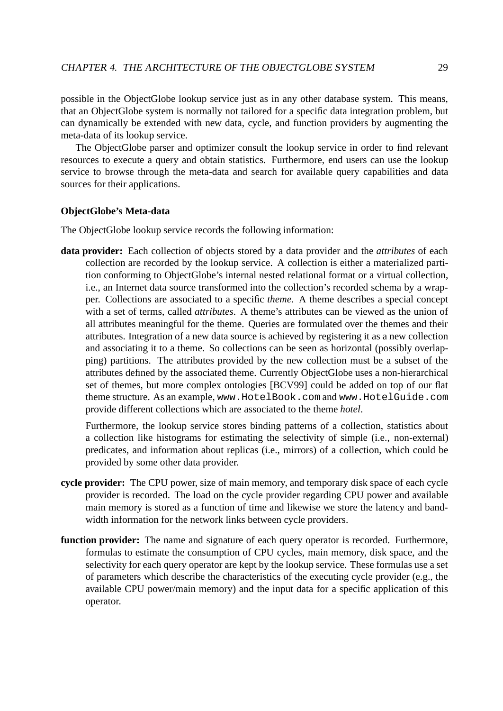possible in the ObjectGlobe lookup service just as in any other database system. This means, that an ObjectGlobe system is normally not tailored for a specific data integration problem, but can dynamically be extended with new data, cycle, and function providers by augmenting the meta-data of its lookup service.

The ObjectGlobe parser and optimizer consult the lookup service in order to find relevant resources to execute a query and obtain statistics. Furthermore, end users can use the lookup service to browse through the meta-data and search for available query capabilities and data sources for their applications.

#### **ObjectGlobe's Meta-data**

The ObjectGlobe lookup service records the following information:

**data provider:** Each collection of objects stored by a data provider and the *attributes* of each collection are recorded by the lookup service. A collection is either a materialized partition conforming to ObjectGlobe's internal nested relational format or a virtual collection, i.e., an Internet data source transformed into the collection's recorded schema by a wrapper. Collections are associated to a specific *theme*. A theme describes a special concept with a set of terms, called *attributes*. A theme's attributes can be viewed as the union of all attributes meaningful for the theme. Queries are formulated over the themes and their attributes. Integration of a new data source is achieved by registering it as a new collection and associating it to a theme. So collections can be seen as horizontal (possibly overlapping) partitions. The attributes provided by the new collection must be a subset of the attributes defined by the associated theme. Currently ObjectGlobe uses a non-hierarchical set of themes, but more complex ontologies [BCV99] could be added on top of our flat theme structure. As an example, www.HotelBook.com and www.HotelGuide.com provide different collections which are associated to the theme *hotel*.

Furthermore, the lookup service stores binding patterns of a collection, statistics about a collection like histograms for estimating the selectivity of simple (i.e., non-external) predicates, and information about replicas (i.e., mirrors) of a collection, which could be provided by some other data provider.

- **cycle provider:** The CPU power, size of main memory, and temporary disk space of each cycle provider is recorded. The load on the cycle provider regarding CPU power and available main memory is stored as a function of time and likewise we store the latency and bandwidth information for the network links between cycle providers.
- **function provider:** The name and signature of each query operator is recorded. Furthermore, formulas to estimate the consumption of CPU cycles, main memory, disk space, and the selectivity for each query operator are kept by the lookup service. These formulas use a set of parameters which describe the characteristics of the executing cycle provider (e.g., the available CPU power/main memory) and the input data for a specific application of this operator.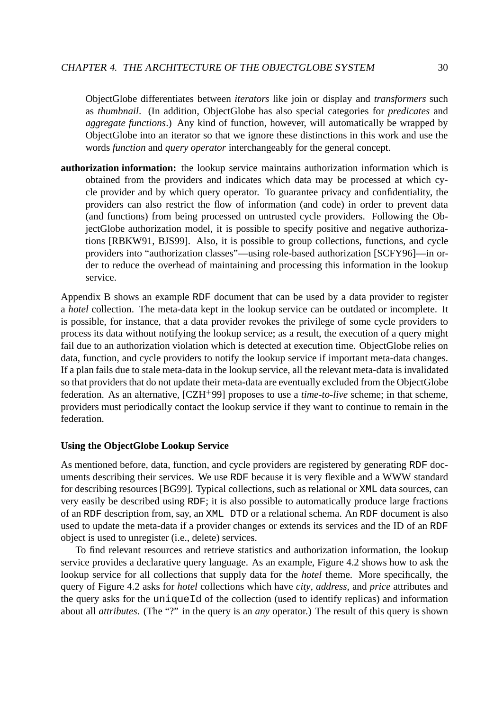ObjectGlobe differentiates between *iterators* like join or display and *transformers* such as *thumbnail*. (In addition, ObjectGlobe has also special categories for *predicates* and *aggregate functions*.) Any kind of function, however, will automatically be wrapped by ObjectGlobe into an iterator so that we ignore these distinctions in this work and use the words *function* and *query operator* interchangeably for the general concept.

**authorization information:** the lookup service maintains authorization information which is obtained from the providers and indicates which data may be processed at which cycle provider and by which query operator. To guarantee privacy and confidentiality, the providers can also restrict the flow of information (and code) in order to prevent data (and functions) from being processed on untrusted cycle providers. Following the ObjectGlobe authorization model, it is possible to specify positive and negative authorizations [RBKW91, BJS99]. Also, it is possible to group collections, functions, and cycle providers into "authorization classes"—using role-based authorization [SCFY96]—in order to reduce the overhead of maintaining and processing this information in the lookup service.

Appendix B shows an example RDF document that can be used by a data provider to register a *hotel* collection. The meta-data kept in the lookup service can be outdated or incomplete. It is possible, for instance, that a data provider revokes the privilege of some cycle providers to process its data without notifying the lookup service; as a result, the execution of a query might fail due to an authorization violation which is detected at execution time. ObjectGlobe relies on data, function, and cycle providers to notify the lookup service if important meta-data changes. If a plan fails due to stale meta-data in the lookup service, all the relevant meta-data is invalidated so that providers that do not update their meta-data are eventually excluded from the ObjectGlobe federation. As an alternative, [CZH<sup>+</sup>99] proposes to use a *time-to-live* scheme; in that scheme, providers must periodically contact the lookup service if they want to continue to remain in the federation.

#### **Using the ObjectGlobe Lookup Service**

As mentioned before, data, function, and cycle providers are registered by generating RDF documents describing their services. We use RDF because it is very flexible and a WWW standard for describing resources [BG99]. Typical collections, such as relational or XML data sources, can very easily be described using RDF; it is also possible to automatically produce large fractions of an RDF description from, say, an XML DTD or a relational schema. An RDF document is also used to update the meta-data if a provider changes or extends its services and the ID of an RDF object is used to unregister (i.e., delete) services.

To find relevant resources and retrieve statistics and authorization information, the lookup service provides a declarative query language. As an example, Figure 4.2 shows how to ask the lookup service for all collections that supply data for the *hotel* theme. More specifically, the query of Figure 4.2 asks for *hotel* collections which have *city*, *address*, and *price* attributes and the query asks for the uniqueId of the collection (used to identify replicas) and information about all *attributes*. (The "?" in the query is an *any* operator.) The result of this query is shown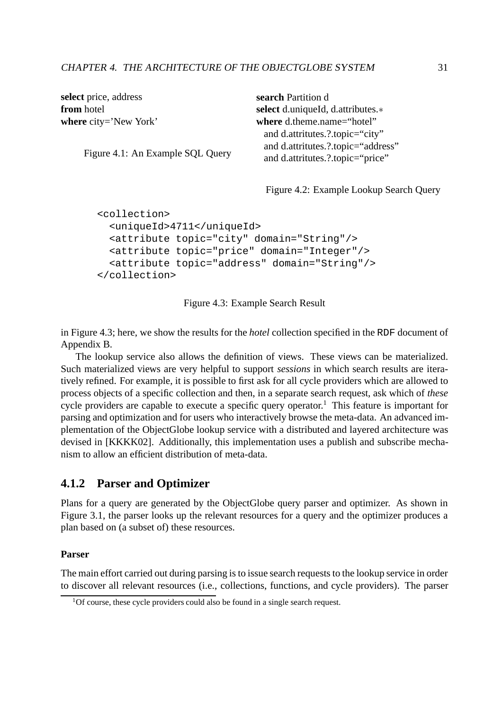| select price, address            | search Partition d                 |  |
|----------------------------------|------------------------------------|--|
| from hotel                       | select d.uniqueId, d.attributes.*  |  |
| where $city='New York'$          | where d.theme.name="hotel"         |  |
|                                  | and d.attritutes.?.topic="city"    |  |
| Figure 4.1: An Example SQL Query | and d.attritutes.?.topic="address" |  |
|                                  | and d.attritutes.?.topic="price"   |  |

Figure 4.2: Example Lookup Search Query

```
<collection>
 <uniqueId>4711</uniqueId>
 <attribute topic="city" domain="String"/>
  <attribute topic="price" domain="Integer"/>
  <attribute topic="address" domain="String"/>
</collection>
```
Figure 4.3: Example Search Result

in Figure 4.3; here, we show the results for the *hotel* collection specified in the RDF document of Appendix B.

The lookup service also allows the definition of views. These views can be materialized. Such materialized views are very helpful to support *sessions* in which search results are iteratively refined. For example, it is possible to first ask for all cycle providers which are allowed to process objects of a specific collection and then, in a separate search request, ask which of *these* cycle providers are capable to execute a specific query operator.<sup>1</sup> This feature is important for parsing and optimization and for users who interactively browse the meta-data. An advanced implementation of the ObjectGlobe lookup service with a distributed and layered architecture was devised in [KKKK02]. Additionally, this implementation uses a publish and subscribe mechanism to allow an efficient distribution of meta-data.

#### **4.1.2 Parser and Optimizer**

Plans for a query are generated by the ObjectGlobe query parser and optimizer. As shown in Figure 3.1, the parser looks up the relevant resources for a query and the optimizer produces a plan based on (a subset of) these resources.

#### **Parser**

The main effort carried out during parsing is to issue search requests to the lookup service in order to discover all relevant resources (i.e., collections, functions, and cycle providers). The parser

 $1$ Of course, these cycle providers could also be found in a single search request.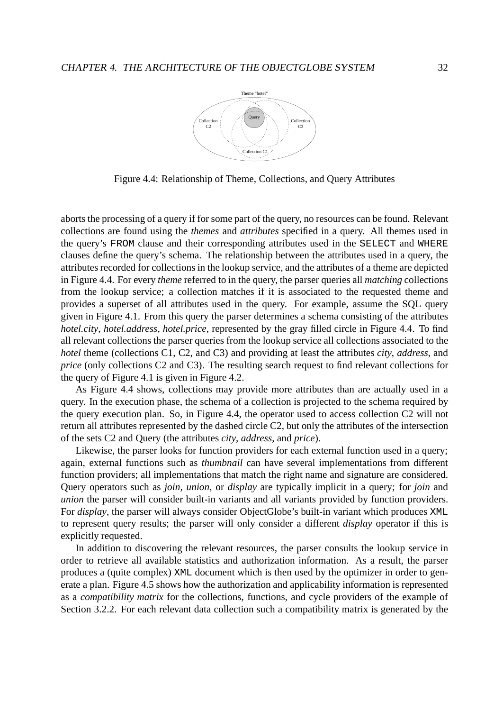

Figure 4.4: Relationship of Theme, Collections, and Query Attributes

aborts the processing of a query if for some part of the query, no resources can be found. Relevant collections are found using the *themes* and *attributes* specified in a query. All themes used in the query's FROM clause and their corresponding attributes used in the SELECT and WHERE clauses define the query's schema. The relationship between the attributes used in a query, the attributes recorded for collections in the lookup service, and the attributes of a theme are depicted in Figure 4.4. For every *theme* referred to in the query, the parser queries all *matching* collections from the lookup service; a collection matches if it is associated to the requested theme and provides a superset of all attributes used in the query. For example, assume the SQL query given in Figure 4.1. From this query the parser determines a schema consisting of the attributes *hotel.city*, *hotel.address*, *hotel.price*, represented by the gray filled circle in Figure 4.4. To find all relevant collections the parser queries from the lookup service all collections associated to the *hotel* theme (collections C1, C2, and C3) and providing at least the attributes *city*, *address*, and *price* (only collections C2 and C3). The resulting search request to find relevant collections for the query of Figure 4.1 is given in Figure 4.2.

As Figure 4.4 shows, collections may provide more attributes than are actually used in a query. In the execution phase, the schema of a collection is projected to the schema required by the query execution plan. So, in Figure 4.4, the operator used to access collection C2 will not return all attributes represented by the dashed circle C2, but only the attributes of the intersection of the sets C2 and Query (the attributes *city*, *address*, and *price*).

Likewise, the parser looks for function providers for each external function used in a query; again, external functions such as *thumbnail* can have several implementations from different function providers; all implementations that match the right name and signature are considered. Query operators such as *join, union,* or *display* are typically implicit in a query; for *join* and *union* the parser will consider built-in variants and all variants provided by function providers. For *display*, the parser will always consider ObjectGlobe's built-in variant which produces XML to represent query results; the parser will only consider a different *display* operator if this is explicitly requested.

In addition to discovering the relevant resources, the parser consults the lookup service in order to retrieve all available statistics and authorization information. As a result, the parser produces a (quite complex) XML document which is then used by the optimizer in order to generate a plan. Figure 4.5 shows how the authorization and applicability information is represented as a *compatibility matrix* for the collections, functions, and cycle providers of the example of Section 3.2.2. For each relevant data collection such a compatibility matrix is generated by the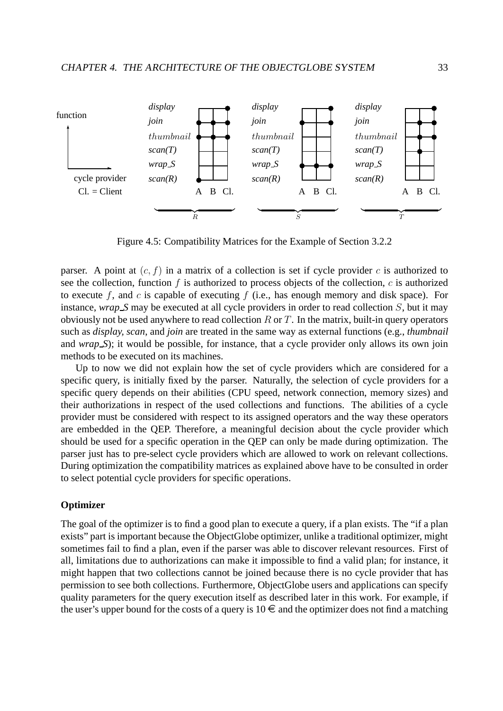

Figure 4.5: Compatibility Matrices for the Example of Section 3.2.2

parser. A point at  $(c, f)$  in a matrix of a collection is set if cycle provider c is authorized to see the collection, function  $f$  is authorized to process objects of the collection,  $c$  is authorized to execute f, and c is capable of executing f (i.e., has enough memory and disk space). For instance, *wrap S* may be executed at all cycle providers in order to read collection S, but it may obviously not be used anywhere to read collection  $R$  or  $T$ . In the matrix, built-in query operators such as *display, scan*, and *join* are treated in the same way as external functions (e.g., *thumbnail* and *wrap S*); it would be possible, for instance, that a cycle provider only allows its own join methods to be executed on its machines.

Up to now we did not explain how the set of cycle providers which are considered for a specific query, is initially fixed by the parser. Naturally, the selection of cycle providers for a specific query depends on their abilities (CPU speed, network connection, memory sizes) and their authorizations in respect of the used collections and functions. The abilities of a cycle provider must be considered with respect to its assigned operators and the way these operators are embedded in the QEP. Therefore, a meaningful decision about the cycle provider which should be used for a specific operation in the QEP can only be made during optimization. The parser just has to pre-select cycle providers which are allowed to work on relevant collections. During optimization the compatibility matrices as explained above have to be consulted in order to select potential cycle providers for specific operations.

#### **Optimizer**

The goal of the optimizer is to find a good plan to execute a query, if a plan exists. The "if a plan exists" part is important because the ObjectGlobe optimizer, unlike a traditional optimizer, might sometimes fail to find a plan, even if the parser was able to discover relevant resources. First of all, limitations due to authorizations can make it impossible to find a valid plan; for instance, it might happen that two collections cannot be joined because there is no cycle provider that has permission to see both collections. Furthermore, ObjectGlobe users and applications can specify quality parameters for the query execution itself as described later in this work. For example, if the user's upper bound for the costs of a query is  $10 \in \mathbb{R}$  and the optimizer does not find a matching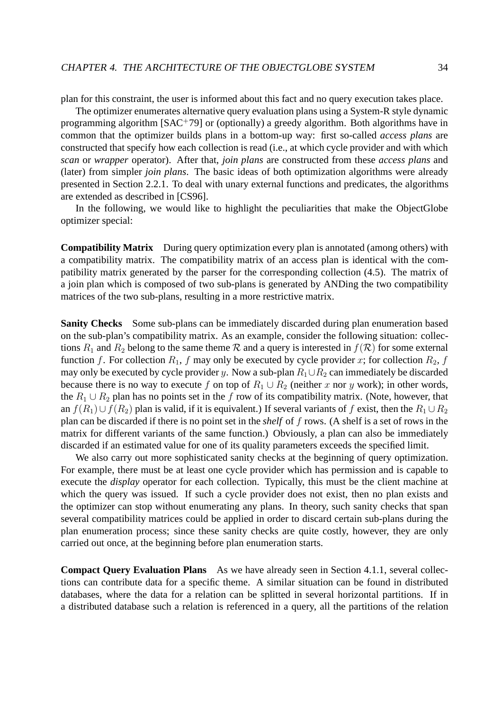plan for this constraint, the user is informed about this fact and no query execution takes place.

The optimizer enumerates alternative query evaluation plans using a System-R style dynamic programming algorithm  $[SAC^+79]$  or (optionally) a greedy algorithm. Both algorithms have in common that the optimizer builds plans in a bottom-up way: first so-called *access plans* are constructed that specify how each collection is read (i.e., at which cycle provider and with which *scan* or *wrapper* operator). After that, *join plans* are constructed from these *access plans* and (later) from simpler *join plans*. The basic ideas of both optimization algorithms were already presented in Section 2.2.1. To deal with unary external functions and predicates, the algorithms are extended as described in [CS96].

In the following, we would like to highlight the peculiarities that make the ObjectGlobe optimizer special:

**Compatibility Matrix** During query optimization every plan is annotated (among others) with a compatibility matrix. The compatibility matrix of an access plan is identical with the compatibility matrix generated by the parser for the corresponding collection (4.5). The matrix of a join plan which is composed of two sub-plans is generated by ANDing the two compatibility matrices of the two sub-plans, resulting in a more restrictive matrix.

**Sanity Checks** Some sub-plans can be immediately discarded during plan enumeration based on the sub-plan's compatibility matrix. As an example, consider the following situation: collections  $R_1$  and  $R_2$  belong to the same theme  $\mathcal R$  and a query is interested in  $f(\mathcal R)$  for some external function f. For collection  $R_1$ , f may only be executed by cycle provider x; for collection  $R_2$ , f may only be executed by cycle provider y. Now a sub-plan  $R_1 \cup R_2$  can immediately be discarded because there is no way to execute f on top of  $R_1 \cup R_2$  (neither x nor y work); in other words, the  $R_1 \cup R_2$  plan has no points set in the f row of its compatibility matrix. (Note, however, that an  $f(R_1) \cup f(R_2)$  plan is valid, if it is equivalent.) If several variants of f exist, then the  $R_1 \cup R_2$ plan can be discarded if there is no point set in the *shelf* of f rows. (A shelf is a set of rows in the matrix for different variants of the same function.) Obviously, a plan can also be immediately discarded if an estimated value for one of its quality parameters exceeds the specified limit.

We also carry out more sophisticated sanity checks at the beginning of query optimization. For example, there must be at least one cycle provider which has permission and is capable to execute the *display* operator for each collection. Typically, this must be the client machine at which the query was issued. If such a cycle provider does not exist, then no plan exists and the optimizer can stop without enumerating any plans. In theory, such sanity checks that span several compatibility matrices could be applied in order to discard certain sub-plans during the plan enumeration process; since these sanity checks are quite costly, however, they are only carried out once, at the beginning before plan enumeration starts.

**Compact Query Evaluation Plans** As we have already seen in Section 4.1.1, several collections can contribute data for a specific theme. A similar situation can be found in distributed databases, where the data for a relation can be splitted in several horizontal partitions. If in a distributed database such a relation is referenced in a query, all the partitions of the relation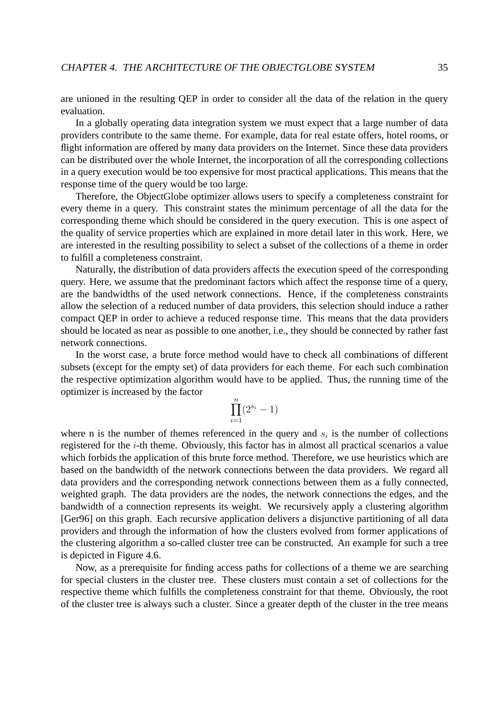are unioned in the resulting QEP in order to consider all the data of the relation in the query evaluation.

In a globally operating data integration system we must expect that a large number of data providers contribute to the same theme. For example, data for real estate offers, hotel rooms, or flight information are offered by many data providers on the Internet. Since these data providers can be distributed over the whole Internet, the incorporation of all the corresponding collections in a query execution would be too expensive for most practical applications. This means that the response time of the query would be too large.

Therefore, the ObjectGlobe optimizer allows users to specify a completeness constraint for every theme in a query. This constraint states the minimum percentage of all the data for the corresponding theme which should be considered in the query execution. This is one aspect of the quality of service properties which are explained in more detail later in this work. Here, we are interested in the resulting possibility to select a subset of the collections of a theme in order to fulfill a completeness constraint.

Naturally, the distribution of data providers affects the execution speed of the corresponding query. Here, we assume that the predominant factors which affect the response time of a query, are the bandwidths of the used network connections. Hence, if the completeness constraints allow the selection of a reduced number of data providers, this selection should induce a rather compact QEP in order to achieve a reduced response time. This means that the data providers should be located as near as possible to one another, i.e., they should be connected by rather fast network connections.

In the worst case, a brute force method would have to check all combinations of different subsets (except for the empty set) of data providers for each theme. For each such combination the respective optimization algorithm would have to be applied. Thus, the running time of the optimizer is increased by the factor

$$
\prod_{i=1}^n (2^{s_i} - 1)
$$

where n is the number of themes referenced in the query and  $s_i$  is the number of collections registered for the  $i$ -th theme. Obviously, this factor has in almost all practical scenarios a value which forbids the application of this brute force method. Therefore, we use heuristics which are based on the bandwidth of the network connections between the data providers. We regard all data providers and the corresponding network connections between them as a fully connected, weighted graph. The data providers are the nodes, the network connections the edges, and the bandwidth of a connection represents its weight. We recursively apply a clustering algorithm [Ger96] on this graph. Each recursive application delivers a disjunctive partitioning of all data providers and through the information of how the clusters evolved from former applications of the clustering algorithm a so-called cluster tree can be constructed. An example for such a tree is depicted in Figure 4.6.

Now, as a prerequisite for finding access paths for collections of a theme we are searching for special clusters in the cluster tree. These clusters must contain a set of collections for the respective theme which fulfills the completeness constraint for that theme. Obviously, the root of the cluster tree is always such a cluster. Since a greater depth of the cluster in the tree means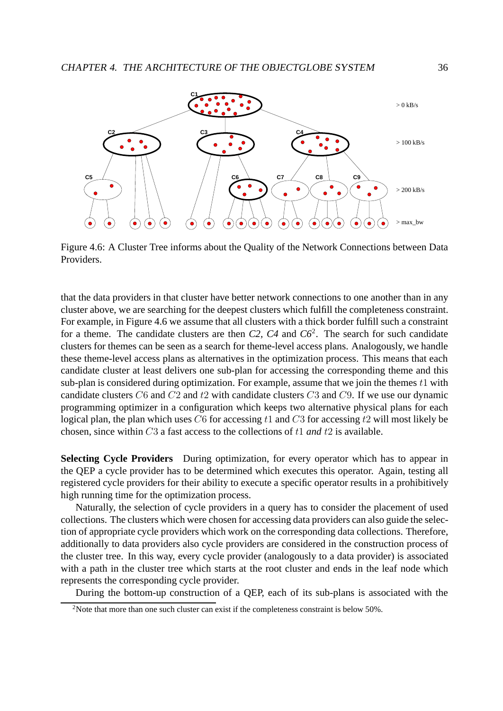

Figure 4.6: A Cluster Tree informs about the Quality of the Network Connections between Data Providers.

that the data providers in that cluster have better network connections to one another than in any cluster above, we are searching for the deepest clusters which fulfill the completeness constraint. For example, in Figure 4.6 we assume that all clusters with a thick border fulfill such a constraint for a theme. The candidate clusters are then *C2, C4* and *C6*2. The search for such candidate clusters for themes can be seen as a search for theme-level access plans. Analogously, we handle these theme-level access plans as alternatives in the optimization process. This means that each candidate cluster at least delivers one sub-plan for accessing the corresponding theme and this sub-plan is considered during optimization. For example, assume that we join the themes  $t_1$  with candidate clusters  $C6$  and  $C2$  and  $t2$  with candidate clusters  $C3$  and  $C9$ . If we use our dynamic programming optimizer in a configuration which keeps two alternative physical plans for each logical plan, the plan which uses  $C6$  for accessing  $t1$  and  $C3$  for accessing  $t2$  will most likely be chosen, since within <sup>C</sup>3 a fast access to the collections of <sup>t</sup>1 *and* <sup>t</sup>2 is available.

**Selecting Cycle Providers** During optimization, for every operator which has to appear in the QEP a cycle provider has to be determined which executes this operator. Again, testing all registered cycle providers for their ability to execute a specific operator results in a prohibitively high running time for the optimization process.

Naturally, the selection of cycle providers in a query has to consider the placement of used collections. The clusters which were chosen for accessing data providers can also guide the selection of appropriate cycle providers which work on the corresponding data collections. Therefore, additionally to data providers also cycle providers are considered in the construction process of the cluster tree. In this way, every cycle provider (analogously to a data provider) is associated with a path in the cluster tree which starts at the root cluster and ends in the leaf node which represents the corresponding cycle provider.

During the bottom-up construction of a QEP, each of its sub-plans is associated with the

<sup>&</sup>lt;sup>2</sup>Note that more than one such cluster can exist if the completeness constraint is below 50%.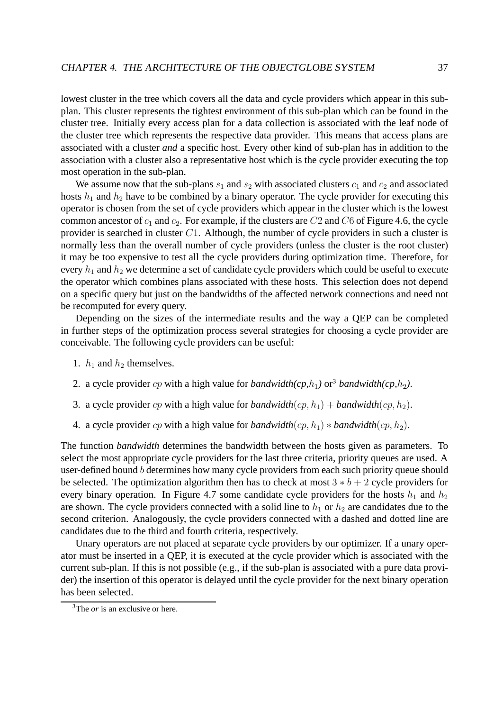lowest cluster in the tree which covers all the data and cycle providers which appear in this subplan. This cluster represents the tightest environment of this sub-plan which can be found in the cluster tree. Initially every access plan for a data collection is associated with the leaf node of the cluster tree which represents the respective data provider. This means that access plans are associated with a cluster *and* a specific host. Every other kind of sub-plan has in addition to the association with a cluster also a representative host which is the cycle provider executing the top most operation in the sub-plan.

We assume now that the sub-plans  $s_1$  and  $s_2$  with associated clusters  $c_1$  and  $c_2$  and associated hosts  $h_1$  and  $h_2$  have to be combined by a binary operator. The cycle provider for executing this operator is chosen from the set of cycle providers which appear in the cluster which is the lowest common ancestor of  $c_1$  and  $c_2$ . For example, if the clusters are C2 and C6 of Figure 4.6, the cycle provider is searched in cluster <sup>C</sup>1. Although, the number of cycle providers in such a cluster is normally less than the overall number of cycle providers (unless the cluster is the root cluster) it may be too expensive to test all the cycle providers during optimization time. Therefore, for every  $h_1$  and  $h_2$  we determine a set of candidate cycle providers which could be useful to execute the operator which combines plans associated with these hosts. This selection does not depend on a specific query but just on the bandwidths of the affected network connections and need not be recomputed for every query.

Depending on the sizes of the intermediate results and the way a QEP can be completed in further steps of the optimization process several strategies for choosing a cycle provider are conceivable. The following cycle providers can be useful:

- 1.  $h_1$  and  $h_2$  themselves.
- 2. a cycle provider *cp* with a high value for *bandwidth(cp,h<sub>1</sub>)* or<sup>3</sup> *bandwidth(cp,h<sub>2</sub>)*.
- 3. a cycle provider cp with a high value for *bandwidth*(cp,  $h_1$ ) + *bandwidth*(cp,  $h_2$ ).
- 4. a cycle provider *cp* with a high value for *bandwidth*(*cp*,  $h_1$ ) \* *bandwidth*(*cp*,  $h_2$ ).

The function *bandwidth* determines the bandwidth between the hosts given as parameters. To select the most appropriate cycle providers for the last three criteria, priority queues are used. A user-defined bound b determines how many cycle providers from each such priority queue should be selected. The optimization algorithm then has to check at most  $3 * b + 2$  cycle providers for every binary operation. In Figure 4.7 some candidate cycle providers for the hosts  $h_1$  and  $h_2$ are shown. The cycle providers connected with a solid line to  $h_1$  or  $h_2$  are candidates due to the second criterion. Analogously, the cycle providers connected with a dashed and dotted line are candidates due to the third and fourth criteria, respectively.

Unary operators are not placed at separate cycle providers by our optimizer. If a unary operator must be inserted in a QEP, it is executed at the cycle provider which is associated with the current sub-plan. If this is not possible (e.g., if the sub-plan is associated with a pure data provider) the insertion of this operator is delayed until the cycle provider for the next binary operation has been selected.

<sup>&</sup>lt;sup>3</sup>The *or* is an exclusive or here.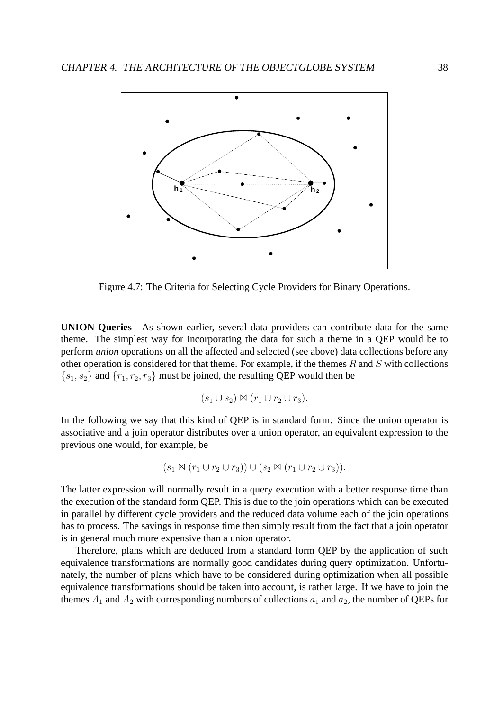

Figure 4.7: The Criteria for Selecting Cycle Providers for Binary Operations.

**UNION Queries** As shown earlier, several data providers can contribute data for the same theme. The simplest way for incorporating the data for such a theme in a QEP would be to perform *union* operations on all the affected and selected (see above) data collections before any other operation is considered for that theme. For example, if the themes  $R$  and  $S$  with collections  ${s_1, s_2}$  and  ${r_1, r_2, r_3}$  must be joined, the resulting QEP would then be

$$
(s_1 \cup s_2) \bowtie (r_1 \cup r_2 \cup r_3).
$$

In the following we say that this kind of QEP is in standard form. Since the union operator is associative and a join operator distributes over a union operator, an equivalent expression to the previous one would, for example, be

$$
(s_1 \boxtimes (r_1 \cup r_2 \cup r_3)) \cup (s_2 \boxtimes (r_1 \cup r_2 \cup r_3)).
$$

The latter expression will normally result in a query execution with a better response time than the execution of the standard form QEP. This is due to the join operations which can be executed in parallel by different cycle providers and the reduced data volume each of the join operations has to process. The savings in response time then simply result from the fact that a join operator is in general much more expensive than a union operator.

Therefore, plans which are deduced from a standard form QEP by the application of such equivalence transformations are normally good candidates during query optimization. Unfortunately, the number of plans which have to be considered during optimization when all possible equivalence transformations should be taken into account, is rather large. If we have to join the themes  $A_1$  and  $A_2$  with corresponding numbers of collections  $a_1$  and  $a_2$ , the number of QEPs for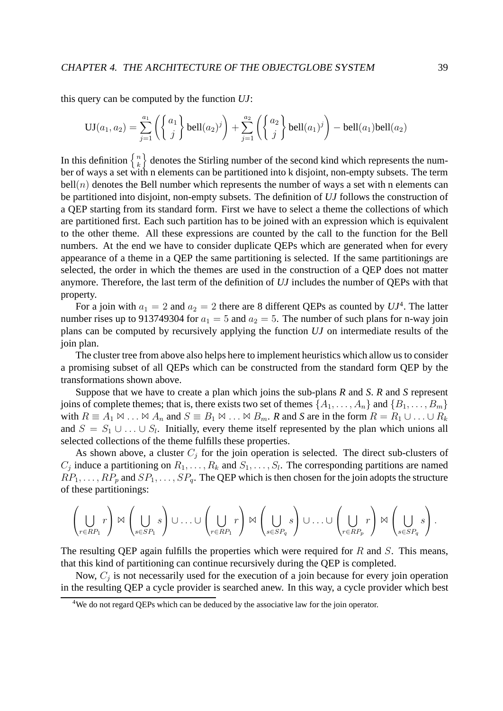#### CHAPTER 4. THE ARCHITECTURE OF THE OBJECTGLOBE SYSTEM 39

this query can be computed by the function *UJ*:

$$
UI(a_1, a_2) = \sum_{j=1}^{a_1} \left( \left\{ \frac{a_1}{j} \right\} \text{bell}(a_2)^j \right) + \sum_{j=1}^{a_2} \left( \left\{ \frac{a_2}{j} \right\} \text{bell}(a_1)^j \right) - \text{bell}(a_1) \text{bell}(a_2)
$$

In this definition  $\{n\brace k$  denotes the Stirling number of the second kind which represents the number of ways a set with n elements can be partitioned into k disjoint, non-empty subsets. The term  $bell(n)$  denotes the Bell number which represents the number of ways a set with n elements can be partitioned into disjoint, non-empty subsets. The definition of *UJ* follows the construction of a QEP starting from its standard form. First we have to select a theme the collections of which are partitioned first. Each such partition has to be joined with an expression which is equivalent to the other theme. All these expressions are counted by the call to the function for the Bell numbers. At the end we have to consider duplicate QEPs which are generated when for every appearance of a theme in a QEP the same partitioning is selected. If the same partitionings are selected, the order in which the themes are used in the construction of a QEP does not matter anymore. Therefore, the last term of the definition of *UJ* includes the number of QEPs with that property.

For a join with  $a_1 = 2$  and  $a_2 = 2$  there are 8 different QEPs as counted by  $UJ<sup>4</sup>$ . The latter number rises up to 913749304 for  $a_1 = 5$  and  $a_2 = 5$ . The number of such plans for n-way join plans can be computed by recursively applying the function *UJ* on intermediate results of the join plan.

The cluster tree from above also helps here to implement heuristics which allow us to consider a promising subset of all QEPs which can be constructed from the standard form QEP by the transformations shown above.

Suppose that we have to create a plan which joins the sub-plans *R* and *S*. *R* and *S* represent joins of complete themes; that is, there exists two set of themes  $\{A_1, \ldots, A_n\}$  and  $\{B_1, \ldots, B_m\}$ with  $R \equiv A_1 \bowtie \ldots \bowtie A_n$  and  $S \equiv B_1 \bowtie \ldots \bowtie B_m$ . *R* and *S* are in the form  $R = R_1 \cup \ldots \cup R_k$ and  $S = S_1 \cup \ldots \cup S_l$ . Initially, every theme itself represented by the plan which unions all selected collections of the theme fulfills these properties.

As shown above, a cluster  $C_i$  for the join operation is selected. The direct sub-clusters of  $C_i$  induce a partitioning on  $R_1, \ldots, R_k$  and  $S_1, \ldots, S_l$ . The corresponding partitions are named  $\overrightarrow{RP_1}, \ldots, \overrightarrow{RP_p}$  and  $\overrightarrow{SP_1}, \ldots, \overrightarrow{SP_q}$ . The QEP which is then chosen for the join adopts the structure of these partitionings:

$$
\left(\bigcup_{r\in RP_1}r\right)\bowtie\left(\bigcup_{s\in SP_1}s\right)\cup\ldots\cup\left(\bigcup_{r\in RP_1}r\right)\bowtie\left(\bigcup_{s\in SP_4}s\right)\cup\ldots\cup\left(\bigcup_{r\in RP_p}r\right)\bowtie\left(\bigcup_{s\in SP_q}s\right).
$$

The resulting QEP again fulfills the properties which were required for  $R$  and  $S$ . This means, that this kind of partitioning can continue recursively during the QEP is completed.

Now,  $C_j$  is not necessarily used for the execution of a join because for every join operation in the resulting QEP a cycle provider is searched anew. In this way, a cycle provider which best

<sup>&</sup>lt;sup>4</sup>We do not regard QEPs which can be deduced by the associative law for the join operator.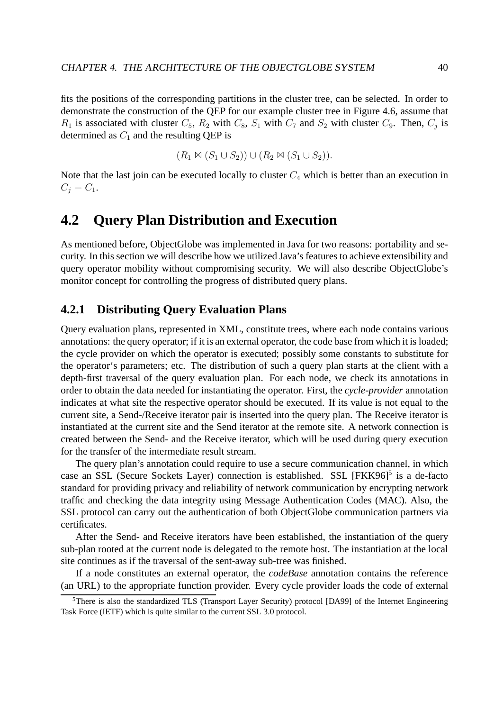fits the positions of the corresponding partitions in the cluster tree, can be selected. In order to demonstrate the construction of the QEP for our example cluster tree in Figure 4.6, assume that  $R_1$  is associated with cluster  $C_5$ ,  $R_2$  with  $C_8$ ,  $S_1$  with  $C_7$  and  $S_2$  with cluster  $C_9$ . Then,  $C_j$  is determined as  $C_1$  and the resulting QEP is

$$
(R_1 \bowtie (S_1 \cup S_2)) \cup (R_2 \bowtie (S_1 \cup S_2)).
$$

Note that the last join can be executed locally to cluster  $C_4$  which is better than an execution in  $C_i = C_1$ .

# **4.2 Query Plan Distribution and Execution**

As mentioned before, ObjectGlobe was implemented in Java for two reasons: portability and security. In this section we will describe how we utilized Java's features to achieve extensibility and query operator mobility without compromising security. We will also describe ObjectGlobe's monitor concept for controlling the progress of distributed query plans.

#### **4.2.1 Distributing Query Evaluation Plans**

Query evaluation plans, represented in XML, constitute trees, where each node contains various annotations: the query operator; if it is an external operator, the code base from which it is loaded; the cycle provider on which the operator is executed; possibly some constants to substitute for the operator's parameters; etc. The distribution of such a query plan starts at the client with a depth-first traversal of the query evaluation plan. For each node, we check its annotations in order to obtain the data needed for instantiating the operator. First, the *cycle-provider* annotation indicates at what site the respective operator should be executed. If its value is not equal to the current site, a Send-/Receive iterator pair is inserted into the query plan. The Receive iterator is instantiated at the current site and the Send iterator at the remote site. A network connection is created between the Send- and the Receive iterator, which will be used during query execution for the transfer of the intermediate result stream.

The query plan's annotation could require to use a secure communication channel, in which case an SSL (Secure Sockets Layer) connection is established. SSL  $[FKK96]$ <sup>5</sup> is a de-facto standard for providing privacy and reliability of network communication by encrypting network traffic and checking the data integrity using Message Authentication Codes (MAC). Also, the SSL protocol can carry out the authentication of both ObjectGlobe communication partners via certificates.

After the Send- and Receive iterators have been established, the instantiation of the query sub-plan rooted at the current node is delegated to the remote host. The instantiation at the local site continues as if the traversal of the sent-away sub-tree was finished.

If a node constitutes an external operator, the *codeBase* annotation contains the reference (an URL) to the appropriate function provider. Every cycle provider loads the code of external

<sup>&</sup>lt;sup>5</sup>There is also the standardized TLS (Transport Layer Security) protocol [DA99] of the Internet Engineering Task Force (IETF) which is quite similar to the current SSL 3.0 protocol.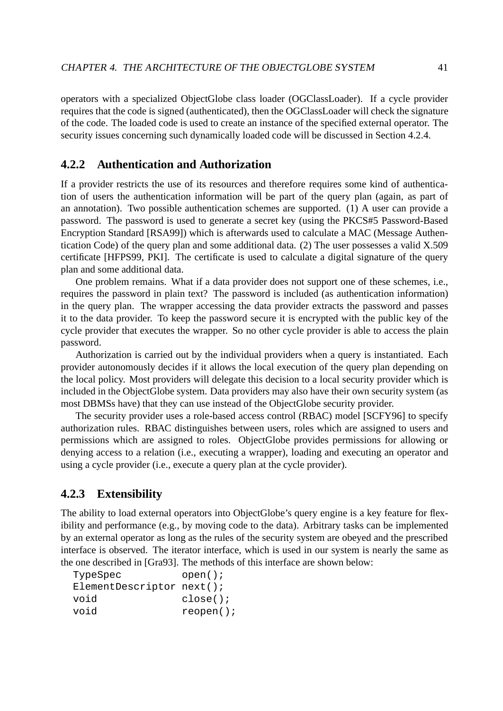operators with a specialized ObjectGlobe class loader (OGClassLoader). If a cycle provider requires that the code is signed (authenticated), then the OGClassLoader will check the signature of the code. The loaded code is used to create an instance of the specified external operator. The security issues concerning such dynamically loaded code will be discussed in Section 4.2.4.

#### **4.2.2 Authentication and Authorization**

If a provider restricts the use of its resources and therefore requires some kind of authentication of users the authentication information will be part of the query plan (again, as part of an annotation). Two possible authentication schemes are supported. (1) A user can provide a password. The password is used to generate a secret key (using the PKCS#5 Password-Based Encryption Standard [RSA99]) which is afterwards used to calculate a MAC (Message Authentication Code) of the query plan and some additional data. (2) The user possesses a valid X.509 certificate [HFPS99, PKI]. The certificate is used to calculate a digital signature of the query plan and some additional data.

One problem remains. What if a data provider does not support one of these schemes, i.e., requires the password in plain text? The password is included (as authentication information) in the query plan. The wrapper accessing the data provider extracts the password and passes it to the data provider. To keep the password secure it is encrypted with the public key of the cycle provider that executes the wrapper. So no other cycle provider is able to access the plain password.

Authorization is carried out by the individual providers when a query is instantiated. Each provider autonomously decides if it allows the local execution of the query plan depending on the local policy. Most providers will delegate this decision to a local security provider which is included in the ObjectGlobe system. Data providers may also have their own security system (as most DBMSs have) that they can use instead of the ObjectGlobe security provider.

The security provider uses a role-based access control (RBAC) model [SCFY96] to specify authorization rules. RBAC distinguishes between users, roles which are assigned to users and permissions which are assigned to roles. ObjectGlobe provides permissions for allowing or denying access to a relation (i.e., executing a wrapper), loading and executing an operator and using a cycle provider (i.e., execute a query plan at the cycle provider).

#### **4.2.3 Extensibility**

The ability to load external operators into ObjectGlobe's query engine is a key feature for flexibility and performance (e.g., by moving code to the data). Arbitrary tasks can be implemented by an external operator as long as the rules of the security system are obeyed and the prescribed interface is observed. The iterator interface, which is used in our system is nearly the same as the one described in [Gra93]. The methods of this interface are shown below:

| TypeSpec                  | open()      |
|---------------------------|-------------|
| ElementDescriptor next(); |             |
| void                      | $close()$ ; |
| void                      | reopen()    |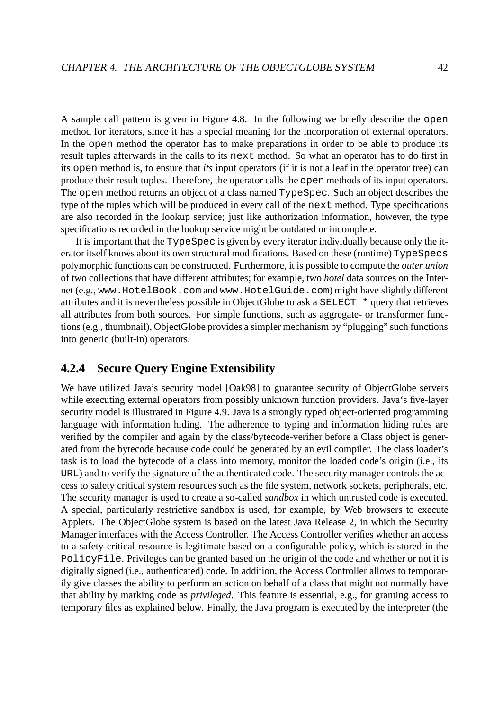A sample call pattern is given in Figure 4.8. In the following we briefly describe the open method for iterators, since it has a special meaning for the incorporation of external operators. In the open method the operator has to make preparations in order to be able to produce its result tuples afterwards in the calls to its next method. So what an operator has to do first in its open method is, to ensure that *its* input operators (if it is not a leaf in the operator tree) can produce their result tuples. Therefore, the operator calls the open methods of its input operators. The open method returns an object of a class named TypeSpec. Such an object describes the type of the tuples which will be produced in every call of the next method. Type specifications are also recorded in the lookup service; just like authorization information, however, the type specifications recorded in the lookup service might be outdated or incomplete.

It is important that the TypeSpec is given by every iterator individually because only the iterator itself knows about its own structural modifications. Based on these (runtime) TypeSpecs polymorphic functions can be constructed. Furthermore, it is possible to compute the *outer union* of two collections that have different attributes; for example, two *hotel* data sources on the Internet (e.g., www.HotelBook.com and www.HotelGuide.com) might have slightly different attributes and it is nevertheless possible in ObjectGlobe to ask a SELECT \* query that retrieves all attributes from both sources. For simple functions, such as aggregate- or transformer functions (e.g., thumbnail), ObjectGlobe provides a simpler mechanism by "plugging" such functions into generic (built-in) operators.

#### **4.2.4 Secure Query Engine Extensibility**

We have utilized Java's security model [Oak98] to guarantee security of ObjectGlobe servers while executing external operators from possibly unknown function providers. Java's five-layer security model is illustrated in Figure 4.9. Java is a strongly typed object-oriented programming language with information hiding. The adherence to typing and information hiding rules are verified by the compiler and again by the class/bytecode-verifier before a Class object is generated from the bytecode because code could be generated by an evil compiler. The class loader's task is to load the bytecode of a class into memory, monitor the loaded code's origin (i.e., its URL) and to verify the signature of the authenticated code. The security manager controls the access to safety critical system resources such as the file system, network sockets, peripherals, etc. The security manager is used to create a so-called *sandbox* in which untrusted code is executed. A special, particularly restrictive sandbox is used, for example, by Web browsers to execute Applets. The ObjectGlobe system is based on the latest Java Release 2, in which the Security Manager interfaces with the Access Controller. The Access Controller verifies whether an access to a safety-critical resource is legitimate based on a configurable policy, which is stored in the PolicyFile. Privileges can be granted based on the origin of the code and whether or not it is digitally signed (i.e., authenticated) code. In addition, the Access Controller allows to temporarily give classes the ability to perform an action on behalf of a class that might not normally have that ability by marking code as *privileged*. This feature is essential, e.g., for granting access to temporary files as explained below. Finally, the Java program is executed by the interpreter (the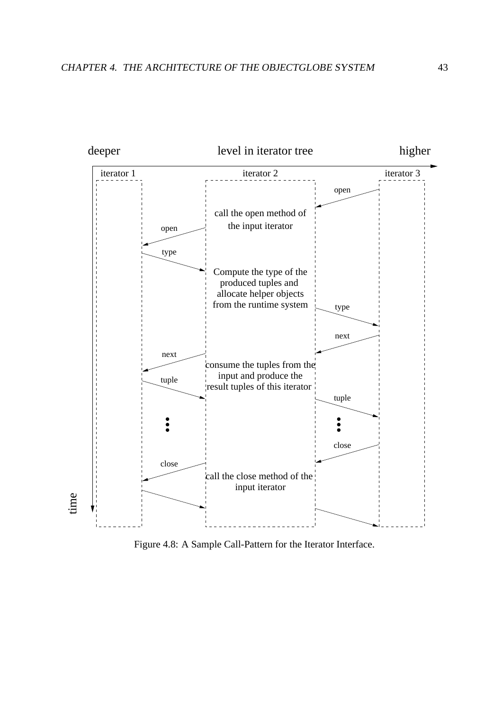

Figure 4.8: A Sample Call-Pattern for the Iterator Interface.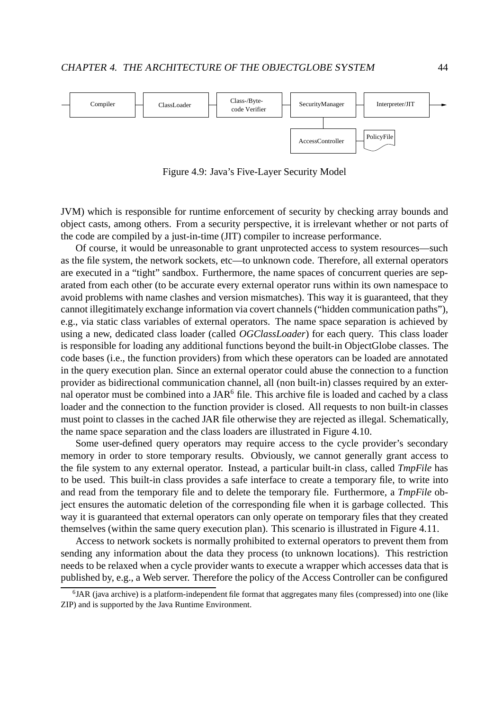

Figure 4.9: Java's Five-Layer Security Model

JVM) which is responsible for runtime enforcement of security by checking array bounds and object casts, among others. From a security perspective, it is irrelevant whether or not parts of the code are compiled by a just-in-time (JIT) compiler to increase performance.

Of course, it would be unreasonable to grant unprotected access to system resources—such as the file system, the network sockets, etc—to unknown code. Therefore, all external operators are executed in a "tight" sandbox. Furthermore, the name spaces of concurrent queries are separated from each other (to be accurate every external operator runs within its own namespace to avoid problems with name clashes and version mismatches). This way it is guaranteed, that they cannot illegitimately exchange information via covert channels ("hidden communication paths"), e.g., via static class variables of external operators. The name space separation is achieved by using a new, dedicated class loader (called *OGClassLoader*) for each query. This class loader is responsible for loading any additional functions beyond the built-in ObjectGlobe classes. The code bases (i.e., the function providers) from which these operators can be loaded are annotated in the query execution plan. Since an external operator could abuse the connection to a function provider as bidirectional communication channel, all (non built-in) classes required by an external operator must be combined into a  $JAR<sup>6</sup>$  file. This archive file is loaded and cached by a class loader and the connection to the function provider is closed. All requests to non built-in classes must point to classes in the cached JAR file otherwise they are rejected as illegal. Schematically, the name space separation and the class loaders are illustrated in Figure 4.10.

Some user-defined query operators may require access to the cycle provider's secondary memory in order to store temporary results. Obviously, we cannot generally grant access to the file system to any external operator. Instead, a particular built-in class, called *TmpFile* has to be used. This built-in class provides a safe interface to create a temporary file, to write into and read from the temporary file and to delete the temporary file. Furthermore, a *TmpFile* object ensures the automatic deletion of the corresponding file when it is garbage collected. This way it is guaranteed that external operators can only operate on temporary files that they created themselves (within the same query execution plan). This scenario is illustrated in Figure 4.11.

Access to network sockets is normally prohibited to external operators to prevent them from sending any information about the data they process (to unknown locations). This restriction needs to be relaxed when a cycle provider wants to execute a wrapper which accesses data that is published by, e.g., a Web server. Therefore the policy of the Access Controller can be configured

<sup>&</sup>lt;sup>6</sup>JAR (java archive) is a platform-independent file format that aggregates many files (compressed) into one (like ZIP) and is supported by the Java Runtime Environment.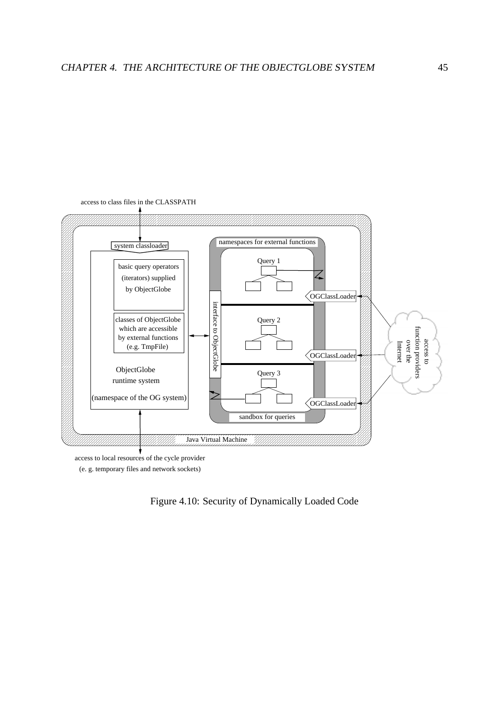

(e. g. temporary files and network sockets) access to local resources of the cycle provider

Figure 4.10: Security of Dynamically Loaded Code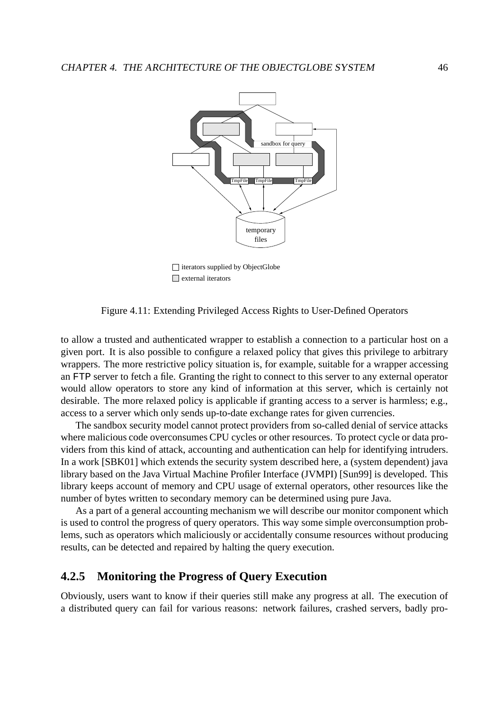

Figure 4.11: Extending Privileged Access Rights to User-Defined Operators

to allow a trusted and authenticated wrapper to establish a connection to a particular host on a given port. It is also possible to configure a relaxed policy that gives this privilege to arbitrary wrappers. The more restrictive policy situation is, for example, suitable for a wrapper accessing an FTP server to fetch a file. Granting the right to connect to this server to any external operator would allow operators to store any kind of information at this server, which is certainly not desirable. The more relaxed policy is applicable if granting access to a server is harmless; e.g., access to a server which only sends up-to-date exchange rates for given currencies.

The sandbox security model cannot protect providers from so-called denial of service attacks where malicious code overconsumes CPU cycles or other resources. To protect cycle or data providers from this kind of attack, accounting and authentication can help for identifying intruders. In a work [SBK01] which extends the security system described here, a (system dependent) java library based on the Java Virtual Machine Profiler Interface (JVMPI) [Sun99] is developed. This library keeps account of memory and CPU usage of external operators, other resources like the number of bytes written to secondary memory can be determined using pure Java.

As a part of a general accounting mechanism we will describe our monitor component which is used to control the progress of query operators. This way some simple overconsumption problems, such as operators which maliciously or accidentally consume resources without producing results, can be detected and repaired by halting the query execution.

#### **4.2.5 Monitoring the Progress of Query Execution**

Obviously, users want to know if their queries still make any progress at all. The execution of a distributed query can fail for various reasons: network failures, crashed servers, badly pro-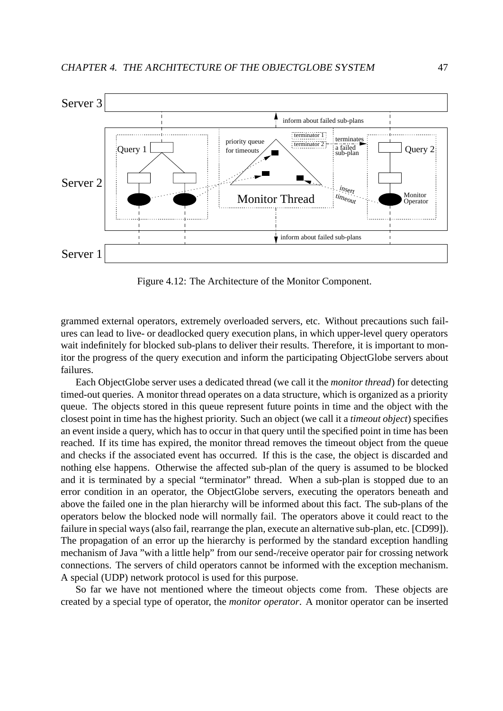

Figure 4.12: The Architecture of the Monitor Component.

grammed external operators, extremely overloaded servers, etc. Without precautions such failures can lead to live- or deadlocked query execution plans, in which upper-level query operators wait indefinitely for blocked sub-plans to deliver their results. Therefore, it is important to monitor the progress of the query execution and inform the participating ObjectGlobe servers about failures.

Each ObjectGlobe server uses a dedicated thread (we call it the *monitor thread*) for detecting timed-out queries. A monitor thread operates on a data structure, which is organized as a priority queue. The objects stored in this queue represent future points in time and the object with the closest point in time has the highest priority. Such an object (we call it a *timeout object*) specifies an event inside a query, which has to occur in that query until the specified point in time has been reached. If its time has expired, the monitor thread removes the timeout object from the queue and checks if the associated event has occurred. If this is the case, the object is discarded and nothing else happens. Otherwise the affected sub-plan of the query is assumed to be blocked and it is terminated by a special "terminator" thread. When a sub-plan is stopped due to an error condition in an operator, the ObjectGlobe servers, executing the operators beneath and above the failed one in the plan hierarchy will be informed about this fact. The sub-plans of the operators below the blocked node will normally fail. The operators above it could react to the failure in special ways (also fail, rearrange the plan, execute an alternative sub-plan, etc. [CD99]). The propagation of an error up the hierarchy is performed by the standard exception handling mechanism of Java "with a little help" from our send-/receive operator pair for crossing network connections. The servers of child operators cannot be informed with the exception mechanism. A special (UDP) network protocol is used for this purpose.

So far we have not mentioned where the timeout objects come from. These objects are created by a special type of operator, the *monitor operator*. A monitor operator can be inserted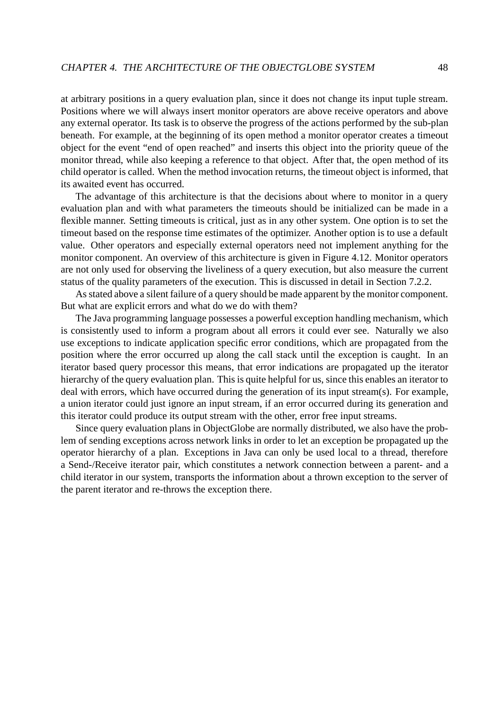at arbitrary positions in a query evaluation plan, since it does not change its input tuple stream. Positions where we will always insert monitor operators are above receive operators and above any external operator. Its task is to observe the progress of the actions performed by the sub-plan beneath. For example, at the beginning of its open method a monitor operator creates a timeout object for the event "end of open reached" and inserts this object into the priority queue of the monitor thread, while also keeping a reference to that object. After that, the open method of its child operator is called. When the method invocation returns, the timeout object is informed, that its awaited event has occurred.

The advantage of this architecture is that the decisions about where to monitor in a query evaluation plan and with what parameters the timeouts should be initialized can be made in a flexible manner. Setting timeouts is critical, just as in any other system. One option is to set the timeout based on the response time estimates of the optimizer. Another option is to use a default value. Other operators and especially external operators need not implement anything for the monitor component. An overview of this architecture is given in Figure 4.12. Monitor operators are not only used for observing the liveliness of a query execution, but also measure the current status of the quality parameters of the execution. This is discussed in detail in Section 7.2.2.

As stated above a silent failure of a query should be made apparent by the monitor component. But what are explicit errors and what do we do with them?

The Java programming language possesses a powerful exception handling mechanism, which is consistently used to inform a program about all errors it could ever see. Naturally we also use exceptions to indicate application specific error conditions, which are propagated from the position where the error occurred up along the call stack until the exception is caught. In an iterator based query processor this means, that error indications are propagated up the iterator hierarchy of the query evaluation plan. This is quite helpful for us, since this enables an iterator to deal with errors, which have occurred during the generation of its input stream(s). For example, a union iterator could just ignore an input stream, if an error occurred during its generation and this iterator could produce its output stream with the other, error free input streams.

Since query evaluation plans in ObjectGlobe are normally distributed, we also have the problem of sending exceptions across network links in order to let an exception be propagated up the operator hierarchy of a plan. Exceptions in Java can only be used local to a thread, therefore a Send-/Receive iterator pair, which constitutes a network connection between a parent- and a child iterator in our system, transports the information about a thrown exception to the server of the parent iterator and re-throws the exception there.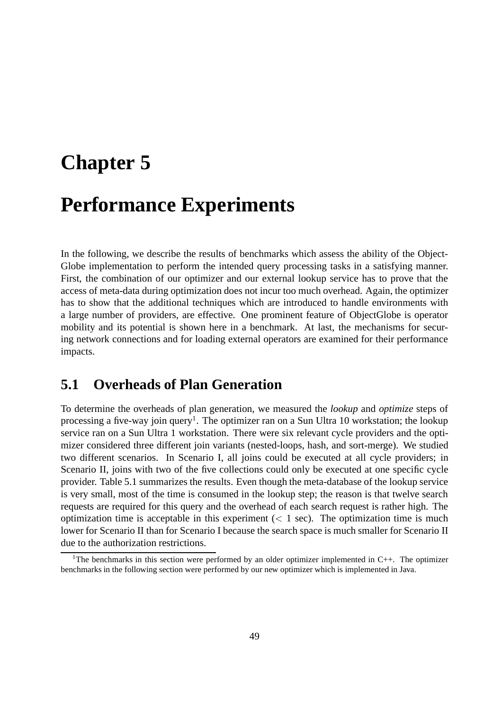# **Chapter 5**

# **Performance Experiments**

In the following, we describe the results of benchmarks which assess the ability of the Object-Globe implementation to perform the intended query processing tasks in a satisfying manner. First, the combination of our optimizer and our external lookup service has to prove that the access of meta-data during optimization does not incur too much overhead. Again, the optimizer has to show that the additional techniques which are introduced to handle environments with a large number of providers, are effective. One prominent feature of ObjectGlobe is operator mobility and its potential is shown here in a benchmark. At last, the mechanisms for securing network connections and for loading external operators are examined for their performance impacts.

# **5.1 Overheads of Plan Generation**

To determine the overheads of plan generation, we measured the *lookup* and *optimize* steps of processing a five-way join query<sup>1</sup>. The optimizer ran on a Sun Ultra 10 workstation; the lookup service ran on a Sun Ultra 1 workstation. There were six relevant cycle providers and the optimizer considered three different join variants (nested-loops, hash, and sort-merge). We studied two different scenarios. In Scenario I, all joins could be executed at all cycle providers; in Scenario II, joins with two of the five collections could only be executed at one specific cycle provider. Table 5.1 summarizes the results. Even though the meta-database of the lookup service is very small, most of the time is consumed in the lookup step; the reason is that twelve search requests are required for this query and the overhead of each search request is rather high. The optimization time is acceptable in this experiment  $(< 1 \text{ sec})$ . The optimization time is much lower for Scenario II than for Scenario I because the search space is much smaller for Scenario II due to the authorization restrictions.

<sup>&</sup>lt;sup>1</sup>The benchmarks in this section were performed by an older optimizer implemented in C++. The optimizer benchmarks in the following section were performed by our new optimizer which is implemented in Java.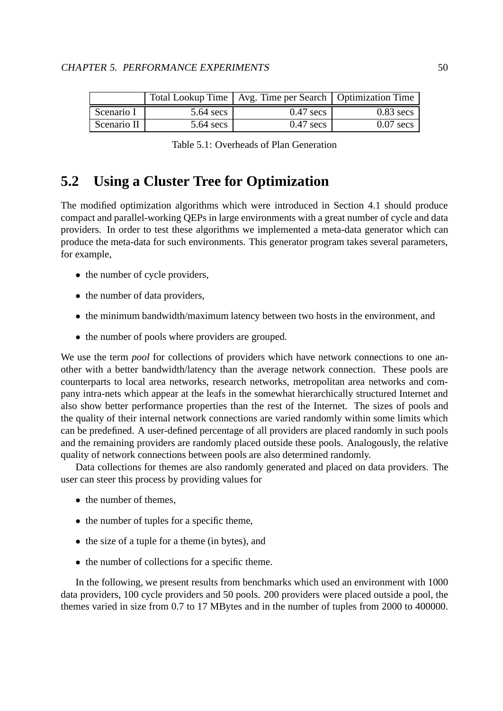|             |             | Total Lookup Time   Avg. Time per Search   Optimization Time |             |
|-------------|-------------|--------------------------------------------------------------|-------------|
| Scenario I  | $5.64$ secs | $0.47$ secs                                                  | $0.83$ secs |
| Scenario II | $5.64$ secs | $0.47$ secs                                                  | $0.07$ secs |

Table 5.1: Overheads of Plan Generation

# **5.2 Using a Cluster Tree for Optimization**

The modified optimization algorithms which were introduced in Section 4.1 should produce compact and parallel-working QEPs in large environments with a great number of cycle and data providers. In order to test these algorithms we implemented a meta-data generator which can produce the meta-data for such environments. This generator program takes several parameters, for example,

- the number of cycle providers,
- the number of data providers,
- the minimum bandwidth/maximum latency between two hosts in the environment, and
- the number of pools where providers are grouped.

We use the term *pool* for collections of providers which have network connections to one another with a better bandwidth/latency than the average network connection. These pools are counterparts to local area networks, research networks, metropolitan area networks and company intra-nets which appear at the leafs in the somewhat hierarchically structured Internet and also show better performance properties than the rest of the Internet. The sizes of pools and the quality of their internal network connections are varied randomly within some limits which can be predefined. A user-defined percentage of all providers are placed randomly in such pools and the remaining providers are randomly placed outside these pools. Analogously, the relative quality of network connections between pools are also determined randomly.

Data collections for themes are also randomly generated and placed on data providers. The user can steer this process by providing values for

- the number of themes.
- the number of tuples for a specific theme,
- the size of a tuple for a theme (in bytes), and
- the number of collections for a specific theme.

In the following, we present results from benchmarks which used an environment with 1000 data providers, 100 cycle providers and 50 pools. 200 providers were placed outside a pool, the themes varied in size from 0.7 to 17 MBytes and in the number of tuples from 2000 to 400000.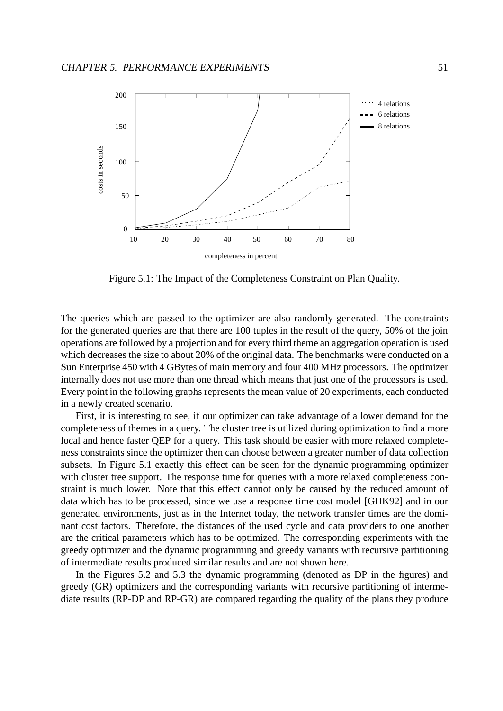

Figure 5.1: The Impact of the Completeness Constraint on Plan Quality.

The queries which are passed to the optimizer are also randomly generated. The constraints for the generated queries are that there are 100 tuples in the result of the query, 50% of the join operations are followed by a projection and for every third theme an aggregation operation is used which decreases the size to about 20% of the original data. The benchmarks were conducted on a Sun Enterprise 450 with 4 GBytes of main memory and four 400 MHz processors. The optimizer internally does not use more than one thread which means that just one of the processors is used. Every point in the following graphs represents the mean value of 20 experiments, each conducted in a newly created scenario.

First, it is interesting to see, if our optimizer can take advantage of a lower demand for the completeness of themes in a query. The cluster tree is utilized during optimization to find a more local and hence faster QEP for a query. This task should be easier with more relaxed completeness constraints since the optimizer then can choose between a greater number of data collection subsets. In Figure 5.1 exactly this effect can be seen for the dynamic programming optimizer with cluster tree support. The response time for queries with a more relaxed completeness constraint is much lower. Note that this effect cannot only be caused by the reduced amount of data which has to be processed, since we use a response time cost model [GHK92] and in our generated environments, just as in the Internet today, the network transfer times are the dominant cost factors. Therefore, the distances of the used cycle and data providers to one another are the critical parameters which has to be optimized. The corresponding experiments with the greedy optimizer and the dynamic programming and greedy variants with recursive partitioning of intermediate results produced similar results and are not shown here.

In the Figures 5.2 and 5.3 the dynamic programming (denoted as DP in the figures) and greedy (GR) optimizers and the corresponding variants with recursive partitioning of intermediate results (RP-DP and RP-GR) are compared regarding the quality of the plans they produce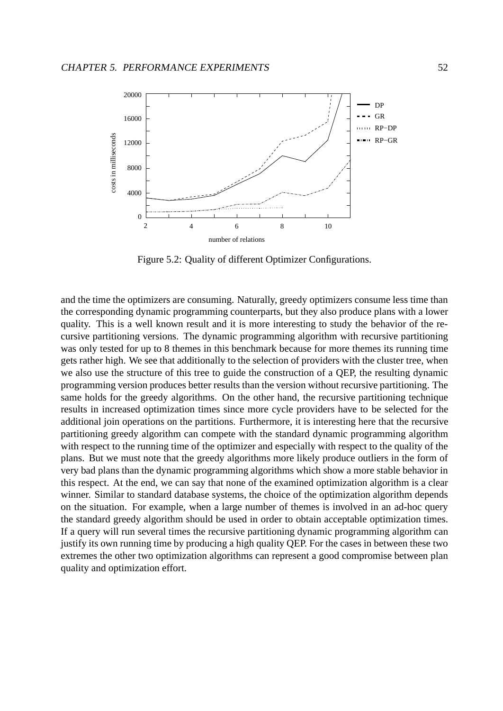

Figure 5.2: Quality of different Optimizer Configurations.

and the time the optimizers are consuming. Naturally, greedy optimizers consume less time than the corresponding dynamic programming counterparts, but they also produce plans with a lower quality. This is a well known result and it is more interesting to study the behavior of the recursive partitioning versions. The dynamic programming algorithm with recursive partitioning was only tested for up to 8 themes in this benchmark because for more themes its running time gets rather high. We see that additionally to the selection of providers with the cluster tree, when we also use the structure of this tree to guide the construction of a QEP, the resulting dynamic programming version produces better results than the version without recursive partitioning. The same holds for the greedy algorithms. On the other hand, the recursive partitioning technique results in increased optimization times since more cycle providers have to be selected for the additional join operations on the partitions. Furthermore, it is interesting here that the recursive partitioning greedy algorithm can compete with the standard dynamic programming algorithm with respect to the running time of the optimizer and especially with respect to the quality of the plans. But we must note that the greedy algorithms more likely produce outliers in the form of very bad plans than the dynamic programming algorithms which show a more stable behavior in this respect. At the end, we can say that none of the examined optimization algorithm is a clear winner. Similar to standard database systems, the choice of the optimization algorithm depends on the situation. For example, when a large number of themes is involved in an ad-hoc query the standard greedy algorithm should be used in order to obtain acceptable optimization times. If a query will run several times the recursive partitioning dynamic programming algorithm can justify its own running time by producing a high quality QEP. For the cases in between these two extremes the other two optimization algorithms can represent a good compromise between plan quality and optimization effort.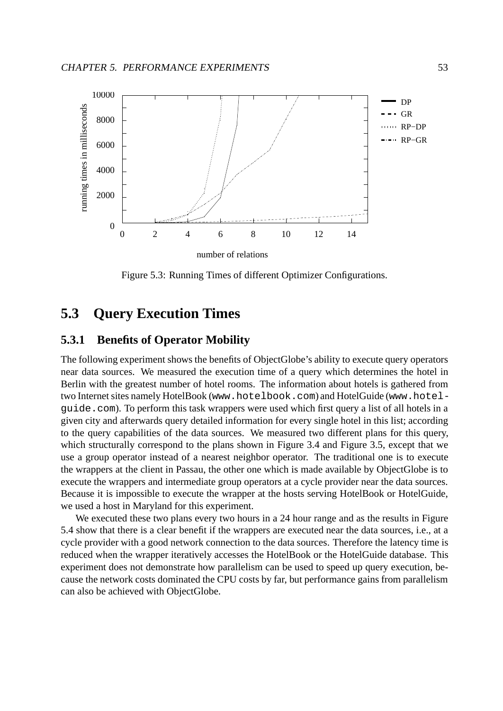

Figure 5.3: Running Times of different Optimizer Configurations.

# **5.3 Query Execution Times**

#### **5.3.1 Benefits of Operator Mobility**

The following experiment shows the benefits of ObjectGlobe's ability to execute query operators near data sources. We measured the execution time of a query which determines the hotel in Berlin with the greatest number of hotel rooms. The information about hotels is gathered from two Internet sites namely HotelBook (www.hotelbook.com) and HotelGuide (www.hotelguide.com). To perform this task wrappers were used which first query a list of all hotels in a given city and afterwards query detailed information for every single hotel in this list; according to the query capabilities of the data sources. We measured two different plans for this query, which structurally correspond to the plans shown in Figure 3.4 and Figure 3.5, except that we use a group operator instead of a nearest neighbor operator. The traditional one is to execute the wrappers at the client in Passau, the other one which is made available by ObjectGlobe is to execute the wrappers and intermediate group operators at a cycle provider near the data sources. Because it is impossible to execute the wrapper at the hosts serving HotelBook or HotelGuide, we used a host in Maryland for this experiment.

We executed these two plans every two hours in a 24 hour range and as the results in Figure 5.4 show that there is a clear benefit if the wrappers are executed near the data sources, i.e., at a cycle provider with a good network connection to the data sources. Therefore the latency time is reduced when the wrapper iteratively accesses the HotelBook or the HotelGuide database. This experiment does not demonstrate how parallelism can be used to speed up query execution, because the network costs dominated the CPU costs by far, but performance gains from parallelism can also be achieved with ObjectGlobe.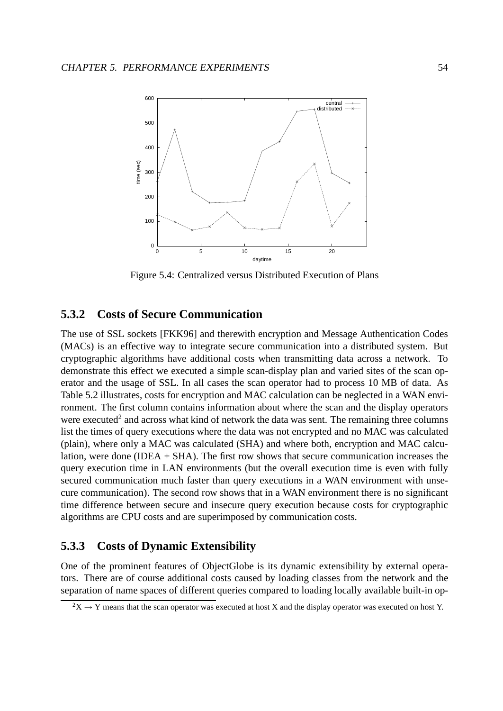

Figure 5.4: Centralized versus Distributed Execution of Plans

#### **5.3.2 Costs of Secure Communication**

The use of SSL sockets [FKK96] and therewith encryption and Message Authentication Codes (MACs) is an effective way to integrate secure communication into a distributed system. But cryptographic algorithms have additional costs when transmitting data across a network. To demonstrate this effect we executed a simple scan-display plan and varied sites of the scan operator and the usage of SSL. In all cases the scan operator had to process 10 MB of data. As Table 5.2 illustrates, costs for encryption and MAC calculation can be neglected in a WAN environment. The first column contains information about where the scan and the display operators were executed<sup>2</sup> and across what kind of network the data was sent. The remaining three columns list the times of query executions where the data was not encrypted and no MAC was calculated (plain), where only a MAC was calculated (SHA) and where both, encryption and MAC calculation, were done (IDEA + SHA). The first row shows that secure communication increases the query execution time in LAN environments (but the overall execution time is even with fully secured communication much faster than query executions in a WAN environment with unsecure communication). The second row shows that in a WAN environment there is no significant time difference between secure and insecure query execution because costs for cryptographic algorithms are CPU costs and are superimposed by communication costs.

#### **5.3.3 Costs of Dynamic Extensibility**

One of the prominent features of ObjectGlobe is its dynamic extensibility by external operators. There are of course additional costs caused by loading classes from the network and the separation of name spaces of different queries compared to loading locally available built-in op-

 $2X \rightarrow Y$  means that the scan operator was executed at host X and the display operator was executed on host Y.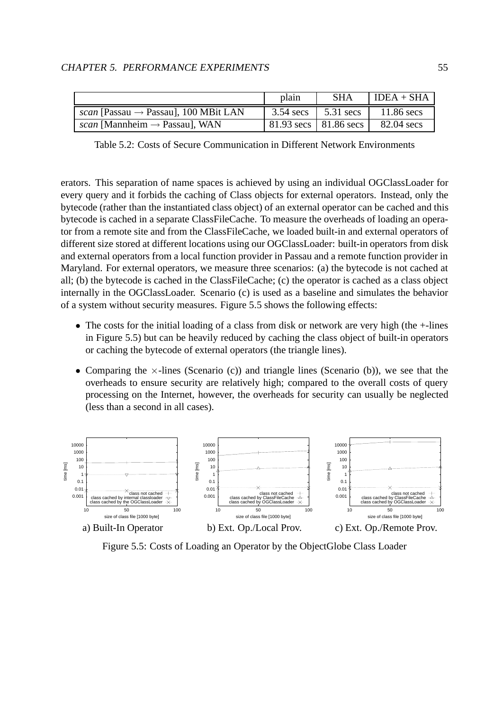#### CHAPTER 5. PERFORMANCE EXPERIMENTS 55

|                                                         | plain                                    | <b>SHA</b>        | $IDEA + SHA$ |
|---------------------------------------------------------|------------------------------------------|-------------------|--------------|
| <i>scan</i> [Passau $\rightarrow$ Passau], 100 MBit LAN | $3.54$ secs                              | $\vert$ 5.31 secs | 11.86 secs   |
| <i>scan</i> [Mannheim $\rightarrow$ Passau], WAN        | $ 81.93 \text{ secs} 81.86 \text{ secs}$ |                   | 82.04 secs   |

Table 5.2: Costs of Secure Communication in Different Network Environments

erators. This separation of name spaces is achieved by using an individual OGClassLoader for every query and it forbids the caching of Class objects for external operators. Instead, only the bytecode (rather than the instantiated class object) of an external operator can be cached and this bytecode is cached in a separate ClassFileCache. To measure the overheads of loading an operator from a remote site and from the ClassFileCache, we loaded built-in and external operators of different size stored at different locations using our OGClassLoader: built-in operators from disk and external operators from a local function provider in Passau and a remote function provider in Maryland. For external operators, we measure three scenarios: (a) the bytecode is not cached at all; (b) the bytecode is cached in the ClassFileCache; (c) the operator is cached as a class object internally in the OGClassLoader. Scenario (c) is used as a baseline and simulates the behavior of a system without security measures. Figure 5.5 shows the following effects:

- The costs for the initial loading of a class from disk or network are very high (the +-lines in Figure 5.5) but can be heavily reduced by caching the class object of built-in operators or caching the bytecode of external operators (the triangle lines).
- Comparing the  $\times$ -lines (Scenario (c)) and triangle lines (Scenario (b)), we see that the overheads to ensure security are relatively high; compared to the overall costs of query processing on the Internet, however, the overheads for security can usually be neglected (less than a second in all cases).



Figure 5.5: Costs of Loading an Operator by the ObjectGlobe Class Loader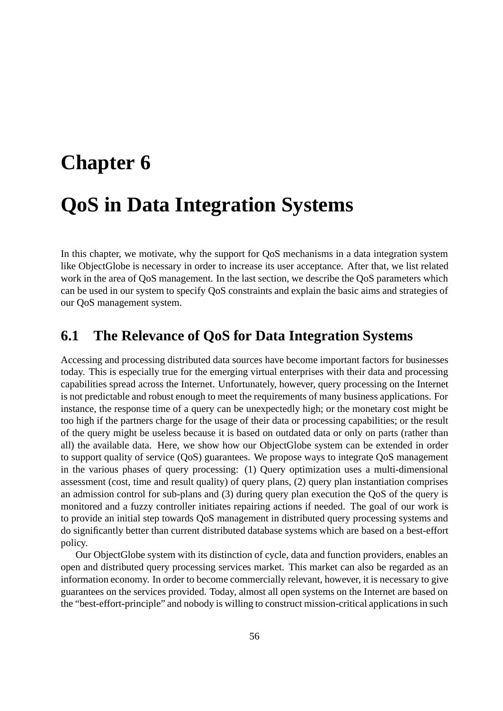# **Chapter 6 QoS in Data Integration Systems**

In this chapter, we motivate, why the support for QoS mechanisms in a data integration system like ObjectGlobe is necessary in order to increase its user acceptance. After that, we list related work in the area of QoS management. In the last section, we describe the QoS parameters which can be used in our system to specify QoS constraints and explain the basic aims and strategies of our QoS management system.

# **6.1 The Relevance of QoS for Data Integration Systems**

Accessing and processing distributed data sources have become important factors for businesses today. This is especially true for the emerging virtual enterprises with their data and processing capabilities spread across the Internet. Unfortunately, however, query processing on the Internet is not predictable and robust enough to meet the requirements of many business applications. For instance, the response time of a query can be unexpectedly high; or the monetary cost might be too high if the partners charge for the usage of their data or processing capabilities; or the result of the query might be useless because it is based on outdated data or only on parts (rather than all) the available data. Here, we show how our ObjectGlobe system can be extended in order to support quality of service (QoS) guarantees. We propose ways to integrate QoS management in the various phases of query processing: (1) Query optimization uses a multi-dimensional assessment (cost, time and result quality) of query plans, (2) query plan instantiation comprises an admission control for sub-plans and (3) during query plan execution the QoS of the query is monitored and a fuzzy controller initiates repairing actions if needed. The goal of our work is to provide an initial step towards QoS management in distributed query processing systems and do significantly better than current distributed database systems which are based on a best-effort policy.

Our ObjectGlobe system with its distinction of cycle, data and function providers, enables an open and distributed query processing services market. This market can also be regarded as an information economy. In order to become commercially relevant, however, it is necessary to give guarantees on the services provided. Today, almost all open systems on the Internet are based on the "best-effort-principle" and nobody is willing to construct mission-critical applications in such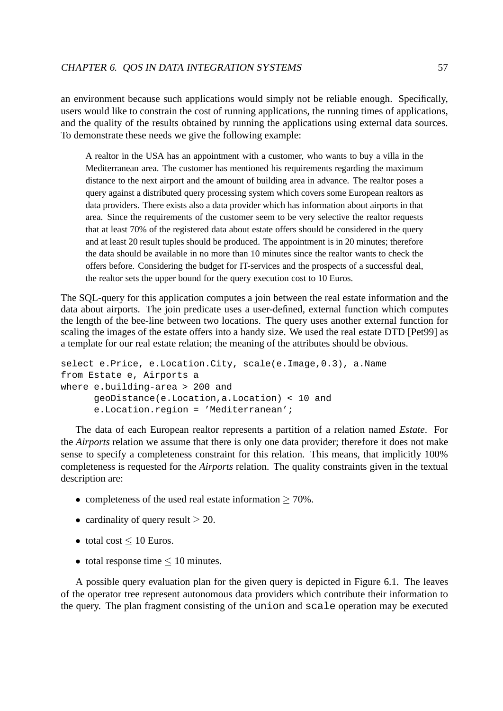an environment because such applications would simply not be reliable enough. Specifically, users would like to constrain the cost of running applications, the running times of applications, and the quality of the results obtained by running the applications using external data sources. To demonstrate these needs we give the following example:

A realtor in the USA has an appointment with a customer, who wants to buy a villa in the Mediterranean area. The customer has mentioned his requirements regarding the maximum distance to the next airport and the amount of building area in advance. The realtor poses a query against a distributed query processing system which covers some European realtors as data providers. There exists also a data provider which has information about airports in that area. Since the requirements of the customer seem to be very selective the realtor requests that at least 70% of the registered data about estate offers should be considered in the query and at least 20 result tuples should be produced. The appointment is in 20 minutes; therefore the data should be available in no more than 10 minutes since the realtor wants to check the offers before. Considering the budget for IT-services and the prospects of a successful deal, the realtor sets the upper bound for the query execution cost to 10 Euros.

The SQL-query for this application computes a join between the real estate information and the data about airports. The join predicate uses a user-defined, external function which computes the length of the bee-line between two locations. The query uses another external function for scaling the images of the estate offers into a handy size. We used the real estate DTD [Pet99] as a template for our real estate relation; the meaning of the attributes should be obvious.

```
select e.Price, e.Location.City, scale(e.Image,0.3), a.Name
from Estate e, Airports a
where e.building-area > 200 and
      geoDistance(e.Location,a.Location) < 10 and
      e.Location.region = 'Mediterranean';
```
The data of each European realtor represents a partition of a relation named *Estate*. For the *Airports* relation we assume that there is only one data provider; therefore it does not make sense to specify a completeness constraint for this relation. This means, that implicitly 100% completeness is requested for the *Airports* relation. The quality constraints given in the textual description are:

- completeness of the used real estate information  $> 70\%$ .
- cardinality of query result  $> 20$ .
- total cost  $\leq 10$  Euros.
- total response time  $\leq 10$  minutes.

A possible query evaluation plan for the given query is depicted in Figure 6.1. The leaves of the operator tree represent autonomous data providers which contribute their information to the query. The plan fragment consisting of the union and scale operation may be executed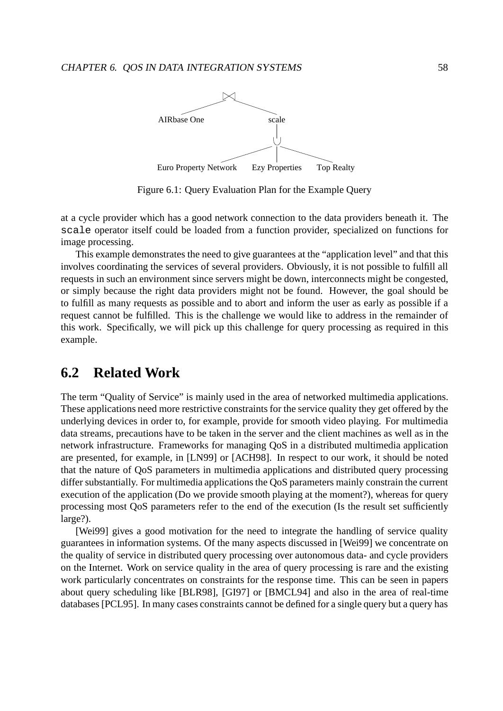

Figure 6.1: Query Evaluation Plan for the Example Query

at a cycle provider which has a good network connection to the data providers beneath it. The scale operator itself could be loaded from a function provider, specialized on functions for image processing.

This example demonstrates the need to give guarantees at the "application level" and that this involves coordinating the services of several providers. Obviously, it is not possible to fulfill all requests in such an environment since servers might be down, interconnects might be congested, or simply because the right data providers might not be found. However, the goal should be to fulfill as many requests as possible and to abort and inform the user as early as possible if a request cannot be fulfilled. This is the challenge we would like to address in the remainder of this work. Specifically, we will pick up this challenge for query processing as required in this example.

### **6.2 Related Work**

The term "Quality of Service" is mainly used in the area of networked multimedia applications. These applications need more restrictive constraints for the service quality they get offered by the underlying devices in order to, for example, provide for smooth video playing. For multimedia data streams, precautions have to be taken in the server and the client machines as well as in the network infrastructure. Frameworks for managing QoS in a distributed multimedia application are presented, for example, in [LN99] or [ACH98]. In respect to our work, it should be noted that the nature of QoS parameters in multimedia applications and distributed query processing differ substantially. For multimedia applications the QoS parameters mainly constrain the current execution of the application (Do we provide smooth playing at the moment?), whereas for query processing most QoS parameters refer to the end of the execution (Is the result set sufficiently large?).

[Wei99] gives a good motivation for the need to integrate the handling of service quality guarantees in information systems. Of the many aspects discussed in [Wei99] we concentrate on the quality of service in distributed query processing over autonomous data- and cycle providers on the Internet. Work on service quality in the area of query processing is rare and the existing work particularly concentrates on constraints for the response time. This can be seen in papers about query scheduling like [BLR98], [GI97] or [BMCL94] and also in the area of real-time databases [PCL95]. In many cases constraints cannot be defined for a single query but a query has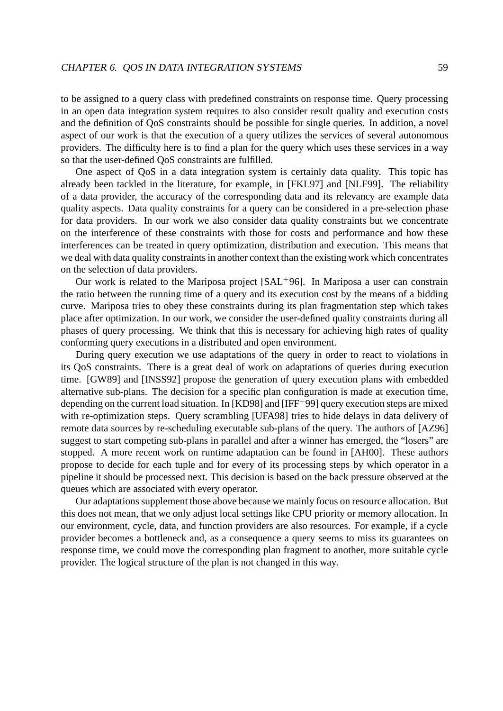to be assigned to a query class with predefined constraints on response time. Query processing in an open data integration system requires to also consider result quality and execution costs and the definition of QoS constraints should be possible for single queries. In addition, a novel aspect of our work is that the execution of a query utilizes the services of several autonomous providers. The difficulty here is to find a plan for the query which uses these services in a way so that the user-defined QoS constraints are fulfilled.

One aspect of QoS in a data integration system is certainly data quality. This topic has already been tackled in the literature, for example, in [FKL97] and [NLF99]. The reliability of a data provider, the accuracy of the corresponding data and its relevancy are example data quality aspects. Data quality constraints for a query can be considered in a pre-selection phase for data providers. In our work we also consider data quality constraints but we concentrate on the interference of these constraints with those for costs and performance and how these interferences can be treated in query optimization, distribution and execution. This means that we deal with data quality constraints in another context than the existing work which concentrates on the selection of data providers.

Our work is related to the Mariposa project  $[**SAL**<sup>+</sup>96]$ . In Mariposa a user can constrain the ratio between the running time of a query and its execution cost by the means of a bidding curve. Mariposa tries to obey these constraints during its plan fragmentation step which takes place after optimization. In our work, we consider the user-defined quality constraints during all phases of query processing. We think that this is necessary for achieving high rates of quality conforming query executions in a distributed and open environment.

During query execution we use adaptations of the query in order to react to violations in its QoS constraints. There is a great deal of work on adaptations of queries during execution time. [GW89] and [INSS92] propose the generation of query execution plans with embedded alternative sub-plans. The decision for a specific plan configuration is made at execution time, depending on the current load situation. In [KD98] and [IFF<sup>+</sup>99] query execution steps are mixed with re-optimization steps. Query scrambling [UFA98] tries to hide delays in data delivery of remote data sources by re-scheduling executable sub-plans of the query. The authors of [AZ96] suggest to start competing sub-plans in parallel and after a winner has emerged, the "losers" are stopped. A more recent work on runtime adaptation can be found in [AH00]. These authors propose to decide for each tuple and for every of its processing steps by which operator in a pipeline it should be processed next. This decision is based on the back pressure observed at the queues which are associated with every operator.

Our adaptations supplement those above because we mainly focus on resource allocation. But this does not mean, that we only adjust local settings like CPU priority or memory allocation. In our environment, cycle, data, and function providers are also resources. For example, if a cycle provider becomes a bottleneck and, as a consequence a query seems to miss its guarantees on response time, we could move the corresponding plan fragment to another, more suitable cycle provider. The logical structure of the plan is not changed in this way.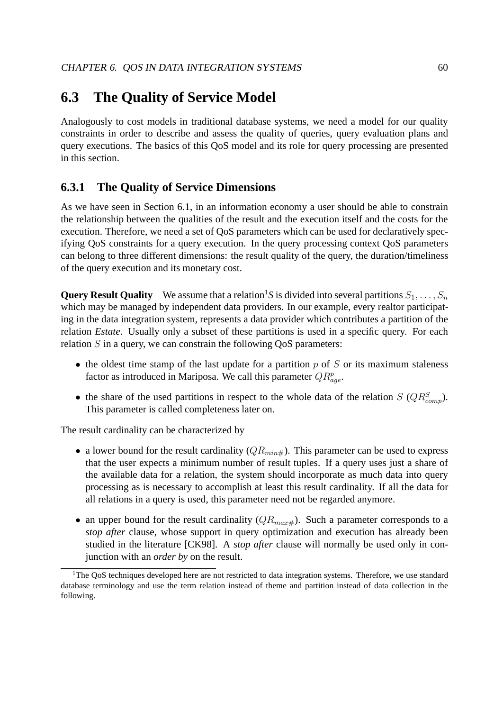# **6.3 The Quality of Service Model**

Analogously to cost models in traditional database systems, we need a model for our quality constraints in order to describe and assess the quality of queries, query evaluation plans and query executions. The basics of this QoS model and its role for query processing are presented in this section.

### **6.3.1 The Quality of Service Dimensions**

As we have seen in Section 6.1, in an information economy a user should be able to constrain the relationship between the qualities of the result and the execution itself and the costs for the execution. Therefore, we need a set of QoS parameters which can be used for declaratively specifying QoS constraints for a query execution. In the query processing context QoS parameters can belong to three different dimensions: the result quality of the query, the duration/timeliness of the query execution and its monetary cost.

**Query Result Quality** We assume that a relation<sup>1</sup>S is divided into several partitions  $S_1, \ldots, S_n$ which may be managed by independent data providers. In our example, every realtor participating in the data integration system, represents a data provider which contributes a partition of the relation *Estate*. Usually only a subset of these partitions is used in a specific query. For each relation  $S$  in a query, we can constrain the following  $QoS$  parameters:

- the oldest time stamp of the last update for a partition  $p$  of  $S$  or its maximum staleness factor as introduced in Mariposa. We call this parameter  $QR_{age}^p$ .
- the share of the used partitions in respect to the whole data of the relation  $S(QR_{comp}^S)$ . This parameter is called completeness later on.

The result cardinality can be characterized by

- a lower bound for the result cardinality  $(QR_{min\#})$ . This parameter can be used to express that the user expects a minimum number of result tuples. If a query uses just a share of the available data for a relation, the system should incorporate as much data into query processing as is necessary to accomplish at least this result cardinality. If all the data for all relations in a query is used, this parameter need not be regarded anymore.
- an upper bound for the result cardinality  $(QR_{max\#})$ . Such a parameter corresponds to a *stop after* clause, whose support in query optimization and execution has already been studied in the literature [CK98]. A *stop after* clause will normally be used only in conjunction with an *order by* on the result.

<sup>&</sup>lt;sup>1</sup>The QoS techniques developed here are not restricted to data integration systems. Therefore, we use standard database terminology and use the term relation instead of theme and partition instead of data collection in the following.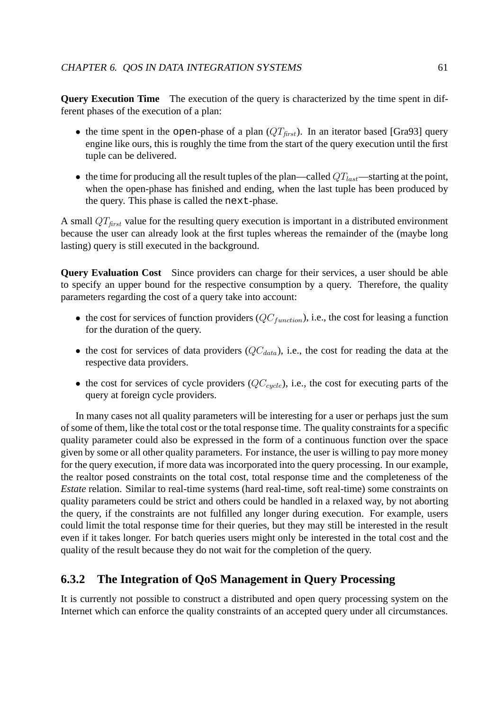**Query Execution Time** The execution of the query is characterized by the time spent in different phases of the execution of a plan:

- the time spent in the open-phase of a plan  $(QT<sub>first</sub>)$ . In an iterator based [Gra93] query engine like ours, this is roughly the time from the start of the query execution until the first tuple can be delivered.
- the time for producing all the result tuples of the plan—called  $QT<sub>last</sub>$ —starting at the point, when the open-phase has finished and ending, when the last tuple has been produced by the query. This phase is called the next-phase.

A small  $QT_{first}$  value for the resulting query execution is important in a distributed environment because the user can already look at the first tuples whereas the remainder of the (maybe long lasting) query is still executed in the background.

**Query Evaluation Cost** Since providers can charge for their services, a user should be able to specify an upper bound for the respective consumption by a query. Therefore, the quality parameters regarding the cost of a query take into account:

- the cost for services of function providers  $(QC_{function})$ , i.e., the cost for leasing a function for the duration of the query.
- the cost for services of data providers  $(QC_{data})$ , i.e., the cost for reading the data at the respective data providers.
- the cost for services of cycle providers  $(QC_{cycle})$ , i.e., the cost for executing parts of the query at foreign cycle providers.

In many cases not all quality parameters will be interesting for a user or perhaps just the sum of some of them, like the total cost or the total response time. The quality constraints for a specific quality parameter could also be expressed in the form of a continuous function over the space given by some or all other quality parameters. For instance, the user is willing to pay more money for the query execution, if more data was incorporated into the query processing. In our example, the realtor posed constraints on the total cost, total response time and the completeness of the *Estate* relation. Similar to real-time systems (hard real-time, soft real-time) some constraints on quality parameters could be strict and others could be handled in a relaxed way, by not aborting the query, if the constraints are not fulfilled any longer during execution. For example, users could limit the total response time for their queries, but they may still be interested in the result even if it takes longer. For batch queries users might only be interested in the total cost and the quality of the result because they do not wait for the completion of the query.

#### **6.3.2 The Integration of QoS Management in Query Processing**

It is currently not possible to construct a distributed and open query processing system on the Internet which can enforce the quality constraints of an accepted query under all circumstances.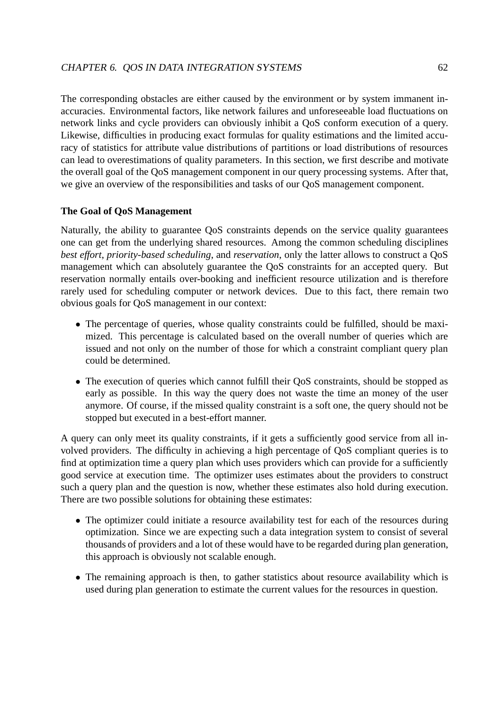The corresponding obstacles are either caused by the environment or by system immanent inaccuracies. Environmental factors, like network failures and unforeseeable load fluctuations on network links and cycle providers can obviously inhibit a QoS conform execution of a query. Likewise, difficulties in producing exact formulas for quality estimations and the limited accuracy of statistics for attribute value distributions of partitions or load distributions of resources can lead to overestimations of quality parameters. In this section, we first describe and motivate the overall goal of the QoS management component in our query processing systems. After that, we give an overview of the responsibilities and tasks of our QoS management component.

#### **The Goal of QoS Management**

Naturally, the ability to guarantee QoS constraints depends on the service quality guarantees one can get from the underlying shared resources. Among the common scheduling disciplines *best effort*, *priority-based scheduling*, and *reservation*, only the latter allows to construct a QoS management which can absolutely guarantee the QoS constraints for an accepted query. But reservation normally entails over-booking and inefficient resource utilization and is therefore rarely used for scheduling computer or network devices. Due to this fact, there remain two obvious goals for QoS management in our context:

- The percentage of queries, whose quality constraints could be fulfilled, should be maximized. This percentage is calculated based on the overall number of queries which are issued and not only on the number of those for which a constraint compliant query plan could be determined.
- The execution of queries which cannot fulfill their QoS constraints, should be stopped as early as possible. In this way the query does not waste the time an money of the user anymore. Of course, if the missed quality constraint is a soft one, the query should not be stopped but executed in a best-effort manner.

A query can only meet its quality constraints, if it gets a sufficiently good service from all involved providers. The difficulty in achieving a high percentage of QoS compliant queries is to find at optimization time a query plan which uses providers which can provide for a sufficiently good service at execution time. The optimizer uses estimates about the providers to construct such a query plan and the question is now, whether these estimates also hold during execution. There are two possible solutions for obtaining these estimates:

- The optimizer could initiate a resource availability test for each of the resources during optimization. Since we are expecting such a data integration system to consist of several thousands of providers and a lot of these would have to be regarded during plan generation, this approach is obviously not scalable enough.
- The remaining approach is then, to gather statistics about resource availability which is used during plan generation to estimate the current values for the resources in question.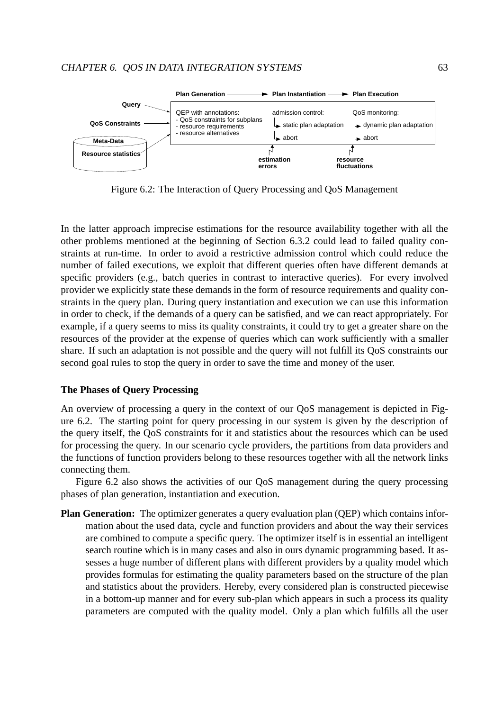

Figure 6.2: The Interaction of Query Processing and QoS Management

In the latter approach imprecise estimations for the resource availability together with all the other problems mentioned at the beginning of Section 6.3.2 could lead to failed quality constraints at run-time. In order to avoid a restrictive admission control which could reduce the number of failed executions, we exploit that different queries often have different demands at specific providers (e.g., batch queries in contrast to interactive queries). For every involved provider we explicitly state these demands in the form of resource requirements and quality constraints in the query plan. During query instantiation and execution we can use this information in order to check, if the demands of a query can be satisfied, and we can react appropriately. For example, if a query seems to miss its quality constraints, it could try to get a greater share on the resources of the provider at the expense of queries which can work sufficiently with a smaller share. If such an adaptation is not possible and the query will not fulfill its QoS constraints our second goal rules to stop the query in order to save the time and money of the user.

#### **The Phases of Query Processing**

An overview of processing a query in the context of our QoS management is depicted in Figure 6.2. The starting point for query processing in our system is given by the description of the query itself, the QoS constraints for it and statistics about the resources which can be used for processing the query. In our scenario cycle providers, the partitions from data providers and the functions of function providers belong to these resources together with all the network links connecting them.

Figure 6.2 also shows the activities of our QoS management during the query processing phases of plan generation, instantiation and execution.

**Plan Generation:** The optimizer generates a query evaluation plan (QEP) which contains information about the used data, cycle and function providers and about the way their services are combined to compute a specific query. The optimizer itself is in essential an intelligent search routine which is in many cases and also in ours dynamic programming based. It assesses a huge number of different plans with different providers by a quality model which provides formulas for estimating the quality parameters based on the structure of the plan and statistics about the providers. Hereby, every considered plan is constructed piecewise in a bottom-up manner and for every sub-plan which appears in such a process its quality parameters are computed with the quality model. Only a plan which fulfills all the user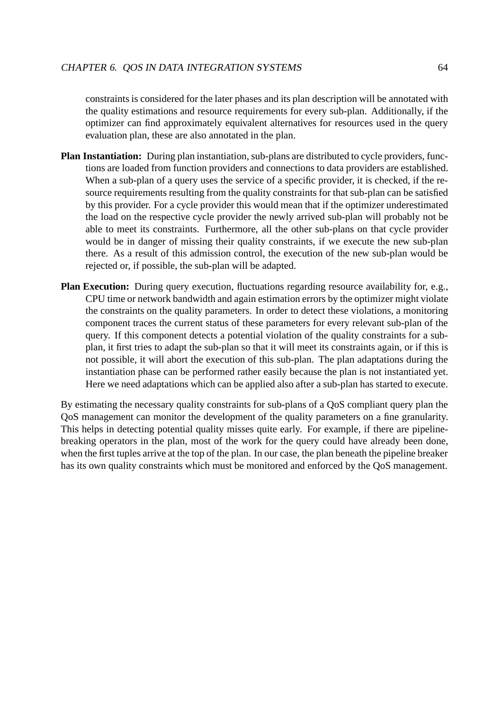constraints is considered for the later phases and its plan description will be annotated with the quality estimations and resource requirements for every sub-plan. Additionally, if the optimizer can find approximately equivalent alternatives for resources used in the query evaluation plan, these are also annotated in the plan.

- **Plan Instantiation:** During plan instantiation, sub-plans are distributed to cycle providers, functions are loaded from function providers and connections to data providers are established. When a sub-plan of a query uses the service of a specific provider, it is checked, if the resource requirements resulting from the quality constraints for that sub-plan can be satisfied by this provider. For a cycle provider this would mean that if the optimizer underestimated the load on the respective cycle provider the newly arrived sub-plan will probably not be able to meet its constraints. Furthermore, all the other sub-plans on that cycle provider would be in danger of missing their quality constraints, if we execute the new sub-plan there. As a result of this admission control, the execution of the new sub-plan would be rejected or, if possible, the sub-plan will be adapted.
- **Plan Execution:** During query execution, fluctuations regarding resource availability for, e.g., CPU time or network bandwidth and again estimation errors by the optimizer might violate the constraints on the quality parameters. In order to detect these violations, a monitoring component traces the current status of these parameters for every relevant sub-plan of the query. If this component detects a potential violation of the quality constraints for a subplan, it first tries to adapt the sub-plan so that it will meet its constraints again, or if this is not possible, it will abort the execution of this sub-plan. The plan adaptations during the instantiation phase can be performed rather easily because the plan is not instantiated yet. Here we need adaptations which can be applied also after a sub-plan has started to execute.

By estimating the necessary quality constraints for sub-plans of a QoS compliant query plan the QoS management can monitor the development of the quality parameters on a fine granularity. This helps in detecting potential quality misses quite early. For example, if there are pipelinebreaking operators in the plan, most of the work for the query could have already been done, when the first tuples arrive at the top of the plan. In our case, the plan beneath the pipeline breaker has its own quality constraints which must be monitored and enforced by the QoS management.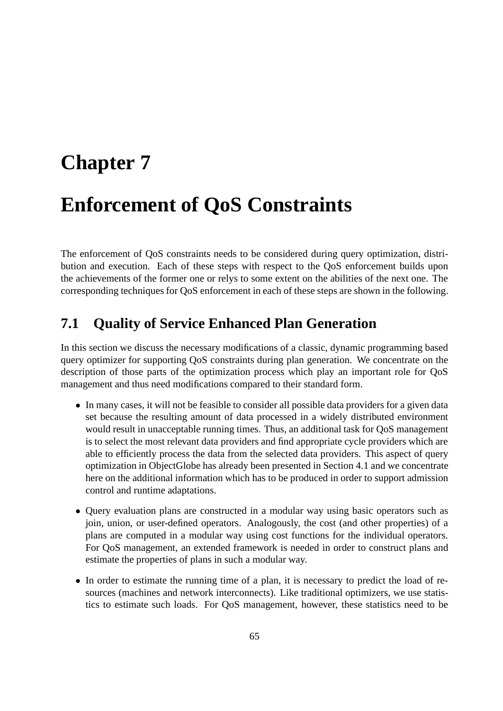# **Chapter 7 Enforcement of QoS Constraints**

The enforcement of QoS constraints needs to be considered during query optimization, distribution and execution. Each of these steps with respect to the QoS enforcement builds upon the achievements of the former one or relys to some extent on the abilities of the next one. The corresponding techniques for QoS enforcement in each of these steps are shown in the following.

# **7.1 Quality of Service Enhanced Plan Generation**

In this section we discuss the necessary modifications of a classic, dynamic programming based query optimizer for supporting QoS constraints during plan generation. We concentrate on the description of those parts of the optimization process which play an important role for QoS management and thus need modifications compared to their standard form.

- In many cases, it will not be feasible to consider all possible data providers for a given data set because the resulting amount of data processed in a widely distributed environment would result in unacceptable running times. Thus, an additional task for QoS management is to select the most relevant data providers and find appropriate cycle providers which are able to efficiently process the data from the selected data providers. This aspect of query optimization in ObjectGlobe has already been presented in Section 4.1 and we concentrate here on the additional information which has to be produced in order to support admission control and runtime adaptations.
- Query evaluation plans are constructed in a modular way using basic operators such as join, union, or user-defined operators. Analogously, the cost (and other properties) of a plans are computed in a modular way using cost functions for the individual operators. For QoS management, an extended framework is needed in order to construct plans and estimate the properties of plans in such a modular way.
- In order to estimate the running time of a plan, it is necessary to predict the load of resources (machines and network interconnects). Like traditional optimizers, we use statistics to estimate such loads. For QoS management, however, these statistics need to be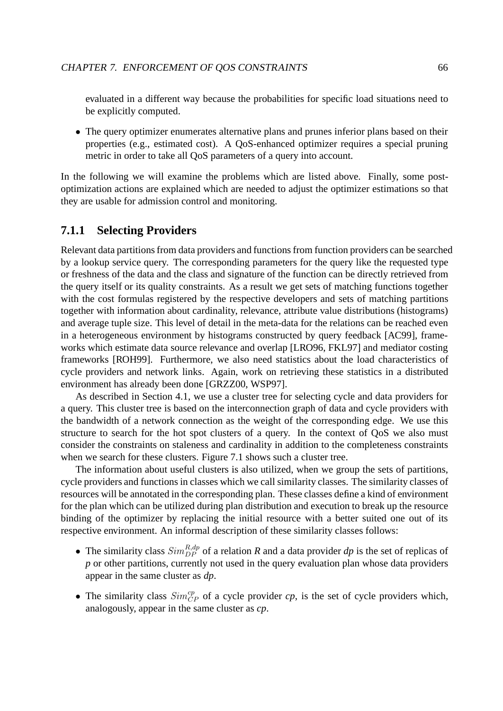evaluated in a different way because the probabilities for specific load situations need to be explicitly computed.

• The query optimizer enumerates alternative plans and prunes inferior plans based on their properties (e.g., estimated cost). A QoS-enhanced optimizer requires a special pruning metric in order to take all QoS parameters of a query into account.

In the following we will examine the problems which are listed above. Finally, some postoptimization actions are explained which are needed to adjust the optimizer estimations so that they are usable for admission control and monitoring.

#### **7.1.1 Selecting Providers**

Relevant data partitions from data providers and functions from function providers can be searched by a lookup service query. The corresponding parameters for the query like the requested type or freshness of the data and the class and signature of the function can be directly retrieved from the query itself or its quality constraints. As a result we get sets of matching functions together with the cost formulas registered by the respective developers and sets of matching partitions together with information about cardinality, relevance, attribute value distributions (histograms) and average tuple size. This level of detail in the meta-data for the relations can be reached even in a heterogeneous environment by histograms constructed by query feedback [AC99], frameworks which estimate data source relevance and overlap [LRO96, FKL97] and mediator costing frameworks [ROH99]. Furthermore, we also need statistics about the load characteristics of cycle providers and network links. Again, work on retrieving these statistics in a distributed environment has already been done [GRZZ00, WSP97].

As described in Section 4.1, we use a cluster tree for selecting cycle and data providers for a query. This cluster tree is based on the interconnection graph of data and cycle providers with the bandwidth of a network connection as the weight of the corresponding edge. We use this structure to search for the hot spot clusters of a query. In the context of QoS we also must consider the constraints on staleness and cardinality in addition to the completeness constraints when we search for these clusters. Figure 7.1 shows such a cluster tree.

The information about useful clusters is also utilized, when we group the sets of partitions, cycle providers and functions in classes which we call similarity classes. The similarity classes of resources will be annotated in the corresponding plan. These classes define a kind of environment for the plan which can be utilized during plan distribution and execution to break up the resource binding of the optimizer by replacing the initial resource with a better suited one out of its respective environment. An informal description of these similarity classes follows:

- The similarity class  $Sim_{DP}^{R,dp}$  of a relation *R* and a data provider *dp* is the set of replicas of *p* or other partitions, currently not used in the query evaluation plan whose data providers appear in the same cluster as *dp*.
- The similarity class  $Sim_{CP}^{cp}$  of a cycle provider  $cp$ , is the set of cycle providers which, analogously, appear in the same cluster as *cp*.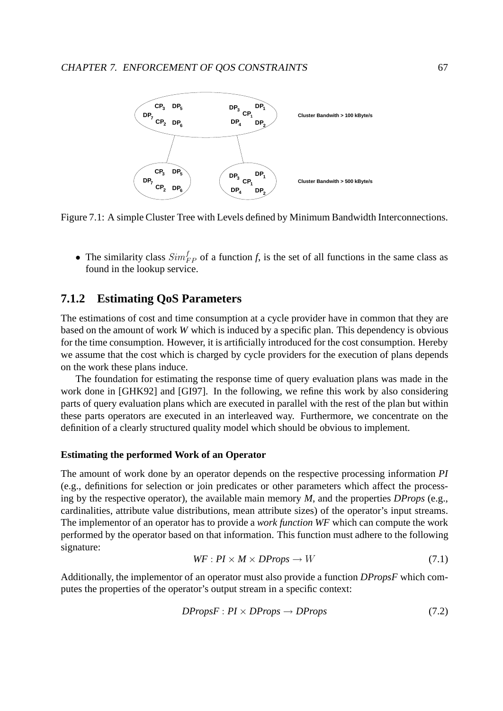

Figure 7.1: A simple Cluster Tree with Levels defined by Minimum Bandwidth Interconnections.

• The similarity class  $Sim_{FP}^f$  of a function *f*, is the set of all functions in the same class as found in the lookup service.

#### **7.1.2 Estimating QoS Parameters**

The estimations of cost and time consumption at a cycle provider have in common that they are based on the amount of work *W* which is induced by a specific plan. This dependency is obvious for the time consumption. However, it is artificially introduced for the cost consumption. Hereby we assume that the cost which is charged by cycle providers for the execution of plans depends on the work these plans induce.

The foundation for estimating the response time of query evaluation plans was made in the work done in [GHK92] and [GI97]. In the following, we refine this work by also considering parts of query evaluation plans which are executed in parallel with the rest of the plan but within these parts operators are executed in an interleaved way. Furthermore, we concentrate on the definition of a clearly structured quality model which should be obvious to implement.

#### **Estimating the performed Work of an Operator**

The amount of work done by an operator depends on the respective processing information *PI* (e.g., definitions for selection or join predicates or other parameters which affect the processing by the respective operator), the available main memory *M*, and the properties *DProps* (e.g., cardinalities, attribute value distributions, mean attribute sizes) of the operator's input streams. The implementor of an operator has to provide a *work function WF* which can compute the work performed by the operator based on that information. This function must adhere to the following signature:

$$
WF: PI \times M \times DProps \to W \tag{7.1}
$$

Additionally, the implementor of an operator must also provide a function *DPropsF* which computes the properties of the operator's output stream in a specific context:

$$
DPropsF: PI \times DProps \to DProps \tag{7.2}
$$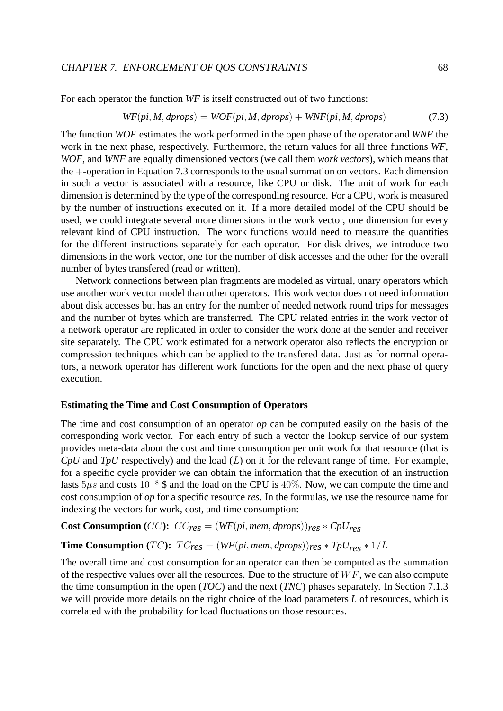#### CHAPTER 7. ENFORCEMENT OF QOS CONSTRAINTS 68

For each operator the function *WF* is itself constructed out of two functions:

$$
WF(pi, M, dprops) = WOF(pi, M, dprops) + WNF(pi, M, dprops)
$$
\n(7.3)

The function *WOF* estimates the work performed in the open phase of the operator and *WNF* the work in the next phase, respectively. Furthermore, the return values for all three functions *WF*, *WOF*, and *WNF* are equally dimensioned vectors (we call them *work vectors*), which means that the +-operation in Equation 7.3 corresponds to the usual summation on vectors. Each dimension in such a vector is associated with a resource, like CPU or disk. The unit of work for each dimension is determined by the type of the corresponding resource. For a CPU, work is measured by the number of instructions executed on it. If a more detailed model of the CPU should be used, we could integrate several more dimensions in the work vector, one dimension for every relevant kind of CPU instruction. The work functions would need to measure the quantities for the different instructions separately for each operator. For disk drives, we introduce two dimensions in the work vector, one for the number of disk accesses and the other for the overall number of bytes transfered (read or written).

Network connections between plan fragments are modeled as virtual, unary operators which use another work vector model than other operators. This work vector does not need information about disk accesses but has an entry for the number of needed network round trips for messages and the number of bytes which are transferred. The CPU related entries in the work vector of a network operator are replicated in order to consider the work done at the sender and receiver site separately. The CPU work estimated for a network operator also reflects the encryption or compression techniques which can be applied to the transfered data. Just as for normal operators, a network operator has different work functions for the open and the next phase of query execution.

#### **Estimating the Time and Cost Consumption of Operators**

The time and cost consumption of an operator *op* can be computed easily on the basis of the corresponding work vector. For each entry of such a vector the lookup service of our system provides meta-data about the cost and time consumption per unit work for that resource (that is  $CpU$  and  $TpU$  respectively) and the load  $(L)$  on it for the relevant range of time. For example, for a specific cycle provider we can obtain the information that the execution of an instruction lasts  $5\mu s$  and costs  $10^{-8}$  \$ and the load on the CPU is 40%. Now, we can compute the time and cost consumption of *op* for a specific resource *res*. In the formulas, we use the resource name for indexing the vectors for work, cost, and time consumption:

**Cost Consumption** (*CC*):  $CC_{res} = (WF(p_i, mem, dprops))_{res} * CpU_{res}$ 

**Time Consumption** (*TC*):  $TC_{res} = (WF(pi, mem, dprops))_{res} * TpU_{res} * 1/L$ 

The overall time and cost consumption for an operator can then be computed as the summation of the respective values over all the resources. Due to the structure of  $WF$ , we can also compute the time consumption in the open (*TOC*) and the next (*TNC*) phases separately. In Section 7.1.3 we will provide more details on the right choice of the load parameters *L* of resources, which is correlated with the probability for load fluctuations on those resources.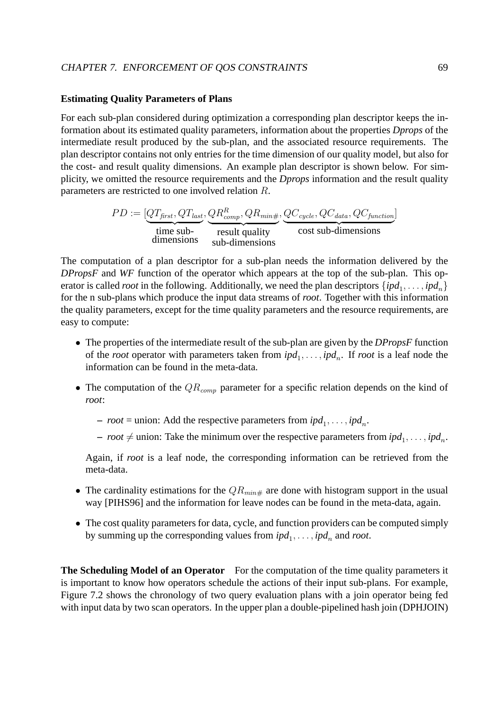#### CHAPTER 7. ENFORCEMENT OF QOS CONSTRAINTS 69

#### **Estimating Quality Parameters of Plans**

For each sub-plan considered during optimization a corresponding plan descriptor keeps the information about its estimated quality parameters, information about the properties *Dprops* of the intermediate result produced by the sub-plan, and the associated resource requirements. The plan descriptor contains not only entries for the time dimension of our quality model, but also for the cost- and result quality dimensions. An example plan descriptor is shown below. For simplicity, we omitted the resource requirements and the *Dprops* information and the result quality parameters are restricted to one involved relation R.

$$
PD := [\underbrace{QT_{first}, QT_{last}}_{time sub} , \underbrace{QR_{comp}^{R}, QR_{min\#}}_{sub\text{-}dimensions}, \underbrace{QC_{cycle}, QC_{data}, QC_{function}}_{cost sub-dimensions}]
$$

The computation of a plan descriptor for a sub-plan needs the information delivered by the *DPropsF* and *WF* function of the operator which appears at the top of the sub-plan. This operator is called *root* in the following. Additionally, we need the plan descriptors  $\{ipd_1, \ldots, ipd_n\}$ for the n sub-plans which produce the input data streams of *root*. Together with this information the quality parameters, except for the time quality parameters and the resource requirements, are easy to compute:

- The properties of the intermediate result of the sub-plan are given by the *DPropsF* function of the *root* operator with parameters taken from  $ipd_1, \ldots, ipd_n$ . If *root* is a leaf node the information can be found in the meta-data.
- The computation of the  $QR_{comp}$  parameter for a specific relation depends on the kind of *root*:
	- $-$  *root* = union: Add the respective parameters from  $ipd_1, \ldots, ipd_n$ .
	- $-$  *root*  $\neq$  union: Take the minimum over the respective parameters from  $ipd_1, \ldots, ipd_n$ .

Again, if *root* is a leaf node, the corresponding information can be retrieved from the meta-data.

- The cardinality estimations for the  $QR_{min\#}$  are done with histogram support in the usual way [PIHS96] and the information for leave nodes can be found in the meta-data, again.
- The cost quality parameters for data, cycle, and function providers can be computed simply by summing up the corresponding values from  $ipd_1, \ldots, ipd_n$  and *root*.

**The Scheduling Model of an Operator** For the computation of the time quality parameters it is important to know how operators schedule the actions of their input sub-plans. For example, Figure 7.2 shows the chronology of two query evaluation plans with a join operator being fed with input data by two scan operators. In the upper plan a double-pipelined hash join (DPHJOIN)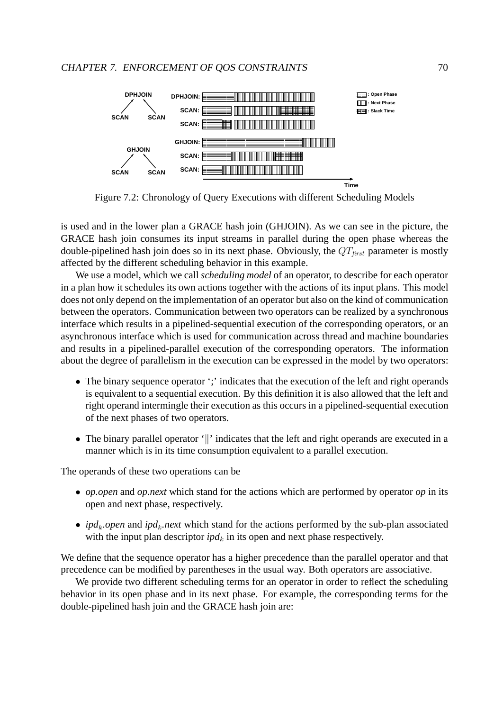

Figure 7.2: Chronology of Query Executions with different Scheduling Models

is used and in the lower plan a GRACE hash join (GHJOIN). As we can see in the picture, the GRACE hash join consumes its input streams in parallel during the open phase whereas the double-pipelined hash join does so in its next phase. Obviously, the  $QT_{first}$  parameter is mostly affected by the different scheduling behavior in this example.

We use a model, which we call *scheduling model* of an operator, to describe for each operator in a plan how it schedules its own actions together with the actions of its input plans. This model does not only depend on the implementation of an operator but also on the kind of communication between the operators. Communication between two operators can be realized by a synchronous interface which results in a pipelined-sequential execution of the corresponding operators, or an asynchronous interface which is used for communication across thread and machine boundaries and results in a pipelined-parallel execution of the corresponding operators. The information about the degree of parallelism in the execution can be expressed in the model by two operators:

- The binary sequence operator ';' indicates that the execution of the left and right operands is equivalent to a sequential execution. By this definition it is also allowed that the left and right operand intermingle their execution as this occurs in a pipelined-sequential execution of the next phases of two operators.
- The binary parallel operator '||' indicates that the left and right operands are executed in a manner which is in its time consumption equivalent to a parallel execution.

The operands of these two operations can be

- *op.open* and *op.next* which stand for the actions which are performed by operator *op* in its open and next phase, respectively.
- *ipd<sub>k</sub>*.*open* and *ipd<sub>k</sub>*.*next* which stand for the actions performed by the sub-plan associated with the input plan descriptor  $ipd_k$  in its open and next phase respectively.

We define that the sequence operator has a higher precedence than the parallel operator and that precedence can be modified by parentheses in the usual way. Both operators are associative.

We provide two different scheduling terms for an operator in order to reflect the scheduling behavior in its open phase and in its next phase. For example, the corresponding terms for the double-pipelined hash join and the GRACE hash join are: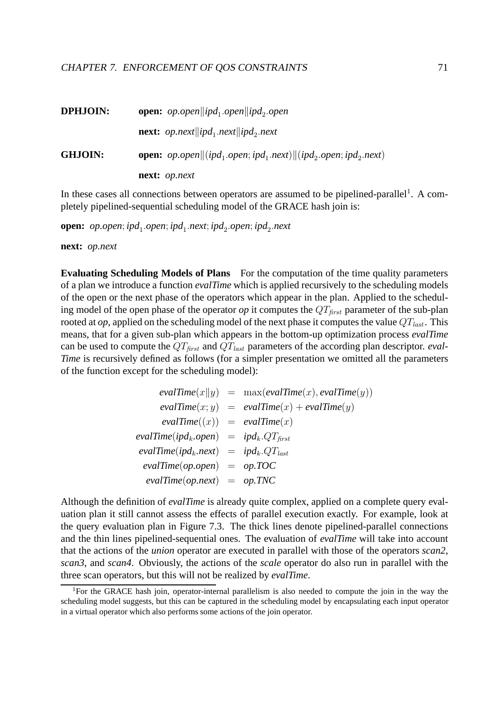#### CHAPTER 7. ENFORCEMENT OF QOS CONSTRAINTS 71

| <b>DPHJOIN:</b> |                                                                                                                          |  |
|-----------------|--------------------------------------------------------------------------------------------------------------------------|--|
|                 | <b>next:</b> op.next  ipd <sub>1</sub> .next  ipd <sub>2</sub> .next                                                     |  |
| <b>GHJOIN:</b>  | <b>open:</b> op.open  (ipd <sub>1</sub> .open; ipd <sub>1</sub> .next)  (ipd <sub>2</sub> .open; ipd <sub>2</sub> .next) |  |
|                 | next: op.next                                                                                                            |  |

In these cases all connections between operators are assumed to be pipelined-parallel<sup>1</sup>. A completely pipelined-sequential scheduling model of the GRACE hash join is:

**open:** *op.open*;  $ipd_1$ .*open*;  $ipd_1$ .*next*;  $ipd_2$ .*open*;  $ipd_2$ .*next* 

**next:** *op.next*

**Evaluating Scheduling Models of Plans** For the computation of the time quality parameters of a plan we introduce a function *evalTime* which is applied recursively to the scheduling models of the open or the next phase of the operators which appear in the plan. Applied to the scheduling model of the open phase of the operator *op* it computes the  $QT_{first}$  parameter of the sub-plan rooted at *op*, applied on the scheduling model of the next phase it computes the value  $QT<sub>last</sub>$ . This means, that for a given sub-plan which appears in the bottom-up optimization process *evalTime* can be used to compute the  $QT_{first}$  and  $QT_{last}$  parameters of the according plan descriptor. *eval*-*Time* is recursively defined as follows (for a simpler presentation we omitted all the parameters of the function except for the scheduling model):

```
evalTime(x||y) = \max(evalTime(x), evalTime(y))evalTime(x; y) = evalTime(x) + evalTime(y)evalTime((x)) = evalTime(x)evalTime(ipd_k.open) = ipd_k.QT<sub>first</sub>evalTime(ipd_k.next) = ipd_k.QT_{last}evalTime(op.open) = op.TOC
evalTime(op.next) = op.TNC
```
Although the definition of *evalTime* is already quite complex, applied on a complete query evaluation plan it still cannot assess the effects of parallel execution exactly. For example, look at the query evaluation plan in Figure 7.3. The thick lines denote pipelined-parallel connections and the thin lines pipelined-sequential ones. The evaluation of *evalTime* will take into account that the actions of the *union* operator are executed in parallel with those of the operators *scan2*, *scan3*, and *scan4*. Obviously, the actions of the *scale* operator do also run in parallel with the three scan operators, but this will not be realized by *evalTime*.

<sup>&</sup>lt;sup>1</sup>For the GRACE hash join, operator-internal parallelism is also needed to compute the join in the way the scheduling model suggests, but this can be captured in the scheduling model by encapsulating each input operator in a virtual operator which also performs some actions of the join operator.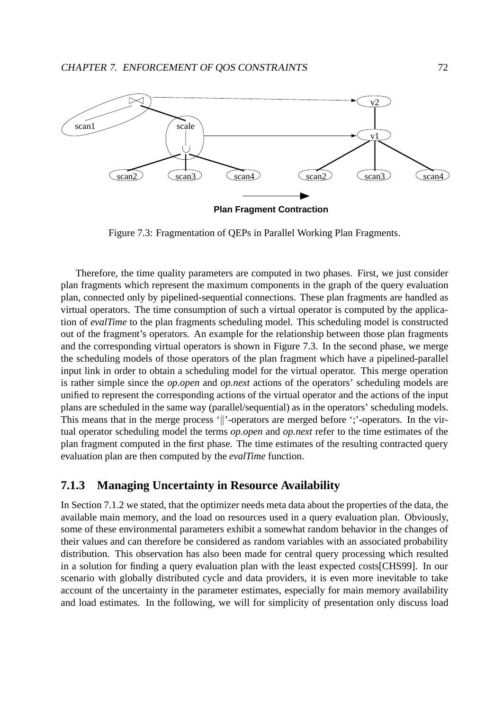

Figure 7.3: Fragmentation of QEPs in Parallel Working Plan Fragments.

Therefore, the time quality parameters are computed in two phases. First, we just consider plan fragments which represent the maximum components in the graph of the query evaluation plan, connected only by pipelined-sequential connections. These plan fragments are handled as virtual operators. The time consumption of such a virtual operator is computed by the application of *evalTime* to the plan fragments scheduling model. This scheduling model is constructed out of the fragment's operators. An example for the relationship between those plan fragments and the corresponding virtual operators is shown in Figure 7.3. In the second phase, we merge the scheduling models of those operators of the plan fragment which have a pipelined-parallel input link in order to obtain a scheduling model for the virtual operator. This merge operation is rather simple since the *op.open* and *op.next* actions of the operators' scheduling models are unified to represent the corresponding actions of the virtual operator and the actions of the input plans are scheduled in the same way (parallel/sequential) as in the operators' scheduling models. This means that in the merge process '||'-operators are merged before ';'-operators. In the virtual operator scheduling model the terms *op.open* and *op.next* refer to the time estimates of the plan fragment computed in the first phase. The time estimates of the resulting contracted query evaluation plan are then computed by the *evalTime* function.

## **7.1.3 Managing Uncertainty in Resource Availability**

In Section 7.1.2 we stated, that the optimizer needs meta data about the properties of the data, the available main memory, and the load on resources used in a query evaluation plan. Obviously, some of these environmental parameters exhibit a somewhat random behavior in the changes of their values and can therefore be considered as random variables with an associated probability distribution. This observation has also been made for central query processing which resulted in a solution for finding a query evaluation plan with the least expected costs[CHS99]. In our scenario with globally distributed cycle and data providers, it is even more inevitable to take account of the uncertainty in the parameter estimates, especially for main memory availability and load estimates. In the following, we will for simplicity of presentation only discuss load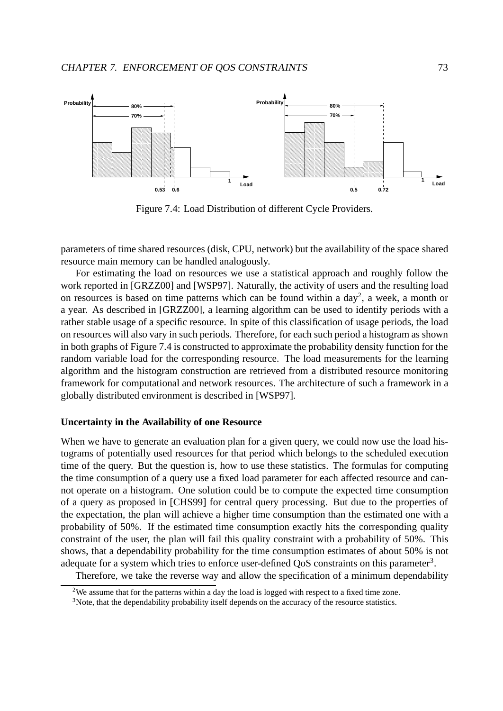

Figure 7.4: Load Distribution of different Cycle Providers.

parameters of time shared resources (disk, CPU, network) but the availability of the space shared resource main memory can be handled analogously.

For estimating the load on resources we use a statistical approach and roughly follow the work reported in [GRZZ00] and [WSP97]. Naturally, the activity of users and the resulting load on resources is based on time patterns which can be found within a  $day^2$ , a week, a month or a year. As described in [GRZZ00], a learning algorithm can be used to identify periods with a rather stable usage of a specific resource. In spite of this classification of usage periods, the load on resources will also vary in such periods. Therefore, for each such period a histogram as shown in both graphs of Figure 7.4 is constructed to approximate the probability density function for the random variable load for the corresponding resource. The load measurements for the learning algorithm and the histogram construction are retrieved from a distributed resource monitoring framework for computational and network resources. The architecture of such a framework in a globally distributed environment is described in [WSP97].

#### **Uncertainty in the Availability of one Resource**

When we have to generate an evaluation plan for a given query, we could now use the load histograms of potentially used resources for that period which belongs to the scheduled execution time of the query. But the question is, how to use these statistics. The formulas for computing the time consumption of a query use a fixed load parameter for each affected resource and cannot operate on a histogram. One solution could be to compute the expected time consumption of a query as proposed in [CHS99] for central query processing. But due to the properties of the expectation, the plan will achieve a higher time consumption than the estimated one with a probability of 50%. If the estimated time consumption exactly hits the corresponding quality constraint of the user, the plan will fail this quality constraint with a probability of 50%. This shows, that a dependability probability for the time consumption estimates of about 50% is not adequate for a system which tries to enforce user-defined QoS constraints on this parameter<sup>3</sup>.

Therefore, we take the reverse way and allow the specification of a minimum dependability

<sup>&</sup>lt;sup>2</sup>We assume that for the patterns within a day the load is logged with respect to a fixed time zone.

<sup>&</sup>lt;sup>3</sup>Note, that the dependability probability itself depends on the accuracy of the resource statistics.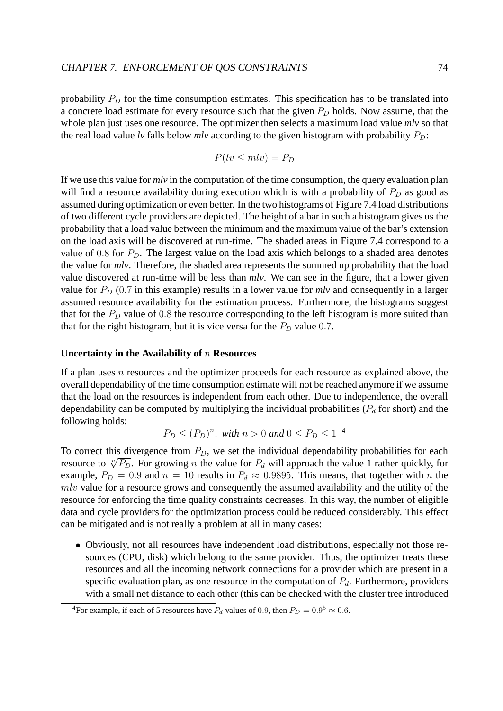probability  $P_D$  for the time consumption estimates. This specification has to be translated into a concrete load estimate for every resource such that the given  $P_D$  holds. Now assume, that the whole plan just uses one resource. The optimizer then selects a maximum load value *mlv* so that the real load value *lv* falls below *mlv* according to the given histogram with probability  $P_D$ :

$$
P(lv \leq mlv) = P_D
$$

If we use this value for *mlv* in the computation of the time consumption, the query evaluation plan will find a resource availability during execution which is with a probability of  $P_D$  as good as assumed during optimization or even better. In the two histograms of Figure 7.4 load distributions of two different cycle providers are depicted. The height of a bar in such a histogram gives us the probability that a load value between the minimum and the maximum value of the bar's extension on the load axis will be discovered at run-time. The shaded areas in Figure 7.4 correspond to a value of 0.8 for  $P<sub>D</sub>$ . The largest value on the load axis which belongs to a shaded area denotes the value for *mlv*. Therefore, the shaded area represents the summed up probability that the load value discovered at run-time will be less than *mlv*. We can see in the figure, that a lower given value for  $P_D$  (0.7 in this example) results in a lower value for  $m\nu$  and consequently in a larger assumed resource availability for the estimation process. Furthermore, the histograms suggest that for the  $P_D$  value of 0.8 the resource corresponding to the left histogram is more suited than that for the right histogram, but it is vice versa for the  $P_D$  value 0.7.

#### **Uncertainty in the Availability of** n **Resources**

If a plan uses  $n$  resources and the optimizer proceeds for each resource as explained above, the overall dependability of the time consumption estimate will not be reached anymore if we assume that the load on the resources is independent from each other. Due to independence, the overall dependability can be computed by multiplying the individual probabilities ( $P<sub>d</sub>$  for short) and the following holds:

$$
P_D \le (P_D)^n, \text{ with } n > 0 \text{ and } 0 \le P_D \le 1^{-4}
$$

To correct this divergence from  $P_D$ , we set the individual dependability probabilities for each resource to  $\sqrt[n]{P_D}$ . For growing *n* the value for  $P_d$  will approach the value 1 rather quickly, for example,  $P_D = 0.9$  and  $n = 10$  results in  $P_d \approx 0.9895$ . This means, that together with n the  $mlv$  value for a resource grows and consequently the assumed availability and the utility of the resource for enforcing the time quality constraints decreases. In this way, the number of eligible data and cycle providers for the optimization process could be reduced considerably. This effect can be mitigated and is not really a problem at all in many cases:

• Obviously, not all resources have independent load distributions, especially not those resources (CPU, disk) which belong to the same provider. Thus, the optimizer treats these resources and all the incoming network connections for a provider which are present in a specific evaluation plan, as one resource in the computation of  $P_d$ . Furthermore, providers with a small net distance to each other (this can be checked with the cluster tree introduced

<sup>&</sup>lt;sup>4</sup>For example, if each of 5 resources have  $P_d$  values of 0.9, then  $P_D = 0.9^5 \approx 0.6$ .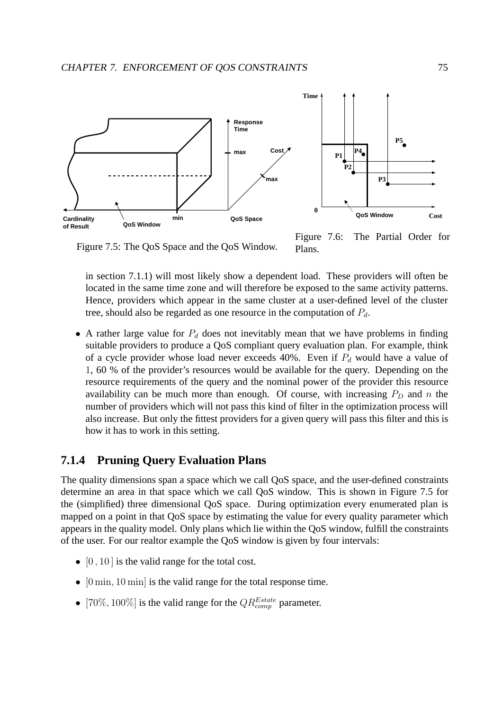

Figure 7.5: The QoS Space and the QoS Window.

Figure 7.6: The Partial Order for Plans.

in section 7.1.1) will most likely show a dependent load. These providers will often be located in the same time zone and will therefore be exposed to the same activity patterns. Hence, providers which appear in the same cluster at a user-defined level of the cluster tree, should also be regarded as one resource in the computation of  $P_d$ .

• A rather large value for  $P_d$  does not inevitably mean that we have problems in finding suitable providers to produce a QoS compliant query evaluation plan. For example, think of a cycle provider whose load never exceeds 40%. Even if  $P_d$  would have a value of 1, 60 % of the provider's resources would be available for the query. Depending on the resource requirements of the query and the nominal power of the provider this resource availability can be much more than enough. Of course, with increasing  $P_D$  and n the number of providers which will not pass this kind of filter in the optimization process will also increase. But only the fittest providers for a given query will pass this filter and this is how it has to work in this setting.

## **7.1.4 Pruning Query Evaluation Plans**

The quality dimensions span a space which we call QoS space, and the user-defined constraints determine an area in that space which we call QoS window. This is shown in Figure 7.5 for the (simplified) three dimensional QoS space. During optimization every enumerated plan is mapped on a point in that QoS space by estimating the value for every quality parameter which appears in the quality model. Only plans which lie within the QoS window, fulfill the constraints of the user. For our realtor example the QoS window is given by four intervals:

- $[0, 10]$  is the valid range for the total cost.
- $\bullet$  [0 min, 10 min] is the valid range for the total response time.
- [70%, 100%] is the valid range for the  $QR_{comp}^{Estate}$  parameter.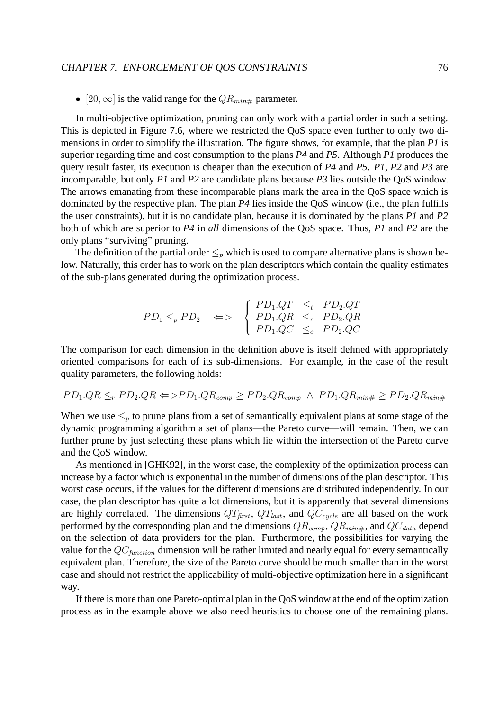#### CHAPTER 7. ENFORCEMENT OF QOS CONSTRAINTS 76

• [20,  $\infty$ ] is the valid range for the  $QR_{min\#}$  parameter.

In multi-objective optimization, pruning can only work with a partial order in such a setting. This is depicted in Figure 7.6, where we restricted the QoS space even further to only two dimensions in order to simplify the illustration. The figure shows, for example, that the plan *P1* is superior regarding time and cost consumption to the plans *P4* and *P5*. Although *P1* produces the query result faster, its execution is cheaper than the execution of *P4* and *P5*. *P1*, *P2* and *P3* are incomparable, but only *P1* and *P2* are candidate plans because *P3* lies outside the QoS window. The arrows emanating from these incomparable plans mark the area in the QoS space which is dominated by the respective plan. The plan *P4* lies inside the QoS window (i.e., the plan fulfills the user constraints), but it is no candidate plan, because it is dominated by the plans *P1* and *P2* both of which are superior to *P4* in *all* dimensions of the QoS space. Thus, *P1* and *P2* are the only plans "surviving" pruning.

The definition of the partial order  $\leq_p$  which is used to compare alternative plans is shown below. Naturally, this order has to work on the plan descriptors which contain the quality estimates of the sub-plans generated during the optimization process.

$$
PD_1 \leq_p PD_2 \iff \begin{cases} PD_1.QT & \leq_t \hspace{.2cm} PD_2.QT \\ PD_1.QR & \leq_t \hspace{.2cm} PD_2.QR \\ PD_1.QC & \leq_c \hspace{.2cm} PD_2.QC \end{cases}
$$

The comparison for each dimension in the definition above is itself defined with appropriately oriented comparisons for each of its sub-dimensions. For example, in the case of the result quality parameters, the following holds:

$$
PD_1.QR \leq_r PD_2.QR \Longleftrightarrow PD_1.QR_{comp} \geq PD_2.QR_{comp} \land PD_1.QR_{min\#} \geq PD_2.QR_{min\#}
$$

When we use  $\leq_p$  to prune plans from a set of semantically equivalent plans at some stage of the dynamic programming algorithm a set of plans—the Pareto curve—will remain. Then, we can further prune by just selecting these plans which lie within the intersection of the Pareto curve and the QoS window.

As mentioned in [GHK92], in the worst case, the complexity of the optimization process can increase by a factor which is exponential in the number of dimensions of the plan descriptor. This worst case occurs, if the values for the different dimensions are distributed independently. In our case, the plan descriptor has quite a lot dimensions, but it is apparently that several dimensions are highly correlated. The dimensions  $QT<sub>first</sub>$ ,  $QT<sub>last</sub>$ , and  $QC<sub>cycle</sub>$  are all based on the work performed by the corresponding plan and the dimensions  $QR_{comp}$ ,  $QR_{min\#}$ , and  $QC_{data}$  depend on the selection of data providers for the plan. Furthermore, the possibilities for varying the value for the  $QC_{function}$  dimension will be rather limited and nearly equal for every semantically equivalent plan. Therefore, the size of the Pareto curve should be much smaller than in the worst case and should not restrict the applicability of multi-objective optimization here in a significant way.

If there is more than one Pareto-optimal plan in the QoS window at the end of the optimization process as in the example above we also need heuristics to choose one of the remaining plans.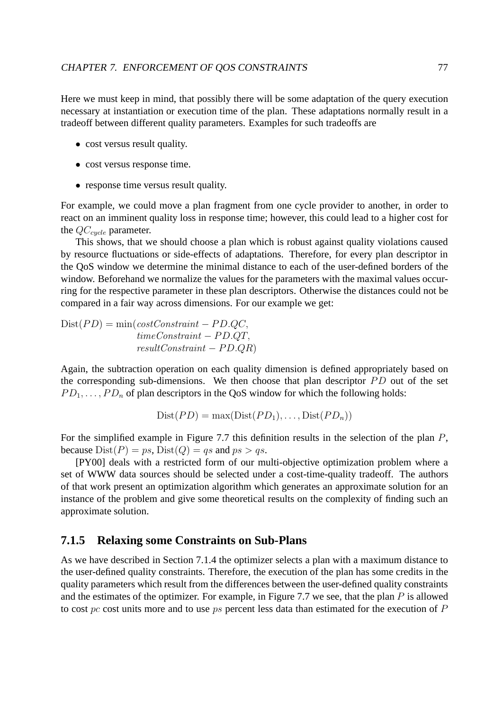Here we must keep in mind, that possibly there will be some adaptation of the query execution necessary at instantiation or execution time of the plan. These adaptations normally result in a tradeoff between different quality parameters. Examples for such tradeoffs are

- cost versus result quality.
- cost versus response time.
- response time versus result quality.

For example, we could move a plan fragment from one cycle provider to another, in order to react on an imminent quality loss in response time; however, this could lead to a higher cost for the  $QC_{cycle}$  parameter.

This shows, that we should choose a plan which is robust against quality violations caused by resource fluctuations or side-effects of adaptations. Therefore, for every plan descriptor in the QoS window we determine the minimal distance to each of the user-defined borders of the window. Beforehand we normalize the values for the parameters with the maximal values occurring for the respective parameter in these plan descriptors. Otherwise the distances could not be compared in a fair way across dimensions. For our example we get:

 $Dist(P D) = min(costConstraint - PD.QC,$  $timeConstant - PD.QT,$  $resultConstraint - PD.QR)$ 

Again, the subtraction operation on each quality dimension is defined appropriately based on the corresponding sub-dimensions. We then choose that plan descriptor  $PD$  out of the set  $PD_1, \ldots, PD_n$  of plan descriptors in the QoS window for which the following holds:

 $Dist(P D) = max(Dist(P D_1), \ldots, Dist(P D_n))$ 

For the simplified example in Figure 7.7 this definition results in the selection of the plan P, because  $Dist(P) = ps$ ,  $Dist(Q) = qs$  and  $ps > qs$ .

[PY00] deals with a restricted form of our multi-objective optimization problem where a set of WWW data sources should be selected under a cost-time-quality tradeoff. The authors of that work present an optimization algorithm which generates an approximate solution for an instance of the problem and give some theoretical results on the complexity of finding such an approximate solution.

#### **7.1.5 Relaxing some Constraints on Sub-Plans**

As we have described in Section 7.1.4 the optimizer selects a plan with a maximum distance to the user-defined quality constraints. Therefore, the execution of the plan has some credits in the quality parameters which result from the differences between the user-defined quality constraints and the estimates of the optimizer. For example, in Figure 7.7 we see, that the plan  $P$  is allowed to cost pc cost units more and to use ps percent less data than estimated for the execution of  $P$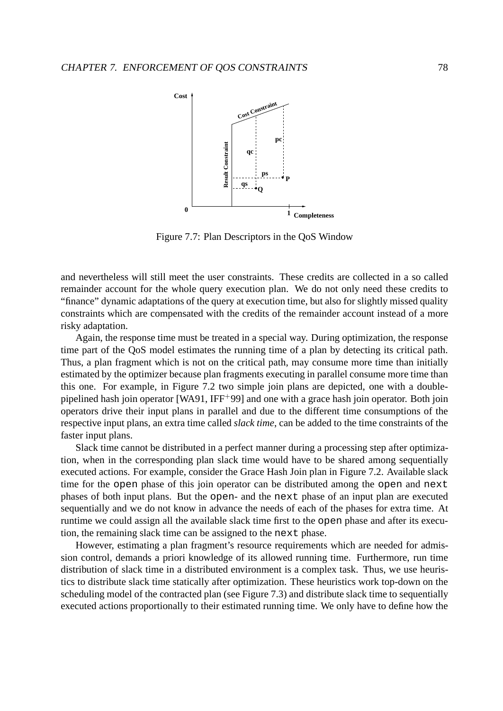

Figure 7.7: Plan Descriptors in the QoS Window

and nevertheless will still meet the user constraints. These credits are collected in a so called remainder account for the whole query execution plan. We do not only need these credits to "finance" dynamic adaptations of the query at execution time, but also for slightly missed quality constraints which are compensated with the credits of the remainder account instead of a more risky adaptation.

Again, the response time must be treated in a special way. During optimization, the response time part of the QoS model estimates the running time of a plan by detecting its critical path. Thus, a plan fragment which is not on the critical path, may consume more time than initially estimated by the optimizer because plan fragments executing in parallel consume more time than this one. For example, in Figure 7.2 two simple join plans are depicted, one with a doublepipelined hash join operator [WA91, IFF<sup>+</sup>99] and one with a grace hash join operator. Both join operators drive their input plans in parallel and due to the different time consumptions of the respective input plans, an extra time called *slack time*, can be added to the time constraints of the faster input plans.

Slack time cannot be distributed in a perfect manner during a processing step after optimization, when in the corresponding plan slack time would have to be shared among sequentially executed actions. For example, consider the Grace Hash Join plan in Figure 7.2. Available slack time for the open phase of this join operator can be distributed among the open and next phases of both input plans. But the open- and the next phase of an input plan are executed sequentially and we do not know in advance the needs of each of the phases for extra time. At runtime we could assign all the available slack time first to the open phase and after its execution, the remaining slack time can be assigned to the next phase.

However, estimating a plan fragment's resource requirements which are needed for admission control, demands a priori knowledge of its allowed running time. Furthermore, run time distribution of slack time in a distributed environment is a complex task. Thus, we use heuristics to distribute slack time statically after optimization. These heuristics work top-down on the scheduling model of the contracted plan (see Figure 7.3) and distribute slack time to sequentially executed actions proportionally to their estimated running time. We only have to define how the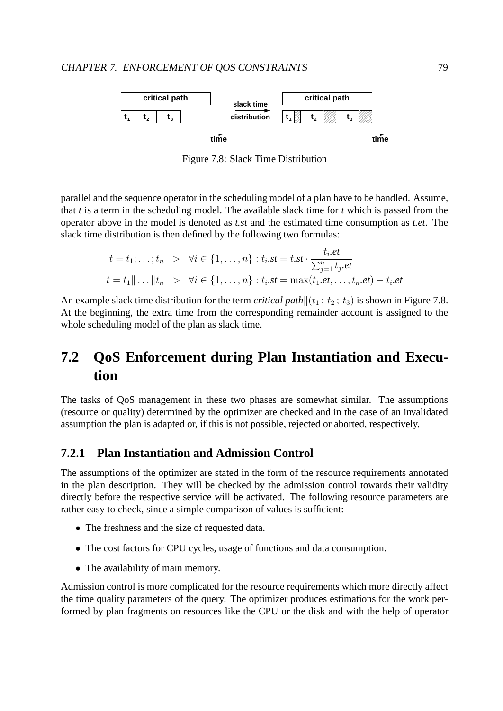

Figure 7.8: Slack Time Distribution

parallel and the sequence operator in the scheduling model of a plan have to be handled. Assume, that *t* is a term in the scheduling model. The available slack time for *t* which is passed from the operator above in the model is denoted as *t.st* and the estimated time consumption as *t.et*. The slack time distribution is then defined by the following two formulas:

$$
t = t_1; \dots; t_n > \forall i \in \{1, \dots, n\} : t_i \text{.} st = t \text{.} st \cdot \frac{t_i \text{.} et}{\sum_{j=1}^n t_j \text{.} et}
$$

$$
t = t_1 || \dots || t_n > \forall i \in \{1, \dots, n\} : t_i \text{.} st = \max(t_1 \text{.} et, \dots, t_n \text{.} et) - t_i \text{.} et
$$

An example slack time distribution for the term *critical path* $\|(t_1; t_2; t_3)\|$  is shown in Figure 7.8. At the beginning, the extra time from the corresponding remainder account is assigned to the whole scheduling model of the plan as slack time.

# **7.2 QoS Enforcement during Plan Instantiation and Execution**

The tasks of QoS management in these two phases are somewhat similar. The assumptions (resource or quality) determined by the optimizer are checked and in the case of an invalidated assumption the plan is adapted or, if this is not possible, rejected or aborted, respectively.

## **7.2.1 Plan Instantiation and Admission Control**

The assumptions of the optimizer are stated in the form of the resource requirements annotated in the plan description. They will be checked by the admission control towards their validity directly before the respective service will be activated. The following resource parameters are rather easy to check, since a simple comparison of values is sufficient:

- The freshness and the size of requested data.
- The cost factors for CPU cycles, usage of functions and data consumption.
- The availability of main memory.

Admission control is more complicated for the resource requirements which more directly affect the time quality parameters of the query. The optimizer produces estimations for the work performed by plan fragments on resources like the CPU or the disk and with the help of operator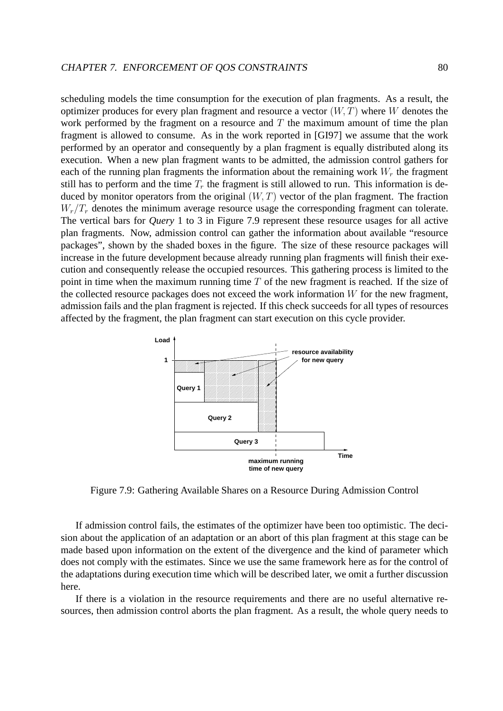scheduling models the time consumption for the execution of plan fragments. As a result, the optimizer produces for every plan fragment and resource a vector  $(W, T)$  where W denotes the work performed by the fragment on a resource and  $T$  the maximum amount of time the plan fragment is allowed to consume. As in the work reported in [GI97] we assume that the work performed by an operator and consequently by a plan fragment is equally distributed along its execution. When a new plan fragment wants to be admitted, the admission control gathers for each of the running plan fragments the information about the remaining work  $W_r$  the fragment still has to perform and the time  $T_r$  the fragment is still allowed to run. This information is deduced by monitor operators from the original  $(W, T)$  vector of the plan fragment. The fraction  $W_r/T_r$  denotes the minimum average resource usage the corresponding fragment can tolerate. The vertical bars for *Query* 1 to 3 in Figure 7.9 represent these resource usages for all active plan fragments. Now, admission control can gather the information about available "resource packages", shown by the shaded boxes in the figure. The size of these resource packages will increase in the future development because already running plan fragments will finish their execution and consequently release the occupied resources. This gathering process is limited to the point in time when the maximum running time  $T$  of the new fragment is reached. If the size of the collected resource packages does not exceed the work information  $W$  for the new fragment, admission fails and the plan fragment is rejected. If this check succeeds for all types of resources affected by the fragment, the plan fragment can start execution on this cycle provider.



Figure 7.9: Gathering Available Shares on a Resource During Admission Control

If admission control fails, the estimates of the optimizer have been too optimistic. The decision about the application of an adaptation or an abort of this plan fragment at this stage can be made based upon information on the extent of the divergence and the kind of parameter which does not comply with the estimates. Since we use the same framework here as for the control of the adaptations during execution time which will be described later, we omit a further discussion here.

If there is a violation in the resource requirements and there are no useful alternative resources, then admission control aborts the plan fragment. As a result, the whole query needs to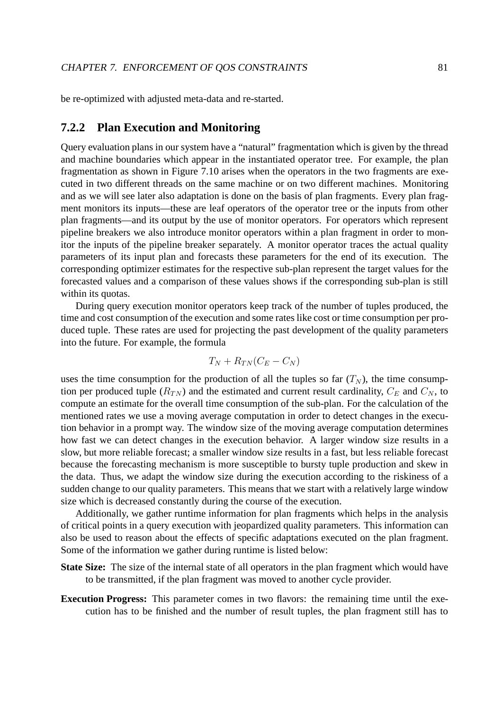be re-optimized with adjusted meta-data and re-started.

#### **7.2.2 Plan Execution and Monitoring**

Query evaluation plans in our system have a "natural" fragmentation which is given by the thread and machine boundaries which appear in the instantiated operator tree. For example, the plan fragmentation as shown in Figure 7.10 arises when the operators in the two fragments are executed in two different threads on the same machine or on two different machines. Monitoring and as we will see later also adaptation is done on the basis of plan fragments. Every plan fragment monitors its inputs—these are leaf operators of the operator tree or the inputs from other plan fragments—and its output by the use of monitor operators. For operators which represent pipeline breakers we also introduce monitor operators within a plan fragment in order to monitor the inputs of the pipeline breaker separately. A monitor operator traces the actual quality parameters of its input plan and forecasts these parameters for the end of its execution. The corresponding optimizer estimates for the respective sub-plan represent the target values for the forecasted values and a comparison of these values shows if the corresponding sub-plan is still within its quotas.

During query execution monitor operators keep track of the number of tuples produced, the time and cost consumption of the execution and some rates like cost or time consumption per produced tuple. These rates are used for projecting the past development of the quality parameters into the future. For example, the formula

$$
T_N + R_{TN}(C_E - C_N)
$$

uses the time consumption for the production of all the tuples so far  $(T_N)$ , the time consumption per produced tuple  $(R_{TN})$  and the estimated and current result cardinality,  $C_E$  and  $C_N$ , to compute an estimate for the overall time consumption of the sub-plan. For the calculation of the mentioned rates we use a moving average computation in order to detect changes in the execution behavior in a prompt way. The window size of the moving average computation determines how fast we can detect changes in the execution behavior. A larger window size results in a slow, but more reliable forecast; a smaller window size results in a fast, but less reliable forecast because the forecasting mechanism is more susceptible to bursty tuple production and skew in the data. Thus, we adapt the window size during the execution according to the riskiness of a sudden change to our quality parameters. This means that we start with a relatively large window size which is decreased constantly during the course of the execution.

Additionally, we gather runtime information for plan fragments which helps in the analysis of critical points in a query execution with jeopardized quality parameters. This information can also be used to reason about the effects of specific adaptations executed on the plan fragment. Some of the information we gather during runtime is listed below:

- **State Size:** The size of the internal state of all operators in the plan fragment which would have to be transmitted, if the plan fragment was moved to another cycle provider.
- **Execution Progress:** This parameter comes in two flavors: the remaining time until the execution has to be finished and the number of result tuples, the plan fragment still has to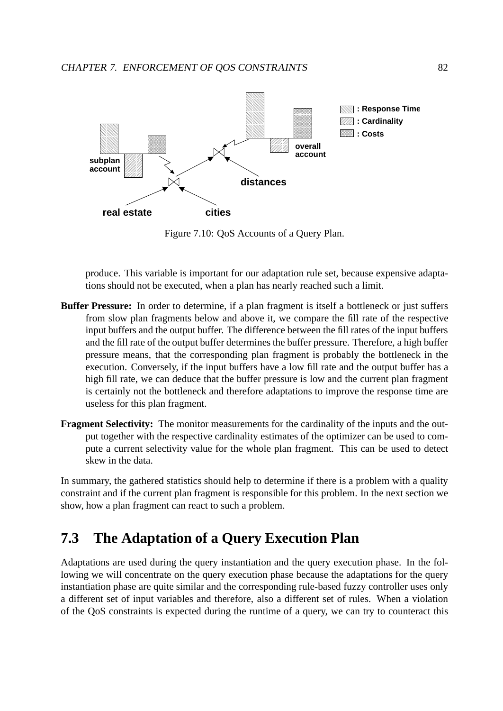

Figure 7.10: QoS Accounts of a Query Plan.

produce. This variable is important for our adaptation rule set, because expensive adaptations should not be executed, when a plan has nearly reached such a limit.

- **Buffer Pressure:** In order to determine, if a plan fragment is itself a bottleneck or just suffers from slow plan fragments below and above it, we compare the fill rate of the respective input buffers and the output buffer. The difference between the fill rates of the input buffers and the fill rate of the output buffer determines the buffer pressure. Therefore, a high buffer pressure means, that the corresponding plan fragment is probably the bottleneck in the execution. Conversely, if the input buffers have a low fill rate and the output buffer has a high fill rate, we can deduce that the buffer pressure is low and the current plan fragment is certainly not the bottleneck and therefore adaptations to improve the response time are useless for this plan fragment.
- **Fragment Selectivity:** The monitor measurements for the cardinality of the inputs and the output together with the respective cardinality estimates of the optimizer can be used to compute a current selectivity value for the whole plan fragment. This can be used to detect skew in the data.

In summary, the gathered statistics should help to determine if there is a problem with a quality constraint and if the current plan fragment is responsible for this problem. In the next section we show, how a plan fragment can react to such a problem.

# **7.3 The Adaptation of a Query Execution Plan**

Adaptations are used during the query instantiation and the query execution phase. In the following we will concentrate on the query execution phase because the adaptations for the query instantiation phase are quite similar and the corresponding rule-based fuzzy controller uses only a different set of input variables and therefore, also a different set of rules. When a violation of the QoS constraints is expected during the runtime of a query, we can try to counteract this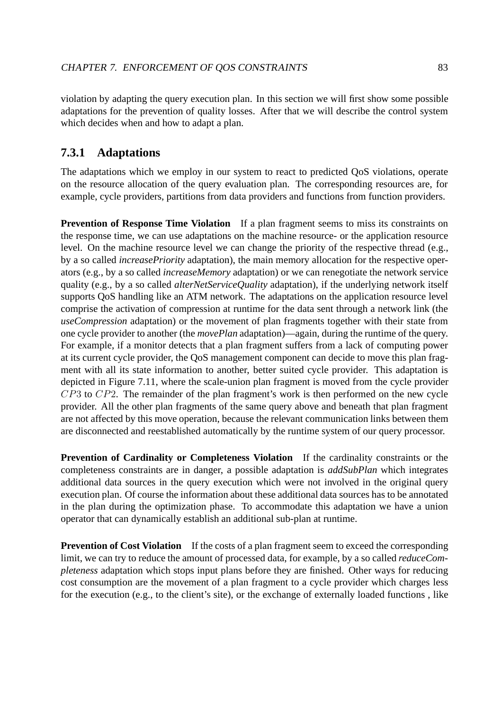violation by adapting the query execution plan. In this section we will first show some possible adaptations for the prevention of quality losses. After that we will describe the control system which decides when and how to adapt a plan.

## **7.3.1 Adaptations**

The adaptations which we employ in our system to react to predicted QoS violations, operate on the resource allocation of the query evaluation plan. The corresponding resources are, for example, cycle providers, partitions from data providers and functions from function providers.

**Prevention of Response Time Violation** If a plan fragment seems to miss its constraints on the response time, we can use adaptations on the machine resource- or the application resource level. On the machine resource level we can change the priority of the respective thread (e.g., by a so called *increasePriority* adaptation), the main memory allocation for the respective operators (e.g., by a so called *increaseMemory* adaptation) or we can renegotiate the network service quality (e.g., by a so called *alterNetServiceQuality* adaptation), if the underlying network itself supports QoS handling like an ATM network. The adaptations on the application resource level comprise the activation of compression at runtime for the data sent through a network link (the *useCompression* adaptation) or the movement of plan fragments together with their state from one cycle provider to another (the *movePlan* adaptation)—again, during the runtime of the query. For example, if a monitor detects that a plan fragment suffers from a lack of computing power at its current cycle provider, the QoS management component can decide to move this plan fragment with all its state information to another, better suited cycle provider. This adaptation is depicted in Figure 7.11, where the scale-union plan fragment is moved from the cycle provider  $CP3$  to  $CP2$ . The remainder of the plan fragment's work is then performed on the new cycle provider. All the other plan fragments of the same query above and beneath that plan fragment are not affected by this move operation, because the relevant communication links between them are disconnected and reestablished automatically by the runtime system of our query processor.

**Prevention of Cardinality or Completeness Violation** If the cardinality constraints or the completeness constraints are in danger, a possible adaptation is *addSubPlan* which integrates additional data sources in the query execution which were not involved in the original query execution plan. Of course the information about these additional data sources has to be annotated in the plan during the optimization phase. To accommodate this adaptation we have a union operator that can dynamically establish an additional sub-plan at runtime.

**Prevention of Cost Violation** If the costs of a plan fragment seem to exceed the corresponding limit, we can try to reduce the amount of processed data, for example, by a so called *reduceCompleteness* adaptation which stops input plans before they are finished. Other ways for reducing cost consumption are the movement of a plan fragment to a cycle provider which charges less for the execution (e.g., to the client's site), or the exchange of externally loaded functions , like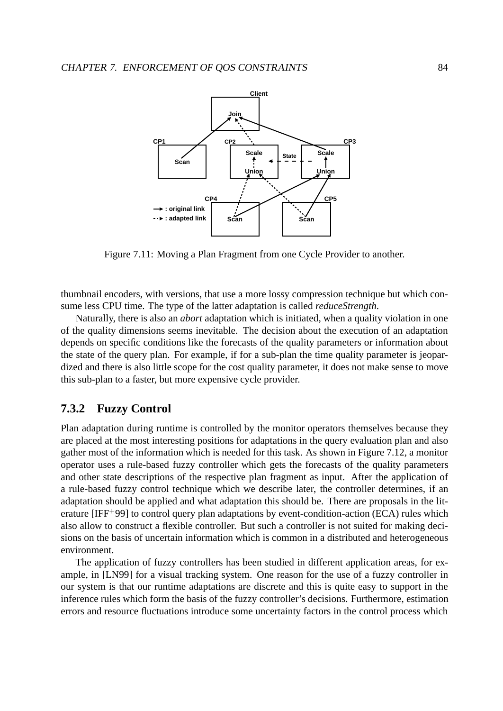

Figure 7.11: Moving a Plan Fragment from one Cycle Provider to another.

thumbnail encoders, with versions, that use a more lossy compression technique but which consume less CPU time. The type of the latter adaptation is called *reduceStrength*.

Naturally, there is also an *abort* adaptation which is initiated, when a quality violation in one of the quality dimensions seems inevitable. The decision about the execution of an adaptation depends on specific conditions like the forecasts of the quality parameters or information about the state of the query plan. For example, if for a sub-plan the time quality parameter is jeopardized and there is also little scope for the cost quality parameter, it does not make sense to move this sub-plan to a faster, but more expensive cycle provider.

#### **7.3.2 Fuzzy Control**

Plan adaptation during runtime is controlled by the monitor operators themselves because they are placed at the most interesting positions for adaptations in the query evaluation plan and also gather most of the information which is needed for this task. As shown in Figure 7.12, a monitor operator uses a rule-based fuzzy controller which gets the forecasts of the quality parameters and other state descriptions of the respective plan fragment as input. After the application of a rule-based fuzzy control technique which we describe later, the controller determines, if an adaptation should be applied and what adaptation this should be. There are proposals in the literature [IFF<sup>+99]</sup> to control query plan adaptations by event-condition-action (ECA) rules which also allow to construct a flexible controller. But such a controller is not suited for making decisions on the basis of uncertain information which is common in a distributed and heterogeneous environment.

The application of fuzzy controllers has been studied in different application areas, for example, in [LN99] for a visual tracking system. One reason for the use of a fuzzy controller in our system is that our runtime adaptations are discrete and this is quite easy to support in the inference rules which form the basis of the fuzzy controller's decisions. Furthermore, estimation errors and resource fluctuations introduce some uncertainty factors in the control process which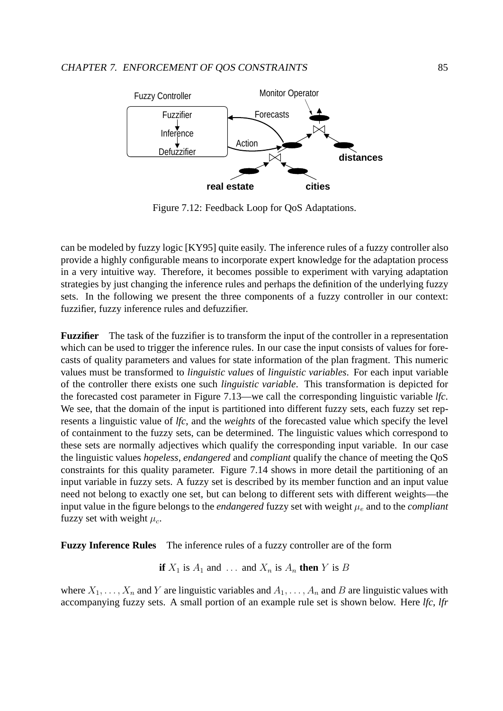#### CHAPTER 7. ENFORCEMENT OF QOS CONSTRAINTS 85



Figure 7.12: Feedback Loop for QoS Adaptations.

can be modeled by fuzzy logic [KY95] quite easily. The inference rules of a fuzzy controller also provide a highly configurable means to incorporate expert knowledge for the adaptation process in a very intuitive way. Therefore, it becomes possible to experiment with varying adaptation strategies by just changing the inference rules and perhaps the definition of the underlying fuzzy sets. In the following we present the three components of a fuzzy controller in our context: fuzzifier, fuzzy inference rules and defuzzifier.

**Fuzzifier** The task of the fuzzifier is to transform the input of the controller in a representation which can be used to trigger the inference rules. In our case the input consists of values for forecasts of quality parameters and values for state information of the plan fragment. This numeric values must be transformed to *linguistic values* of *linguistic variables*. For each input variable of the controller there exists one such *linguistic variable*. This transformation is depicted for the forecasted cost parameter in Figure 7.13—we call the corresponding linguistic variable *lfc*. We see, that the domain of the input is partitioned into different fuzzy sets, each fuzzy set represents a linguistic value of *lfc*, and the *weights* of the forecasted value which specify the level of containment to the fuzzy sets, can be determined. The linguistic values which correspond to these sets are normally adjectives which qualify the corresponding input variable. In our case the linguistic values *hopeless*, *endangered* and *compliant* qualify the chance of meeting the QoS constraints for this quality parameter. Figure 7.14 shows in more detail the partitioning of an input variable in fuzzy sets. A fuzzy set is described by its member function and an input value need not belong to exactly one set, but can belong to different sets with different weights—the input value in the figure belongs to the *endangered* fuzzy set with weight  $\mu_e$  and to the *compliant* fuzzy set with weight  $\mu_c$ .

**Fuzzy Inference Rules** The inference rules of a fuzzy controller are of the form

**if**  $X_1$  is  $A_1$  and ... and  $X_n$  is  $A_n$  **then** Y is B

where  $X_1, \ldots, X_n$  and Y are linguistic variables and  $A_1, \ldots, A_n$  and B are linguistic values with accompanying fuzzy sets. A small portion of an example rule set is shown below. Here *lfc*, *lfr*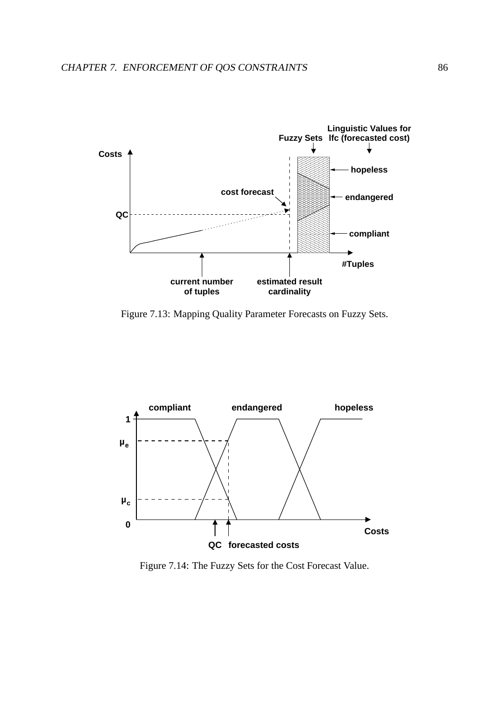

Figure 7.13: Mapping Quality Parameter Forecasts on Fuzzy Sets.



Figure 7.14: The Fuzzy Sets for the Cost Forecast Value.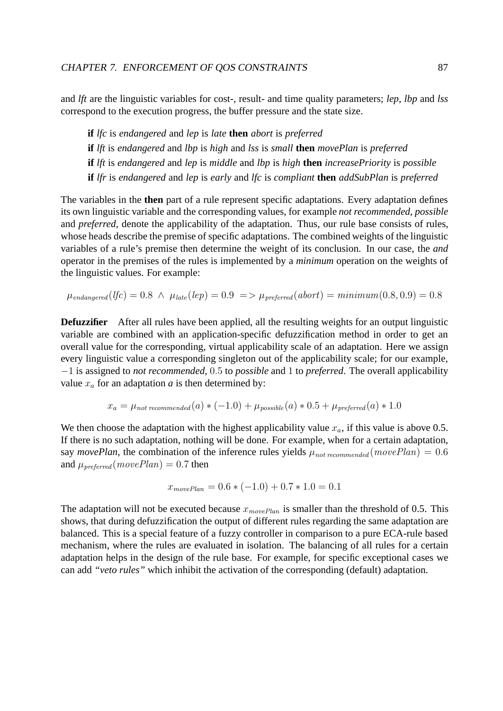and *lft* are the linguistic variables for cost-, result- and time quality parameters; *lep*, *lbp* and *lss* correspond to the execution progress, the buffer pressure and the state size.

**if** *lfc* is *endangered* and *lep* is *late* **then** *abort* is *preferred* **if** *lft* is *endangered* and *lbp* is *high* and *lss* is *small* **then** *movePlan* is *preferred* **if** *lft* is *endangered* and *lep* is *middle* and *lbp* is *high* **then** *increasePriority* is *possible* **if** *lfr* is *endangered* and *lep* is *early* and *lfc* is *compliant* **then** *addSubPlan* is *preferred*

The variables in the **then** part of a rule represent specific adaptations. Every adaptation defines its own linguistic variable and the corresponding values, for example *not recommended*, *possible* and *preferred*, denote the applicability of the adaptation. Thus, our rule base consists of rules, whose heads describe the premise of specific adaptations. The combined weights of the linguistic variables of a rule's premise then determine the weight of its conclusion. In our case, the *and* operator in the premises of the rules is implemented by a *minimum* operation on the weights of the linguistic values. For example:

 $\mu_{endandered} (lfc) = 0.8 \wedge \mu_{late} (lep) = 0.9 \implies \mu_{nreferred} (abort) = minimum(0.8, 0.9) = 0.8$ 

**Defuzzifier** After all rules have been applied, all the resulting weights for an output linguistic variable are combined with an application-specific defuzzification method in order to get an overall value for the corresponding, virtual applicability scale of an adaptation. Here we assign every linguistic value a corresponding singleton out of the applicability scale; for our example, <sup>−</sup>1 is assigned to *not recommended*, 0.5 to *possible* and 1 to *preferred*. The overall applicability value  $x_a$  for an adaptation  $a$  is then determined by:

$$
x_a = \mu_{not\, recommended}(a) * (-1.0) + \mu_{possible}(a) * 0.5 + \mu_{preferred}(a) * 1.0
$$

We then choose the adaptation with the highest applicability value  $x_a$ , if this value is above 0.5. If there is no such adaptation, nothing will be done. For example, when for a certain adaptation, say *movePlan*, the combination of the inference rules yields  $\mu_{not\,recommended}(movePlan) = 0.6$ and  $\mu_{\text{preferred}}(movePlan) = 0.7$  then

$$
x_{movePlan} = 0.6 * (-1.0) + 0.7 * 1.0 = 0.1
$$

The adaptation will not be executed because  $x_{movePlan}$  is smaller than the threshold of 0.5. This shows, that during defuzzification the output of different rules regarding the same adaptation are balanced. This is a special feature of a fuzzy controller in comparison to a pure ECA-rule based mechanism, where the rules are evaluated in isolation. The balancing of all rules for a certain adaptation helps in the design of the rule base. For example, for specific exceptional cases we can add *"veto rules"* which inhibit the activation of the corresponding (default) adaptation.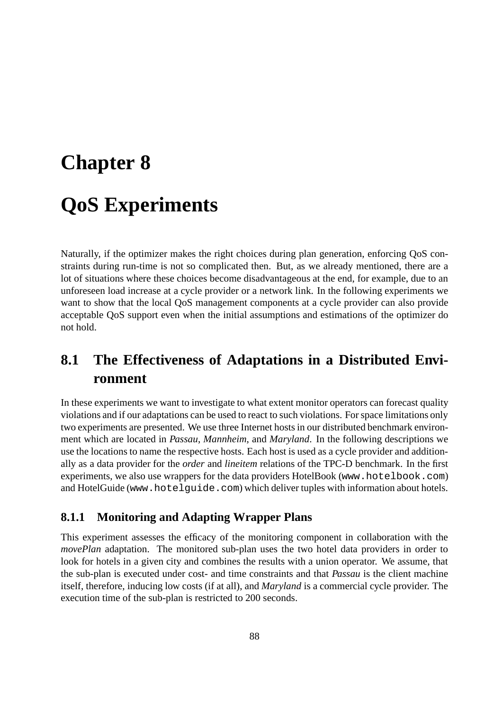# **Chapter 8 QoS Experiments**

Naturally, if the optimizer makes the right choices during plan generation, enforcing QoS constraints during run-time is not so complicated then. But, as we already mentioned, there are a lot of situations where these choices become disadvantageous at the end, for example, due to an unforeseen load increase at a cycle provider or a network link. In the following experiments we want to show that the local QoS management components at a cycle provider can also provide acceptable QoS support even when the initial assumptions and estimations of the optimizer do not hold.

# **8.1 The Effectiveness of Adaptations in a Distributed Environment**

In these experiments we want to investigate to what extent monitor operators can forecast quality violations and if our adaptations can be used to react to such violations. For space limitations only two experiments are presented. We use three Internet hosts in our distributed benchmark environment which are located in *Passau*, *Mannheim*, and *Maryland*. In the following descriptions we use the locations to name the respective hosts. Each host is used as a cycle provider and additionally as a data provider for the *order* and *lineitem* relations of the TPC-D benchmark. In the first experiments, we also use wrappers for the data providers HotelBook (www.hotelbook.com) and HotelGuide (www.hotelguide.com) which deliver tuples with information about hotels.

## **8.1.1 Monitoring and Adapting Wrapper Plans**

This experiment assesses the efficacy of the monitoring component in collaboration with the *movePlan* adaptation. The monitored sub-plan uses the two hotel data providers in order to look for hotels in a given city and combines the results with a union operator. We assume, that the sub-plan is executed under cost- and time constraints and that *Passau* is the client machine itself, therefore, inducing low costs (if at all), and *Maryland* is a commercial cycle provider. The execution time of the sub-plan is restricted to 200 seconds.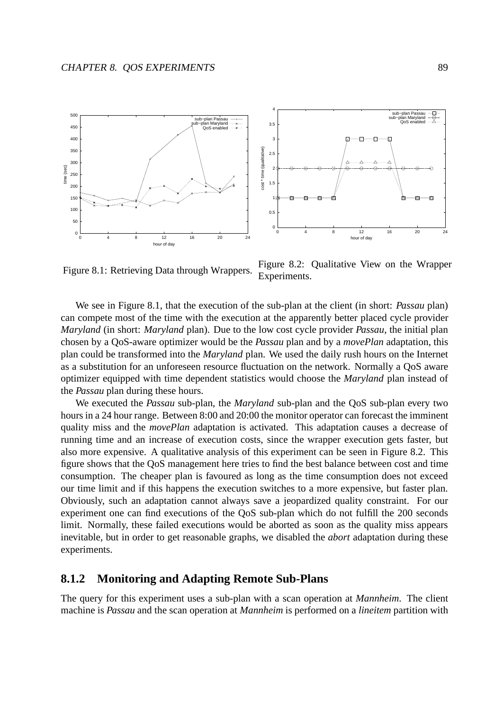



Figure 8.1: Retrieving Data through Wrappers.

Figure 8.2: Qualitative View on the Wrapper Experiments.

We see in Figure 8.1, that the execution of the sub-plan at the client (in short: *Passau* plan) can compete most of the time with the execution at the apparently better placed cycle provider *Maryland* (in short: *Maryland* plan). Due to the low cost cycle provider *Passau*, the initial plan chosen by a QoS-aware optimizer would be the *Passau* plan and by a *movePlan* adaptation, this plan could be transformed into the *Maryland* plan. We used the daily rush hours on the Internet as a substitution for an unforeseen resource fluctuation on the network. Normally a QoS aware optimizer equipped with time dependent statistics would choose the *Maryland* plan instead of the *Passau* plan during these hours.

We executed the *Passau* sub-plan, the *Maryland* sub-plan and the QoS sub-plan every two hours in a 24 hour range. Between 8:00 and 20:00 the monitor operator can forecast the imminent quality miss and the *movePlan* adaptation is activated. This adaptation causes a decrease of running time and an increase of execution costs, since the wrapper execution gets faster, but also more expensive. A qualitative analysis of this experiment can be seen in Figure 8.2. This figure shows that the QoS management here tries to find the best balance between cost and time consumption. The cheaper plan is favoured as long as the time consumption does not exceed our time limit and if this happens the execution switches to a more expensive, but faster plan. Obviously, such an adaptation cannot always save a jeopardized quality constraint. For our experiment one can find executions of the QoS sub-plan which do not fulfill the 200 seconds limit. Normally, these failed executions would be aborted as soon as the quality miss appears inevitable, but in order to get reasonable graphs, we disabled the *abort* adaptation during these experiments.

## **8.1.2 Monitoring and Adapting Remote Sub-Plans**

The query for this experiment uses a sub-plan with a scan operation at *Mannheim*. The client machine is *Passau* and the scan operation at *Mannheim* is performed on a *lineitem* partition with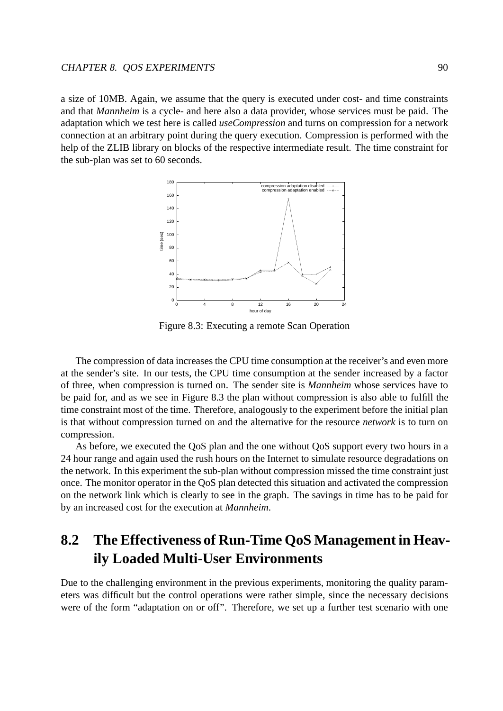#### CHAPTER 8. QOS EXPERIMENTS 90

a size of 10MB. Again, we assume that the query is executed under cost- and time constraints and that *Mannheim* is a cycle- and here also a data provider, whose services must be paid. The adaptation which we test here is called *useCompression* and turns on compression for a network connection at an arbitrary point during the query execution. Compression is performed with the help of the ZLIB library on blocks of the respective intermediate result. The time constraint for the sub-plan was set to 60 seconds.



Figure 8.3: Executing a remote Scan Operation

The compression of data increases the CPU time consumption at the receiver's and even more at the sender's site. In our tests, the CPU time consumption at the sender increased by a factor of three, when compression is turned on. The sender site is *Mannheim* whose services have to be paid for, and as we see in Figure 8.3 the plan without compression is also able to fulfill the time constraint most of the time. Therefore, analogously to the experiment before the initial plan is that without compression turned on and the alternative for the resource *network* is to turn on compression.

As before, we executed the QoS plan and the one without QoS support every two hours in a 24 hour range and again used the rush hours on the Internet to simulate resource degradations on the network. In this experiment the sub-plan without compression missed the time constraint just once. The monitor operator in the QoS plan detected this situation and activated the compression on the network link which is clearly to see in the graph. The savings in time has to be paid for by an increased cost for the execution at *Mannheim*.

# **8.2 The Effectiveness of Run-Time QoS Management in Heavily Loaded Multi-User Environments**

Due to the challenging environment in the previous experiments, monitoring the quality parameters was difficult but the control operations were rather simple, since the necessary decisions were of the form "adaptation on or off". Therefore, we set up a further test scenario with one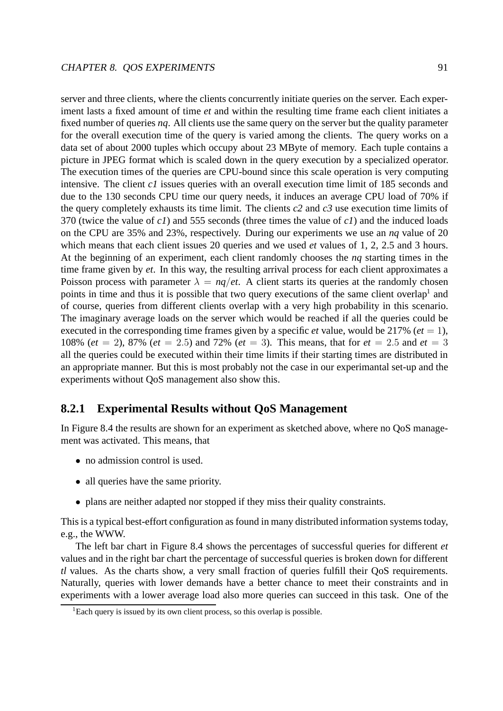server and three clients, where the clients concurrently initiate queries on the server. Each experiment lasts a fixed amount of time *et* and within the resulting time frame each client initiates a fixed number of queries *nq*. All clients use the same query on the server but the quality parameter for the overall execution time of the query is varied among the clients. The query works on a data set of about 2000 tuples which occupy about 23 MByte of memory. Each tuple contains a picture in JPEG format which is scaled down in the query execution by a specialized operator. The execution times of the queries are CPU-bound since this scale operation is very computing intensive. The client *c1* issues queries with an overall execution time limit of 185 seconds and due to the 130 seconds CPU time our query needs, it induces an average CPU load of 70% if the query completely exhausts its time limit. The clients *c2* and *c3* use execution time limits of 370 (twice the value of *c1*) and 555 seconds (three times the value of *c1*) and the induced loads on the CPU are 35% and 23%, respectively. During our experiments we use an *nq* value of 20 which means that each client issues 20 queries and we used *et* values of 1, 2, 2.5 and 3 hours. At the beginning of an experiment, each client randomly chooses the *nq* starting times in the time frame given by *et*. In this way, the resulting arrival process for each client approximates a Poisson process with parameter  $\lambda = nq/et$ . A client starts its queries at the randomly chosen points in time and thus it is possible that two query executions of the same client overlap<sup>1</sup> and of course, queries from different clients overlap with a very high probability in this scenario. The imaginary average loads on the server which would be reached if all the queries could be executed in the corresponding time frames given by a specific *et* value, would be 217% ( $et = 1$ ), 108% (*et* = 2), 87% (*et* = 2.5) and 72% (*et* = 3). This means, that for *et* = 2.5 and *et* = 3 all the queries could be executed within their time limits if their starting times are distributed in an appropriate manner. But this is most probably not the case in our experimantal set-up and the experiments without QoS management also show this.

#### **8.2.1 Experimental Results without QoS Management**

In Figure 8.4 the results are shown for an experiment as sketched above, where no QoS management was activated. This means, that

- no admission control is used.
- all queries have the same priority.
- plans are neither adapted nor stopped if they miss their quality constraints.

This is a typical best-effort configuration as found in many distributed information systems today, e.g., the WWW.

The left bar chart in Figure 8.4 shows the percentages of successful queries for different *et* values and in the right bar chart the percentage of successful queries is broken down for different *tl* values. As the charts show, a very small fraction of queries fulfill their QoS requirements. Naturally, queries with lower demands have a better chance to meet their constraints and in experiments with a lower average load also more queries can succeed in this task. One of the

<sup>&</sup>lt;sup>1</sup>Each query is issued by its own client process, so this overlap is possible.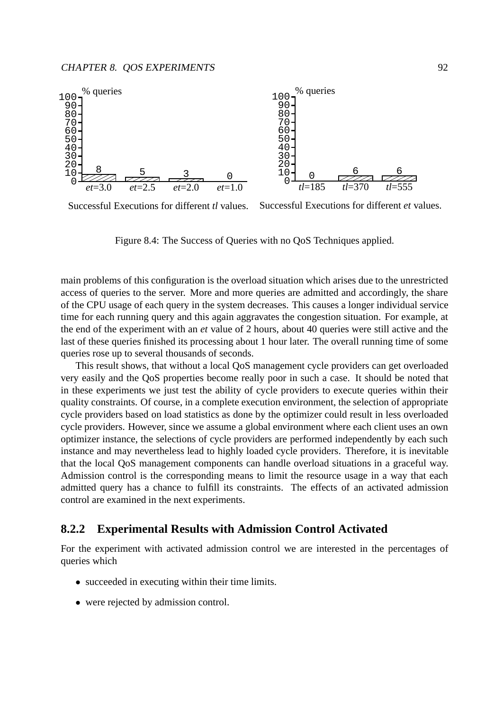

Successful Executions for different *tl* values. Successful Executions for different *et* values.

Figure 8.4: The Success of Queries with no QoS Techniques applied.

main problems of this configuration is the overload situation which arises due to the unrestricted access of queries to the server. More and more queries are admitted and accordingly, the share of the CPU usage of each query in the system decreases. This causes a longer individual service time for each running query and this again aggravates the congestion situation. For example, at the end of the experiment with an *et* value of 2 hours, about 40 queries were still active and the last of these queries finished its processing about 1 hour later. The overall running time of some queries rose up to several thousands of seconds.

This result shows, that without a local QoS management cycle providers can get overloaded very easily and the QoS properties become really poor in such a case. It should be noted that in these experiments we just test the ability of cycle providers to execute queries within their quality constraints. Of course, in a complete execution environment, the selection of appropriate cycle providers based on load statistics as done by the optimizer could result in less overloaded cycle providers. However, since we assume a global environment where each client uses an own optimizer instance, the selections of cycle providers are performed independently by each such instance and may nevertheless lead to highly loaded cycle providers. Therefore, it is inevitable that the local QoS management components can handle overload situations in a graceful way. Admission control is the corresponding means to limit the resource usage in a way that each admitted query has a chance to fulfill its constraints. The effects of an activated admission control are examined in the next experiments.

#### **8.2.2 Experimental Results with Admission Control Activated**

For the experiment with activated admission control we are interested in the percentages of queries which

- succeeded in executing within their time limits.
- were rejected by admission control.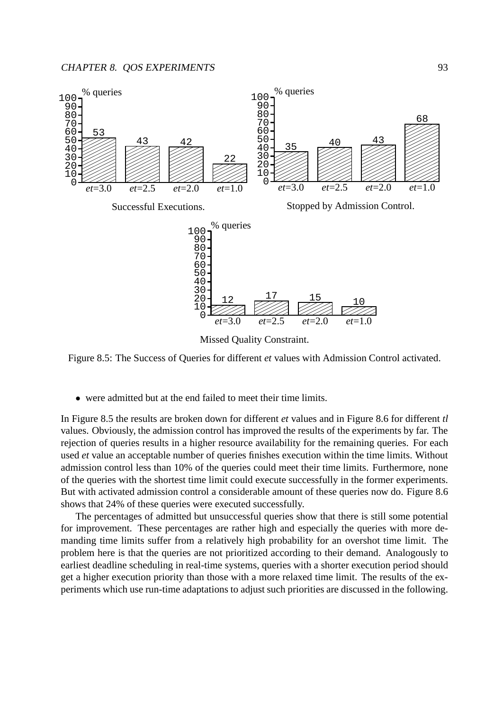

Missed Quality Constraint.

Figure 8.5: The Success of Queries for different *et* values with Admission Control activated.

• were admitted but at the end failed to meet their time limits.

In Figure 8.5 the results are broken down for different *et* values and in Figure 8.6 for different *tl* values. Obviously, the admission control has improved the results of the experiments by far. The rejection of queries results in a higher resource availability for the remaining queries. For each used *et* value an acceptable number of queries finishes execution within the time limits. Without admission control less than 10% of the queries could meet their time limits. Furthermore, none of the queries with the shortest time limit could execute successfully in the former experiments. But with activated admission control a considerable amount of these queries now do. Figure 8.6 shows that 24% of these queries were executed successfully.

The percentages of admitted but unsuccessful queries show that there is still some potential for improvement. These percentages are rather high and especially the queries with more demanding time limits suffer from a relatively high probability for an overshot time limit. The problem here is that the queries are not prioritized according to their demand. Analogously to earliest deadline scheduling in real-time systems, queries with a shorter execution period should get a higher execution priority than those with a more relaxed time limit. The results of the experiments which use run-time adaptations to adjust such priorities are discussed in the following.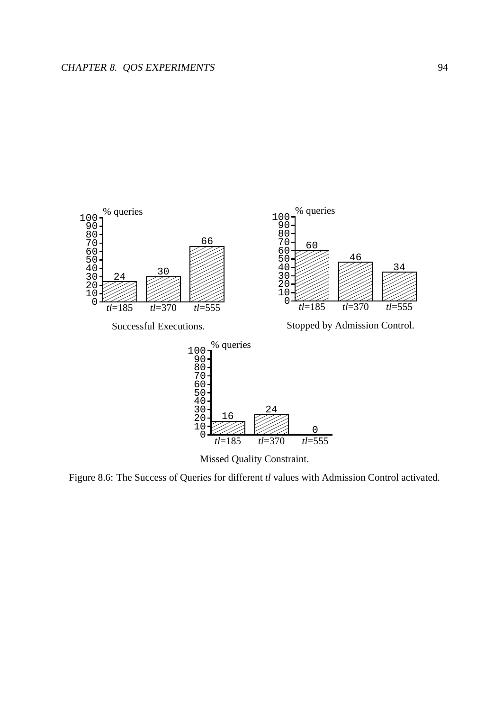

Missed Quality Constraint.

Figure 8.6: The Success of Queries for different *tl* values with Admission Control activated.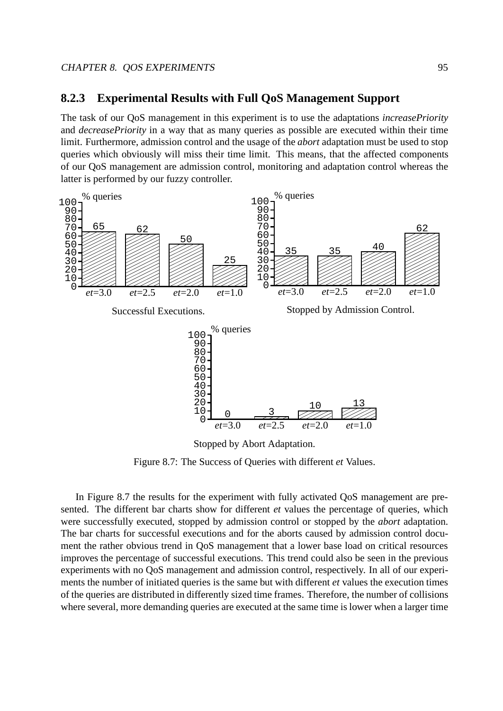#### **8.2.3 Experimental Results with Full QoS Management Support**

The task of our QoS management in this experiment is to use the adaptations *increasePriority* and *decreasePriority* in a way that as many queries as possible are executed within their time limit. Furthermore, admission control and the usage of the *abort* adaptation must be used to stop queries which obviously will miss their time limit. This means, that the affected components of our QoS management are admission control, monitoring and adaptation control whereas the latter is performed by our fuzzy controller.



Figure 8.7: The Success of Queries with different *et* Values.

In Figure 8.7 the results for the experiment with fully activated QoS management are presented. The different bar charts show for different *et* values the percentage of queries, which were successfully executed, stopped by admission control or stopped by the *abort* adaptation. The bar charts for successful executions and for the aborts caused by admission control document the rather obvious trend in QoS management that a lower base load on critical resources improves the percentage of successful executions. This trend could also be seen in the previous experiments with no QoS management and admission control, respectively. In all of our experiments the number of initiated queries is the same but with different *et* values the execution times of the queries are distributed in differently sized time frames. Therefore, the number of collisions where several, more demanding queries are executed at the same time is lower when a larger time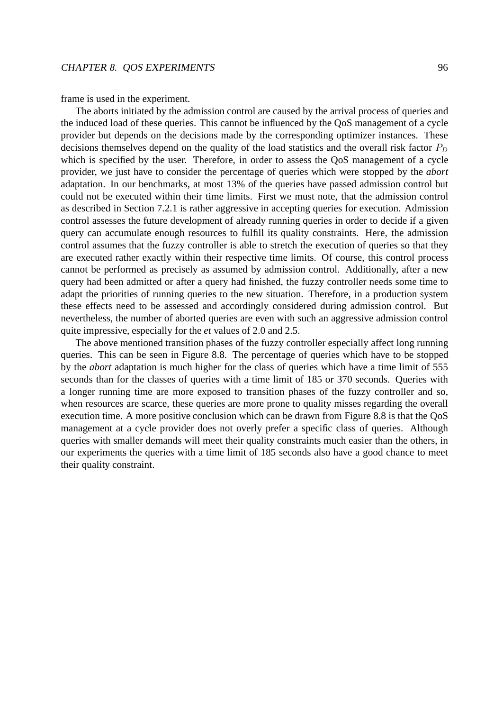frame is used in the experiment.

The aborts initiated by the admission control are caused by the arrival process of queries and the induced load of these queries. This cannot be influenced by the QoS management of a cycle provider but depends on the decisions made by the corresponding optimizer instances. These decisions themselves depend on the quality of the load statistics and the overall risk factor  $P_D$ which is specified by the user. Therefore, in order to assess the QoS management of a cycle provider, we just have to consider the percentage of queries which were stopped by the *abort* adaptation. In our benchmarks, at most 13% of the queries have passed admission control but could not be executed within their time limits. First we must note, that the admission control as described in Section 7.2.1 is rather aggressive in accepting queries for execution. Admission control assesses the future development of already running queries in order to decide if a given query can accumulate enough resources to fulfill its quality constraints. Here, the admission control assumes that the fuzzy controller is able to stretch the execution of queries so that they are executed rather exactly within their respective time limits. Of course, this control process cannot be performed as precisely as assumed by admission control. Additionally, after a new query had been admitted or after a query had finished, the fuzzy controller needs some time to adapt the priorities of running queries to the new situation. Therefore, in a production system these effects need to be assessed and accordingly considered during admission control. But nevertheless, the number of aborted queries are even with such an aggressive admission control quite impressive, especially for the *et* values of 2.0 and 2.5.

The above mentioned transition phases of the fuzzy controller especially affect long running queries. This can be seen in Figure 8.8. The percentage of queries which have to be stopped by the *abort* adaptation is much higher for the class of queries which have a time limit of 555 seconds than for the classes of queries with a time limit of 185 or 370 seconds. Queries with a longer running time are more exposed to transition phases of the fuzzy controller and so, when resources are scarce, these queries are more prone to quality misses regarding the overall execution time. A more positive conclusion which can be drawn from Figure 8.8 is that the QoS management at a cycle provider does not overly prefer a specific class of queries. Although queries with smaller demands will meet their quality constraints much easier than the others, in our experiments the queries with a time limit of 185 seconds also have a good chance to meet their quality constraint.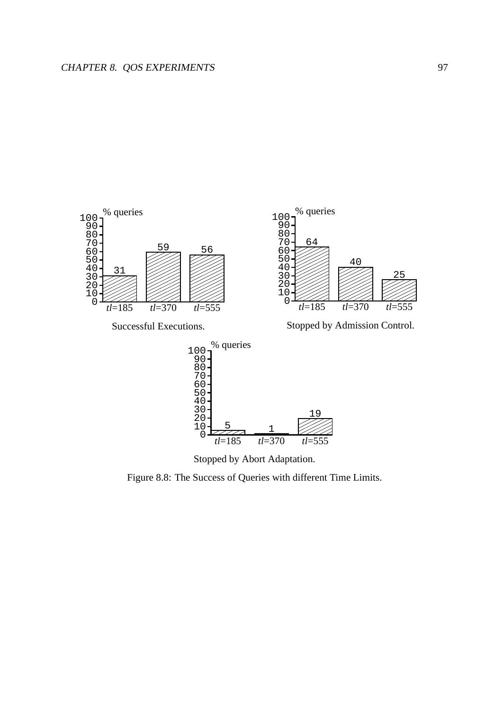

Stopped by Abort Adaptation.

Figure 8.8: The Success of Queries with different Time Limits.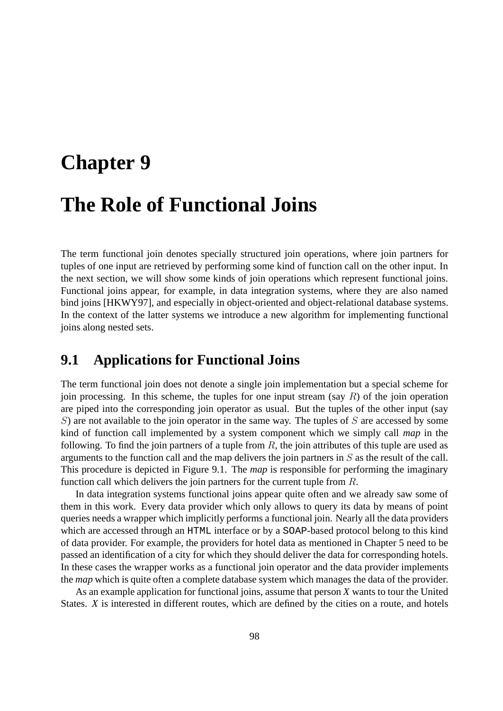# **Chapter 9 The Role of Functional Joins**

The term functional join denotes specially structured join operations, where join partners for tuples of one input are retrieved by performing some kind of function call on the other input. In the next section, we will show some kinds of join operations which represent functional joins. Functional joins appear, for example, in data integration systems, where they are also named bind joins [HKWY97], and especially in object-oriented and object-relational database systems. In the context of the latter systems we introduce a new algorithm for implementing functional joins along nested sets.

## **9.1 Applications for Functional Joins**

The term functional join does not denote a single join implementation but a special scheme for join processing. In this scheme, the tuples for one input stream (say  $R$ ) of the join operation are piped into the corresponding join operator as usual. But the tuples of the other input (say  $S$ ) are not available to the join operator in the same way. The tuples of S are accessed by some kind of function call implemented by a system component which we simply call *map* in the following. To find the join partners of a tuple from  $R$ , the join attributes of this tuple are used as arguments to the function call and the map delivers the join partners in  $S$  as the result of the call. This procedure is depicted in Figure 9.1. The *map* is responsible for performing the imaginary function call which delivers the join partners for the current tuple from R.

In data integration systems functional joins appear quite often and we already saw some of them in this work. Every data provider which only allows to query its data by means of point queries needs a wrapper which implicitly performs a functional join. Nearly all the data providers which are accessed through an HTML interface or by a SOAP-based protocol belong to this kind of data provider. For example, the providers for hotel data as mentioned in Chapter 5 need to be passed an identification of a city for which they should deliver the data for corresponding hotels. In these cases the wrapper works as a functional join operator and the data provider implements the *map* which is quite often a complete database system which manages the data of the provider.

As an example application for functional joins, assume that person *X* wants to tour the United States. *X* is interested in different routes, which are defined by the cities on a route, and hotels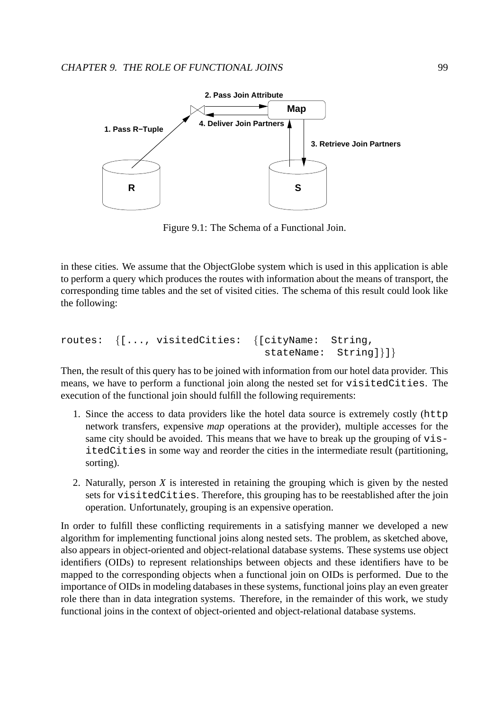

Figure 9.1: The Schema of a Functional Join.

in these cities. We assume that the ObjectGlobe system which is used in this application is able to perform a query which produces the routes with information about the means of transport, the corresponding time tables and the set of visited cities. The schema of this result could look like the following:

```
routes: {[..., visitedCities: {[cityName: String,
                              stateName: String]}]}
```
Then, the result of this query has to be joined with information from our hotel data provider. This means, we have to perform a functional join along the nested set for visitedCities. The execution of the functional join should fulfill the following requirements:

- 1. Since the access to data providers like the hotel data source is extremely costly (http network transfers, expensive *map* operations at the provider), multiple accesses for the same city should be avoided. This means that we have to break up the grouping of visitedCities in some way and reorder the cities in the intermediate result (partitioning, sorting).
- 2. Naturally, person *X* is interested in retaining the grouping which is given by the nested sets for visitedCities. Therefore, this grouping has to be reestablished after the join operation. Unfortunately, grouping is an expensive operation.

In order to fulfill these conflicting requirements in a satisfying manner we developed a new algorithm for implementing functional joins along nested sets. The problem, as sketched above, also appears in object-oriented and object-relational database systems. These systems use object identifiers (OIDs) to represent relationships between objects and these identifiers have to be mapped to the corresponding objects when a functional join on OIDs is performed. Due to the importance of OIDs in modeling databases in these systems, functional joins play an even greater role there than in data integration systems. Therefore, in the remainder of this work, we study functional joins in the context of object-oriented and object-relational database systems.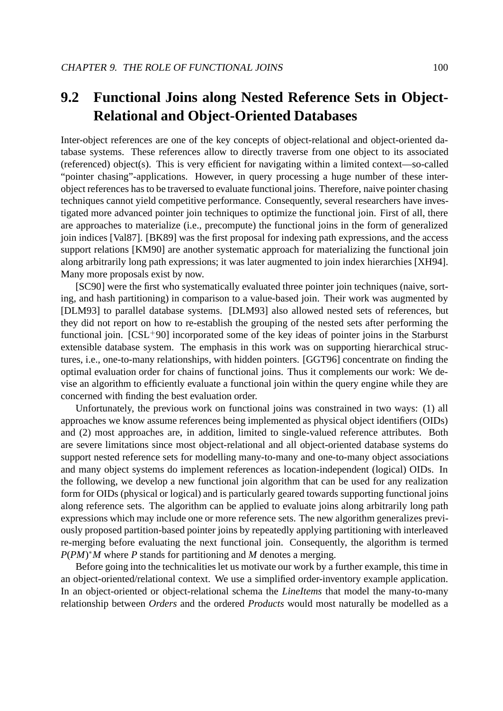# **9.2 Functional Joins along Nested Reference Sets in Object-Relational and Object-Oriented Databases**

Inter-object references are one of the key concepts of object-relational and object-oriented database systems. These references allow to directly traverse from one object to its associated (referenced) object(s). This is very efficient for navigating within a limited context—so-called "pointer chasing"-applications. However, in query processing a huge number of these interobject references has to be traversed to evaluate functional joins. Therefore, naive pointer chasing techniques cannot yield competitive performance. Consequently, several researchers have investigated more advanced pointer join techniques to optimize the functional join. First of all, there are approaches to materialize (i.e., precompute) the functional joins in the form of generalized join indices [Val87]. [BK89] was the first proposal for indexing path expressions, and the access support relations [KM90] are another systematic approach for materializing the functional join along arbitrarily long path expressions; it was later augmented to join index hierarchies [XH94]. Many more proposals exist by now.

[SC90] were the first who systematically evaluated three pointer join techniques (naive, sorting, and hash partitioning) in comparison to a value-based join. Their work was augmented by [DLM93] to parallel database systems. [DLM93] also allowed nested sets of references, but they did not report on how to re-establish the grouping of the nested sets after performing the functional join.  $[CSL^+90]$  incorporated some of the key ideas of pointer joins in the Starburst extensible database system. The emphasis in this work was on supporting hierarchical structures, i.e., one-to-many relationships, with hidden pointers. [GGT96] concentrate on finding the optimal evaluation order for chains of functional joins. Thus it complements our work: We devise an algorithm to efficiently evaluate a functional join within the query engine while they are concerned with finding the best evaluation order.

Unfortunately, the previous work on functional joins was constrained in two ways: (1) all approaches we know assume references being implemented as physical object identifiers (OIDs) and (2) most approaches are, in addition, limited to single-valued reference attributes. Both are severe limitations since most object-relational and all object-oriented database systems do support nested reference sets for modelling many-to-many and one-to-many object associations and many object systems do implement references as location-independent (logical) OIDs. In the following, we develop a new functional join algorithm that can be used for any realization form for OIDs (physical or logical) and is particularly geared towards supporting functional joins along reference sets. The algorithm can be applied to evaluate joins along arbitrarily long path expressions which may include one or more reference sets. The new algorithm generalizes previously proposed partition-based pointer joins by repeatedly applying partitioning with interleaved re-merging before evaluating the next functional join. Consequently, the algorithm is termed *P*(*PM*) <sup>∗</sup>*M* where *P* stands for partitioning and *M* denotes a merging.

Before going into the technicalities let us motivate our work by a further example, this time in an object-oriented/relational context. We use a simplified order-inventory example application. In an object-oriented or object-relational schema the *LineItems* that model the many-to-many relationship between *Orders* and the ordered *Products* would most naturally be modelled as a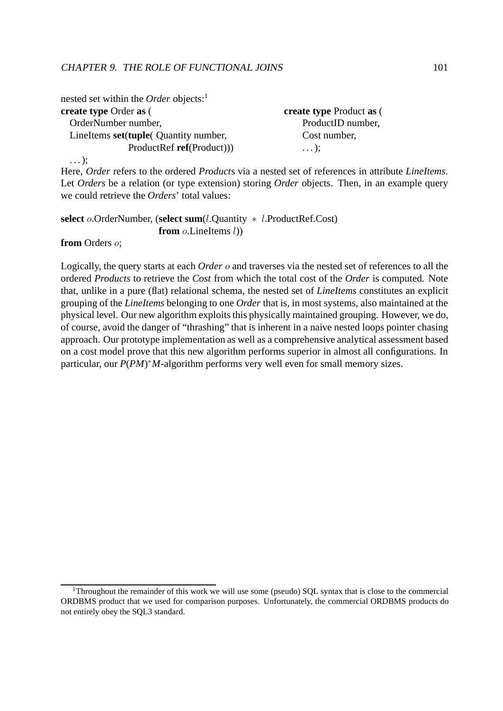#### CHAPTER 9. THE ROLE OF FUNCTIONAL JOINS 101

| nested set within the <i>Order</i> objects: <sup>1</sup> |                          |
|----------------------------------------------------------|--------------------------|
| create type Order as (                                   | create type Product as ( |
| OrderNumber number,                                      | ProductID number,        |
| LineItems set(tuple( Quantity number,                    | Cost number,             |
| ProductRef ref(Product))                                 | $\dots$ ):               |
|                                                          |                          |

#### . . . );

Here, *Order* refers to the ordered *Product*s via a nested set of references in attribute *LineItems*. Let *Orders* be a relation (or type extension) storing *Order* objects. Then, in an example query we could retrieve the *Orders*' total values:

**select** o.OrderNumber, (**select sum**(l.Quantity ∗ l.ProductRef.Cost) **from** *o*.LineItems *l*))

from Orders  $o$ ;

Logically, the query starts at each *Order* o and traverses via the nested set of references to all the ordered *Products* to retrieve the *Cost* from which the total cost of the *Order* is computed. Note that, unlike in a pure (flat) relational schema, the nested set of *LineItems* constitutes an explicit grouping of the *LineItems* belonging to one *Order* that is, in most systems, also maintained at the physical level. Our new algorithm exploits this physically maintained grouping. However, we do, of course, avoid the danger of "thrashing" that is inherent in a naive nested loops pointer chasing approach. Our prototype implementation as well as a comprehensive analytical assessment based on a cost model prove that this new algorithm performs superior in almost all configurations. In particular, our  $P(PM)^*M$ -algorithm performs very well even for small memory sizes.

<sup>&</sup>lt;sup>1</sup>Throughout the remainder of this work we will use some (pseudo) SQL syntax that is close to the commercial ORDBMS product that we used for comparison purposes. Unfortunately, the commercial ORDBMS products do not entirely obey the SQL3 standard.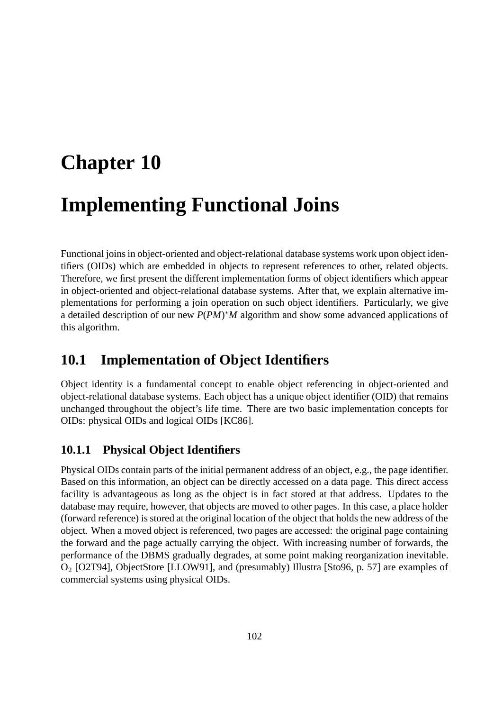# **Chapter 10 Implementing Functional Joins**

Functional joins in object-oriented and object-relational database systems work upon object identifiers (OIDs) which are embedded in objects to represent references to other, related objects. Therefore, we first present the different implementation forms of object identifiers which appear in object-oriented and object-relational database systems. After that, we explain alternative implementations for performing a join operation on such object identifiers. Particularly, we give a detailed description of our new *P*(*PM*) <sup>∗</sup>*M* algorithm and show some advanced applications of this algorithm.

# **10.1 Implementation of Object Identifiers**

Object identity is a fundamental concept to enable object referencing in object-oriented and object-relational database systems. Each object has a unique object identifier (OID) that remains unchanged throughout the object's life time. There are two basic implementation concepts for OIDs: physical OIDs and logical OIDs [KC86].

# **10.1.1 Physical Object Identifiers**

Physical OIDs contain parts of the initial permanent address of an object, e.g., the page identifier. Based on this information, an object can be directly accessed on a data page. This direct access facility is advantageous as long as the object is in fact stored at that address. Updates to the database may require, however, that objects are moved to other pages. In this case, a place holder (forward reference) is stored at the original location of the object that holds the new address of the object. When a moved object is referenced, two pages are accessed: the original page containing the forward and the page actually carrying the object. With increasing number of forwards, the performance of the DBMS gradually degrades, at some point making reorganization inevitable. O<sup>2</sup> [O2T94], ObjectStore [LLOW91], and (presumably) Illustra [Sto96, p. 57] are examples of commercial systems using physical OIDs.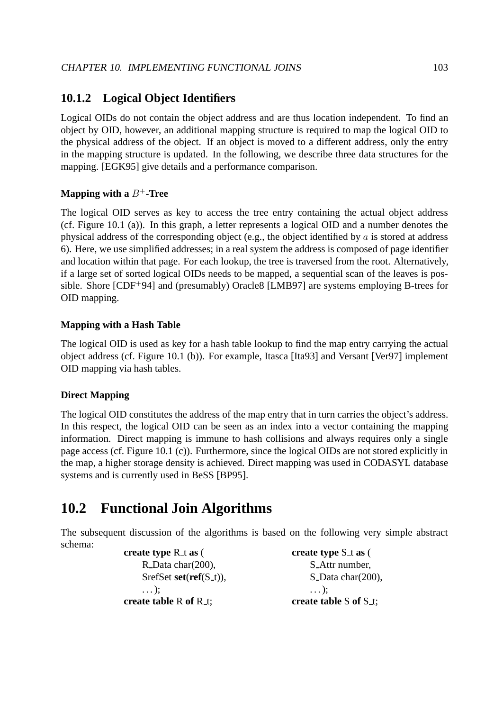## **10.1.2 Logical Object Identifiers**

Logical OIDs do not contain the object address and are thus location independent. To find an object by OID, however, an additional mapping structure is required to map the logical OID to the physical address of the object. If an object is moved to a different address, only the entry in the mapping structure is updated. In the following, we describe three data structures for the mapping. [EGK95] give details and a performance comparison.

## **Mapping with a** B<sup>+</sup>**-Tree**

The logical OID serves as key to access the tree entry containing the actual object address (cf. Figure 10.1 (a)). In this graph, a letter represents a logical OID and a number denotes the physical address of the corresponding object (e.g., the object identified by a is stored at address 6). Here, we use simplified addresses; in a real system the address is composed of page identifier and location within that page. For each lookup, the tree is traversed from the root. Alternatively, if a large set of sorted logical OIDs needs to be mapped, a sequential scan of the leaves is possible. Shore [CDF<sup>+</sup>94] and (presumably) Oracle8 [LMB97] are systems employing B-trees for OID mapping.

## **Mapping with a Hash Table**

The logical OID is used as key for a hash table lookup to find the map entry carrying the actual object address (cf. Figure 10.1 (b)). For example, Itasca [Ita93] and Versant [Ver97] implement OID mapping via hash tables.

## **Direct Mapping**

The logical OID constitutes the address of the map entry that in turn carries the object's address. In this respect, the logical OID can be seen as an index into a vector containing the mapping information. Direct mapping is immune to hash collisions and always requires only a single page access (cf. Figure 10.1 (c)). Furthermore, since the logical OIDs are not stored explicitly in the map, a higher storage density is achieved. Direct mapping was used in CODASYL database systems and is currently used in BeSS [BP95].

# **10.2 Functional Join Algorithms**

The subsequent discussion of the algorithms is based on the following very simple abstract schema:

**create type** R<sub>\_t</sub> **as** ( R Data char(200), SrefSet **set**(**ref**(S\_t)), . . . ); **create table** R of R\_t; **create type** S<sub>\_t</sub> as ( S Attr number, S\_Data char(200), . . . ); **create table** S of S<sub>\_t</sub>;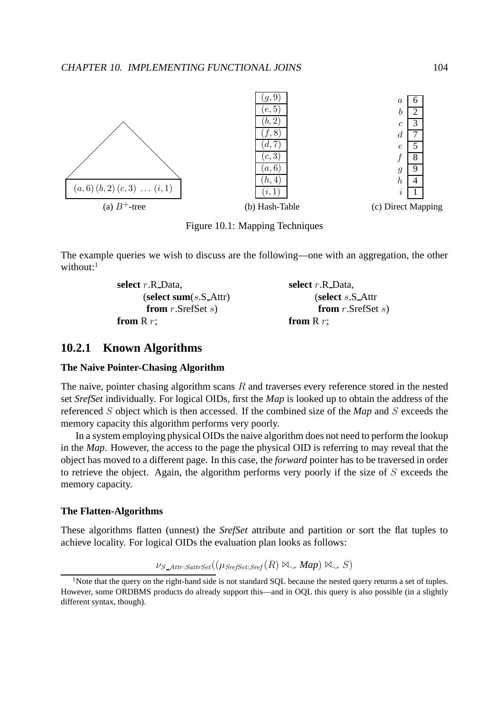

Figure 10.1: Mapping Techniques

The example queries we wish to discuss are the following—one with an aggregation, the other without<sup> $\cdot$ 1</sup>

| select $r \cdot R$ Data,    | select $r.R$ Data,       |
|-----------------------------|--------------------------|
| (select sum $(s.S\_Attr)$ ) | (select $s.S$ Attr       |
| from $r$ . SrefSet $s$ )    | from $r$ . SrefSet $s$ ) |
| from R $r$ ;                | from R $r$ ;             |

## **10.2.1 Known Algorithms**

## **The Naive Pointer-Chasing Algorithm**

The naive, pointer chasing algorithm scans  $R$  and traverses every reference stored in the nested set *SrefSet* individually. For logical OIDs, first the *Map* is looked up to obtain the address of the referenced S object which is then accessed. If the combined size of the *Map* and S exceeds the memory capacity this algorithm performs very poorly.

In a system employing physical OIDs the naive algorithm does not need to perform the lookup in the *Map*. However, the access to the page the physical OID is referring to may reveal that the object has moved to a different page. In this case, the *forward* pointer has to be traversed in order to retrieve the object. Again, the algorithm performs very poorly if the size of S exceeds the memory capacity.

## **The Flatten-Algorithms**

These algorithms flatten (unnest) the *SrefSet* attribute and partition or sort the flat tuples to achieve locality. For logical OIDs the evaluation plan looks as follows:

 $\nu_{S\_{Attr:SattrSet}}((\mu_{SrefSet:Sref}(R) \bowtie_{\sim_{\mathcal{M}}} Map) \bowtie_{\sim_{\mathcal{M}}} S)$ 

<sup>&</sup>lt;sup>1</sup>Note that the query on the right-hand side is not standard SQL because the nested query returns a set of tuples. However, some ORDBMS products do already support this—and in OQL this query is also possible (in a slightly different syntax, though).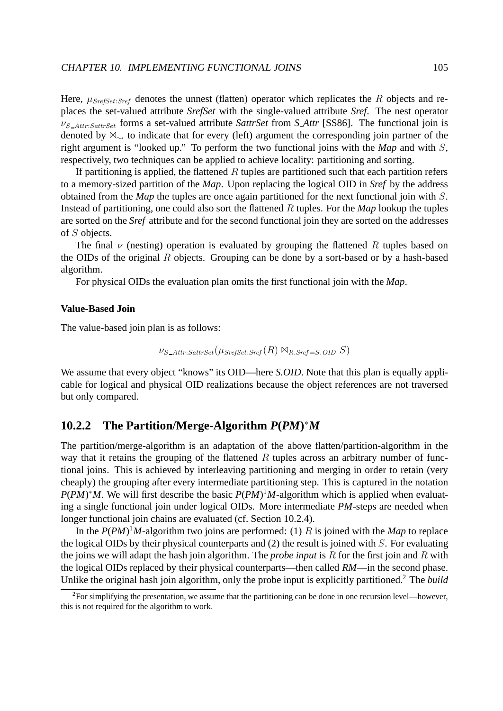Here,  $\mu_{SrefSet:Sref}$  denotes the unnest (flatten) operator which replicates the R objects and replaces the set-valued attribute *SrefSet* with the single-valued attribute *Sref*. The nest operator  $v_{S}$   $_{Attr:SattoSet}$  forms a set-valued attribute *SattrSet* from *SAttr* [SS86]. The functional join is denoted by  $\mathbb{M}_{\infty}$  to indicate that for every (left) argument the corresponding join partner of the right argument is "looked up." To perform the two functional joins with the *Map* and with S, respectively, two techniques can be applied to achieve locality: partitioning and sorting.

If partitioning is applied, the flattened  $R$  tuples are partitioned such that each partition refers to a memory-sized partition of the *Map*. Upon replacing the logical OID in *Sref* by the address obtained from the *Map* the tuples are once again partitioned for the next functional join with S. Instead of partitioning, one could also sort the flattened R tuples. For the *Map* lookup the tuples are sorted on the *Sref* attribute and for the second functional join they are sorted on the addresses of S objects.

The final  $\nu$  (nesting) operation is evaluated by grouping the flattened R tuples based on the OIDs of the original  $R$  objects. Grouping can be done by a sort-based or by a hash-based algorithm.

For physical OIDs the evaluation plan omits the first functional join with the *Map*.

### **Value-Based Join**

The value-based join plan is as follows:

```
\nu_{S} Attr:SattrSet(\mu_{SrefSet:Sref}(R) \Join_{R,Sref=S. OID} S)
```
We assume that every object "knows" its OID—here *S.OID*. Note that this plan is equally applicable for logical and physical OID realizations because the object references are not traversed but only compared.

# **10.2.2 The Partition/Merge-Algorithm** *P***(***PM***)** <sup>∗</sup>*M*

The partition/merge-algorithm is an adaptation of the above flatten/partition-algorithm in the way that it retains the grouping of the flattened  $R$  tuples across an arbitrary number of functional joins. This is achieved by interleaving partitioning and merging in order to retain (very cheaply) the grouping after every intermediate partitioning step. This is captured in the notation  $P(PM)^*M$ . We will first describe the basic  $P(PM)^1M$ -algorithm which is applied when evaluating a single functional join under logical OIDs. More intermediate *PM*-steps are needed when longer functional join chains are evaluated (cf. Section 10.2.4).

In the  $P(PM)^{1}M$ -algorithm two joins are performed: (1) R is joined with the *Map* to replace the logical OIDs by their physical counterparts and  $(2)$  the result is joined with S. For evaluating the joins we will adapt the hash join algorithm. The *probe input* is R for the first join and R with the logical OIDs replaced by their physical counterparts—then called *RM*—in the second phase. Unlike the original hash join algorithm, only the probe input is explicitly partitioned.2 The *build*

 $^{2}$ For simplifying the presentation, we assume that the partitioning can be done in one recursion level—however, this is not required for the algorithm to work.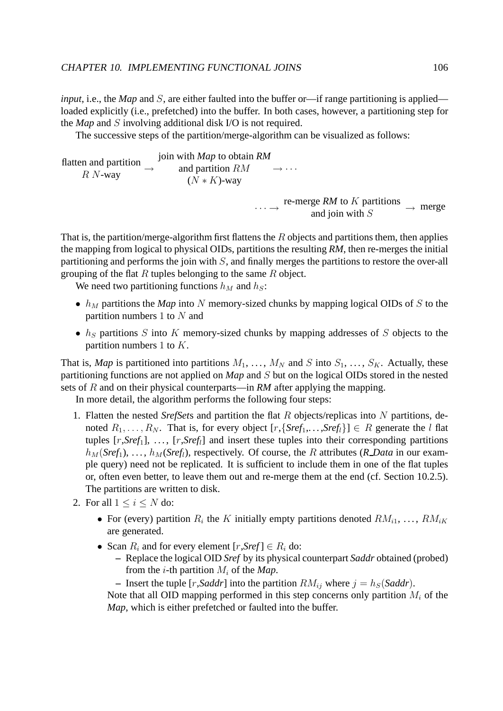*input*, i.e., the *Map* and *S*, are either faulted into the buffer or—if range partitioning is applied loaded explicitly (i.e., prefetched) into the buffer. In both cases, however, a partitioning step for the *Map* and S involving additional disk I/O is not required.

The successive steps of the partition/merge-algorithm can be visualized as follows:

flatten and partition  $\rightarrow$  R N-way join with *Map* to obtain *RM* and partition  $RM \longrightarrow \cdots$  $(N*K)$ -way  $\dots \rightarrow$  re-merge *RM* to *K* partitions  $\rightarrow$  merge<br>and join with *S* 

That is, the partition/merge-algorithm first flattens the  $R$  objects and partitions them, then applies the mapping from logical to physical OIDs, partitions the resulting *RM*, then re-merges the initial partitioning and performs the join with  $S$ , and finally merges the partitions to restore the over-all grouping of the flat  $R$  tuples belonging to the same  $R$  object.

We need two partitioning functions  $h_M$  and  $h_S$ :

- $h_M$  partitions the *Map* into N memory-sized chunks by mapping logical OIDs of S to the partition numbers 1 to  $N$  and
- $h<sub>S</sub>$  partitions S into K memory-sized chunks by mapping addresses of S objects to the partition numbers 1 to  $K$ .

That is, *Map* is partitioned into partitions  $M_1, \ldots, M_N$  and S into  $S_1, \ldots, S_K$ . Actually, these partitioning functions are not applied on *Map* and S but on the logical OIDs stored in the nested sets of R and on their physical counterparts—in *RM* after applying the mapping.

In more detail, the algorithm performs the following four steps:

- 1. Flatten the nested *SrefSet*s and partition the flat R objects/replicas into N partitions, denoted  $R_1, \ldots, R_N$ . That is, for every object  $[r, \{Sref_1, \ldots, Sref_l\}] \in R$  generate the *l* flat tuples  $[r, Sref_1], \ldots, [r, Sref_l]$  and insert these tuples into their corresponding partitions  $h_M(Sref_1), \ldots, h_M(Sref_l)$ , respectively. Of course, the R attributes (*R Data* in our example query) need not be replicated. It is sufficient to include them in one of the flat tuples or, often even better, to leave them out and re-merge them at the end (cf. Section 10.2.5). The partitions are written to disk.
- 2. For all  $1 \leq i \leq N$  do:
	- For (every) partition  $R_i$  the K initially empty partitions denoted  $RM_{i1}, \ldots, RM_{iK}$ are generated.
	- Scan  $R_i$  and for every element  $[r, Sref] \in R_i$  do:
		- **–** Replace the logical OID *Sref* by its physical counterpart *Saddr* obtained (probed) from the *i*-th partition  $M_i$  of the *Map*.
		- **–** Insert the tuple [r,*Saddr*] into the partition  $RM_{ij}$  where  $j = h_S(Saddr)$ .

Note that all OID mapping performed in this step concerns only partition  $M_i$  of the *Map*, which is either prefetched or faulted into the buffer.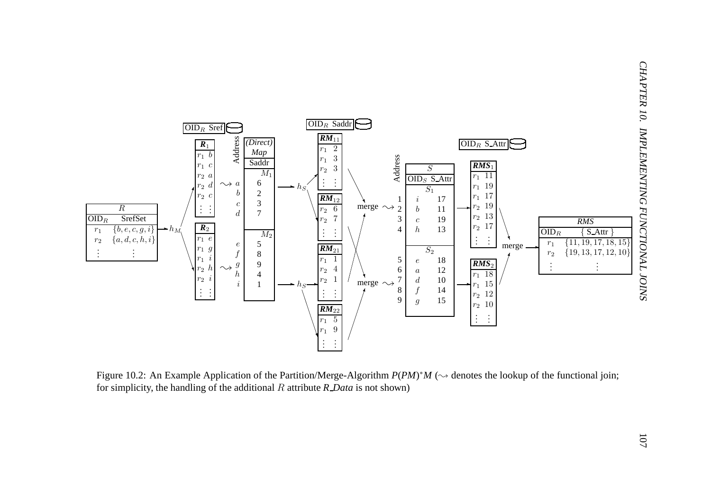

Figure 10.2: An Example Application of the Partition/Merge-Algorithm  $P(PM)^*M$  (→ denotes the lookup of the functional join; for simplicity, the handling of the additional R attribute *R Data* is not shown)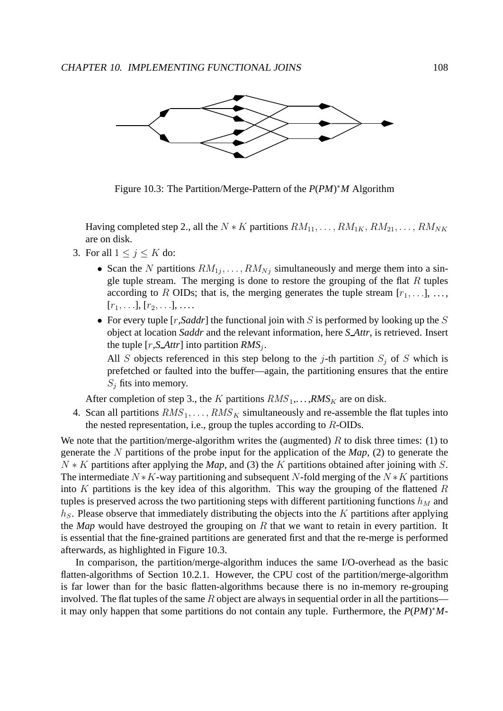

Figure 10.3: The Partition/Merge-Pattern of the *P*(*PM*) <sup>∗</sup>*M* Algorithm

Having completed step 2., all the  $N*K$  partitions  $RM_{11}, \ldots, RM_{1K}, RM_{21}, \ldots, RM_{NK}$ are on disk.

- 3. For all  $1 \leq j \leq K$  do:
	- Scan the N partitions  $RM_{1j}, \ldots, RM_{Nj}$  simultaneously and merge them into a single tuple stream. The merging is done to restore the grouping of the flat  $R$  tuples according to R OIDs; that is, the merging generates the tuple stream  $[r_1,...], \ldots$ ,  $[r_1,\ldots], [r_2,\ldots], \ldots$
	- For every tuple  $[r, Saddr]$  the functional join with S is performed by looking up the S object at location *Saddr* and the relevant information, here *S Attr*, is retrieved. Insert the tuple  $[r, S \text{A} \text{tr}]$  into partition  $RMS_j$ .

All S objects referenced in this step belong to the j-th partition  $S_i$  of S which is prefetched or faulted into the buffer—again, the partitioning ensures that the entire  $S_i$  fits into memory.

After completion of step 3., the K partitions  $RMS_1, \ldots, RMS_K$  are on disk.

4. Scan all partitions  $RMS_1, \ldots, RMS_K$  simultaneously and re-assemble the flat tuples into the nested representation, i.e., group the tuples according to  $R$ -OIDs.

We note that the partition/merge-algorithm writes the (augmented)  $R$  to disk three times: (1) to generate the N partitions of the probe input for the application of the *Map*, (2) to generate the N ∗ K partitions after applying the *Map*, and (3) the K partitions obtained after joining with S. The intermediate  $N*K$ -way partitioning and subsequent N-fold merging of the  $N*K$  partitions into K partitions is the key idea of this algorithm. This way the grouping of the flattened  $R$ tuples is preserved across the two partitioning steps with different partitioning functions  $h<sub>M</sub>$  and  $h<sub>S</sub>$ . Please observe that immediately distributing the objects into the K partitions after applying the *Map* would have destroyed the grouping on R that we want to retain in every partition. It is essential that the fine-grained partitions are generated first and that the re-merge is performed afterwards, as highlighted in Figure 10.3.

In comparison, the partition/merge-algorithm induces the same I/O-overhead as the basic flatten-algorithms of Section 10.2.1. However, the CPU cost of the partition/merge-algorithm is far lower than for the basic flatten-algorithms because there is no in-memory re-grouping involved. The flat tuples of the same  $R$  object are always in sequential order in all the partitions it may only happen that some partitions do not contain any tuple. Furthermore, the *P*(*PM*) ∗*M*-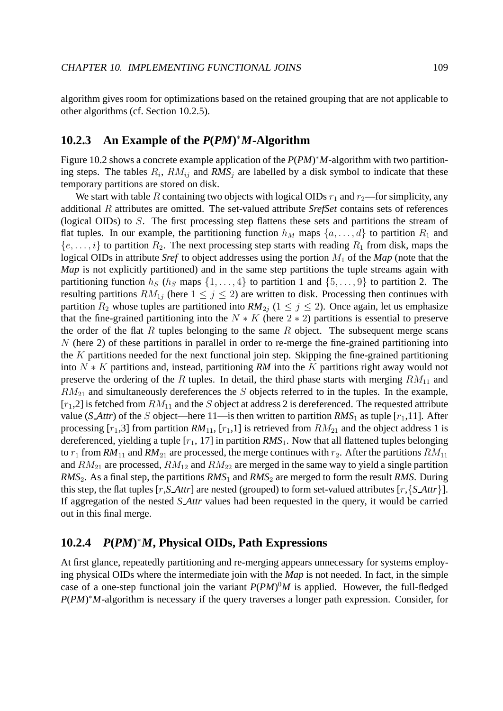algorithm gives room for optimizations based on the retained grouping that are not applicable to other algorithms (cf. Section 10.2.5).

# **10.2.3 An Example of the** *P***(***PM***)** <sup>∗</sup>*M***-Algorithm**

Figure 10.2 shows a concrete example application of the *P*(*PM*) ∗*M*-algorithm with two partitioning steps. The tables  $R_i$ ,  $RM_{ij}$  and  $RMS_j$  are labelled by a disk symbol to indicate that these temporary partitions are stored on disk.

We start with table R containing two objects with logical OIDs  $r_1$  and  $r_2$ —for simplicity, any additional R attributes are omitted. The set-valued attribute *SrefSet* contains sets of references (logical OIDs) to S. The first processing step flattens these sets and partitions the stream of flat tuples. In our example, the partitioning function  $h_M$  maps  $\{a, \ldots, d\}$  to partition  $R_1$  and  $\{e, \ldots, i\}$  to partition  $R_2$ . The next processing step starts with reading  $R_1$  from disk, maps the logical OIDs in attribute *Sref* to object addresses using the portion  $M_1$  of the *Map* (note that the *Map* is not explicitly partitioned) and in the same step partitions the tuple streams again with partitioning function  $h_S$  ( $h_S$  maps  $\{1,\ldots,4\}$  to partition 1 and  $\{5,\ldots,9\}$  to partition 2. The resulting partitions  $RM_{1i}$  (here  $1 \leq j \leq 2$ ) are written to disk. Processing then continues with partition  $R_2$  whose tuples are partitioned into  $RM_{2i}$  ( $1 \leq j \leq 2$ ). Once again, let us emphasize that the fine-grained partitioning into the  $N * K$  (here  $2 * 2$ ) partitions is essential to preserve the order of the flat R tuples belonging to the same R object. The subsequent merge scans  $N$  (here 2) of these partitions in parallel in order to re-merge the fine-grained partitioning into the  $K$  partitions needed for the next functional join step. Skipping the fine-grained partitioning into N ∗ K partitions and, instead, partitioning *RM* into the K partitions right away would not preserve the ordering of the R tuples. In detail, the third phase starts with merging  $RM_{11}$  and  $RM_{21}$  and simultaneously dereferences the S objects referred to in the tuples. In the example,  $[r_1,2]$  is fetched from  $RM_{11}$  and the S object at address 2 is dereferenced. The requested attribute value (*S\_Attr*) of the *S* object—here 11—is then written to partition  $RMS_1$  as tuple [ $r_1$ ,11]. After processing  $[r_1,3]$  from partition  $RM_{11}$ ,  $[r_1,1]$  is retrieved from  $RM_{21}$  and the object address 1 is dereferenced, yielding a tuple  $[r_1, 17]$  in partition  $RMS_1$ . Now that all flattened tuples belonging to  $r_1$  from  $RM_{11}$  and  $RM_{21}$  are processed, the merge continues with  $r_2$ . After the partitions  $RM_{11}$ and  $RM_{21}$  are processed,  $RM_{12}$  and  $RM_{22}$  are merged in the same way to yield a single partition  $RMS<sub>2</sub>$ . As a final step, the partitions  $RMS<sub>1</sub>$  and  $RMS<sub>2</sub>$  are merged to form the result *RMS*. During this step, the flat tuples  $[r, S\text{-}Attr]$  are nested (grouped) to form set-valued attributes  $[r, S\text{-}Attr]$ . If aggregation of the nested *S Attr* values had been requested in the query, it would be carried out in this final merge.

# **10.2.4** *P***(***PM***)** <sup>∗</sup>*M***, Physical OIDs, Path Expressions**

At first glance, repeatedly partitioning and re-merging appears unnecessary for systems employing physical OIDs where the intermediate join with the *Map* is not needed. In fact, in the simple case of a one-step functional join the variant  $P(PM)^{0}M$  is applied. However, the full-fledged *P*(*PM*) ∗*M*-algorithm is necessary if the query traverses a longer path expression. Consider, for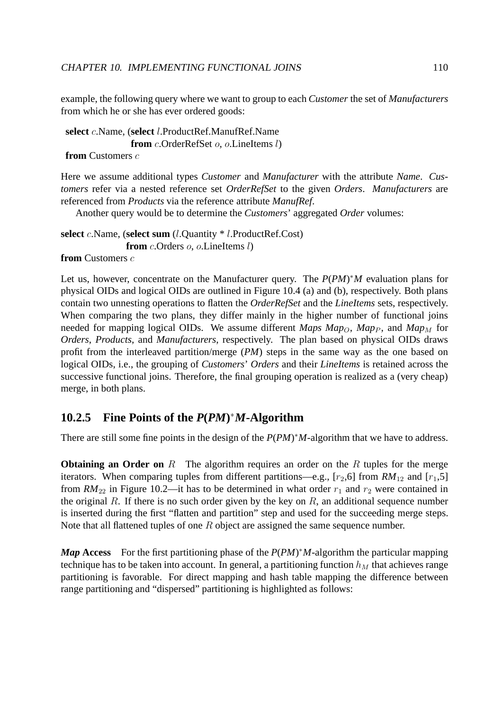example, the following query where we want to group to each *Customer* the set of *Manufacturers* from which he or she has ever ordered goods:

**select** c.Name, (**select** l.ProductRef.ManufRef.Name **from** c.OrderRefSet o, o.LineItems l)

**from** Customers c

Here we assume additional types *Customer* and *Manufacturer* with the attribute *Name*. *Customers* refer via a nested reference set *OrderRefSet* to the given *Orders*. *Manufacturers* are referenced from *Products* via the reference attribute *ManufRef*.

Another query would be to determine the *Customers*' aggregated *Order* volumes:

**select** c.Name, (**select sum** (l.Quantity \* l.ProductRef.Cost) **from** c.Orders o, o.LineItems l)

**from** Customers c

Let us, however, concentrate on the Manufacturer query. The  $P(PM)^*M$  evaluation plans for physical OIDs and logical OIDs are outlined in Figure 10.4 (a) and (b), respectively. Both plans contain two unnesting operations to flatten the *OrderRefSet* and the *LineItems* sets, respectively. When comparing the two plans, they differ mainly in the higher number of functional joins needed for mapping logical OIDs. We assume different *Maps Map<sub>O</sub>*, *Map<sub>P</sub>*, and *Map<sub>M</sub>* for *Orders*, *Products*, and *Manufacturers*, respectively. The plan based on physical OIDs draws profit from the interleaved partition/merge (*PM*) steps in the same way as the one based on logical OIDs, i.e., the grouping of *Customers*' *Orders* and their *LineItems* is retained across the successive functional joins. Therefore, the final grouping operation is realized as a (very cheap) merge, in both plans.

# **10.2.5 Fine Points of the** *P***(***PM***)** <sup>∗</sup>*M***-Algorithm**

There are still some fine points in the design of the *P*(*PM*) <sup>∗</sup>*M*-algorithm that we have to address.

**Obtaining an Order on** R The algorithm requires an order on the R tuples for the merge iterators. When comparing tuples from different partitions—e.g.,  $[r_2, 6]$  from  $RM_{12}$  and  $[r_1, 5]$ from  $RM_{22}$  in Figure 10.2—it has to be determined in what order  $r_1$  and  $r_2$  were contained in the original  $R$ . If there is no such order given by the key on  $R$ , an additional sequence number is inserted during the first "flatten and partition" step and used for the succeeding merge steps. Note that all flattened tuples of one R object are assigned the same sequence number.

*Map* **Access** For the first partitioning phase of the *P*(*PM*)<sup>∗</sup>*M*-algorithm the particular mapping technique has to be taken into account. In general, a partitioning function  $h<sub>M</sub>$  that achieves range partitioning is favorable. For direct mapping and hash table mapping the difference between range partitioning and "dispersed" partitioning is highlighted as follows: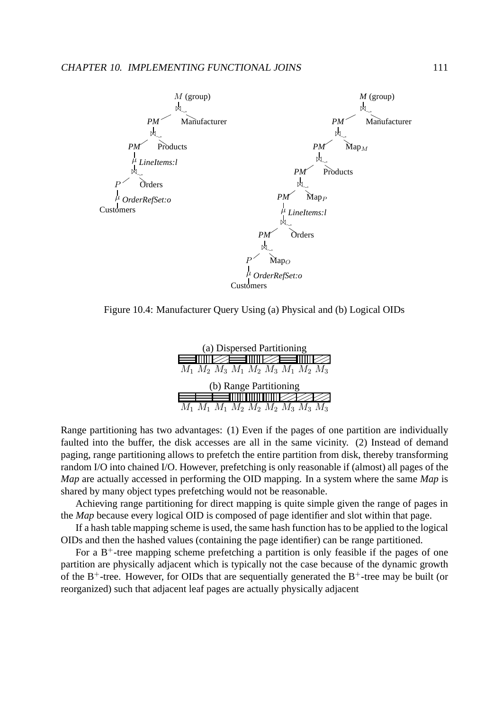

Figure 10.4: Manufacturer Query Using (a) Physical and (b) Logical OIDs

| (a) Dispersed Partitioning<br>2= IIIIII <i>VA</i><br>$M_1 M_2 M_3 M_1 M_2 M_3 M_1 M_2 M_3$ |
|--------------------------------------------------------------------------------------------|
| (b) Range Partitioning                                                                     |
|                                                                                            |
| $M_1 M_1 M_1 M_2 M_2 M_2 M_3 M_3 M_3$                                                      |

Range partitioning has two advantages: (1) Even if the pages of one partition are individually faulted into the buffer, the disk accesses are all in the same vicinity. (2) Instead of demand paging, range partitioning allows to prefetch the entire partition from disk, thereby transforming random I/O into chained I/O. However, prefetching is only reasonable if (almost) all pages of the *Map* are actually accessed in performing the OID mapping. In a system where the same *Map* is shared by many object types prefetching would not be reasonable.

Achieving range partitioning for direct mapping is quite simple given the range of pages in the *Map* because every logical OID is composed of page identifier and slot within that page.

If a hash table mapping scheme is used, the same hash function has to be applied to the logical OIDs and then the hashed values (containing the page identifier) can be range partitioned.

For a  $B^+$ -tree mapping scheme prefetching a partition is only feasible if the pages of one partition are physically adjacent which is typically not the case because of the dynamic growth of the  $B^+$ -tree. However, for OIDs that are sequentially generated the  $B^+$ -tree may be built (or reorganized) such that adjacent leaf pages are actually physically adjacent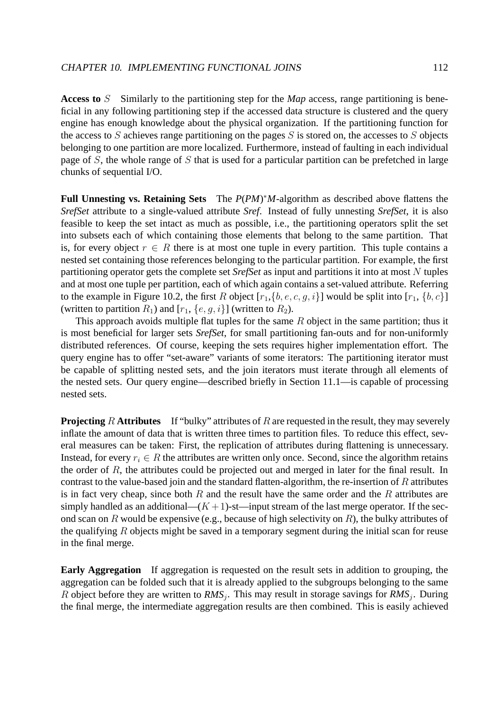**Access to** S Similarly to the partitioning step for the *Map* access, range partitioning is beneficial in any following partitioning step if the accessed data structure is clustered and the query engine has enough knowledge about the physical organization. If the partitioning function for the access to  $S$  achieves range partitioning on the pages  $S$  is stored on, the accesses to  $S$  objects belonging to one partition are more localized. Furthermore, instead of faulting in each individual page of S, the whole range of S that is used for a particular partition can be prefetched in large chunks of sequential I/O.

**Full Unnesting vs. Retaining Sets** The *P*(*PM*) <sup>∗</sup>*M*-algorithm as described above flattens the *SrefSet* attribute to a single-valued attribute *Sref*. Instead of fully unnesting *SrefSet*, it is also feasible to keep the set intact as much as possible, i.e., the partitioning operators split the set into subsets each of which containing those elements that belong to the same partition. That is, for every object  $r \in R$  there is at most one tuple in every partition. This tuple contains a nested set containing those references belonging to the particular partition. For example, the first partitioning operator gets the complete set *SrefSet* as input and partitions it into at most N tuples and at most one tuple per partition, each of which again contains a set-valued attribute. Referring to the example in Figure 10.2, the first R object  $[r_1,\{b, e, c, g, i\}]$  would be split into  $[r_1, \{b, c\}]$ (written to partition  $R_1$ ) and  $[r_1, \{e, q, i\}]$  (written to  $R_2$ ).

This approach avoids multiple flat tuples for the same  $R$  object in the same partition; thus it is most beneficial for larger sets *SrefSet*, for small partitioning fan-outs and for non-uniformly distributed references. Of course, keeping the sets requires higher implementation effort. The query engine has to offer "set-aware" variants of some iterators: The partitioning iterator must be capable of splitting nested sets, and the join iterators must iterate through all elements of the nested sets. Our query engine—described briefly in Section 11.1—is capable of processing nested sets.

**Projecting** R **Attributes** If "bulky" attributes of R are requested in the result, they may severely inflate the amount of data that is written three times to partition files. To reduce this effect, several measures can be taken: First, the replication of attributes during flattening is unnecessary. Instead, for every  $r_i \in R$  the attributes are written only once. Second, since the algorithm retains the order of  $R$ , the attributes could be projected out and merged in later for the final result. In contrast to the value-based join and the standard flatten-algorithm, the re-insertion of  $R$  attributes is in fact very cheap, since both R and the result have the same order and the R attributes are simply handled as an additional— $(K + 1)$ -st—input stream of the last merge operator. If the second scan on R would be expensive (e.g., because of high selectivity on R), the bulky attributes of the qualifying  $R$  objects might be saved in a temporary segment during the initial scan for reuse in the final merge.

**Early Aggregation** If aggregation is requested on the result sets in addition to grouping, the aggregation can be folded such that it is already applied to the subgroups belonging to the same R object before they are written to  $RMS_i$ . This may result in storage savings for  $RMS_i$ . During the final merge, the intermediate aggregation results are then combined. This is easily achieved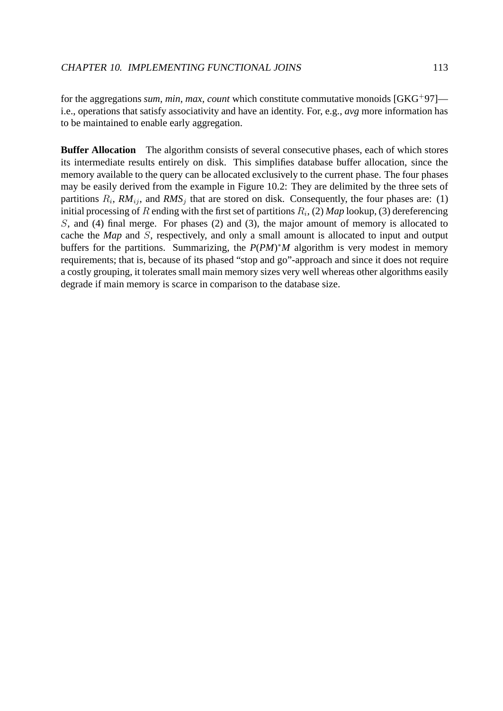for the aggregations *sum*, *min*, *max*, *count* which constitute commutative monoids [GKG<sup>+</sup>97] i.e., operations that satisfy associativity and have an identity. For, e.g., *avg* more information has to be maintained to enable early aggregation.

**Buffer Allocation** The algorithm consists of several consecutive phases, each of which stores its intermediate results entirely on disk. This simplifies database buffer allocation, since the memory available to the query can be allocated exclusively to the current phase. The four phases may be easily derived from the example in Figure 10.2: They are delimited by the three sets of partitions  $R_i$ ,  $RM_{ij}$ , and  $RMS_j$  that are stored on disk. Consequently, the four phases are: (1) initial processing of R ending with the first set of partitions  $R_i$ , (2) *Map* lookup, (3) dereferencing S, and (4) final merge. For phases (2) and (3), the major amount of memory is allocated to cache the *Map* and S, respectively, and only a small amount is allocated to input and output buffers for the partitions. Summarizing, the *P*(*PM*) <sup>∗</sup>*M* algorithm is very modest in memory requirements; that is, because of its phased "stop and go"-approach and since it does not require a costly grouping, it tolerates small main memory sizes very well whereas other algorithms easily degrade if main memory is scarce in comparison to the database size.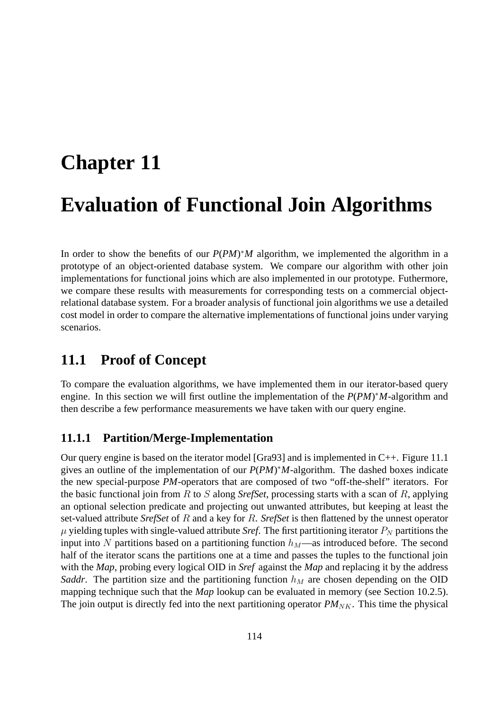# **Chapter 11 Evaluation of Functional Join Algorithms**

In order to show the benefits of our *P*(*PM*) <sup>∗</sup>*M* algorithm, we implemented the algorithm in a prototype of an object-oriented database system. We compare our algorithm with other join implementations for functional joins which are also implemented in our prototype. Futhermore, we compare these results with measurements for corresponding tests on a commercial objectrelational database system. For a broader analysis of functional join algorithms we use a detailed cost model in order to compare the alternative implementations of functional joins under varying scenarios.

# **11.1 Proof of Concept**

To compare the evaluation algorithms, we have implemented them in our iterator-based query engine. In this section we will first outline the implementation of the *P*(*PM*) <sup>∗</sup>*M*-algorithm and then describe a few performance measurements we have taken with our query engine.

## **11.1.1 Partition/Merge-Implementation**

Our query engine is based on the iterator model [Gra93] and is implemented in C++. Figure 11.1 gives an outline of the implementation of our *P*(*PM*) <sup>∗</sup>*M*-algorithm. The dashed boxes indicate the new special-purpose *PM*-operators that are composed of two "off-the-shelf" iterators. For the basic functional join from R to S along *SrefSet*, processing starts with a scan of R, applying an optional selection predicate and projecting out unwanted attributes, but keeping at least the set-valued attribute *SrefSet* of R and a key for R. *SrefSet* is then flattened by the unnest operator  $\mu$  yielding tuples with single-valued attribute *Sref*. The first partitioning iterator  $P_N$  partitions the input into N partitions based on a partitioning function  $h<sub>M</sub>$ —as introduced before. The second half of the iterator scans the partitions one at a time and passes the tuples to the functional join with the *Map*, probing every logical OID in *Sref* against the *Map* and replacing it by the address *Saddr*. The partition size and the partitioning function  $h<sub>M</sub>$  are chosen depending on the OID mapping technique such that the *Map* lookup can be evaluated in memory (see Section 10.2.5). The join output is directly fed into the next partitioning operator  $PM_{NK}$ . This time the physical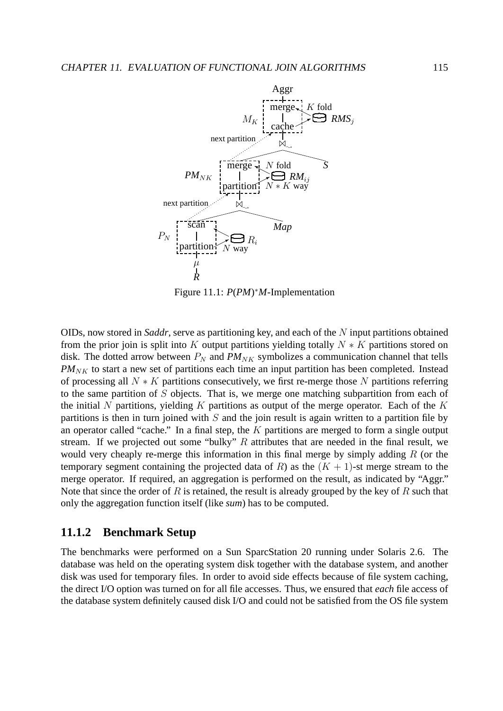

Figure 11.1: *P*(*PM*) <sup>∗</sup>*M*-Implementation

OIDs, now stored in *Saddr*, serve as partitioning key, and each of the N input partitions obtained from the prior join is split into K output partitions yielding totally  $N * K$  partitions stored on disk. The dotted arrow between  $P_N$  and  $PM_{NK}$  symbolizes a communication channel that tells  $PM_{NK}$  to start a new set of partitions each time an input partition has been completed. Instead of processing all  $N * K$  partitions consecutively, we first re-merge those N partitions referring to the same partition of  $S$  objects. That is, we merge one matching subpartition from each of the initial N partitions, yielding K partitions as output of the merge operator. Each of the K partitions is then in turn joined with  $S$  and the join result is again written to a partition file by an operator called "cache." In a final step, the  $K$  partitions are merged to form a single output stream. If we projected out some "bulky"  $R$  attributes that are needed in the final result, we would very cheaply re-merge this information in this final merge by simply adding  $R$  (or the temporary segment containing the projected data of R) as the  $(K + 1)$ -st merge stream to the merge operator. If required, an aggregation is performed on the result, as indicated by "Aggr." Note that since the order of R is retained, the result is already grouped by the key of R such that only the aggregation function itself (like *sum*) has to be computed.

## **11.1.2 Benchmark Setup**

The benchmarks were performed on a Sun SparcStation 20 running under Solaris 2.6. The database was held on the operating system disk together with the database system, and another disk was used for temporary files. In order to avoid side effects because of file system caching, the direct I/O option was turned on for all file accesses. Thus, we ensured that *each* file access of the database system definitely caused disk I/O and could not be satisfied from the OS file system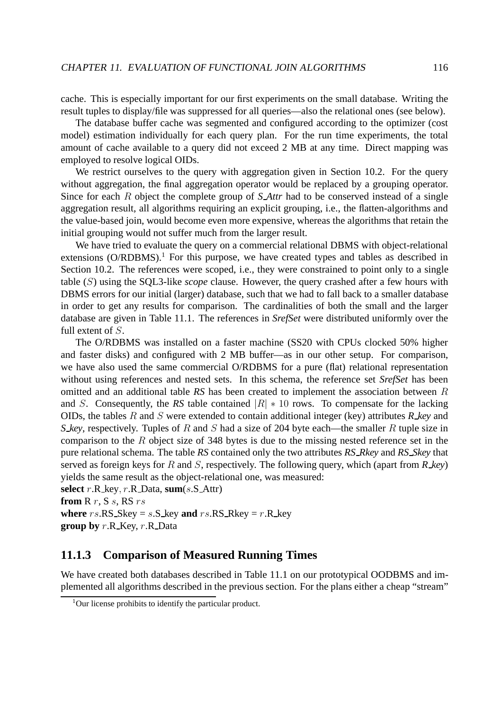cache. This is especially important for our first experiments on the small database. Writing the result tuples to display/file was suppressed for all queries—also the relational ones (see below).

The database buffer cache was segmented and configured according to the optimizer (cost model) estimation individually for each query plan. For the run time experiments, the total amount of cache available to a query did not exceed 2 MB at any time. Direct mapping was employed to resolve logical OIDs.

We restrict ourselves to the query with aggregation given in Section 10.2. For the query without aggregation, the final aggregation operator would be replaced by a grouping operator. Since for each R object the complete group of *S Attr* had to be conserved instead of a single aggregation result, all algorithms requiring an explicit grouping, i.e., the flatten-algorithms and the value-based join, would become even more expensive, whereas the algorithms that retain the initial grouping would not suffer much from the larger result.

We have tried to evaluate the query on a commercial relational DBMS with object-relational extensions  $(O/RDBMS)$ <sup>1</sup>. For this purpose, we have created types and tables as described in Section 10.2. The references were scoped, i.e., they were constrained to point only to a single table (S) using the SQL3-like *scope* clause. However, the query crashed after a few hours with DBMS errors for our initial (larger) database, such that we had to fall back to a smaller database in order to get any results for comparison. The cardinalities of both the small and the larger database are given in Table 11.1. The references in *SrefSet* were distributed uniformly over the full extent of S.

The O/RDBMS was installed on a faster machine (SS20 with CPUs clocked 50% higher and faster disks) and configured with 2 MB buffer—as in our other setup. For comparison, we have also used the same commercial O/RDBMS for a pure (flat) relational representation without using references and nested sets. In this schema, the reference set *SrefSet* has been omitted and an additional table *RS* has been created to implement the association between R and *S*. Consequently, the *RS* table contained  $|R| * 10$  rows. To compensate for the lacking OIDs, the tables R and S were extended to contain additional integer (key) attributes *R key* and *S key*, respectively. Tuples of R and S had a size of 204 byte each—the smaller R tuple size in comparison to the R object size of 348 bytes is due to the missing nested reference set in the pure relational schema. The table *RS* contained only the two attributes *RS Rkey* and *RS Skey* that served as foreign keys for R and S, respectively. The following query, which (apart from *R key*) yields the same result as the object-relational one, was measured:

**select** r.R key, r.R Data, **sum**(s.S Attr)

**from** R r, S s, RS rs

**where**  $rs$ .RS\_Skey =  $s$ .S\_key **and**  $rs$ .RS\_Rkey =  $r$ .R\_key **group by** r.R Key, r.R Data

## **11.1.3 Comparison of Measured Running Times**

We have created both databases described in Table 11.1 on our prototypical OODBMS and implemented all algorithms described in the previous section. For the plans either a cheap "stream"

<sup>&</sup>lt;sup>1</sup>Our license prohibits to identify the particular product.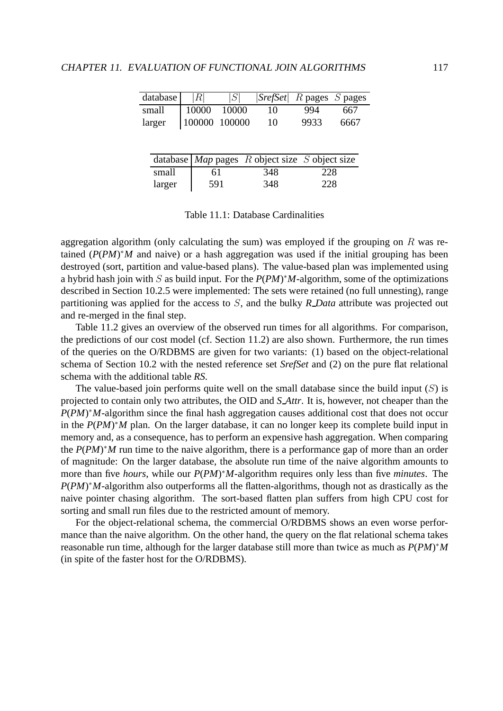| database | R             | S     |    | $ SrefSet $ R pages S pages |      |
|----------|---------------|-------|----|-----------------------------|------|
| small    | 10000         | 10000 | 10 | 994                         | 667  |
| larger   | 100000 100000 |       | 10 | 9933                        | 6667 |

|        |     | database $\vert Map$ pages R object size S object size |     |
|--------|-----|--------------------------------------------------------|-----|
| small  | 61  | 348                                                    | 228 |
| larger | 591 | 348                                                    | 228 |

Table 11.1: Database Cardinalities

aggregation algorithm (only calculating the sum) was employed if the grouping on  $R$  was retained (*P*(*PM*) <sup>∗</sup>*M* and naive) or a hash aggregation was used if the initial grouping has been destroyed (sort, partition and value-based plans). The value-based plan was implemented using a hybrid hash join with S as build input. For the *P*(*PM*) <sup>∗</sup>*M*-algorithm, some of the optimizations described in Section 10.2.5 were implemented: The sets were retained (no full unnesting), range partitioning was applied for the access to S, and the bulky *R Data* attribute was projected out and re-merged in the final step.

Table 11.2 gives an overview of the observed run times for all algorithms. For comparison, the predictions of our cost model (cf. Section 11.2) are also shown. Furthermore, the run times of the queries on the O/RDBMS are given for two variants: (1) based on the object-relational schema of Section 10.2 with the nested reference set *SrefSet* and (2) on the pure flat relational schema with the additional table *RS*.

The value-based join performs quite well on the small database since the build input  $(S)$  is projected to contain only two attributes, the OID and *S Attr*. It is, however, not cheaper than the *P*(*PM*) <sup>∗</sup>*M*-algorithm since the final hash aggregation causes additional cost that does not occur in the *P*(*PM*) <sup>∗</sup>*M* plan. On the larger database, it can no longer keep its complete build input in memory and, as a consequence, has to perform an expensive hash aggregation. When comparing the *P*(*PM*) <sup>∗</sup>*M* run time to the naive algorithm, there is a performance gap of more than an order of magnitude: On the larger database, the absolute run time of the naive algorithm amounts to more than five *hours*, while our *P*(*PM*) <sup>∗</sup>*M*-algorithm requires only less than five *minutes*. The *P*(*PM*) <sup>∗</sup>*M*-algorithm also outperforms all the flatten-algorithms, though not as drastically as the naive pointer chasing algorithm. The sort-based flatten plan suffers from high CPU cost for sorting and small run files due to the restricted amount of memory.

For the object-relational schema, the commercial O/RDBMS shows an even worse performance than the naive algorithm. On the other hand, the query on the flat relational schema takes reasonable run time, although for the larger database still more than twice as much as *P*(*PM*) <sup>∗</sup>*M* (in spite of the faster host for the O/RDBMS).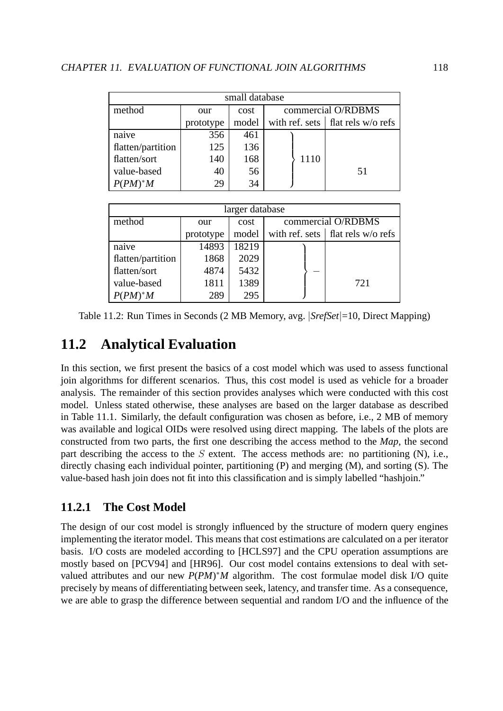| small database    |           |       |                                           |    |  |
|-------------------|-----------|-------|-------------------------------------------|----|--|
| method            | our       | cost  | commercial O/RDBMS                        |    |  |
|                   | prototype | model | with ref. sets $\vert$ flat rels w/o refs |    |  |
| naive             | 356       | 461   |                                           |    |  |
| flatten/partition | 125       | 136   |                                           |    |  |
| flatten/sort      | 140       | 168   | 1110                                      |    |  |
| value-based       | 40        | 56    |                                           | 51 |  |
| $P(PM)^*M$        | 29        | 34    |                                           |    |  |

| larger database   |           |       |                                           |     |  |
|-------------------|-----------|-------|-------------------------------------------|-----|--|
| method            | our       | cost  | commercial O/RDBMS                        |     |  |
|                   | prototype | model | with ref. sets $\vert$ flat rels w/o refs |     |  |
| naive             | 14893     | 18219 |                                           |     |  |
| flatten/partition | 1868      | 2029  |                                           |     |  |
| flatten/sort      | 4874      | 5432  |                                           |     |  |
| value-based       | 1811      | 1389  |                                           | 721 |  |
| $P(PM)^*M$        | 289       | 295   |                                           |     |  |

Table 11.2: Run Times in Seconds (2 MB Memory, avg. |*SrefSet*|=10, Direct Mapping)

# **11.2 Analytical Evaluation**

In this section, we first present the basics of a cost model which was used to assess functional join algorithms for different scenarios. Thus, this cost model is used as vehicle for a broader analysis. The remainder of this section provides analyses which were conducted with this cost model. Unless stated otherwise, these analyses are based on the larger database as described in Table 11.1. Similarly, the default configuration was chosen as before, i.e., 2 MB of memory was available and logical OIDs were resolved using direct mapping. The labels of the plots are constructed from two parts, the first one describing the access method to the *Map*, the second part describing the access to the  $S$  extent. The access methods are: no partitioning (N), i.e., directly chasing each individual pointer, partitioning (P) and merging (M), and sorting (S). The value-based hash join does not fit into this classification and is simply labelled "hashjoin."

## **11.2.1 The Cost Model**

The design of our cost model is strongly influenced by the structure of modern query engines implementing the iterator model. This means that cost estimations are calculated on a per iterator basis. I/O costs are modeled according to [HCLS97] and the CPU operation assumptions are mostly based on [PCV94] and [HR96]. Our cost model contains extensions to deal with setvalued attributes and our new *P*(*PM*) <sup>∗</sup>*M* algorithm. The cost formulae model disk I/O quite precisely by means of differentiating between seek, latency, and transfer time. As a consequence, we are able to grasp the difference between sequential and random I/O and the influence of the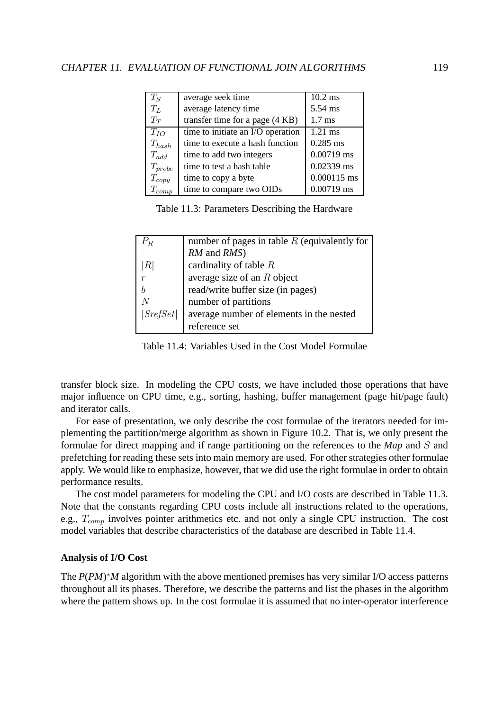| $T_S$       | average seek time                 | $10.2$ ms        |
|-------------|-----------------------------------|------------------|
| $T_L$       | average latency time              | 5.54 ms          |
| $T_T$       | transfer time for a page (4 KB)   | $1.7 \text{ ms}$ |
| $T_{IO}$    | time to initiate an I/O operation | $1.21$ ms        |
| $T_{hash}$  | time to execute a hash function   | $0.285$ ms       |
| $T_{add}$   | time to add two integers          | $0.00719$ ms     |
| $T_{probe}$ | time to test a hash table         | 0.02339 ms       |
| $T_{copy}$  | time to copy a byte               | $0.000115$ ms    |
| $T_{comp}$  | time to compare two OIDs          | $0.00719$ ms     |

Table 11.3: Parameters Describing the Hardware

| $P_R$     | number of pages in table $R$ (equivalently for |
|-----------|------------------------------------------------|
|           | RM and RMS)                                    |
| $R \vert$ | cardinality of table $R$                       |
|           | average size of an $R$ object                  |
|           | read/write buffer size (in pages)              |
|           | number of partitions                           |
| SrefSet   | average number of elements in the nested       |
|           | reference set                                  |

Table 11.4: Variables Used in the Cost Model Formulae

transfer block size. In modeling the CPU costs, we have included those operations that have major influence on CPU time, e.g., sorting, hashing, buffer management (page hit/page fault) and iterator calls.

For ease of presentation, we only describe the cost formulae of the iterators needed for implementing the partition/merge algorithm as shown in Figure 10.2. That is, we only present the formulae for direct mapping and if range partitioning on the references to the *Map* and S and prefetching for reading these sets into main memory are used. For other strategies other formulae apply. We would like to emphasize, however, that we did use the right formulae in order to obtain performance results.

The cost model parameters for modeling the CPU and I/O costs are described in Table 11.3. Note that the constants regarding CPU costs include all instructions related to the operations, e.g.,  $T_{\text{comm}}$  involves pointer arithmetics etc. and not only a single CPU instruction. The cost model variables that describe characteristics of the database are described in Table 11.4.

## **Analysis of I/O Cost**

The *P*(*PM*) <sup>∗</sup>*M* algorithm with the above mentioned premises has very similar I/O access patterns throughout all its phases. Therefore, we describe the patterns and list the phases in the algorithm where the pattern shows up. In the cost formulae it is assumed that no inter-operator interference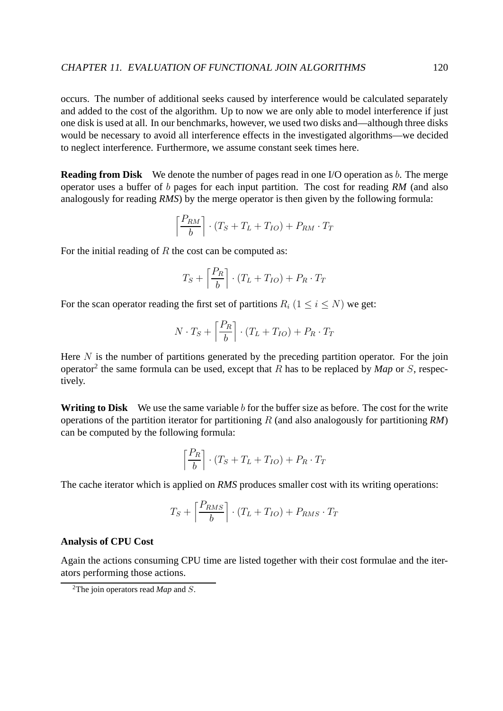occurs. The number of additional seeks caused by interference would be calculated separately and added to the cost of the algorithm. Up to now we are only able to model interference if just one disk is used at all. In our benchmarks, however, we used two disks and—although three disks would be necessary to avoid all interference effects in the investigated algorithms—we decided to neglect interference. Furthermore, we assume constant seek times here.

**Reading from Disk** We denote the number of pages read in one I/O operation as b. The merge operator uses a buffer of b pages for each input partition. The cost for reading *RM* (and also analogously for reading *RMS*) by the merge operator is then given by the following formula:

$$
\left\lceil \frac{P_{RM}}{b} \right\rceil \cdot (T_S + T_L + T_{IO}) + P_{RM} \cdot T_T
$$

For the initial reading of  $R$  the cost can be computed as:

$$
T_S + \left\lceil \frac{P_R}{b} \right\rceil \cdot (T_L + T_{IO}) + P_R \cdot T_T
$$

For the scan operator reading the first set of partitions  $R_i$  ( $1 \le i \le N$ ) we get:

$$
N \cdot T_S + \left\lceil \frac{P_R}{b} \right\rceil \cdot (T_L + T_{IO}) + P_R \cdot T_T
$$

Here  $N$  is the number of partitions generated by the preceding partition operator. For the join operator<sup>2</sup> the same formula can be used, except that R has to be replaced by *Map* or S, respectively.

Writing to Disk We use the same variable b for the buffer size as before. The cost for the write operations of the partition iterator for partitioning R (and also analogously for partitioning *RM*) can be computed by the following formula:

$$
\left\lceil \frac{P_R}{b} \right\rceil \cdot (T_S + T_L + T_{IO}) + P_R \cdot T_T
$$

The cache iterator which is applied on *RMS* produces smaller cost with its writing operations:

$$
T_S + \left\lceil \frac{P_{RMS}}{b} \right\rceil \cdot (T_L + T_{IO}) + P_{RMS} \cdot T_T
$$

#### **Analysis of CPU Cost**

Again the actions consuming CPU time are listed together with their cost formulae and the iterators performing those actions.

<sup>2</sup>The join operators read *Map* and S.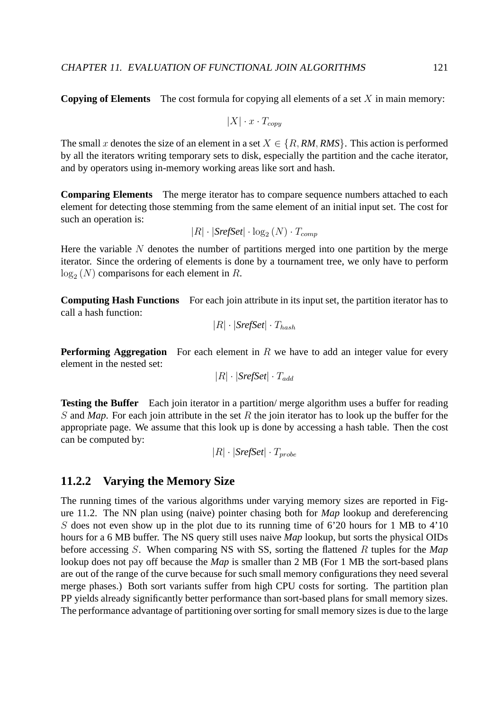**Copying of Elements** The cost formula for copying all elements of a set X in main memory:

$$
|X| \cdot x \cdot T_{copy}
$$

The small x denotes the size of an element in a set  $X \in \{R, RM, RMS\}$ . This action is performed by all the iterators writing temporary sets to disk, especially the partition and the cache iterator, and by operators using in-memory working areas like sort and hash.

**Comparing Elements** The merge iterator has to compare sequence numbers attached to each element for detecting those stemming from the same element of an initial input set. The cost for such an operation is:

$$
|R|\cdot|\textit{SrefSet}|\cdot\log_2(N)\cdot T_{comp}
$$

Here the variable  $N$  denotes the number of partitions merged into one partition by the merge iterator. Since the ordering of elements is done by a tournament tree, we only have to perform  $log<sub>2</sub>(N)$  comparisons for each element in R.

**Computing Hash Functions** For each join attribute in its input set, the partition iterator has to call a hash function:

$$
|R|\cdot|\textit{SrefSet}|\cdot T_{hash}
$$

**Performing Aggregation** For each element in R we have to add an integer value for every element in the nested set:

$$
|R|\cdot|\textit{SrefSet}|\cdot T_{add}
$$

**Testing the Buffer** Each join iterator in a partition/merge algorithm uses a buffer for reading S and *Map*. For each join attribute in the set R the join iterator has to look up the buffer for the appropriate page. We assume that this look up is done by accessing a hash table. Then the cost can be computed by:

 $|R| \cdot |SrefSet| \cdot T_{probe}$ 

## **11.2.2 Varying the Memory Size**

The running times of the various algorithms under varying memory sizes are reported in Figure 11.2. The NN plan using (naive) pointer chasing both for *Map* lookup and dereferencing S does not even show up in the plot due to its running time of  $6'20$  hours for 1 MB to  $4'10$ hours for a 6 MB buffer. The NS query still uses naive *Map* lookup, but sorts the physical OIDs before accessing S. When comparing NS with SS, sorting the flattened R tuples for the *Map* lookup does not pay off because the *Map* is smaller than 2 MB (For 1 MB the sort-based plans are out of the range of the curve because for such small memory configurations they need several merge phases.) Both sort variants suffer from high CPU costs for sorting. The partition plan PP yields already significantly better performance than sort-based plans for small memory sizes. The performance advantage of partitioning over sorting for small memory sizes is due to the large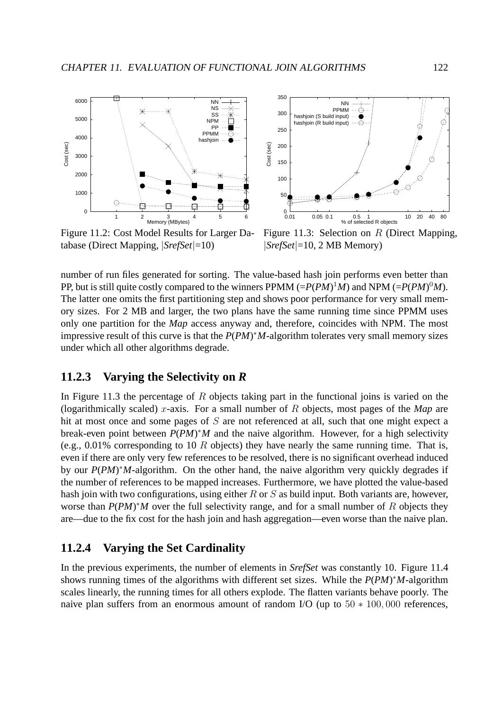

Figure 11.2: Cost Model Results for Larger Database (Direct Mapping, |*SrefSet*|=10)

Figure 11.3: Selection on  $R$  (Direct Mapping, |*SrefSet*|=10, 2 MB Memory)

number of run files generated for sorting. The value-based hash join performs even better than PP, but is still quite costly compared to the winners PPMM  $(=P(PM)^{1}M)$  and NPM  $(=P(PM)^{0}M)$ . The latter one omits the first partitioning step and shows poor performance for very small memory sizes. For 2 MB and larger, the two plans have the same running time since PPMM uses only one partition for the *Map* access anyway and, therefore, coincides with NPM. The most impressive result of this curve is that the *P*(*PM*) <sup>∗</sup>*M*-algorithm tolerates very small memory sizes under which all other algorithms degrade.

## **11.2.3 Varying the Selectivity on** *R*

In Figure 11.3 the percentage of  $R$  objects taking part in the functional joins is varied on the (logarithmically scaled) x-axis. For a small number of R objects, most pages of the *Map* are hit at most once and some pages of S are not referenced at all, such that one might expect a break-even point between *P*(*PM*) <sup>∗</sup>*M* and the naive algorithm. However, for a high selectivity (e.g., 0.01% corresponding to 10 R objects) they have nearly the same running time. That is, even if there are only very few references to be resolved, there is no significant overhead induced by our  $P(PM)^*M$ -algorithm. On the other hand, the naive algorithm very quickly degrades if the number of references to be mapped increases. Furthermore, we have plotted the value-based hash join with two configurations, using either  $R$  or  $S$  as build input. Both variants are, however, worse than  $P(PM)^*M$  over the full selectivity range, and for a small number of R objects they are—due to the fix cost for the hash join and hash aggregation—even worse than the naive plan.

## **11.2.4 Varying the Set Cardinality**

In the previous experiments, the number of elements in *SrefSet* was constantly 10. Figure 11.4 shows running times of the algorithms with different set sizes. While the *P*(*PM*) <sup>∗</sup>*M*-algorithm scales linearly, the running times for all others explode. The flatten variants behave poorly. The naive plan suffers from an enormous amount of random I/O (up to  $50 * 100,000$  references,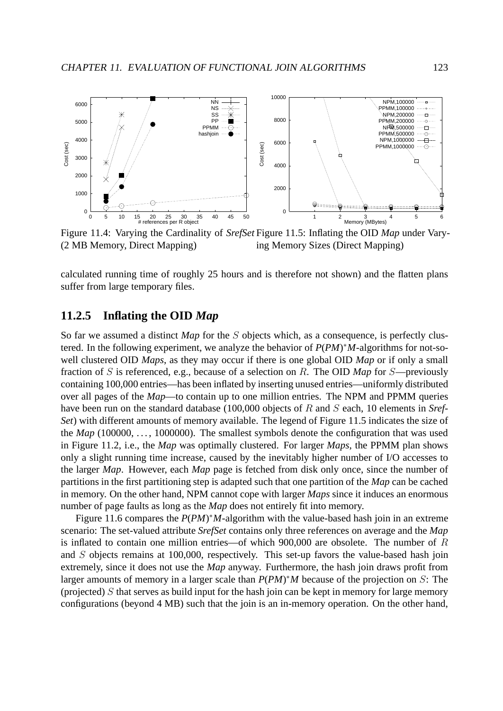

Figure 11.4: Varying the Cardinality of *SrefSet* Figure 11.5: Inflating the OID *Map* under Vary-(2 MB Memory, Direct Mapping) ing Memory Sizes (Direct Mapping)

calculated running time of roughly 25 hours and is therefore not shown) and the flatten plans suffer from large temporary files.

## **11.2.5 Inflating the OID** *Map*

So far we assumed a distinct *Map* for the S objects which, as a consequence, is perfectly clustered. In the following experiment, we analyze the behavior of *P*(*PM*) ∗*M*-algorithms for not-sowell clustered OID *Maps*, as they may occur if there is one global OID *Map* or if only a small fraction of S is referenced, e.g., because of a selection on R. The OID *Map* for S—previously containing 100,000 entries—has been inflated by inserting unused entries—uniformly distributed over all pages of the *Map*—to contain up to one million entries. The NPM and PPMM queries have been run on the standard database (100,000 objects of R and S each, 10 elements in *Sref-Set*) with different amounts of memory available. The legend of Figure 11.5 indicates the size of the *Map* (100000, ..., 1000000). The smallest symbols denote the configuration that was used in Figure 11.2, i.e., the *Map* was optimally clustered. For larger *Maps*, the PPMM plan shows only a slight running time increase, caused by the inevitably higher number of I/O accesses to the larger *Map*. However, each *Map* page is fetched from disk only once, since the number of partitions in the first partitioning step is adapted such that one partition of the *Map* can be cached in memory. On the other hand, NPM cannot cope with larger *Maps* since it induces an enormous number of page faults as long as the *Map* does not entirely fit into memory.

Figure 11.6 compares the *P*(*PM*) <sup>∗</sup>*M*-algorithm with the value-based hash join in an extreme scenario: The set-valued attribute *SrefSet* contains only three references on average and the *Map* is inflated to contain one million entries—of which  $900,000$  are obsolete. The number of R and S objects remains at 100,000, respectively. This set-up favors the value-based hash join extremely, since it does not use the *Map* anyway. Furthermore, the hash join draws profit from larger amounts of memory in a larger scale than  $P(PM)^*M$  because of the projection on S: The (projected)  $S$  that serves as build input for the hash join can be kept in memory for large memory configurations (beyond 4 MB) such that the join is an in-memory operation. On the other hand,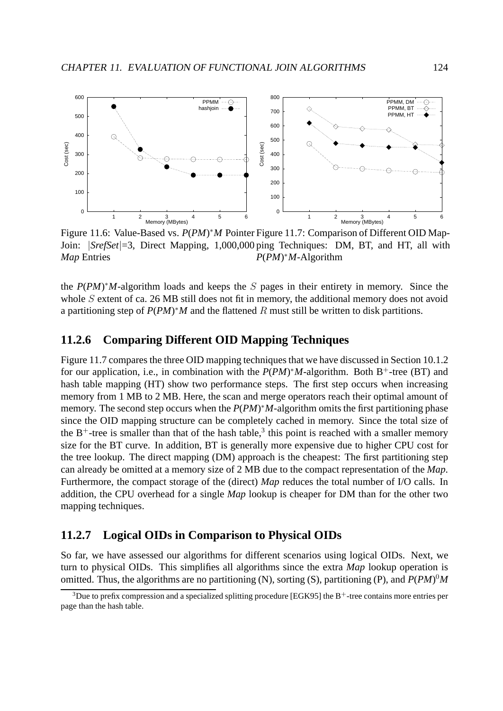

Figure 11.6: Value-Based vs. *P*(*PM*) <sup>∗</sup>*M* Pointer Figure 11.7: Comparison of Different OID Map-Join: |*SrefSet*|=3, Direct Mapping, 1,000,000 ping Techniques: DM, BT, and HT, all with *Map* Entries *P*(*PM*) <sup>∗</sup>*M*-Algorithm

the *P*(*PM*) <sup>∗</sup>*M*-algorithm loads and keeps the S pages in their entirety in memory. Since the whole S extent of ca. 26 MB still does not fit in memory, the additional memory does not avoid a partitioning step of  $P(PM)^*M$  and the flattened R must still be written to disk partitions.

## **11.2.6 Comparing Different OID Mapping Techniques**

Figure 11.7 compares the three OID mapping techniques that we have discussed in Section 10.1.2 for our application, i.e., in combination with the  $P(PM)^*M$ -algorithm. Both B<sup>+</sup>-tree (BT) and hash table mapping (HT) show two performance steps. The first step occurs when increasing memory from 1 MB to 2 MB. Here, the scan and merge operators reach their optimal amount of memory. The second step occurs when the *P*(*PM*)<sup>∗</sup>*M*-algorithm omits the first partitioning phase since the OID mapping structure can be completely cached in memory. Since the total size of the  $B^+$ -tree is smaller than that of the hash table,<sup>3</sup> this point is reached with a smaller memory size for the BT curve. In addition, BT is generally more expensive due to higher CPU cost for the tree lookup. The direct mapping (DM) approach is the cheapest: The first partitioning step can already be omitted at a memory size of 2 MB due to the compact representation of the *Map*. Furthermore, the compact storage of the (direct) *Map* reduces the total number of I/O calls. In addition, the CPU overhead for a single *Map* lookup is cheaper for DM than for the other two mapping techniques.

## **11.2.7 Logical OIDs in Comparison to Physical OIDs**

So far, we have assessed our algorithms for different scenarios using logical OIDs. Next, we turn to physical OIDs. This simplifies all algorithms since the extra *Map* lookup operation is omitted. Thus, the algorithms are no partitioning (N), sorting (S), partitioning (P), and *P*(*PM*) <sup>0</sup>*M*

<sup>&</sup>lt;sup>3</sup>Due to prefix compression and a specialized splitting procedure [EGK95] the B<sup>+</sup>-tree contains more entries per page than the hash table.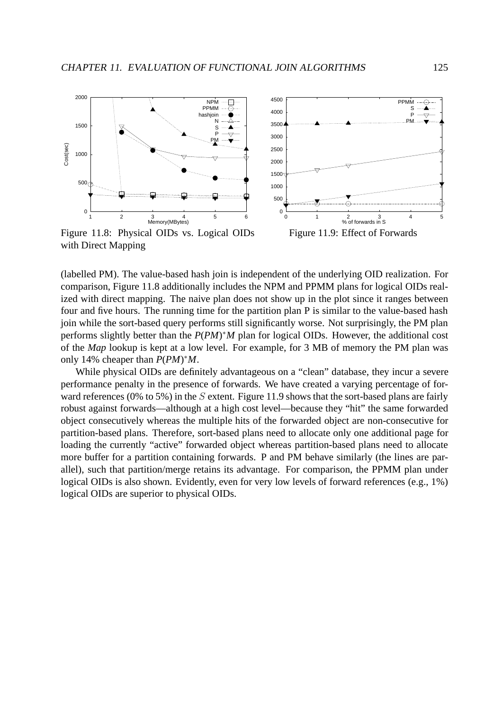

Figure 11.8: Physical OIDs vs. Logical OIDs with Direct Mapping



(labelled PM). The value-based hash join is independent of the underlying OID realization. For comparison, Figure 11.8 additionally includes the NPM and PPMM plans for logical OIDs realized with direct mapping. The naive plan does not show up in the plot since it ranges between four and five hours. The running time for the partition plan P is similar to the value-based hash join while the sort-based query performs still significantly worse. Not surprisingly, the PM plan performs slightly better than the  $P(PM)^*M$  plan for logical OIDs. However, the additional cost of the *Map* lookup is kept at a low level. For example, for 3 MB of memory the PM plan was only 14% cheaper than *P*(*PM*) <sup>∗</sup>*M*.

While physical OIDs are definitely advantageous on a "clean" database, they incur a severe performance penalty in the presence of forwards. We have created a varying percentage of forward references (0% to 5%) in the S extent. Figure 11.9 shows that the sort-based plans are fairly robust against forwards—although at a high cost level—because they "hit" the same forwarded object consecutively whereas the multiple hits of the forwarded object are non-consecutive for partition-based plans. Therefore, sort-based plans need to allocate only one additional page for loading the currently "active" forwarded object whereas partition-based plans need to allocate more buffer for a partition containing forwards. P and PM behave similarly (the lines are parallel), such that partition/merge retains its advantage. For comparison, the PPMM plan under logical OIDs is also shown. Evidently, even for very low levels of forward references (e.g., 1%) logical OIDs are superior to physical OIDs.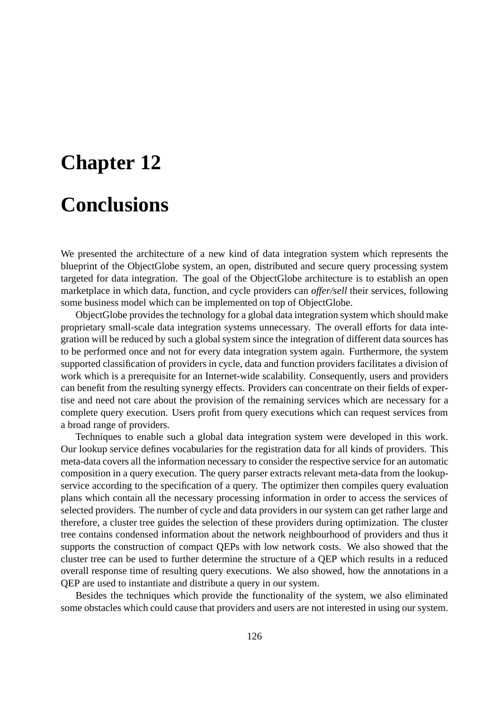# **Chapter 12 Conclusions**

We presented the architecture of a new kind of data integration system which represents the blueprint of the ObjectGlobe system, an open, distributed and secure query processing system targeted for data integration. The goal of the ObjectGlobe architecture is to establish an open marketplace in which data, function, and cycle providers can *offer/sell* their services, following some business model which can be implemented on top of ObjectGlobe.

ObjectGlobe provides the technology for a global data integration system which should make proprietary small-scale data integration systems unnecessary. The overall efforts for data integration will be reduced by such a global system since the integration of different data sources has to be performed once and not for every data integration system again. Furthermore, the system supported classification of providers in cycle, data and function providers facilitates a division of work which is a prerequisite for an Internet-wide scalability. Consequently, users and providers can benefit from the resulting synergy effects. Providers can concentrate on their fields of expertise and need not care about the provision of the remaining services which are necessary for a complete query execution. Users profit from query executions which can request services from a broad range of providers.

Techniques to enable such a global data integration system were developed in this work. Our lookup service defines vocabularies for the registration data for all kinds of providers. This meta-data covers all the information necessary to consider the respective service for an automatic composition in a query execution. The query parser extracts relevant meta-data from the lookupservice according to the specification of a query. The optimizer then compiles query evaluation plans which contain all the necessary processing information in order to access the services of selected providers. The number of cycle and data providers in our system can get rather large and therefore, a cluster tree guides the selection of these providers during optimization. The cluster tree contains condensed information about the network neighbourhood of providers and thus it supports the construction of compact QEPs with low network costs. We also showed that the cluster tree can be used to further determine the structure of a QEP which results in a reduced overall response time of resulting query executions. We also showed, how the annotations in a QEP are used to instantiate and distribute a query in our system.

Besides the techniques which provide the functionality of the system, we also eliminated some obstacles which could cause that providers and users are not interested in using our system.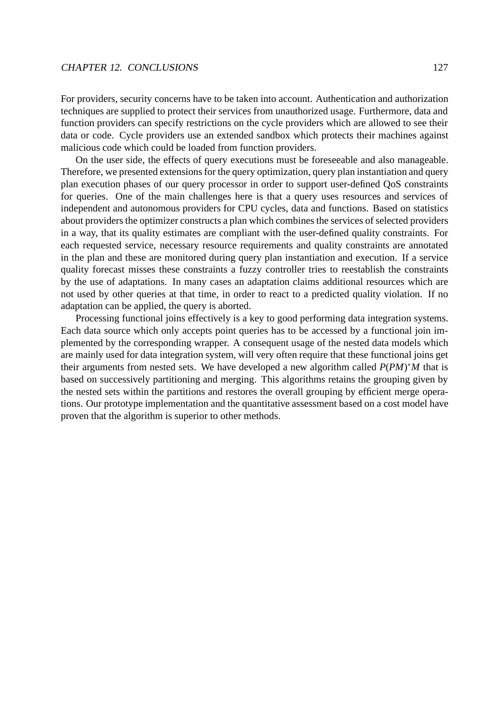## CHAPTER 12. CONCLUSIONS 127

For providers, security concerns have to be taken into account. Authentication and authorization techniques are supplied to protect their services from unauthorized usage. Furthermore, data and function providers can specify restrictions on the cycle providers which are allowed to see their data or code. Cycle providers use an extended sandbox which protects their machines against malicious code which could be loaded from function providers.

On the user side, the effects of query executions must be foreseeable and also manageable. Therefore, we presented extensions for the query optimization, query plan instantiation and query plan execution phases of our query processor in order to support user-defined QoS constraints for queries. One of the main challenges here is that a query uses resources and services of independent and autonomous providers for CPU cycles, data and functions. Based on statistics about providers the optimizer constructs a plan which combines the services of selected providers in a way, that its quality estimates are compliant with the user-defined quality constraints. For each requested service, necessary resource requirements and quality constraints are annotated in the plan and these are monitored during query plan instantiation and execution. If a service quality forecast misses these constraints a fuzzy controller tries to reestablish the constraints by the use of adaptations. In many cases an adaptation claims additional resources which are not used by other queries at that time, in order to react to a predicted quality violation. If no adaptation can be applied, the query is aborted.

Processing functional joins effectively is a key to good performing data integration systems. Each data source which only accepts point queries has to be accessed by a functional join implemented by the corresponding wrapper. A consequent usage of the nested data models which are mainly used for data integration system, will very often require that these functional joins get their arguments from nested sets. We have developed a new algorithm called *P*(*PM*) <sup>∗</sup>*M* that is based on successively partitioning and merging. This algorithms retains the grouping given by the nested sets within the partitions and restores the overall grouping by efficient merge operations. Our prototype implementation and the quantitative assessment based on a cost model have proven that the algorithm is superior to other methods.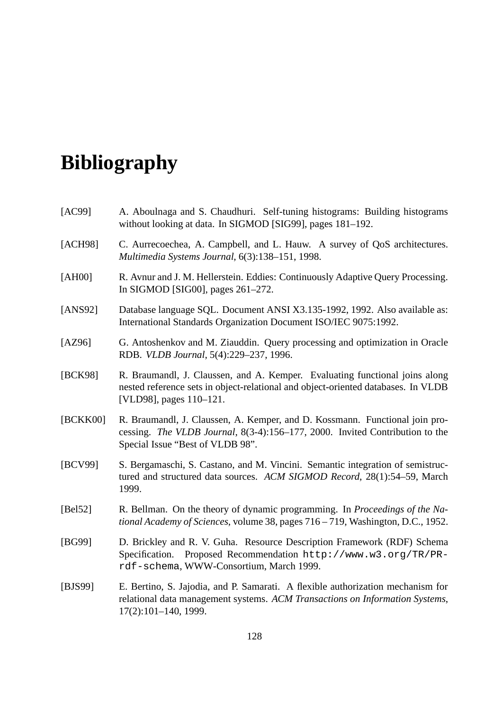# **Bibliography**

- [AC99] A. Aboulnaga and S. Chaudhuri. Self-tuning histograms: Building histograms without looking at data. In SIGMOD [SIG99], pages 181–192.
- [ACH98] C. Aurrecoechea, A. Campbell, and L. Hauw. A survey of QoS architectures. *Multimedia Systems Journal*, 6(3):138–151, 1998.
- [AH00] R. Avnur and J. M. Hellerstein. Eddies: Continuously Adaptive Query Processing. In SIGMOD [SIG00], pages 261–272.
- [ANS92] Database language SQL. Document ANSI X3.135-1992, 1992. Also available as: International Standards Organization Document ISO/IEC 9075:1992.
- [AZ96] G. Antoshenkov and M. Ziauddin. Query processing and optimization in Oracle RDB. *VLDB Journal*, 5(4):229–237, 1996.
- [BCK98] R. Braumandl, J. Claussen, and A. Kemper. Evaluating functional joins along nested reference sets in object-relational and object-oriented databases. In VLDB [VLD98], pages 110–121.
- [BCKK00] R. Braumandl, J. Claussen, A. Kemper, and D. Kossmann. Functional join processing. *The VLDB Journal*, 8(3-4):156–177, 2000. Invited Contribution to the Special Issue "Best of VLDB 98".
- [BCV99] S. Bergamaschi, S. Castano, and M. Vincini. Semantic integration of semistructured and structured data sources. *ACM SIGMOD Record*, 28(1):54–59, March 1999.
- [Bel52] R. Bellman. On the theory of dynamic programming. In *Proceedings of the National Academy of Sciences*, volume 38, pages 716 – 719, Washington, D.C., 1952.
- [BG99] D. Brickley and R. V. Guha. Resource Description Framework (RDF) Schema Specification. Proposed Recommendation http://www.w3.org/TR/PRrdf-schema, WWW-Consortium, March 1999.
- [BJS99] E. Bertino, S. Jajodia, and P. Samarati. A flexible authorization mechanism for relational data management systems. *ACM Transactions on Information Systems*, 17(2):101–140, 1999.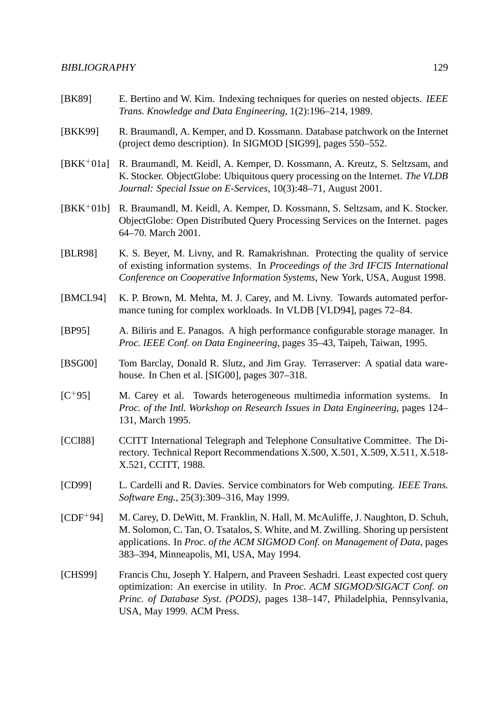- [BK89] E. Bertino and W. Kim. Indexing techniques for queries on nested objects. *IEEE Trans. Knowledge and Data Engineering*, 1(2):196–214, 1989.
- [BKK99] R. Braumandl, A. Kemper, and D. Kossmann. Database patchwork on the Internet (project demo description). In SIGMOD [SIG99], pages 550–552.
- [BKK<sup>+</sup>01a] R. Braumandl, M. Keidl, A. Kemper, D. Kossmann, A. Kreutz, S. Seltzsam, and K. Stocker. ObjectGlobe: Ubiquitous query processing on the Internet. *The VLDB Journal: Special Issue on E-Services*, 10(3):48–71, August 2001.
- [BKK<sup>+</sup>01b] R. Braumandl, M. Keidl, A. Kemper, D. Kossmann, S. Seltzsam, and K. Stocker. ObjectGlobe: Open Distributed Query Processing Services on the Internet. pages 64–70. March 2001.
- [BLR98] K. S. Beyer, M. Livny, and R. Ramakrishnan. Protecting the quality of service of existing information systems. In *Proceedings of the 3rd IFCIS International Conference on Cooperative Information Systems*, New York, USA, August 1998.
- [BMCL94] K. P. Brown, M. Mehta, M. J. Carey, and M. Livny. Towards automated performance tuning for complex workloads. In VLDB [VLD94], pages 72–84.
- [BP95] A. Biliris and E. Panagos. A high performance configurable storage manager. In *Proc. IEEE Conf. on Data Engineering*, pages 35–43, Taipeh, Taiwan, 1995.
- [BSG00] Tom Barclay, Donald R. Slutz, and Jim Gray. Terraserver: A spatial data warehouse. In Chen et al. [SIG00], pages 307–318.
- $[C+95]$  M. Carey et al. Towards heterogeneous multimedia information systems. In *Proc. of the Intl. Workshop on Research Issues in Data Engineering*, pages 124– 131, March 1995.
- [CCI88] CCITT International Telegraph and Telephone Consultative Committee. The Directory. Technical Report Recommendations X.500, X.501, X.509, X.511, X.518- X.521, CCITT, 1988.
- [CD99] L. Cardelli and R. Davies. Service combinators for Web computing. *IEEE Trans. Software Eng.*, 25(3):309–316, May 1999.
- [CDF<sup>+</sup>94] M. Carey, D. DeWitt, M. Franklin, N. Hall, M. McAuliffe, J. Naughton, D. Schuh, M. Solomon, C. Tan, O. Tsatalos, S. White, and M. Zwilling. Shoring up persistent applications. In *Proc. of the ACM SIGMOD Conf. on Management of Data*, pages 383–394, Minneapolis, MI, USA, May 1994.
- [CHS99] Francis Chu, Joseph Y. Halpern, and Praveen Seshadri. Least expected cost query optimization: An exercise in utility. In *Proc. ACM SIGMOD/SIGACT Conf. on Princ. of Database Syst. (PODS)*, pages 138–147, Philadelphia, Pennsylvania, USA, May 1999. ACM Press.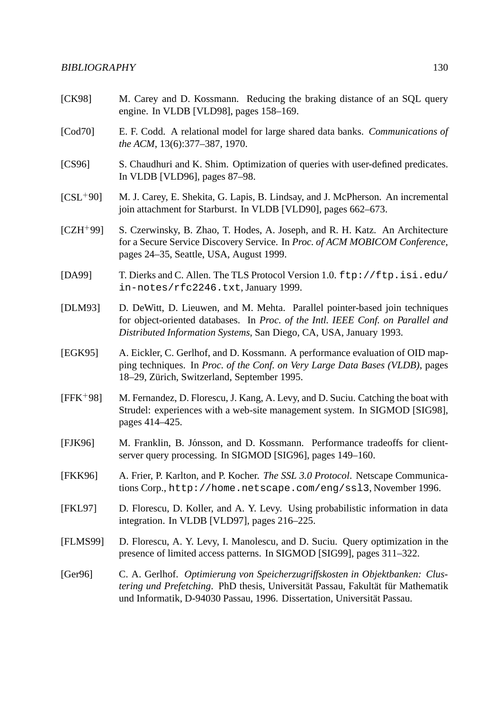- [CK98] M. Carey and D. Kossmann. Reducing the braking distance of an SQL query engine. In VLDB [VLD98], pages 158–169.
- [Cod70] E. F. Codd. A relational model for large shared data banks. *Communications of the ACM*, 13(6):377–387, 1970.
- [CS96] S. Chaudhuri and K. Shim. Optimization of queries with user-defined predicates. In VLDB [VLD96], pages 87–98.
- [CSL<sup>+</sup>90] M. J. Carey, E. Shekita, G. Lapis, B. Lindsay, and J. McPherson. An incremental join attachment for Starburst. In VLDB [VLD90], pages 662–673.
- [CZH<sup>+</sup>99] S. Czerwinsky, B. Zhao, T. Hodes, A. Joseph, and R. H. Katz. An Architecture for a Secure Service Discovery Service. In *Proc. of ACM MOBICOM Conference*, pages 24–35, Seattle, USA, August 1999.
- [DA99] T. Dierks and C. Allen. The TLS Protocol Version 1.0. ftp://ftp.isi.edu/ in-notes/rfc2246.txt, January 1999.
- [DLM93] D. DeWitt, D. Lieuwen, and M. Mehta. Parallel pointer-based join techniques for object-oriented databases. In *Proc. of the Intl. IEEE Conf. on Parallel and Distributed Information Systems*, San Diego, CA, USA, January 1993.
- [EGK95] A. Eickler, C. Gerlhof, and D. Kossmann. A performance evaluation of OID mapping techniques. In *Proc. of the Conf. on Very Large Data Bases (VLDB)*, pages 18–29, Zürich, Switzerland, September 1995.
- [FFK<sup>+</sup>98] M. Fernandez, D. Florescu, J. Kang, A. Levy, and D. Suciu. Catching the boat with Strudel: experiences with a web-site management system. In SIGMOD [SIG98], pages 414–425.
- [FJK96] M. Franklin, B. Jónsson, and D. Kossmann. Performance tradeoffs for clientserver query processing. In SIGMOD [SIG96], pages 149–160.
- [FKK96] A. Frier, P. Karlton, and P. Kocher. *The SSL 3.0 Protocol*. Netscape Communications Corp., http://home.netscape.com/eng/ssl3, November 1996.
- [FKL97] D. Florescu, D. Koller, and A. Y. Levy. Using probabilistic information in data integration. In VLDB [VLD97], pages 216–225.
- [FLMS99] D. Florescu, A. Y. Levy, I. Manolescu, and D. Suciu. Query optimization in the presence of limited access patterns. In SIGMOD [SIG99], pages 311–322.
- [Ger96] C. A. Gerlhof. *Optimierung von Speicherzugriffskosten in Objektbanken: Clustering und Prefetching.* PhD thesis, Universität Passau, Fakultät für Mathematik und Informatik, D-94030 Passau, 1996. Dissertation, Universität Passau.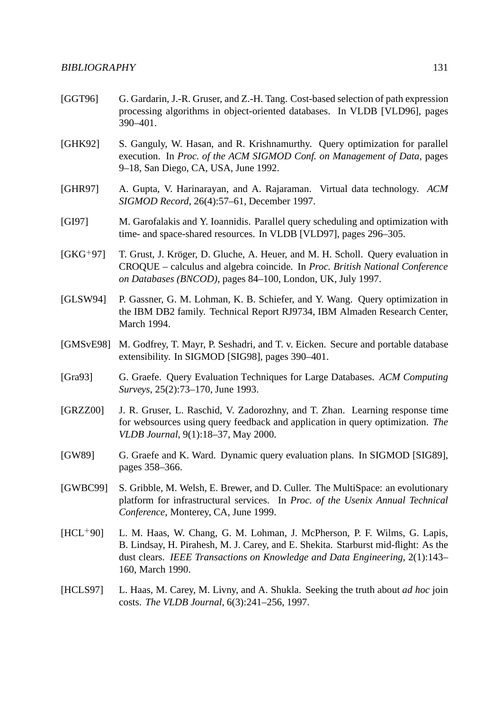- [GGT96] G. Gardarin, J.-R. Gruser, and Z.-H. Tang. Cost-based selection of path expression processing algorithms in object-oriented databases. In VLDB [VLD96], pages 390–401.
- [GHK92] S. Ganguly, W. Hasan, and R. Krishnamurthy. Query optimization for parallel execution. In *Proc. of the ACM SIGMOD Conf. on Management of Data*, pages 9–18, San Diego, CA, USA, June 1992.
- [GHR97] A. Gupta, V. Harinarayan, and A. Rajaraman. Virtual data technology. *ACM SIGMOD Record*, 26(4):57–61, December 1997.
- [GI97] M. Garofalakis and Y. Ioannidis. Parallel query scheduling and optimization with time- and space-shared resources. In VLDB [VLD97], pages 296–305.
- [GKG<sup>+97]</sup> T. Grust, J. Kröger, D. Gluche, A. Heuer, and M. H. Scholl. Query evaluation in CROQUE – calculus and algebra coincide. In *Proc. British National Conference on Databases (BNCOD)*, pages 84–100, London, UK, July 1997.
- [GLSW94] P. Gassner, G. M. Lohman, K. B. Schiefer, and Y. Wang. Query optimization in the IBM DB2 family. Technical Report RJ9734, IBM Almaden Research Center, March 1994.
- [GMSvE98] M. Godfrey, T. Mayr, P. Seshadri, and T. v. Eicken. Secure and portable database extensibility. In SIGMOD [SIG98], pages 390–401.
- [Gra93] G. Graefe. Query Evaluation Techniques for Large Databases. *ACM Computing Surveys*, 25(2):73–170, June 1993.
- [GRZZ00] J. R. Gruser, L. Raschid, V. Zadorozhny, and T. Zhan. Learning response time for websources using query feedback and application in query optimization. *The VLDB Journal*, 9(1):18–37, May 2000.
- [GW89] G. Graefe and K. Ward. Dynamic query evaluation plans. In SIGMOD [SIG89], pages 358–366.
- [GWBC99] S. Gribble, M. Welsh, E. Brewer, and D. Culler. The MultiSpace: an evolutionary platform for infrastructural services. In *Proc. of the Usenix Annual Technical Conference*, Monterey, CA, June 1999.
- [HCL<sup>+</sup>90] L. M. Haas, W. Chang, G. M. Lohman, J. McPherson, P. F. Wilms, G. Lapis, B. Lindsay, H. Pirahesh, M. J. Carey, and E. Shekita. Starburst mid-flight: As the dust clears. *IEEE Transactions on Knowledge and Data Engineering*, 2(1):143– 160, March 1990.
- [HCLS97] L. Haas, M. Carey, M. Livny, and A. Shukla. Seeking the truth about *ad hoc* join costs. *The VLDB Journal*, 6(3):241–256, 1997.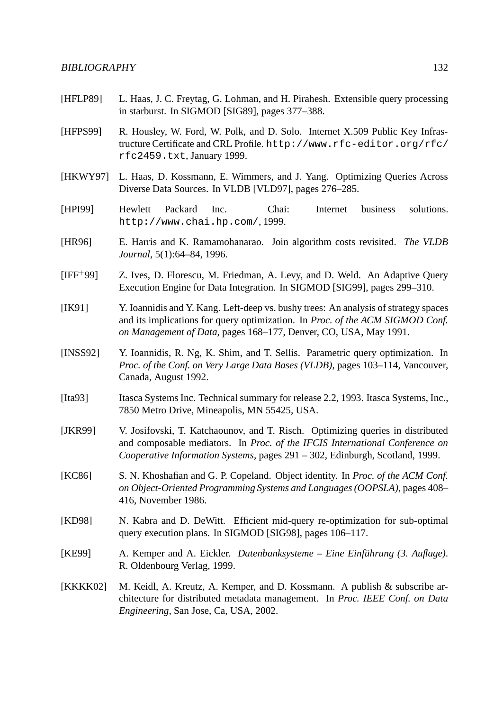- [HFLP89] L. Haas, J. C. Freytag, G. Lohman, and H. Pirahesh. Extensible query processing in starburst. In SIGMOD [SIG89], pages 377–388.
- [HFPS99] R. Housley, W. Ford, W. Polk, and D. Solo. Internet X.509 Public Key Infrastructure Certificate and CRL Profile. http://www.rfc-editor.org/rfc/ rfc2459.txt, January 1999.
- [HKWY97] L. Haas, D. Kossmann, E. Wimmers, and J. Yang. Optimizing Queries Across Diverse Data Sources. In VLDB [VLD97], pages 276–285.
- [HPI99] Hewlett Packard Inc. Chai: Internet business solutions. http://www.chai.hp.com/, 1999.
- [HR96] E. Harris and K. Ramamohanarao. Join algorithm costs revisited. *The VLDB Journal*, 5(1):64–84, 1996.
- [IFF<sup>+99]</sup> Z. Ives, D. Florescu, M. Friedman, A. Levy, and D. Weld. An Adaptive Query Execution Engine for Data Integration. In SIGMOD [SIG99], pages 299–310.
- [IK91] Y. Ioannidis and Y. Kang. Left-deep vs. bushy trees: An analysis of strategy spaces and its implications for query optimization. In *Proc. of the ACM SIGMOD Conf. on Management of Data*, pages 168–177, Denver, CO, USA, May 1991.
- [INSS92] Y. Ioannidis, R. Ng, K. Shim, and T. Sellis. Parametric query optimization. In *Proc. of the Conf. on Very Large Data Bases (VLDB)*, pages 103–114, Vancouver, Canada, August 1992.
- [Ita93] Itasca Systems Inc. Technical summary for release 2.2, 1993. Itasca Systems, Inc., 7850 Metro Drive, Mineapolis, MN 55425, USA.
- [JKR99] V. Josifovski, T. Katchaounov, and T. Risch. Optimizing queries in distributed and composable mediators. In *Proc. of the IFCIS International Conference on Cooperative Information Systems*, pages 291 – 302, Edinburgh, Scotland, 1999.
- [KC86] S. N. Khoshafian and G. P. Copeland. Object identity. In *Proc. of the ACM Conf. on Object-Oriented Programming Systems and Languages (OOPSLA)*, pages 408– 416, November 1986.
- [KD98] N. Kabra and D. DeWitt. Efficient mid-query re-optimization for sub-optimal query execution plans. In SIGMOD [SIG98], pages 106–117.
- [KE99] A. Kemper and A. Eickler. *Datenbanksysteme Eine Einführung (3. Auflage)*. R. Oldenbourg Verlag, 1999.
- [KKKK02] M. Keidl, A. Kreutz, A. Kemper, and D. Kossmann. A publish & subscribe architecture for distributed metadata management. In *Proc. IEEE Conf. on Data Engineering*, San Jose, Ca, USA, 2002.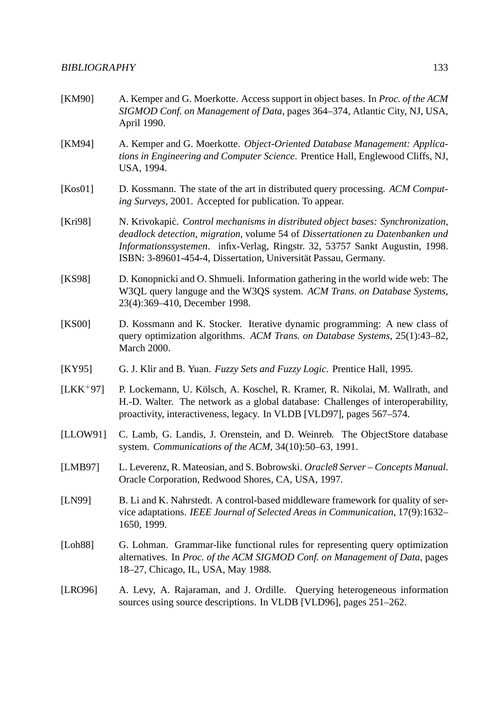- [KM90] A. Kemper and G. Moerkotte. Access support in object bases. In *Proc. of the ACM SIGMOD Conf. on Management of Data*, pages 364–374, Atlantic City, NJ, USA, April 1990.
- [KM94] A. Kemper and G. Moerkotte. *Object-Oriented Database Management: Applications in Engineering and Computer Science*. Prentice Hall, Englewood Cliffs, NJ, USA, 1994.
- [Kos01] D. Kossmann. The state of the art in distributed query processing. *ACM Computing Surveys*, 2001. Accepted for publication. To appear.
- [Kri98] N. Krivokapić. *Control mechanisms in distributed object bases: Synchronization, deadlock detection, migration*, volume 54 of *Dissertationen zu Datenbanken und Informationssystemen*. infix-Verlag, Ringstr. 32, 53757 Sankt Augustin, 1998. ISBN: 3-89601-454-4, Dissertation, Universität Passau, Germany.
- [KS98] D. Konopnicki and O. Shmueli. Information gathering in the world wide web: The W3QL query languge and the W3QS system. *ACM Trans. on Database Systems*, 23(4):369–410, December 1998.
- [KS00] D. Kossmann and K. Stocker. Iterative dynamic programming: A new class of query optimization algorithms. *ACM Trans. on Database Systems*, 25(1):43–82, March 2000.
- [KY95] G. J. Klir and B. Yuan. *Fuzzy Sets and Fuzzy Logic*. Prentice Hall, 1995.
- [LKK<sup>+</sup>97] P. Lockemann, U. Kölsch, A. Koschel, R. Kramer, R. Nikolai, M. Wallrath, and H.-D. Walter. The network as a global database: Challenges of interoperability, proactivity, interactiveness, legacy. In VLDB [VLD97], pages 567–574.
- [LLOW91] C. Lamb, G. Landis, J. Orenstein, and D. Weinreb. The ObjectStore database system. *Communications of the ACM*, 34(10):50–63, 1991.
- [LMB97] L. Leverenz, R. Mateosian, and S. Bobrowski. *Oracle8 Server Concepts Manual*. Oracle Corporation, Redwood Shores, CA, USA, 1997.
- [LN99] B. Li and K. Nahrstedt. A control-based middleware framework for quality of service adaptations. *IEEE Journal of Selected Areas in Communication*, 17(9):1632– 1650, 1999.
- [Loh88] G. Lohman. Grammar-like functional rules for representing query optimization alternatives. In *Proc. of the ACM SIGMOD Conf. on Management of Data*, pages 18–27, Chicago, IL, USA, May 1988.
- [LRO96] A. Levy, A. Rajaraman, and J. Ordille. Querying heterogeneous information sources using source descriptions. In VLDB [VLD96], pages 251–262.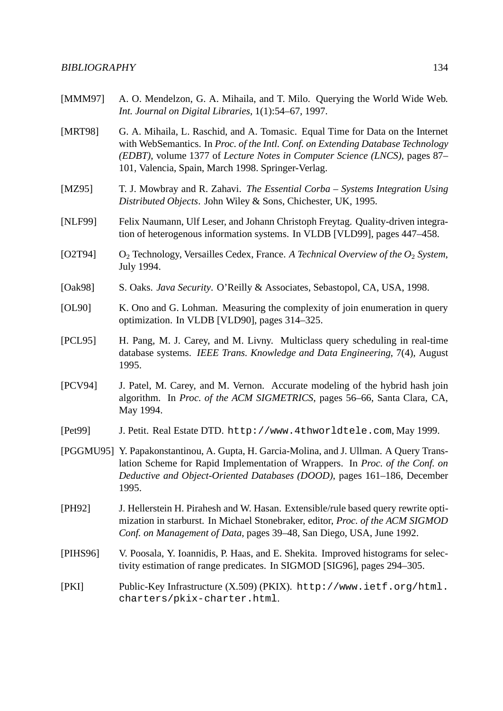- [MMM97] A. O. Mendelzon, G. A. Mihaila, and T. Milo. Querying the World Wide Web. *Int. Journal on Digital Libraries*, 1(1):54–67, 1997.
- [MRT98] G. A. Mihaila, L. Raschid, and A. Tomasic. Equal Time for Data on the Internet with WebSemantics. In *Proc. of the Intl. Conf. on Extending Database Technology (EDBT)*, volume 1377 of *Lecture Notes in Computer Science (LNCS)*, pages 87– 101, Valencia, Spain, March 1998. Springer-Verlag.
- [MZ95] T. J. Mowbray and R. Zahavi. *The Essential Corba Systems Integration Using Distributed Objects*. John Wiley & Sons, Chichester, UK, 1995.
- [NLF99] Felix Naumann, Ulf Leser, and Johann Christoph Freytag. Quality-driven integration of heterogenous information systems. In VLDB [VLD99], pages 447–458.
- [O2T94] O<sup>2</sup> Technology, Versailles Cedex, France. *A Technical Overview of the O*<sup>2</sup> *System*, July 1994.
- [Oak98] S. Oaks. *Java Security*. O'Reilly & Associates, Sebastopol, CA, USA, 1998.
- [OL90] K. Ono and G. Lohman. Measuring the complexity of join enumeration in query optimization. In VLDB [VLD90], pages 314–325.
- [PCL95] H. Pang, M. J. Carey, and M. Livny. Multiclass query scheduling in real-time database systems. *IEEE Trans. Knowledge and Data Engineering*, 7(4), August 1995.
- [PCV94] J. Patel, M. Carey, and M. Vernon. Accurate modeling of the hybrid hash join algorithm. In *Proc. of the ACM SIGMETRICS*, pages 56–66, Santa Clara, CA, May 1994.
- [Pet99] J. Petit. Real Estate DTD. http://www.4thworldtele.com, May 1999.
- [PGGMU95] Y. Papakonstantinou, A. Gupta, H. Garcia-Molina, and J. Ullman. A Query Translation Scheme for Rapid Implementation of Wrappers. In *Proc. of the Conf. on Deductive and Object-Oriented Databases (DOOD)*, pages 161–186, December 1995.
- [PH92] J. Hellerstein H. Pirahesh and W. Hasan. Extensible/rule based query rewrite optimization in starburst. In Michael Stonebraker, editor, *Proc. of the ACM SIGMOD Conf. on Management of Data*, pages 39–48, San Diego, USA, June 1992.
- [PIHS96] V. Poosala, Y. Ioannidis, P. Haas, and E. Shekita. Improved histograms for selectivity estimation of range predicates. In SIGMOD [SIG96], pages 294–305.
- [PKI] Public-Key Infrastructure (X.509) (PKIX). http://www.ietf.org/html. charters/pkix-charter.html.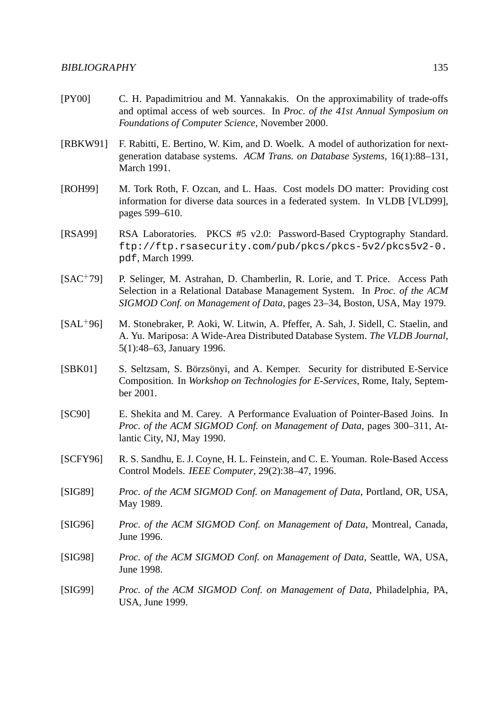- [PY00] C. H. Papadimitriou and M. Yannakakis. On the approximability of trade-offs and optimal access of web sources. In *Proc. of the 41st Annual Symposium on Foundations of Computer Science*, November 2000.
- [RBKW91] F. Rabitti, E. Bertino, W. Kim, and D. Woelk. A model of authorization for nextgeneration database systems. *ACM Trans. on Database Systems*, 16(1):88–131, March 1991.
- [ROH99] M. Tork Roth, F. Ozcan, and L. Haas. Cost models DO matter: Providing cost information for diverse data sources in a federated system. In VLDB [VLD99], pages 599–610.
- [RSA99] RSA Laboratories. PKCS #5 v2.0: Password-Based Cryptography Standard. ftp://ftp.rsasecurity.com/pub/pkcs/pkcs-5v2/pkcs5v2-0. pdf, March 1999.
- [SAC<sup>+</sup>79] P. Selinger, M. Astrahan, D. Chamberlin, R. Lorie, and T. Price. Access Path Selection in a Relational Database Management System. In *Proc. of the ACM SIGMOD Conf. on Management of Data*, pages 23–34, Boston, USA, May 1979.
- [SAL<sup>+</sup>96] M. Stonebraker, P. Aoki, W. Litwin, A. Pfeffer, A. Sah, J. Sidell, C. Staelin, and A. Yu. Mariposa: A Wide-Area Distributed Database System. *The VLDB Journal*, 5(1):48–63, January 1996.
- [SBK01] S. Seltzsam, S. Börzsönyi, and A. Kemper. Security for distributed E-Service Composition. In *Workshop on Technologies for E-Services*, Rome, Italy, September 2001.
- [SC90] E. Shekita and M. Carey. A Performance Evaluation of Pointer-Based Joins. In *Proc. of the ACM SIGMOD Conf. on Management of Data*, pages 300–311, Atlantic City, NJ, May 1990.
- [SCFY96] R. S. Sandhu, E. J. Coyne, H. L. Feinstein, and C. E. Youman. Role-Based Access Control Models. *IEEE Computer*, 29(2):38–47, 1996.
- [SIG89] *Proc. of the ACM SIGMOD Conf. on Management of Data*, Portland, OR, USA, May 1989.
- [SIG96] *Proc. of the ACM SIGMOD Conf. on Management of Data*, Montreal, Canada, June 1996.
- [SIG98] *Proc. of the ACM SIGMOD Conf. on Management of Data*, Seattle, WA, USA, June 1998.
- [SIG99] *Proc. of the ACM SIGMOD Conf. on Management of Data*, Philadelphia, PA, USA, June 1999.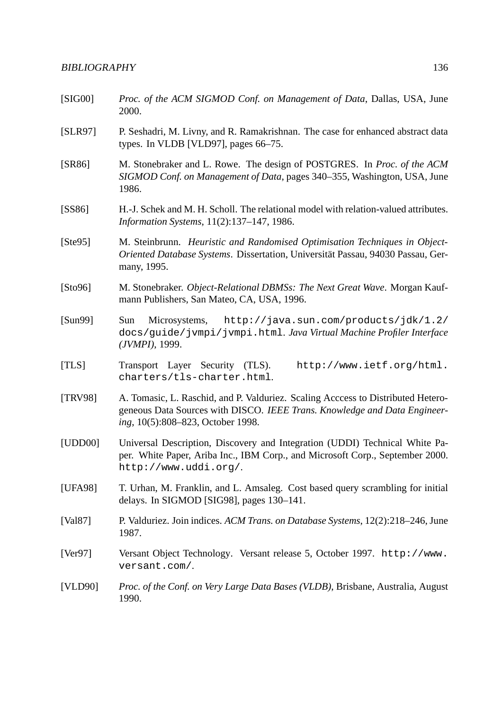- [SIG00] *Proc. of the ACM SIGMOD Conf. on Management of Data*, Dallas, USA, June 2000.
- [SLR97] P. Seshadri, M. Livny, and R. Ramakrishnan. The case for enhanced abstract data types. In VLDB [VLD97], pages 66–75.
- [SR86] M. Stonebraker and L. Rowe. The design of POSTGRES. In *Proc. of the ACM SIGMOD Conf. on Management of Data*, pages 340–355, Washington, USA, June 1986.
- [SS86] H.-J. Schek and M. H. Scholl. The relational model with relation-valued attributes. *Information Systems*, 11(2):137–147, 1986.
- [Ste95] M. Steinbrunn. *Heuristic and Randomised Optimisation Techniques in Object-Oriented Database Systems*. Dissertation, Universität Passau, 94030 Passau, Germany, 1995.
- [Sto96] M. Stonebraker. *Object-Relational DBMSs: The Next Great Wave*. Morgan Kaufmann Publishers, San Mateo, CA, USA, 1996.
- [Sun99] Sun Microsystems, http://java.sun.com/products/jdk/1.2/ docs/guide/jvmpi/jvmpi.html. *Java Virtual Machine Profiler Interface (JVMPI)*, 1999.
- [TLS] Transport Layer Security (TLS). http://www.ietf.org/html. charters/tls-charter.html.
- [TRV98] A. Tomasic, L. Raschid, and P. Valduriez. Scaling Acccess to Distributed Heterogeneous Data Sources with DISCO. *IEEE Trans. Knowledge and Data Engineering*, 10(5):808–823, October 1998.
- [UDD00] Universal Description, Discovery and Integration (UDDI) Technical White Paper. White Paper, Ariba Inc., IBM Corp., and Microsoft Corp., September 2000. http://www.uddi.org/.
- [UFA98] T. Urhan, M. Franklin, and L. Amsaleg. Cost based query scrambling for initial delays. In SIGMOD [SIG98], pages 130–141.
- [Val87] P. Valduriez. Join indices. *ACM Trans. on Database Systems*, 12(2):218–246, June 1987.
- [Ver97] Versant Object Technology. Versant release 5, October 1997. http://www. versant.com/.
- [VLD90] *Proc. of the Conf. on Very Large Data Bases (VLDB)*, Brisbane, Australia, August 1990.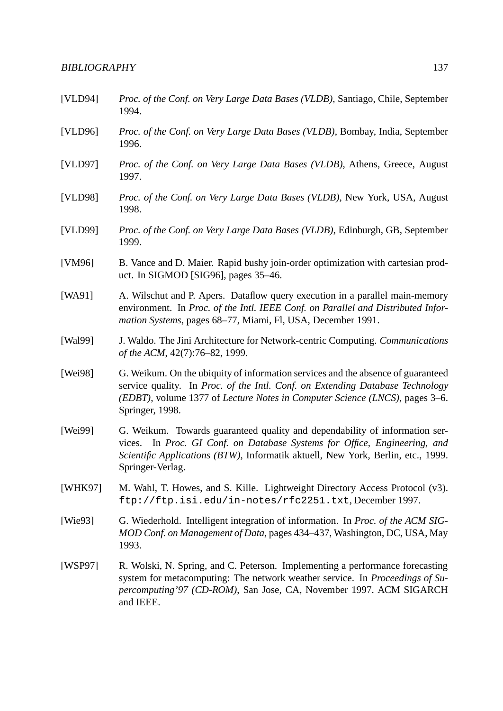- [VLD94] *Proc. of the Conf. on Very Large Data Bases (VLDB)*, Santiago, Chile, September 1994.
- [VLD96] *Proc. of the Conf. on Very Large Data Bases (VLDB)*, Bombay, India, September 1996.
- [VLD97] *Proc. of the Conf. on Very Large Data Bases (VLDB)*, Athens, Greece, August 1997.
- [VLD98] *Proc. of the Conf. on Very Large Data Bases (VLDB)*, New York, USA, August 1998.
- [VLD99] *Proc. of the Conf. on Very Large Data Bases (VLDB)*, Edinburgh, GB, September 1999.
- [VM96] B. Vance and D. Maier. Rapid bushy join-order optimization with cartesian product. In SIGMOD [SIG96], pages 35–46.
- [WA91] A. Wilschut and P. Apers. Dataflow query execution in a parallel main-memory environment. In *Proc. of the Intl. IEEE Conf. on Parallel and Distributed Information Systems*, pages 68–77, Miami, Fl, USA, December 1991.
- [Wal99] J. Waldo. The Jini Architecture for Network-centric Computing. *Communications of the ACM*, 42(7):76–82, 1999.
- [Wei98] G. Weikum. On the ubiquity of information services and the absence of guaranteed service quality. In *Proc. of the Intl. Conf. on Extending Database Technology (EDBT)*, volume 1377 of *Lecture Notes in Computer Science (LNCS)*, pages 3–6. Springer, 1998.
- [Wei99] G. Weikum. Towards guaranteed quality and dependability of information services. In *Proc. GI Conf. on Database Systems for Office, Engineering, and Scientific Applications (BTW)*, Informatik aktuell, New York, Berlin, etc., 1999. Springer-Verlag.
- [WHK97] M. Wahl, T. Howes, and S. Kille. Lightweight Directory Access Protocol (v3). ftp://ftp.isi.edu/in-notes/rfc2251.txt, December 1997.
- [Wie93] G. Wiederhold. Intelligent integration of information. In *Proc. of the ACM SIG-MOD Conf. on Management of Data*, pages 434–437, Washington, DC, USA, May 1993.
- [WSP97] R. Wolski, N. Spring, and C. Peterson. Implementing a performance forecasting system for metacomputing: The network weather service. In *Proceedings of Supercomputing'97 (CD-ROM)*, San Jose, CA, November 1997. ACM SIGARCH and IEEE.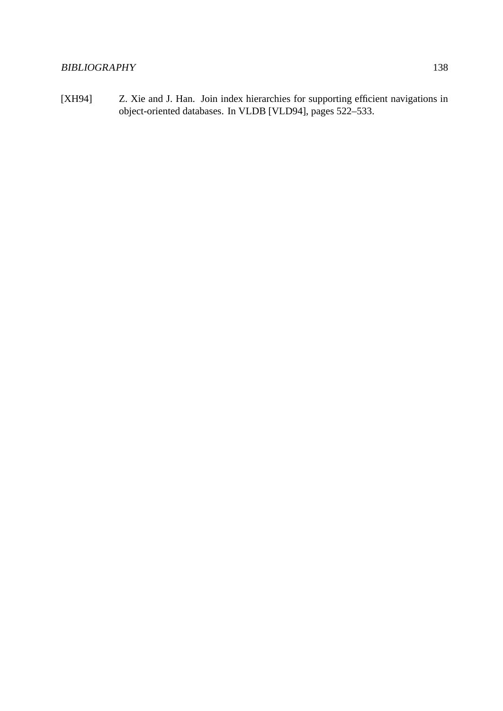[XH94] Z. Xie and J. Han. Join index hierarchies for supporting efficient navigations in object-oriented databases. In VLDB [VLD94], pages 522–533.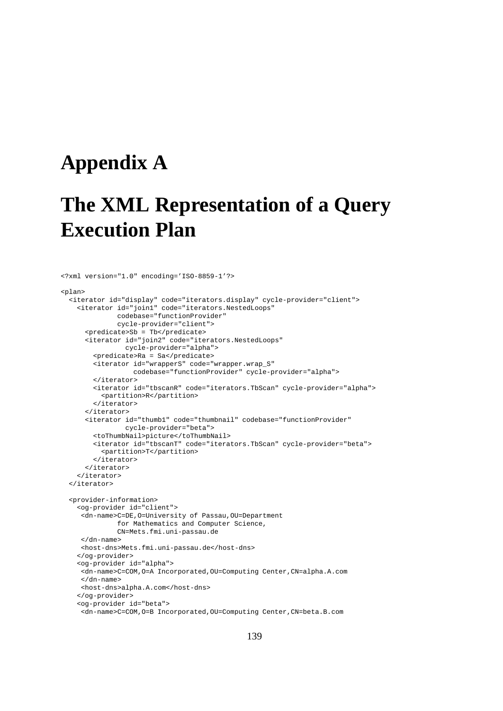## **Appendix A**

## **The XML Representation of a Query Execution Plan**

```
<?xml version="1.0" encoding='ISO-8859-1'?>
<plan>
  <iterator id="display" code="iterators.display" cycle-provider="client">
   <iterator id="join1" code="iterators.NestedLoops"
              codebase="functionProvider"
              cycle-provider="client">
      <predicate>Sb = Tb</predicate>
      <iterator id="join2" code="iterators.NestedLoops"
               cycle-provider="alpha">
        <predicate>Ra = Sa</predicate>
        <iterator id="wrapperS" code="wrapper.wrap_S"
                 codebase="functionProvider" cycle-provider="alpha">
        </iterator>
        <iterator id="tbscanR" code="iterators.TbScan" cycle-provider="alpha">
         <partition>R</partition>
        </iterator>
      </iterator>
      <iterator id="thumb1" code="thumbnail" codebase="functionProvider"
               cycle-provider="beta">
        <toThumbNail>picture</toThumbNail>
        <iterator id="tbscanT" code="iterators.TbScan" cycle-provider="beta">
          <partition>T</partition>
        </iterator>
      </iterator>
    </iterator>
  </iterator>
  <provider-information>
   <og-provider id="client">
     <dn-name>C=DE,O=University of Passau,OU=Department
             for Mathematics and Computer Science,
             CN=Mets.fmi.uni-passau.de
     </dn-name>
    <host-dns>Mets.fmi.uni-passau.de</host-dns>
    </og-provider>
    <og-provider id="alpha">
    <dn-name>C=COM,O=A Incorporated,OU=Computing Center,CN=alpha.A.com
     </dn-name>
    <host-dns>alpha.A.com</host-dns>
    </og-provider>
    <og-provider id="beta">
     <dn-name>C=COM,O=B Incorporated,OU=Computing Center,CN=beta.B.com
```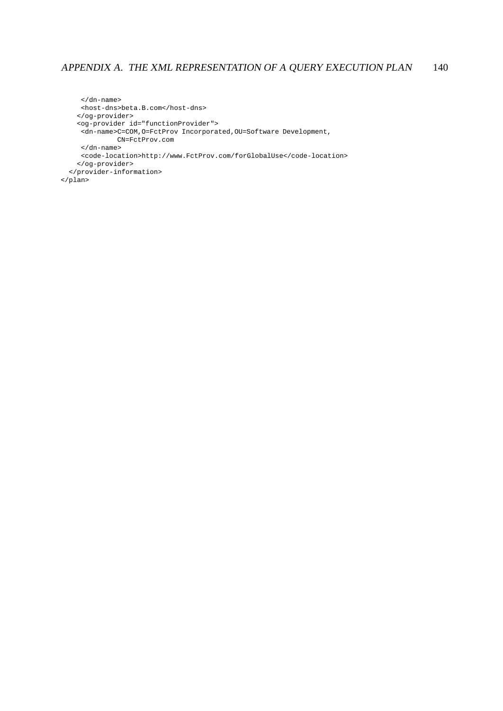</dn-name> <host-dns>beta.B.com</host-dns> </og-provider> <og-provider id="functionProvider"> <dn-name>C=COM,O=FctProv Incorporated,OU=Software Development, CN=FctProv.com </dn-name> <code-location>http://www.FctProv.com/forGlobalUse</code-location> </og-provider> </provider-information> </plan>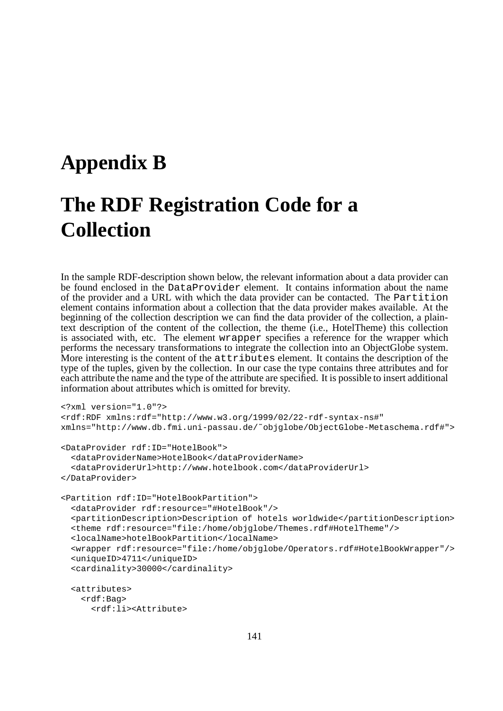## **Appendix B**

## **The RDF Registration Code for a Collection**

In the sample RDF-description shown below, the relevant information about a data provider can be found enclosed in the DataProvider element. It contains information about the name of the provider and a URL with which the data provider can be contacted. The Partition element contains information about a collection that the data provider makes available. At the beginning of the collection description we can find the data provider of the collection, a plaintext description of the content of the collection, the theme (i.e., HotelTheme) this collection is associated with, etc. The element wrapper specifies a reference for the wrapper which performs the necessary transformations to integrate the collection into an ObjectGlobe system. More interesting is the content of the attributes element. It contains the description of the type of the tuples, given by the collection. In our case the type contains three attributes and for each attribute the name and the type of the attribute are specified. It is possible to insert additional information about attributes which is omitted for brevity.

```
<?xml version="1.0"?>
<rdf:RDF xmlns:rdf="http://www.w3.org/1999/02/22-rdf-syntax-ns#"
xmlns="http://www.db.fmi.uni-passau.de/˜objglobe/ObjectGlobe-Metaschema.rdf#">
<DataProvider rdf:ID="HotelBook">
  <dataProviderName>HotelBook</dataProviderName>
  <dataProviderUrl>http://www.hotelbook.com</dataProviderUrl>
</DataProvider>
<Partition rdf:ID="HotelBookPartition">
  <dataProvider rdf:resource="#HotelBook"/>
  <partitionDescription>Description of hotels worldwide</partitionDescription>
  <theme rdf:resource="file:/home/objglobe/Themes.rdf#HotelTheme"/>
  <localName>hotelBookPartition</localName>
  <wrapper rdf:resource="file:/home/objglobe/Operators.rdf#HotelBookWrapper"/>
  <uniqueID>4711</uniqueID>
  <cardinality>30000</cardinality>
  <attributes>
   <rdf:Bag>
      <rdf:li><Attribute>
```